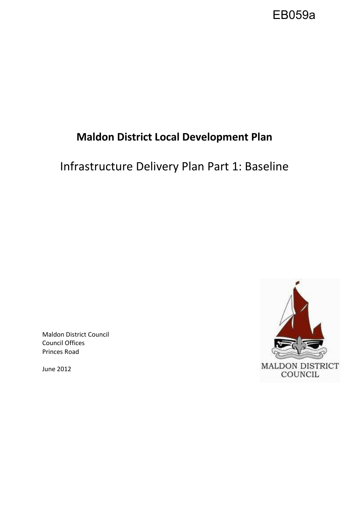

# **Maldon District Local Development Plan**

# Infrastructure Delivery Plan Part 1: Baseline

Maldon District Council Council Offices Princes Road

June 2012

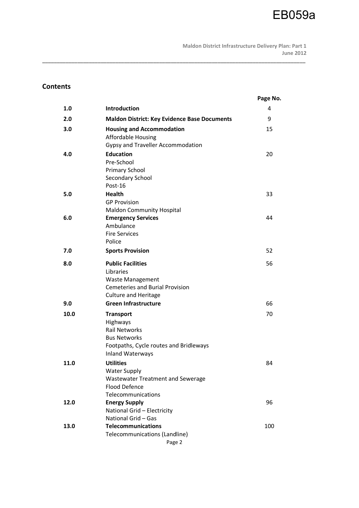# **Contents**

|      |                                                                                                                                                  | Page No. |
|------|--------------------------------------------------------------------------------------------------------------------------------------------------|----------|
| 1.0  | Introduction                                                                                                                                     | 4        |
| 2.0  | <b>Maldon District: Key Evidence Base Documents</b>                                                                                              | 9        |
| 3.0  | <b>Housing and Accommodation</b><br><b>Affordable Housing</b><br>Gypsy and Traveller Accommodation                                               | 15       |
| 4.0  | <b>Education</b><br>Pre-School<br><b>Primary School</b><br>Secondary School<br>Post-16                                                           | 20       |
| 5.0  | <b>Health</b><br><b>GP Provision</b><br><b>Maldon Community Hospital</b>                                                                         | 33       |
| 6.0  | <b>Emergency Services</b><br>Ambulance<br><b>Fire Services</b><br>Police                                                                         | 44       |
| 7.0  | <b>Sports Provision</b>                                                                                                                          | 52       |
| 8.0  | <b>Public Facilities</b><br>Libraries<br><b>Waste Management</b><br><b>Cemeteries and Burial Provision</b><br><b>Culture and Heritage</b>        | 56       |
| 9.0  | <b>Green Infrastructure</b>                                                                                                                      | 66       |
| 10.0 | <b>Transport</b><br>Highways<br><b>Rail Networks</b><br><b>Bus Networks</b><br>Footpaths, Cycle routes and Bridleways<br><b>Inland Waterways</b> | 70       |
| 11.0 | <b>Utilities</b><br><b>Water Supply</b><br>Wastewater Treatment and Sewerage<br><b>Flood Defence</b><br>Telecommunications                       | 84       |
| 12.0 | <b>Energy Supply</b><br>National Grid - Electricity<br>National Grid - Gas                                                                       | 96       |
| 13.0 | <b>Telecommunications</b><br>Telecommunications (Landline)<br>Page 2                                                                             | 100      |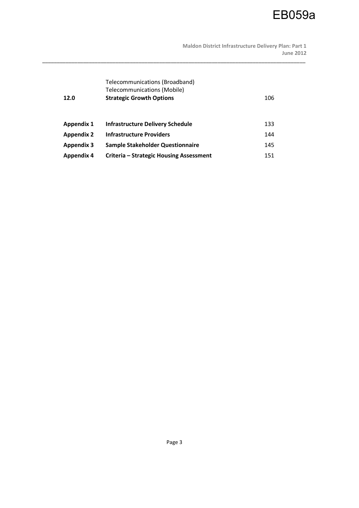**Maldon District Infrastructure Delivery Plan: Part 1 June 2012** 

| 12.0              | Telecommunications (Broadband)<br>Telecommunications (Mobile)<br><b>Strategic Growth Options</b> | 106 |
|-------------------|--------------------------------------------------------------------------------------------------|-----|
| <b>Appendix 1</b> | <b>Infrastructure Delivery Schedule</b>                                                          | 133 |
| <b>Appendix 2</b> | <b>Infrastructure Providers</b>                                                                  | 144 |
| <b>Appendix 3</b> | Sample Stakeholder Questionnaire                                                                 | 145 |
| <b>Appendix 4</b> | Criteria - Strategic Housing Assessment                                                          | 151 |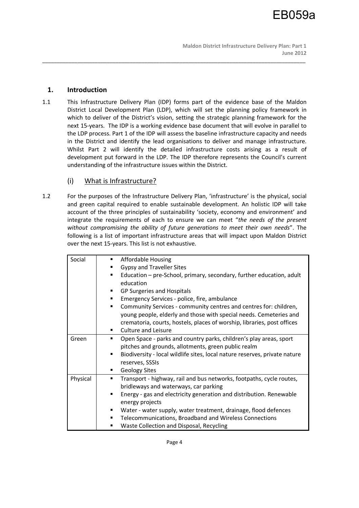# **1. Introduction**

1.1 This Infrastructure Delivery Plan (IDP) forms part of the evidence base of the Maldon District Local Development Plan (LDP), which will set the planning policy framework in which to deliver of the District's vision, setting the strategic planning framework for the next 15-years. The IDP is a working evidence base document that will evolve in parallel to the LDP process. Part 1 of the IDP will assess the baseline infrastructure capacity and needs in the District and identify the lead organisations to deliver and manage infrastructure. Whilst Part 2 will identify the detailed infrastructure costs arising as a result of development put forward in the LDP. The IDP therefore represents the Council's current understanding of the infrastructure issues within the District.

\_\_\_\_\_\_\_\_\_\_\_\_\_\_\_\_\_\_\_\_\_\_\_\_\_\_\_\_\_\_\_\_\_\_\_\_\_\_\_\_\_\_\_\_\_\_\_\_\_\_\_\_\_\_\_\_\_\_\_\_\_\_\_\_\_\_\_\_\_\_\_\_\_\_\_\_\_\_\_\_\_\_\_\_\_\_\_\_\_\_

# (i) What is Infrastructure?

1.2 For the purposes of the Infrastructure Delivery Plan, 'infrastructure' is the physical, social and green capital required to enable sustainable development. An holistic IDP will take account of the three principles of sustainability 'society, economy and environment' and integrate the requirements of each to ensure we can meet "*the needs of the present without compromising the ability of future generations to meet their own needs*". The following is a list of important infrastructure areas that will impact upon Maldon District over the next 15-years. This list is not exhaustive.

| Affordable Housing<br>٠                                                         |
|---------------------------------------------------------------------------------|
| <b>Gypsy and Traveller Sites</b><br>٠                                           |
| Education - pre-School, primary, secondary, further education, adult<br>٠       |
| education                                                                       |
| GP Surgeries and Hospitals<br>٠                                                 |
| Emergency Services - police, fire, ambulance                                    |
| Community Services - community centres and centres for: children,<br>٠          |
| young people, elderly and those with special needs. Cemeteries and              |
| crematoria, courts, hostels, places of worship, libraries, post offices         |
| <b>Culture and Leisure</b><br>٠                                                 |
| Open Space - parks and country parks, children's play areas, sport<br>٠         |
| pitches and grounds, allotments, green public realm                             |
| Biodiversity - local wildlife sites, local nature reserves, private nature<br>٠ |
| reserves, SSSIs                                                                 |
| <b>Geology Sites</b><br>٠                                                       |
| Transport - highway, rail and bus networks, footpaths, cycle routes,<br>٠       |
| bridleways and waterways, car parking                                           |
| Energy - gas and electricity generation and distribution. Renewable<br>٠        |
| energy projects                                                                 |
| Water - water supply, water treatment, drainage, flood defences                 |
| Telecommunications, Broadband and Wireless Connections<br>٠                     |
| Waste Collection and Disposal, Recycling                                        |
|                                                                                 |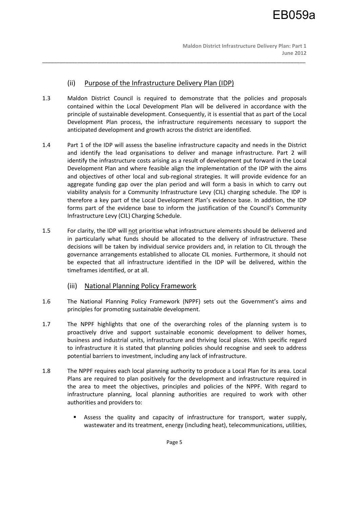# (ii) Purpose of the Infrastructure Delivery Plan (IDP)

1.3 Maldon District Council is required to demonstrate that the policies and proposals contained within the Local Development Plan will be delivered in accordance with the principle of sustainable development. Consequently, it is essential that as part of the Local Development Plan process, the infrastructure requirements necessary to support the anticipated development and growth across the district are identified.

- 1.4 Part 1 of the IDP will assess the baseline infrastructure capacity and needs in the District and identify the lead organisations to deliver and manage infrastructure. Part 2 will identify the infrastructure costs arising as a result of development put forward in the Local Development Plan and where feasible align the implementation of the IDP with the aims and objectives of other local and sub-regional strategies. It will provide evidence for an aggregate funding gap over the plan period and will form a basis in which to carry out viability analysis for a Community Infrastructure Levy (CIL) charging schedule. The IDP is therefore a key part of the Local Development Plan's evidence base. In addition, the IDP forms part of the evidence base to inform the justification of the Council's Community Infrastructure Levy (CIL) Charging Schedule.
- 1.5 For clarity, the IDP will not prioritise what infrastructure elements should be delivered and in particularly what funds should be allocated to the delivery of infrastructure. These decisions will be taken by individual service providers and, in relation to CIL through the governance arrangements established to allocate CIL monies. Furthermore, it should not be expected that all infrastructure identified in the IDP will be delivered, within the timeframes identified, or at all.
	- (iii) National Planning Policy Framework
- 1.6 The National Planning Policy Framework (NPPF) sets out the Government's aims and principles for promoting sustainable development.
- 1.7 The NPPF highlights that one of the overarching roles of the planning system is to proactively drive and support sustainable economic development to deliver homes, business and industrial units, infrastructure and thriving local places. With specific regard to infrastructure it is stated that planning policies should recognise and seek to address potential barriers to investment, including any lack of infrastructure.
- 1.8 The NPPF requires each local planning authority to produce a Local Plan for its area. Local Plans are required to plan positively for the development and infrastructure required in the area to meet the objectives, principles and policies of the NPPF. With regard to infrastructure planning, local planning authorities are required to work with other authorities and providers to:
	- Assess the quality and capacity of infrastructure for transport, water supply, wastewater and its treatment, energy (including heat), telecommunications, utilities,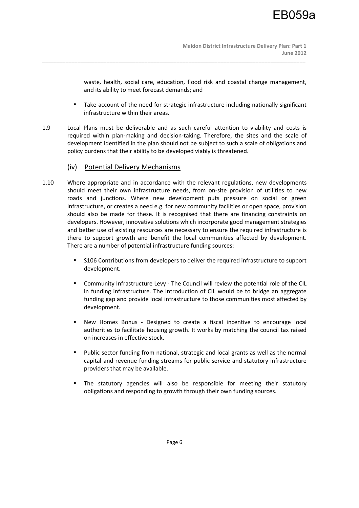waste, health, social care, education, flood risk and coastal change management, and its ability to meet forecast demands; and

- Take account of the need for strategic infrastructure including nationally significant infrastructure within their areas.
- 1.9 Local Plans must be deliverable and as such careful attention to viability and costs is required within plan-making and decision-taking. Therefore, the sites and the scale of development identified in the plan should not be subject to such a scale of obligations and policy burdens that their ability to be developed viably is threatened.

- (iv) Potential Delivery Mechanisms
- 1.10 Where appropriate and in accordance with the relevant regulations, new developments should meet their own infrastructure needs, from on-site provision of utilities to new roads and junctions. Where new development puts pressure on social or green infrastructure, or creates a need e.g. for new community facilities or open space, provision should also be made for these. It is recognised that there are financing constraints on developers. However, innovative solutions which incorporate good management strategies and better use of existing resources are necessary to ensure the required infrastructure is there to support growth and benefit the local communities affected by development. There are a number of potential infrastructure funding sources:
	- S106 Contributions from developers to deliver the required infrastructure to support development.
	- Community Infrastructure Levy The Council will review the potential role of the CIL in funding infrastructure. The introduction of CIL would be to bridge an aggregate funding gap and provide local infrastructure to those communities most affected by development.
	- New Homes Bonus Designed to create a fiscal incentive to encourage local authorities to facilitate housing growth. It works by matching the council tax raised on increases in effective stock.
	- Public sector funding from national, strategic and local grants as well as the normal capital and revenue funding streams for public service and statutory infrastructure providers that may be available.
	- The statutory agencies will also be responsible for meeting their statutory obligations and responding to growth through their own funding sources.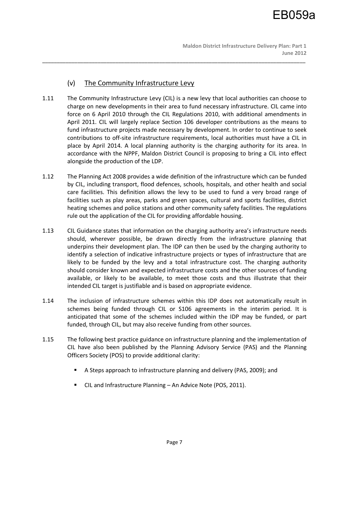# (v) The Community Infrastructure Levy

1.11 The Community Infrastructure Levy (CIL) is a new levy that local authorities can choose to charge on new developments in their area to fund necessary infrastructure. CIL came into force on 6 April 2010 through the CIL Regulations 2010, with additional amendments in April 2011. CIL will largely replace Section 106 developer contributions as the means to fund infrastructure projects made necessary by development. In order to continue to seek contributions to off-site infrastructure requirements, local authorities must have a CIL in place by April 2014. A local planning authority is the charging authority for its area. In accordance with the NPPF, Maldon District Council is proposing to bring a CIL into effect alongside the production of the LDP.

- 1.12 The Planning Act 2008 provides a wide definition of the infrastructure which can be funded by CIL, including transport, flood defences, schools, hospitals, and other health and social care facilities. This definition allows the levy to be used to fund a very broad range of facilities such as play areas, parks and green spaces, cultural and sports facilities, district heating schemes and police stations and other community safety facilities. The regulations rule out the application of the CIL for providing affordable housing.
- 1.13 CIL Guidance states that information on the charging authority area's infrastructure needs should, wherever possible, be drawn directly from the infrastructure planning that underpins their development plan. The IDP can then be used by the charging authority to identify a selection of indicative infrastructure projects or types of infrastructure that are likely to be funded by the levy and a total infrastructure cost. The charging authority should consider known and expected infrastructure costs and the other sources of funding available, or likely to be available, to meet those costs and thus illustrate that their intended CIL target is justifiable and is based on appropriate evidence.
- 1.14 The inclusion of infrastructure schemes within this IDP does not automatically result in schemes being funded through CIL or S106 agreements in the interim period. It is anticipated that some of the schemes included within the IDP may be funded, or part funded, through CIL, but may also receive funding from other sources.
- 1.15 The following best practice guidance on infrastructure planning and the implementation of CIL have also been published by the Planning Advisory Service (PAS) and the Planning Officers Society (POS) to provide additional clarity:
	- A Steps approach to infrastructure planning and delivery (PAS, 2009); and
	- CIL and Infrastructure Planning An Advice Note (POS, 2011).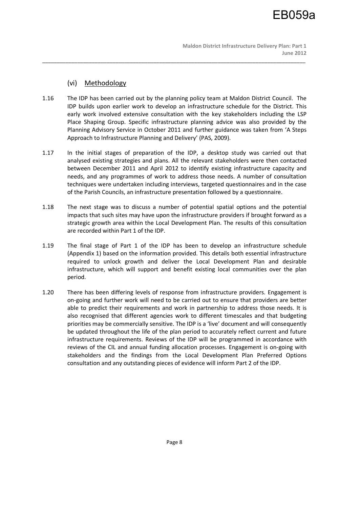# (vi) Methodology

1.16 The IDP has been carried out by the planning policy team at Maldon District Council. The IDP builds upon earlier work to develop an infrastructure schedule for the District. This early work involved extensive consultation with the key stakeholders including the LSP Place Shaping Group. Specific infrastructure planning advice was also provided by the Planning Advisory Service in October 2011 and further guidance was taken from 'A Steps Approach to Infrastructure Planning and Delivery' (PAS, 2009).

- 1.17 In the initial stages of preparation of the IDP, a desktop study was carried out that analysed existing strategies and plans. All the relevant stakeholders were then contacted between December 2011 and April 2012 to identify existing infrastructure capacity and needs, and any programmes of work to address those needs. A number of consultation techniques were undertaken including interviews, targeted questionnaires and in the case of the Parish Councils, an infrastructure presentation followed by a questionnaire.
- 1.18 The next stage was to discuss a number of potential spatial options and the potential impacts that such sites may have upon the infrastructure providers if brought forward as a strategic growth area within the Local Development Plan. The results of this consultation are recorded within Part 1 of the IDP.
- 1.19 The final stage of Part 1 of the IDP has been to develop an infrastructure schedule (Appendix 1) based on the information provided. This details both essential infrastructure required to unlock growth and deliver the Local Development Plan and desirable infrastructure, which will support and benefit existing local communities over the plan period.
- 1.20 There has been differing levels of response from infrastructure providers. Engagement is on-going and further work will need to be carried out to ensure that providers are better able to predict their requirements and work in partnership to address those needs. It is also recognised that different agencies work to different timescales and that budgeting priorities may be commercially sensitive. The IDP is a 'live' document and will consequently be updated throughout the life of the plan period to accurately reflect current and future infrastructure requirements. Reviews of the IDP will be programmed in accordance with reviews of the CIL and annual funding allocation processes. Engagement is on-going with stakeholders and the findings from the Local Development Plan Preferred Options consultation and any outstanding pieces of evidence will inform Part 2 of the IDP.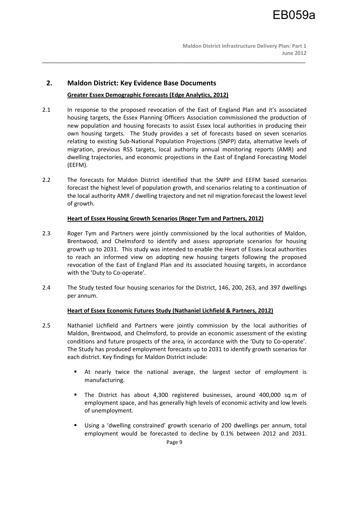# **2. Maldon District: Key Evidence Base Documents**

# **Greater Essex Demographic Forecasts (Edge Analytics, 2012)**

2.1 In response to the proposed revocation of the East of England Plan and it's associated housing targets, the Essex Planning Officers Association commissioned the production of new population and housing forecasts to assist Essex local authorities in producing their own housing targets. The Study provides a set of forecasts based on seven scenarios relating to existing Sub-National Population Projections (SNPP) data, alternative levels of migration, previous RSS targets, local authority annual monitoring reports (AMR) and dwelling trajectories, and economic projections in the East of England Forecasting Model (EEFM).

\_\_\_\_\_\_\_\_\_\_\_\_\_\_\_\_\_\_\_\_\_\_\_\_\_\_\_\_\_\_\_\_\_\_\_\_\_\_\_\_\_\_\_\_\_\_\_\_\_\_\_\_\_\_\_\_\_\_\_\_\_\_\_\_\_\_\_\_\_\_\_\_\_\_\_\_\_\_\_\_\_\_\_\_\_\_\_\_\_\_

2.2 The forecasts for Maldon District identified that the SNPP and EEFM based scenarios forecast the highest level of population growth, and scenarios relating to a continuation of the local authority AMR / dwelling trajectory and net nil migration forecast the lowest level of growth.

## **Heart of Essex Housing Growth Scenarios (Roger Tym and Partners, 2012)**

- 2.3 Roger Tym and Partners were jointly commissioned by the local authorities of Maldon, Brentwood, and Chelmsford to identify and assess appropriate scenarios for housing growth up to 2031. This study was intended to enable the Heart of Essex local authorities to reach an informed view on adopting new housing targets following the proposed revocation of the East of England Plan and its associated housing targets, in accordance with the 'Duty to Co-operate'.
- 2.4 The Study tested four housing scenarios for the District, 146, 200, 263, and 397 dwellings per annum.

# **Heart of Essex Economic Futures Study (Nathaniel Lichfield & Partners, 2012)**

- 2.5 Nathaniel Lichfield and Partners were jointly commission by the local authorities of Maldon, Brentwood, and Chelmsford, to provide an economic assessment of the existing conditions and future prospects of the area, in accordance with the 'Duty to Co-operate'. The Study has produced employment forecasts up to 2031 to identify growth scenarios for each district. Key findings for Maldon District include:
	- At nearly twice the national average, the largest sector of employment is manufacturing.
	- The District has about 4,300 registered businesses, around 400,000 sq.m of employment space, and has generally high levels of economic activity and low levels of unemployment.
	- Using a 'dwelling constrained' growth scenario of 200 dwellings per annum, total employment would be forecasted to decline by 0.1% between 2012 and 2031.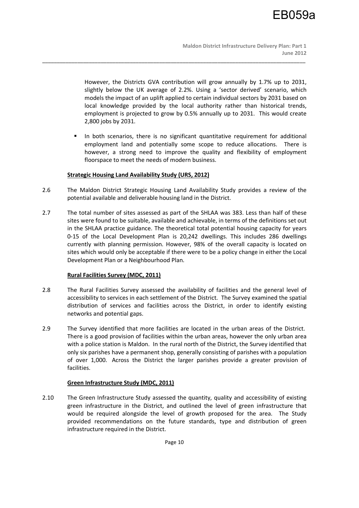However, the Districts GVA contribution will grow annually by 1.7% up to 2031, slightly below the UK average of 2.2%. Using a 'sector derived' scenario, which models the impact of an uplift applied to certain individual sectors by 2031 based on local knowledge provided by the local authority rather than historical trends, employment is projected to grow by 0.5% annually up to 2031. This would create 2,800 jobs by 2031.

 In both scenarios, there is no significant quantitative requirement for additional employment land and potentially some scope to reduce allocations. There is however, a strong need to improve the quality and flexibility of employment floorspace to meet the needs of modern business.

## **Strategic Housing Land Availability Study (URS, 2012)**

2.6 The Maldon District Strategic Housing Land Availability Study provides a review of the potential available and deliverable housing land in the District.

\_\_\_\_\_\_\_\_\_\_\_\_\_\_\_\_\_\_\_\_\_\_\_\_\_\_\_\_\_\_\_\_\_\_\_\_\_\_\_\_\_\_\_\_\_\_\_\_\_\_\_\_\_\_\_\_\_\_\_\_\_\_\_\_\_\_\_\_\_\_\_\_\_\_\_\_\_\_\_\_\_\_\_\_\_\_\_\_\_\_

2.7 The total number of sites assessed as part of the SHLAA was 383. Less than half of these sites were found to be suitable, available and achievable, in terms of the definitions set out in the SHLAA practice guidance. The theoretical total potential housing capacity for years 0-15 of the Local Development Plan is 20,242 dwellings. This includes 286 dwellings currently with planning permission. However, 98% of the overall capacity is located on sites which would only be acceptable if there were to be a policy change in either the Local Development Plan or a Neighbourhood Plan.

## **Rural Facilities Survey (MDC, 2011)**

- 2.8 The Rural Facilities Survey assessed the availability of facilities and the general level of accessibility to services in each settlement of the District. The Survey examined the spatial distribution of services and facilities across the District, in order to identify existing networks and potential gaps.
- 2.9 The Survey identified that more facilities are located in the urban areas of the District. There is a good provision of facilities within the urban areas, however the only urban area with a police station is Maldon. In the rural north of the District, the Survey identified that only six parishes have a permanent shop, generally consisting of parishes with a population of over 1,000. Across the District the larger parishes provide a greater provision of facilities.

# **Green Infrastructure Study (MDC, 2011)**

2.10 The Green Infrastructure Study assessed the quantity, quality and accessibility of existing green infrastructure in the District, and outlined the level of green infrastructure that would be required alongside the level of growth proposed for the area. The Study provided recommendations on the future standards, type and distribution of green infrastructure required in the District.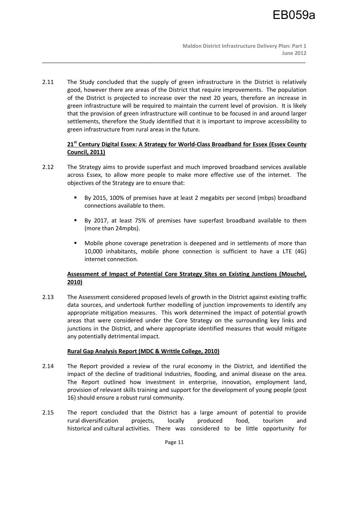2.11 The Study concluded that the supply of green infrastructure in the District is relatively good, however there are areas of the District that require improvements. The population of the District is projected to increase over the next 20 years, therefore an increase in green infrastructure will be required to maintain the current level of provision. It is likely that the provision of green infrastructure will continue to be focused in and around larger settlements, therefore the Study identified that it is important to improve accessibility to green infrastructure from rural areas in the future.

\_\_\_\_\_\_\_\_\_\_\_\_\_\_\_\_\_\_\_\_\_\_\_\_\_\_\_\_\_\_\_\_\_\_\_\_\_\_\_\_\_\_\_\_\_\_\_\_\_\_\_\_\_\_\_\_\_\_\_\_\_\_\_\_\_\_\_\_\_\_\_\_\_\_\_\_\_\_\_\_\_\_\_\_\_\_\_\_\_\_

# **21st Century Digital Essex: A Strategy for World-Class Broadband for Essex (Essex County Council, 2011)**

- 2.12 The Strategy aims to provide superfast and much improved broadband services available across Essex, to allow more people to make more effective use of the internet. The objectives of the Strategy are to ensure that:
	- By 2015, 100% of premises have at least 2 megabits per second (mbps) broadband connections available to them.
	- By 2017, at least 75% of premises have superfast broadband available to them (more than 24mpbs).
	- Mobile phone coverage penetration is deepened and in settlements of more than 10,000 inhabitants, mobile phone connection is sufficient to have a LTE (4G) internet connection.

# **Assessment of Impact of Potential Core Strategy Sites on Existing Junctions (Mouchel, 2010)**

2.13 The Assessment considered proposed levels of growth in the District against existing traffic data sources, and undertook further modelling of junction improvements to identify any appropriate mitigation measures. This work determined the impact of potential growth areas that were considered under the Core Strategy on the surrounding key links and junctions in the District, and where appropriate identified measures that would mitigate any potentially detrimental impact.

# **Rural Gap Analysis Report (MDC & Writtle College, 2010)**

- 2.14 The Report provided a review of the rural economy in the District, and identified the impact of the decline of traditional industries, flooding, and animal disease on the area. The Report outlined how investment in enterprise, innovation, employment land, provision of relevant skills training and support for the development of young people (post 16) should ensure a robust rural community.
- 2.15 The report concluded that the District has a large amount of potential to provide rural diversification projects, locally produced food, tourism and historical and cultural activities. There was considered to be little opportunity for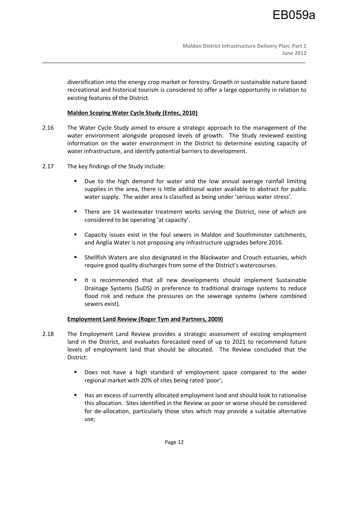diversification into the energy crop market or forestry. Growth in sustainable nature based recreational and historical tourism is considered to offer a large opportunity in relation to existing features of the District.

# **Maldon Scoping Water Cycle Study (Entec, 2010)**

2.16 The Water Cycle Study aimed to ensure a strategic approach to the management of the water environment alongside proposed levels of growth. The Study reviewed existing information on the water environment in the District to determine existing capacity of water infrastructure, and identify potential barriers to development.

\_\_\_\_\_\_\_\_\_\_\_\_\_\_\_\_\_\_\_\_\_\_\_\_\_\_\_\_\_\_\_\_\_\_\_\_\_\_\_\_\_\_\_\_\_\_\_\_\_\_\_\_\_\_\_\_\_\_\_\_\_\_\_\_\_\_\_\_\_\_\_\_\_\_\_\_\_\_\_\_\_\_\_\_\_\_\_\_\_\_

- 2.17 The key findings of the Study include:
	- Due to the high demand for water and the low annual average rainfall limiting supplies in the area, there is little additional water available to abstract for public water supply. The wider area is classified as being under 'serious water stress'.
	- There are 14 wastewater treatment works serving the District, nine of which are considered to be operating 'at capacity'.
	- Capacity issues exist in the foul sewers in Maldon and Southminster catchments, and Anglia Water is not proposing any infrastructure upgrades before 2016.
	- Shellfish Waters are also designated in the Blackwater and Crouch estuaries, which require good quality discharges from some of the District's watercourses.
	- It is recommended that all new developments should implement Sustainable Drainage Systems (SuDS) in preference to traditional drainage systems to reduce flood risk and reduce the pressures on the sewerage systems (where combined sewers exist).

# **Employment Land Review (Roger Tym and Partners, 2009)**

- 2.18 The Employment Land Review provides a strategic assessment of existing employment land in the District, and evaluates forecasted need of up to 2021 to recommend future levels of employment land that should be allocated. The Review concluded that the District:
	- **Does not have a high standard of employment space compared to the wider** regional market with 20% of sites being rated 'poor';
	- Has an excess of currently allocated employment land and should look to rationalise this allocation. Sites identified in the Review as poor or worse should be considered for de-allocation, particularly those sites which may provide a suitable alternative use;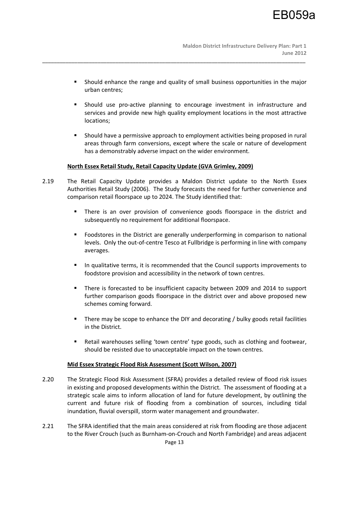Should enhance the range and quality of small business opportunities in the major urban centres;

\_\_\_\_\_\_\_\_\_\_\_\_\_\_\_\_\_\_\_\_\_\_\_\_\_\_\_\_\_\_\_\_\_\_\_\_\_\_\_\_\_\_\_\_\_\_\_\_\_\_\_\_\_\_\_\_\_\_\_\_\_\_\_\_\_\_\_\_\_\_\_\_\_\_\_\_\_\_\_\_\_\_\_\_\_\_\_\_\_\_

- Should use pro-active planning to encourage investment in infrastructure and services and provide new high quality employment locations in the most attractive locations;
- Should have a permissive approach to employment activities being proposed in rural areas through farm conversions, except where the scale or nature of development has a demonstrably adverse impact on the wider environment.

# **North Essex Retail Study, Retail Capacity Update (GVA Grimley, 2009)**

- 2.19 The Retail Capacity Update provides a Maldon District update to the North Essex Authorities Retail Study (2006). The Study forecasts the need for further convenience and comparison retail floorspace up to 2024. The Study identified that:
	- There is an over provision of convenience goods floorspace in the district and subsequently no requirement for additional floorspace.
	- Foodstores in the District are generally underperforming in comparison to national levels. Only the out-of-centre Tesco at Fullbridge is performing in line with company averages.
	- In qualitative terms, it is recommended that the Council supports improvements to foodstore provision and accessibility in the network of town centres.
	- There is forecasted to be insufficient capacity between 2009 and 2014 to support further comparison goods floorspace in the district over and above proposed new schemes coming forward.
	- **There may be scope to enhance the DIY and decorating / bulky goods retail facilities** in the District.
	- Retail warehouses selling 'town centre' type goods, such as clothing and footwear, should be resisted due to unacceptable impact on the town centres.

## **Mid Essex Strategic Flood Risk Assessment (Scott Wilson, 2007)**

- 2.20 The Strategic Flood Risk Assessment (SFRA) provides a detailed review of flood risk issues in existing and proposed developments within the District. The assessment of flooding at a strategic scale aims to inform allocation of land for future development, by outlining the current and future risk of flooding from a combination of sources, including tidal inundation, fluvial overspill, storm water management and groundwater.
- 2.21 The SFRA identified that the main areas considered at risk from flooding are those adjacent to the River Crouch (such as Burnham-on-Crouch and North Fambridge) and areas adjacent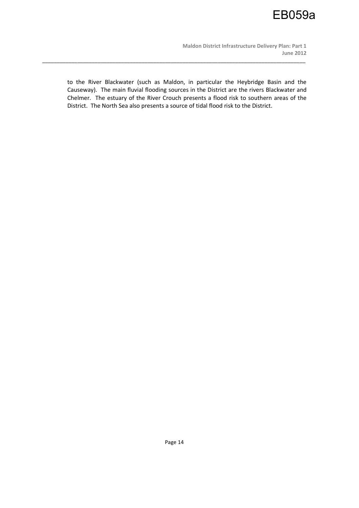**Maldon District Infrastructure Delivery Plan: Part 1 June 2012** 

to the River Blackwater (such as Maldon, in particular the Heybridge Basin and the Causeway). The main fluvial flooding sources in the District are the rivers Blackwater and Chelmer. The estuary of the River Crouch presents a flood risk to southern areas of the District. The North Sea also presents a source of tidal flood risk to the District.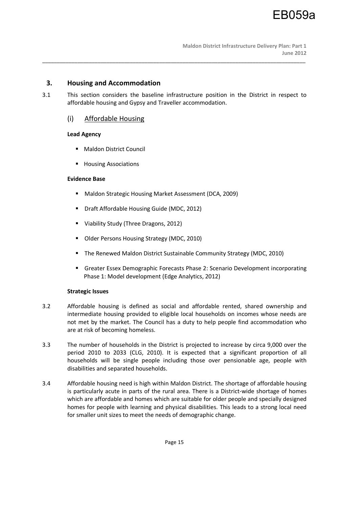# **3. Housing and Accommodation**

3.1 This section considers the baseline infrastructure position in the District in respect to affordable housing and Gypsy and Traveller accommodation.

\_\_\_\_\_\_\_\_\_\_\_\_\_\_\_\_\_\_\_\_\_\_\_\_\_\_\_\_\_\_\_\_\_\_\_\_\_\_\_\_\_\_\_\_\_\_\_\_\_\_\_\_\_\_\_\_\_\_\_\_\_\_\_\_\_\_\_\_\_\_\_\_\_\_\_\_\_\_\_\_\_\_\_\_\_\_\_\_\_\_

# (i) Affordable Housing

# **Lead Agency**

- **Maldon District Council**
- **Housing Associations**

# **Evidence Base**

- Maldon Strategic Housing Market Assessment (DCA, 2009)
- Draft Affordable Housing Guide (MDC, 2012)
- **Viability Study (Three Dragons, 2012)**
- **Dider Persons Housing Strategy (MDC, 2010)**
- The Renewed Maldon District Sustainable Community Strategy (MDC, 2010)
- Greater Essex Demographic Forecasts Phase 2: Scenario Development incorporating Phase 1: Model development (Edge Analytics, 2012)

# **Strategic Issues**

- 3.2 Affordable housing is defined as social and affordable rented, shared ownership and intermediate housing provided to eligible local households on incomes whose needs are not met by the market. The Council has a duty to help people find accommodation who are at risk of becoming homeless.
- 3.3 The number of households in the District is projected to increase by circa 9,000 over the period 2010 to 2033 (CLG, 2010). It is expected that a significant proportion of all households will be single people including those over pensionable age, people with disabilities and separated households.
- 3.4 Affordable housing need is high within Maldon District. The shortage of affordable housing is particularly acute in parts of the rural area. There is a District-wide shortage of homes which are affordable and homes which are suitable for older people and specially designed homes for people with learning and physical disabilities. This leads to a strong local need for smaller unit sizes to meet the needs of demographic change.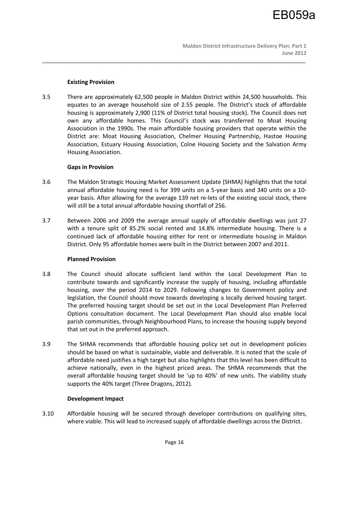## **Existing Provision**

3.5 There are approximately 62,500 people in Maldon District within 24,500 households. This equates to an average household size of 2.55 people. The District's stock of affordable housing is approximately 2,900 (11% of District total housing stock). The Council does not own any affordable homes. This Council's stock was transferred to Moat Housing Association in the 1990s. The main affordable housing providers that operate within the District are: Moat Housing Association, Chelmer Housing Partnership, Hastoe Housing Association, Estuary Housing Association, Colne Housing Society and the Salvation Army Housing Association.

\_\_\_\_\_\_\_\_\_\_\_\_\_\_\_\_\_\_\_\_\_\_\_\_\_\_\_\_\_\_\_\_\_\_\_\_\_\_\_\_\_\_\_\_\_\_\_\_\_\_\_\_\_\_\_\_\_\_\_\_\_\_\_\_\_\_\_\_\_\_\_\_\_\_\_\_\_\_\_\_\_\_\_\_\_\_\_\_\_\_

## **Gaps in Provision**

- 3.6 The Maldon Strategic Housing Market Assessment Update (SHMA) highlights that the total annual affordable housing need is for 399 units on a 5-year basis and 340 units on a 10 year basis. After allowing for the average 139 net re-lets of the existing social stock, there will still be a total annual affordable housing shortfall of 256.
- 3.7 Between 2006 and 2009 the average annual supply of affordable dwellings was just 27 with a tenure split of 85.2% social rented and 14.8% intermediate housing. There is a continued lack of affordable housing either for rent or intermediate housing in Maldon District. Only 95 affordable homes were built in the District between 2007 and 2011.

## **Planned Provision**

- 3.8 The Council should allocate sufficient land within the Local Development Plan to contribute towards and significantly increase the supply of housing, including affordable housing, over the period 2014 to 2029. Following changes to Government policy and legislation, the Council should move towards developing a locally derived housing target. The preferred housing target should be set out in the Local Development Plan Preferred Options consultation document. The Local Development Plan should also enable local parish communities, through Neighbourhood Plans, to increase the housing supply beyond that set out in the preferred approach.
- 3.9 The SHMA recommends that affordable housing policy set out in development policies should be based on what is sustainable, viable and deliverable. It is noted that the scale of affordable need justifies a high target but also highlights that this level has been difficult to achieve nationally, even in the highest priced areas. The SHMA recommends that the overall affordable housing target should be 'up to 40%' of new units. The viability study supports the 40% target (Three Dragons, 2012).

# **Development Impact**

3.10 Affordable housing will be secured through developer contributions on qualifying sites, where viable. This will lead to increased supply of affordable dwellings across the District.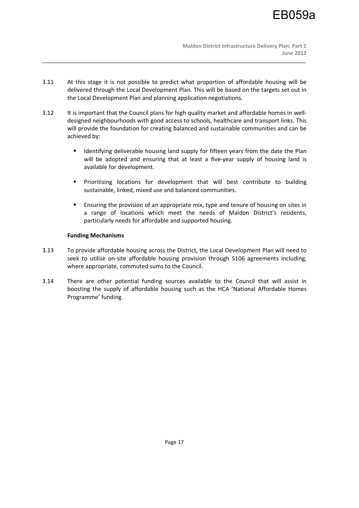3.11 At this stage it is not possible to predict what proportion of affordable housing will be delivered through the Local Development Plan. This will be based on the targets set out in the Local Development Plan and planning application negotiations.

\_\_\_\_\_\_\_\_\_\_\_\_\_\_\_\_\_\_\_\_\_\_\_\_\_\_\_\_\_\_\_\_\_\_\_\_\_\_\_\_\_\_\_\_\_\_\_\_\_\_\_\_\_\_\_\_\_\_\_\_\_\_\_\_\_\_\_\_\_\_\_\_\_\_\_\_\_\_\_\_\_\_\_\_\_\_\_\_\_\_

- 3.12 It is important that the Council plans for high quality market and affordable homes in welldesigned neighbourhoods with good access to schools, healthcare and transport links. This will provide the foundation for creating balanced and sustainable communities and can be achieved by:
	- **IDENTIFY IDENTIFY IDENTIFY** Identifying deliverable housing land supply for fifteen years from the date the Plan will be adopted and ensuring that at least a five-year supply of housing land is available for development.
	- **Prioritising locations for development that will best contribute to building** sustainable, linked, mixed use and balanced communities.
	- Ensuring the provision of an appropriate mix, type and tenure of housing on sites in a range of locations which meet the needs of Maldon District's residents, particularly needs for affordable and supported housing.

# **Funding Mechanisms**

- 3.13 To provide affordable housing across the District, the Local Development Plan will need to seek to utilise on-site affordable housing provision through S106 agreements including, where appropriate, commuted sums to the Council.
- 3.14 There are other potential funding sources available to the Council that will assist in boosting the supply of affordable housing such as the HCA 'National Affordable Homes Programme' funding.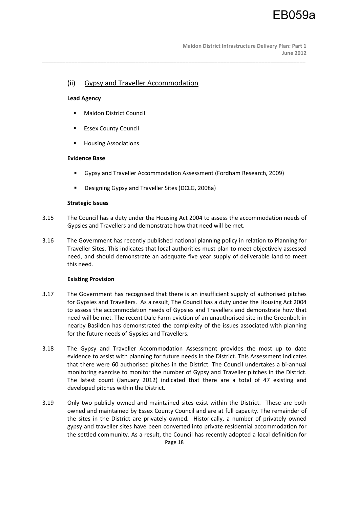# (ii) Gypsy and Traveller Accommodation

## **Lead Agency**

- **Maldon District Council**
- Essex County Council
- **Housing Associations**

## **Evidence Base**

Gypsy and Traveller Accommodation Assessment (Fordham Research, 2009)

\_\_\_\_\_\_\_\_\_\_\_\_\_\_\_\_\_\_\_\_\_\_\_\_\_\_\_\_\_\_\_\_\_\_\_\_\_\_\_\_\_\_\_\_\_\_\_\_\_\_\_\_\_\_\_\_\_\_\_\_\_\_\_\_\_\_\_\_\_\_\_\_\_\_\_\_\_\_\_\_\_\_\_\_\_\_\_\_\_\_

Designing Gypsy and Traveller Sites (DCLG, 2008a)

## **Strategic Issues**

- 3.15 The Council has a duty under the Housing Act 2004 to assess the accommodation needs of Gypsies and Travellers and demonstrate how that need will be met.
- 3.16 The Government has recently published national planning policy in relation to Planning for Traveller Sites. This indicates that local authorities must plan to meet objectively assessed need, and should demonstrate an adequate five year supply of deliverable land to meet this need.

# **Existing Provision**

- 3.17 The Government has recognised that there is an insufficient supply of authorised pitches for Gypsies and Travellers. As a result, The Council has a duty under the Housing Act 2004 to assess the accommodation needs of Gypsies and Travellers and demonstrate how that need will be met. The recent Dale Farm eviction of an unauthorised site in the Greenbelt in nearby Basildon has demonstrated the complexity of the issues associated with planning for the future needs of Gypsies and Travellers.
- 3.18 The Gypsy and Traveller Accommodation Assessment provides the most up to date evidence to assist with planning for future needs in the District. This Assessment indicates that there were 60 authorised pitches in the District. The Council undertakes a bi-annual monitoring exercise to monitor the number of Gypsy and Traveller pitches in the District. The latest count (January 2012) indicated that there are a total of 47 existing and developed pitches within the District.
- Page 18 3.19 Only two publicly owned and maintained sites exist within the District. These are both owned and maintained by Essex County Council and are at full capacity. The remainder of the sites in the District are privately owned. Historically, a number of privately owned gypsy and traveller sites have been converted into private residential accommodation for the settled community. As a result, the Council has recently adopted a local definition for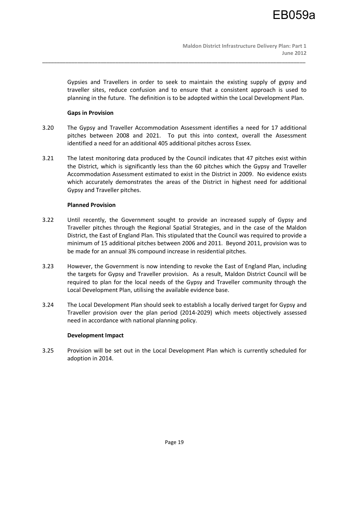Gypsies and Travellers in order to seek to maintain the existing supply of gypsy and traveller sites, reduce confusion and to ensure that a consistent approach is used to planning in the future. The definition is to be adopted within the Local Development Plan.

## **Gaps in Provision**

3.20 The Gypsy and Traveller Accommodation Assessment identifies a need for 17 additional pitches between 2008 and 2021. To put this into context, overall the Assessment identified a need for an additional 405 additional pitches across Essex.

\_\_\_\_\_\_\_\_\_\_\_\_\_\_\_\_\_\_\_\_\_\_\_\_\_\_\_\_\_\_\_\_\_\_\_\_\_\_\_\_\_\_\_\_\_\_\_\_\_\_\_\_\_\_\_\_\_\_\_\_\_\_\_\_\_\_\_\_\_\_\_\_\_\_\_\_\_\_\_\_\_\_\_\_\_\_\_\_\_\_

3.21 The latest monitoring data produced by the Council indicates that 47 pitches exist within the District, which is significantly less than the 60 pitches which the Gypsy and Traveller Accommodation Assessment estimated to exist in the District in 2009. No evidence exists which accurately demonstrates the areas of the District in highest need for additional Gypsy and Traveller pitches.

## **Planned Provision**

- 3.22 Until recently, the Government sought to provide an increased supply of Gypsy and Traveller pitches through the Regional Spatial Strategies, and in the case of the Maldon District, the East of England Plan. This stipulated that the Council was required to provide a minimum of 15 additional pitches between 2006 and 2011. Beyond 2011, provision was to be made for an annual 3% compound increase in residential pitches.
- 3.23 However, the Government is now intending to revoke the East of England Plan, including the targets for Gypsy and Traveller provision. As a result, Maldon District Council will be required to plan for the local needs of the Gypsy and Traveller community through the Local Development Plan, utilising the available evidence base.
- 3.24 The Local Development Plan should seek to establish a locally derived target for Gypsy and Traveller provision over the plan period (2014-2029) which meets objectively assessed need in accordance with national planning policy.

## **Development Impact**

3.25 Provision will be set out in the Local Development Plan which is currently scheduled for adoption in 2014.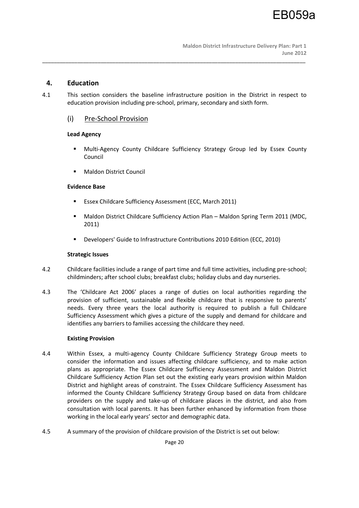# **4. Education**

4.1 This section considers the baseline infrastructure position in the District in respect to education provision including pre-school, primary, secondary and sixth form.

\_\_\_\_\_\_\_\_\_\_\_\_\_\_\_\_\_\_\_\_\_\_\_\_\_\_\_\_\_\_\_\_\_\_\_\_\_\_\_\_\_\_\_\_\_\_\_\_\_\_\_\_\_\_\_\_\_\_\_\_\_\_\_\_\_\_\_\_\_\_\_\_\_\_\_\_\_\_\_\_\_\_\_\_\_\_\_\_\_\_

# (i) Pre-School Provision

# **Lead Agency**

- Multi-Agency County Childcare Sufficiency Strategy Group led by Essex County Council
- Maldon District Council

# **Evidence Base**

- Essex Childcare Sufficiency Assessment (ECC, March 2011)
- Maldon District Childcare Sufficiency Action Plan Maldon Spring Term 2011 (MDC, 2011)
- Developers' Guide to Infrastructure Contributions 2010 Edition (ECC, 2010)

# **Strategic Issues**

- 4.2 Childcare facilities include a range of part time and full time activities, including pre-school; childminders; after school clubs; breakfast clubs; holiday clubs and day nurseries.
- 4.3 The 'Childcare Act 2006' places a range of duties on local authorities regarding the provision of sufficient, sustainable and flexible childcare that is responsive to parents' needs. Every three years the local authority is required to publish a full Childcare Sufficiency Assessment which gives a picture of the supply and demand for childcare and identifies any barriers to families accessing the childcare they need.

# **Existing Provision**

- 4.4 Within Essex, a multi-agency County Childcare Sufficiency Strategy Group meets to consider the information and issues affecting childcare sufficiency, and to make action plans as appropriate. The Essex Childcare Sufficiency Assessment and Maldon District Childcare Sufficiency Action Plan set out the existing early years provision within Maldon District and highlight areas of constraint. The Essex Childcare Sufficiency Assessment has informed the County Childcare Sufficiency Strategy Group based on data from childcare providers on the supply and take-up of childcare places in the district, and also from consultation with local parents. It has been further enhanced by information from those working in the local early years' sector and demographic data.
- 4.5 A summary of the provision of childcare provision of the District is set out below: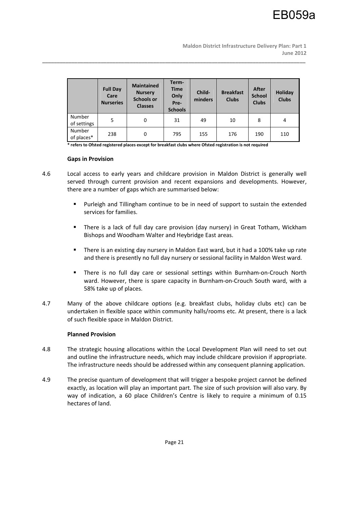|                       | <b>Full Day</b><br>Care<br><b>Nurseries</b> | <b>Maintained</b><br><b>Nursery</b><br><b>Schools or</b><br><b>Classes</b> | Term-<br><b>Time</b><br>Only<br>Pre-<br><b>Schools</b> | Child-<br>minders | <b>Breakfast</b><br><b>Clubs</b> | After<br><b>School</b><br><b>Clubs</b> | Holiday<br><b>Clubs</b> |
|-----------------------|---------------------------------------------|----------------------------------------------------------------------------|--------------------------------------------------------|-------------------|----------------------------------|----------------------------------------|-------------------------|
| Number<br>of settings | 5                                           | 0                                                                          | 31                                                     | 49                | 10                               | 8                                      | 4                       |
| Number<br>of places*  | 238                                         | 0                                                                          | 795                                                    | 155               | 176                              | 190                                    | 110                     |

\_\_\_\_\_\_\_\_\_\_\_\_\_\_\_\_\_\_\_\_\_\_\_\_\_\_\_\_\_\_\_\_\_\_\_\_\_\_\_\_\_\_\_\_\_\_\_\_\_\_\_\_\_\_\_\_\_\_\_\_\_\_\_\_\_\_\_\_\_\_\_\_\_\_\_\_\_\_\_\_\_\_\_\_\_\_\_\_\_\_

**\* refers to Ofsted registered places except for breakfast clubs where Ofsted registration is not required** 

#### **Gaps in Provision**

- 4.6 Local access to early years and childcare provision in Maldon District is generally well served through current provision and recent expansions and developments. However, there are a number of gaps which are summarised below:
	- Purleigh and Tillingham continue to be in need of support to sustain the extended services for families.
	- There is a lack of full day care provision (day nursery) in Great Totham, Wickham Bishops and Woodham Walter and Heybridge East areas.
	- There is an existing day nursery in Maldon East ward, but it had a 100% take up rate and there is presently no full day nursery or sessional facility in Maldon West ward.
	- There is no full day care or sessional settings within Burnham-on-Crouch North ward. However, there is spare capacity in Burnham-on-Crouch South ward, with a 58% take up of places.
- 4.7 Many of the above childcare options (e.g. breakfast clubs, holiday clubs etc) can be undertaken in flexible space within community halls/rooms etc. At present, there is a lack of such flexible space in Maldon District.

## **Planned Provision**

- 4.8 The strategic housing allocations within the Local Development Plan will need to set out and outline the infrastructure needs, which may include childcare provision if appropriate. The infrastructure needs should be addressed within any consequent planning application.
- 4.9 The precise quantum of development that will trigger a bespoke project cannot be defined exactly, as location will play an important part. The size of such provision will also vary. By way of indication, a 60 place Children's Centre is likely to require a minimum of 0.15 hectares of land.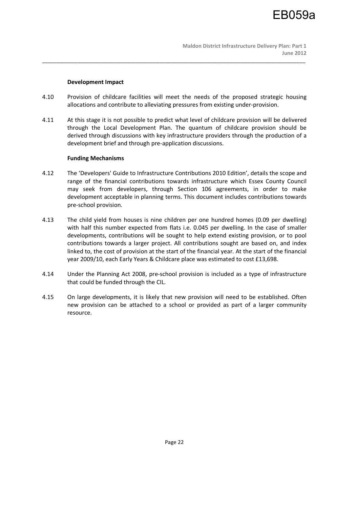## **Development Impact**

4.10 Provision of childcare facilities will meet the needs of the proposed strategic housing allocations and contribute to alleviating pressures from existing under-provision.

\_\_\_\_\_\_\_\_\_\_\_\_\_\_\_\_\_\_\_\_\_\_\_\_\_\_\_\_\_\_\_\_\_\_\_\_\_\_\_\_\_\_\_\_\_\_\_\_\_\_\_\_\_\_\_\_\_\_\_\_\_\_\_\_\_\_\_\_\_\_\_\_\_\_\_\_\_\_\_\_\_\_\_\_\_\_\_\_\_\_

4.11 At this stage it is not possible to predict what level of childcare provision will be delivered through the Local Development Plan. The quantum of childcare provision should be derived through discussions with key infrastructure providers through the production of a development brief and through pre-application discussions.

## **Funding Mechanisms**

- 4.12 The 'Developers' Guide to Infrastructure Contributions 2010 Edition', details the scope and range of the financial contributions towards infrastructure which Essex County Council may seek from developers, through Section 106 agreements, in order to make development acceptable in planning terms. This document includes contributions towards pre-school provision.
- 4.13 The child yield from houses is nine children per one hundred homes (0.09 per dwelling) with half this number expected from flats i.e. 0.045 per dwelling. In the case of smaller developments, contributions will be sought to help extend existing provision, or to pool contributions towards a larger project. All contributions sought are based on, and index linked to, the cost of provision at the start of the financial year. At the start of the financial year 2009/10, each Early Years & Childcare place was estimated to cost £13,698.
- 4.14 Under the Planning Act 2008, pre-school provision is included as a type of infrastructure that could be funded through the CIL.
- 4.15 On large developments, it is likely that new provision will need to be established. Often new provision can be attached to a school or provided as part of a larger community resource.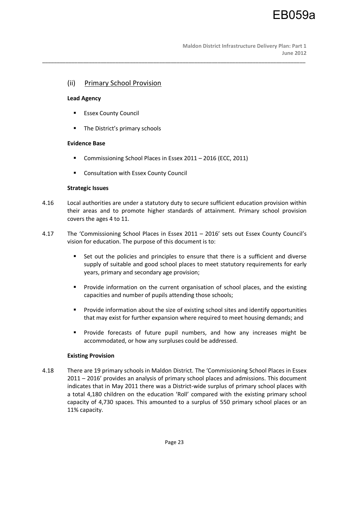# (ii) Primary School Provision

## **Lead Agency**

- **Essex County Council**
- The District's primary schools

## **Evidence Base**

- **Commissioning School Places in Essex 2011 2016 (ECC, 2011)**
- Consultation with Essex County Council

## **Strategic Issues**

4.16 Local authorities are under a statutory duty to secure sufficient education provision within their areas and to promote higher standards of attainment. Primary school provision covers the ages 4 to 11.

\_\_\_\_\_\_\_\_\_\_\_\_\_\_\_\_\_\_\_\_\_\_\_\_\_\_\_\_\_\_\_\_\_\_\_\_\_\_\_\_\_\_\_\_\_\_\_\_\_\_\_\_\_\_\_\_\_\_\_\_\_\_\_\_\_\_\_\_\_\_\_\_\_\_\_\_\_\_\_\_\_\_\_\_\_\_\_\_\_\_

- 4.17 The 'Commissioning School Places in Essex 2011 2016' sets out Essex County Council's vision for education. The purpose of this document is to:
	- Set out the policies and principles to ensure that there is a sufficient and diverse supply of suitable and good school places to meet statutory requirements for early years, primary and secondary age provision;
	- **Provide information on the current organisation of school places, and the existing** capacities and number of pupils attending those schools;
	- **Provide information about the size of existing school sites and identify opportunities** that may exist for further expansion where required to meet housing demands; and
	- **Provide forecasts of future pupil numbers, and how any increases might be** accommodated, or how any surpluses could be addressed.

## **Existing Provision**

4.18 There are 19 primary schools in Maldon District. The 'Commissioning School Places in Essex 2011 – 2016' provides an analysis of primary school places and admissions. This document indicates that in May 2011 there was a District-wide surplus of primary school places with a total 4,180 children on the education 'Roll' compared with the existing primary school capacity of 4,730 spaces. This amounted to a surplus of 550 primary school places or an 11% capacity.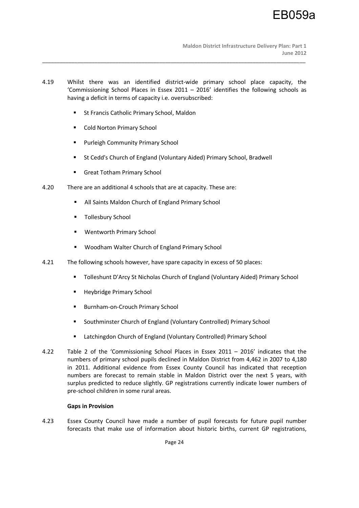4.19 Whilst there was an identified district-wide primary school place capacity, the 'Commissioning School Places in Essex 2011 – 2016' identifies the following schools as having a deficit in terms of capacity i.e. oversubscribed:

\_\_\_\_\_\_\_\_\_\_\_\_\_\_\_\_\_\_\_\_\_\_\_\_\_\_\_\_\_\_\_\_\_\_\_\_\_\_\_\_\_\_\_\_\_\_\_\_\_\_\_\_\_\_\_\_\_\_\_\_\_\_\_\_\_\_\_\_\_\_\_\_\_\_\_\_\_\_\_\_\_\_\_\_\_\_\_\_\_\_

- **St Francis Catholic Primary School, Maldon**
- Cold Norton Primary School
- **Purleigh Community Primary School**
- St Cedd's Church of England (Voluntary Aided) Primary School, Bradwell
- **Great Totham Primary School**
- 4.20 There are an additional 4 schools that are at capacity. These are:
	- All Saints Maldon Church of England Primary School
	- **Tollesbury School**
	- Wentworth Primary School
	- Woodham Walter Church of England Primary School
- 4.21 The following schools however, have spare capacity in excess of 50 places:
	- Tolleshunt D'Arcy St Nicholas Church of England (Voluntary Aided) Primary School
	- **Heybridge Primary School**
	- Burnham-on-Crouch Primary School
	- **Southminster Church of England (Voluntary Controlled) Primary School**
	- Latchingdon Church of England (Voluntary Controlled) Primary School
- 4.22 Table 2 of the 'Commissioning School Places in Essex 2011 2016' indicates that the numbers of primary school pupils declined in Maldon District from 4,462 in 2007 to 4,180 in 2011. Additional evidence from Essex County Council has indicated that reception numbers are forecast to remain stable in Maldon District over the next 5 years, with surplus predicted to reduce slightly. GP registrations currently indicate lower numbers of pre-school children in some rural areas.

## **Gaps in Provision**

4.23 Essex County Council have made a number of pupil forecasts for future pupil number forecasts that make use of information about historic births, current GP registrations,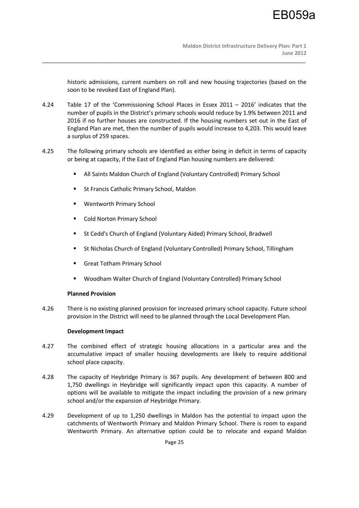historic admissions, current numbers on roll and new housing trajectories (based on the soon to be revoked East of England Plan).

4.24 Table 17 of the 'Commissioning School Places in Essex 2011 – 2016' indicates that the number of pupils in the District's primary schools would reduce by 1.9% between 2011 and 2016 if no further houses are constructed. If the housing numbers set out in the East of England Plan are met, then the number of pupils would increase to 4,203. This would leave a surplus of 259 spaces.

\_\_\_\_\_\_\_\_\_\_\_\_\_\_\_\_\_\_\_\_\_\_\_\_\_\_\_\_\_\_\_\_\_\_\_\_\_\_\_\_\_\_\_\_\_\_\_\_\_\_\_\_\_\_\_\_\_\_\_\_\_\_\_\_\_\_\_\_\_\_\_\_\_\_\_\_\_\_\_\_\_\_\_\_\_\_\_\_\_\_

- 4.25 The following primary schools are identified as either being in deficit in terms of capacity or being at capacity, if the East of England Plan housing numbers are delivered:
	- All Saints Maldon Church of England (Voluntary Controlled) Primary School
	- St Francis Catholic Primary School, Maldon
	- Wentworth Primary School
	- Cold Norton Primary School
	- **St Cedd's Church of England (Voluntary Aided) Primary School, Bradwell**
	- St Nicholas Church of England (Voluntary Controlled) Primary School, Tillingham
	- Great Totham Primary School
	- Woodham Walter Church of England (Voluntary Controlled) Primary School

# **Planned Provision**

4.26 There is no existing planned provision for increased primary school capacity. Future school provision in the District will need to be planned through the Local Development Plan.

# **Development Impact**

- 4.27 The combined effect of strategic housing allocations in a particular area and the accumulative impact of smaller housing developments are likely to require additional school place capacity.
- 4.28 The capacity of Heybridge Primary is 367 pupils. Any development of between 800 and 1,750 dwellings in Heybridge will significantly impact upon this capacity. A number of options will be available to mitigate the impact including the provision of a new primary school and/or the expansion of Heybridge Primary.
- 4.29 Development of up to 1,250 dwellings in Maldon has the potential to impact upon the catchments of Wentworth Primary and Maldon Primary School. There is room to expand Wentworth Primary. An alternative option could be to relocate and expand Maldon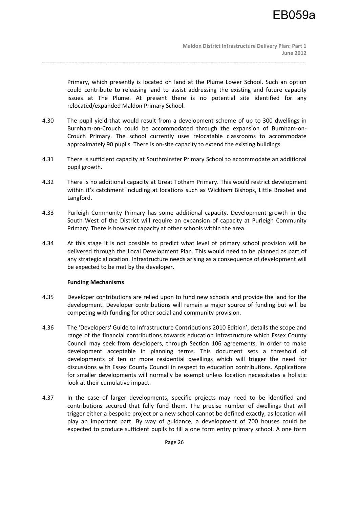Primary, which presently is located on land at the Plume Lower School. Such an option could contribute to releasing land to assist addressing the existing and future capacity issues at The Plume. At present there is no potential site identified for any relocated/expanded Maldon Primary School.

4.30 The pupil yield that would result from a development scheme of up to 300 dwellings in Burnham-on-Crouch could be accommodated through the expansion of Burnham-on-Crouch Primary. The school currently uses relocatable classrooms to accommodate approximately 90 pupils. There is on-site capacity to extend the existing buildings.

\_\_\_\_\_\_\_\_\_\_\_\_\_\_\_\_\_\_\_\_\_\_\_\_\_\_\_\_\_\_\_\_\_\_\_\_\_\_\_\_\_\_\_\_\_\_\_\_\_\_\_\_\_\_\_\_\_\_\_\_\_\_\_\_\_\_\_\_\_\_\_\_\_\_\_\_\_\_\_\_\_\_\_\_\_\_\_\_\_\_

- 4.31 There is sufficient capacity at Southminster Primary School to accommodate an additional pupil growth.
- 4.32 There is no additional capacity at Great Totham Primary. This would restrict development within it's catchment including at locations such as Wickham Bishops, Little Braxted and Langford.
- 4.33 Purleigh Community Primary has some additional capacity. Development growth in the South West of the District will require an expansion of capacity at Purleigh Community Primary. There is however capacity at other schools within the area.
- 4.34 At this stage it is not possible to predict what level of primary school provision will be delivered through the Local Development Plan. This would need to be planned as part of any strategic allocation. Infrastructure needs arising as a consequence of development will be expected to be met by the developer.

# **Funding Mechanisms**

- 4.35 Developer contributions are relied upon to fund new schools and provide the land for the development. Developer contributions will remain a major source of funding but will be competing with funding for other social and community provision.
- 4.36 The 'Developers' Guide to Infrastructure Contributions 2010 Edition', details the scope and range of the financial contributions towards education infrastructure which Essex County Council may seek from developers, through Section 106 agreements, in order to make development acceptable in planning terms. This document sets a threshold of developments of ten or more residential dwellings which will trigger the need for discussions with Essex County Council in respect to education contributions. Applications for smaller developments will normally be exempt unless location necessitates a holistic look at their cumulative impact.
- 4.37 In the case of larger developments, specific projects may need to be identified and contributions secured that fully fund them. The precise number of dwellings that will trigger either a bespoke project or a new school cannot be defined exactly, as location will play an important part. By way of guidance, a development of 700 houses could be expected to produce sufficient pupils to fill a one form entry primary school. A one form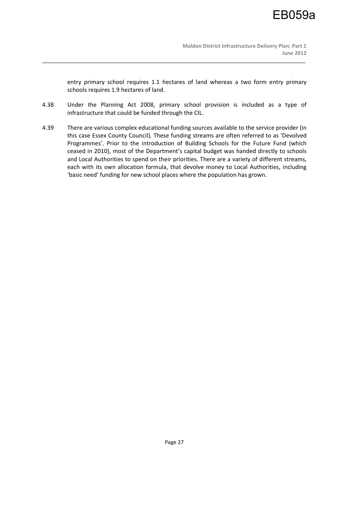entry primary school requires 1.1 hectares of land whereas a two form entry primary schools requires 1.9 hectares of land.

4.38 Under the Planning Act 2008, primary school provision is included as a type of infrastructure that could be funded through the CIL.

\_\_\_\_\_\_\_\_\_\_\_\_\_\_\_\_\_\_\_\_\_\_\_\_\_\_\_\_\_\_\_\_\_\_\_\_\_\_\_\_\_\_\_\_\_\_\_\_\_\_\_\_\_\_\_\_\_\_\_\_\_\_\_\_\_\_\_\_\_\_\_\_\_\_\_\_\_\_\_\_\_\_\_\_\_\_\_\_\_\_

4.39 There are various complex educational funding sources available to the service provider (in this case Essex County Council). These funding streams are often referred to as 'Devolved Programmes'. Prior to the introduction of Building Schools for the Future Fund (which ceased in 2010), most of the Department's capital budget was handed directly to schools and Local Authorities to spend on their priorities. There are a variety of different streams, each with its own allocation formula, that devolve money to Local Authorities, including 'basic need' funding for new school places where the population has grown.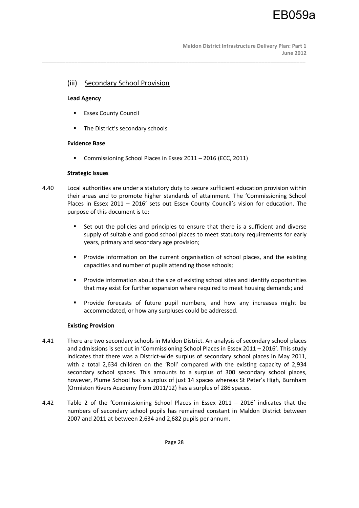## (iii) Secondary School Provision

## **Lead Agency**

- **Essex County Council**
- **The District's secondary schools**

## **Evidence Base**

Commissioning School Places in Essex 2011 – 2016 (ECC, 2011)

## **Strategic Issues**

4.40 Local authorities are under a statutory duty to secure sufficient education provision within their areas and to promote higher standards of attainment. The 'Commissioning School Places in Essex 2011 – 2016' sets out Essex County Council's vision for education. The purpose of this document is to:

\_\_\_\_\_\_\_\_\_\_\_\_\_\_\_\_\_\_\_\_\_\_\_\_\_\_\_\_\_\_\_\_\_\_\_\_\_\_\_\_\_\_\_\_\_\_\_\_\_\_\_\_\_\_\_\_\_\_\_\_\_\_\_\_\_\_\_\_\_\_\_\_\_\_\_\_\_\_\_\_\_\_\_\_\_\_\_\_\_\_

- Set out the policies and principles to ensure that there is a sufficient and diverse supply of suitable and good school places to meet statutory requirements for early years, primary and secondary age provision;
- Provide information on the current organisation of school places, and the existing capacities and number of pupils attending those schools;
- **Provide information about the size of existing school sites and identify opportunities** that may exist for further expansion where required to meet housing demands; and
- Provide forecasts of future pupil numbers, and how any increases might be accommodated, or how any surpluses could be addressed.

# **Existing Provision**

- 4.41 There are two secondary schools in Maldon District. An analysis of secondary school places and admissions is set out in 'Commissioning School Places in Essex 2011 – 2016'. This study indicates that there was a District-wide surplus of secondary school places in May 2011, with a total 2,634 children on the 'Roll' compared with the existing capacity of 2,934 secondary school spaces. This amounts to a surplus of 300 secondary school places, however, Plume School has a surplus of just 14 spaces whereas St Peter's High, Burnham (Ormiston Rivers Academy from 2011/12) has a surplus of 286 spaces.
- 4.42 Table 2 of the 'Commissioning School Places in Essex 2011 2016' indicates that the numbers of secondary school pupils has remained constant in Maldon District between 2007 and 2011 at between 2,634 and 2,682 pupils per annum.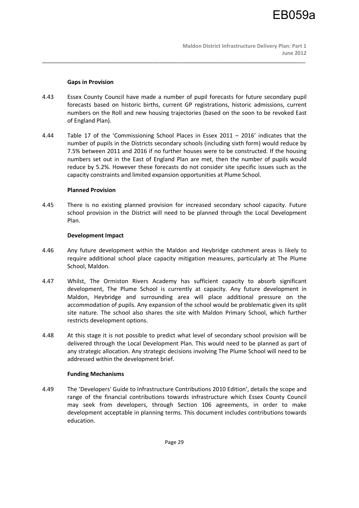## **Gaps in Provision**

4.43 Essex County Council have made a number of pupil forecasts for future secondary pupil forecasts based on historic births, current GP registrations, historic admissions, current numbers on the Roll and new housing trajectories (based on the soon to be revoked East of England Plan).

\_\_\_\_\_\_\_\_\_\_\_\_\_\_\_\_\_\_\_\_\_\_\_\_\_\_\_\_\_\_\_\_\_\_\_\_\_\_\_\_\_\_\_\_\_\_\_\_\_\_\_\_\_\_\_\_\_\_\_\_\_\_\_\_\_\_\_\_\_\_\_\_\_\_\_\_\_\_\_\_\_\_\_\_\_\_\_\_\_\_

4.44 Table 17 of the 'Commissioning School Places in Essex 2011 – 2016' indicates that the number of pupils in the Districts secondary schools (including sixth form) would reduce by 7.5% between 2011 and 2016 if no further houses were to be constructed. If the housing numbers set out in the East of England Plan are met, then the number of pupils would reduce by 5.2%. However these forecasts do not consider site specific issues such as the capacity constraints and limited expansion opportunities at Plume School.

## **Planned Provision**

4.45 There is no existing planned provision for increased secondary school capacity. Future school provision in the District will need to be planned through the Local Development Plan.

## **Development Impact**

- 4.46 Any future development within the Maldon and Heybridge catchment areas is likely to require additional school place capacity mitigation measures, particularly at The Plume School, Maldon.
- 4.47 Whilst, The Ormiston Rivers Academy has sufficient capacity to absorb significant development, The Plume School is currently at capacity. Any future development in Maldon, Heybridge and surrounding area will place additional pressure on the accommodation of pupils. Any expansion of the school would be problematic given its split site nature. The school also shares the site with Maldon Primary School, which further restricts development options.
- 4.48 At this stage it is not possible to predict what level of secondary school provision will be delivered through the Local Development Plan. This would need to be planned as part of any strategic allocation. Any strategic decisions involving The Plume School will need to be addressed within the development brief.

## **Funding Mechanisms**

4.49 The 'Developers' Guide to Infrastructure Contributions 2010 Edition', details the scope and range of the financial contributions towards infrastructure which Essex County Council may seek from developers, through Section 106 agreements, in order to make development acceptable in planning terms. This document includes contributions towards education.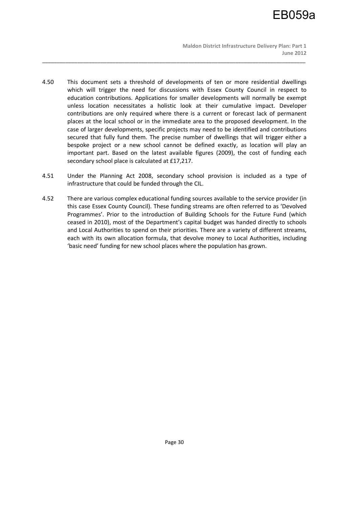4.50 This document sets a threshold of developments of ten or more residential dwellings which will trigger the need for discussions with Essex County Council in respect to education contributions. Applications for smaller developments will normally be exempt unless location necessitates a holistic look at their cumulative impact. Developer contributions are only required where there is a current or forecast lack of permanent places at the local school or in the immediate area to the proposed development. In the case of larger developments, specific projects may need to be identified and contributions secured that fully fund them. The precise number of dwellings that will trigger either a bespoke project or a new school cannot be defined exactly, as location will play an important part. Based on the latest available figures (2009), the cost of funding each secondary school place is calculated at £17,217.

- 4.51 Under the Planning Act 2008, secondary school provision is included as a type of infrastructure that could be funded through the CIL.
- 4.52 There are various complex educational funding sources available to the service provider (in this case Essex County Council). These funding streams are often referred to as 'Devolved Programmes'. Prior to the introduction of Building Schools for the Future Fund (which ceased in 2010), most of the Department's capital budget was handed directly to schools and Local Authorities to spend on their priorities. There are a variety of different streams, each with its own allocation formula, that devolve money to Local Authorities, including 'basic need' funding for new school places where the population has grown.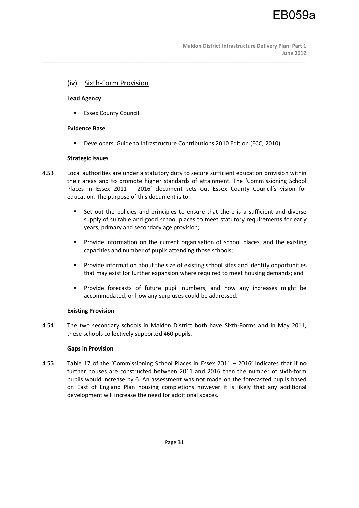# (iv) Sixth-Form Provision

## **Lead Agency**

**Essex County Council** 

## **Evidence Base**

Developers' Guide to Infrastructure Contributions 2010 Edition (ECC, 2010)

\_\_\_\_\_\_\_\_\_\_\_\_\_\_\_\_\_\_\_\_\_\_\_\_\_\_\_\_\_\_\_\_\_\_\_\_\_\_\_\_\_\_\_\_\_\_\_\_\_\_\_\_\_\_\_\_\_\_\_\_\_\_\_\_\_\_\_\_\_\_\_\_\_\_\_\_\_\_\_\_\_\_\_\_\_\_\_\_\_\_

## **Strategic Issues**

- 4.53 Local authorities are under a statutory duty to secure sufficient education provision within their areas and to promote higher standards of attainment. The 'Commissioning School Places in Essex 2011 – 2016' document sets out Essex County Council's vision for education. The purpose of this document is to:
	- Set out the policies and principles to ensure that there is a sufficient and diverse supply of suitable and good school places to meet statutory requirements for early years, primary and secondary age provision;
	- Provide information on the current organisation of school places, and the existing capacities and number of pupils attending those schools;
	- **Provide information about the size of existing school sites and identify opportunities** that may exist for further expansion where required to meet housing demands; and
	- Provide forecasts of future pupil numbers, and how any increases might be accommodated, or how any surpluses could be addressed.

# **Existing Provision**

4.54 The two secondary schools in Maldon District both have Sixth-Forms and in May 2011, these schools collectively supported 460 pupils.

# **Gaps in Provision**

4.55 Table 17 of the 'Commissioning School Places in Essex 2011 – 2016' indicates that if no further houses are constructed between 2011 and 2016 then the number of sixth-form pupils would increase by 6. An assessment was not made on the forecasted pupils based on East of England Plan housing completions however it is likely that any additional development will increase the need for additional spaces.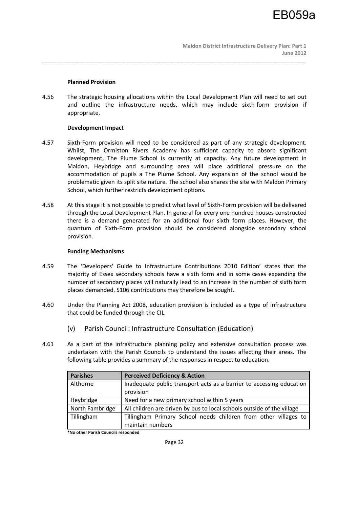## **Planned Provision**

4.56 The strategic housing allocations within the Local Development Plan will need to set out and outline the infrastructure needs, which may include sixth-form provision if appropriate.

\_\_\_\_\_\_\_\_\_\_\_\_\_\_\_\_\_\_\_\_\_\_\_\_\_\_\_\_\_\_\_\_\_\_\_\_\_\_\_\_\_\_\_\_\_\_\_\_\_\_\_\_\_\_\_\_\_\_\_\_\_\_\_\_\_\_\_\_\_\_\_\_\_\_\_\_\_\_\_\_\_\_\_\_\_\_\_\_\_\_

## **Development Impact**

- 4.57 Sixth-Form provision will need to be considered as part of any strategic development. Whilst, The Ormiston Rivers Academy has sufficient capacity to absorb significant development, The Plume School is currently at capacity. Any future development in Maldon, Heybridge and surrounding area will place additional pressure on the accommodation of pupils a The Plume School. Any expansion of the school would be problematic given its split site nature. The school also shares the site with Maldon Primary School, which further restricts development options.
- 4.58 At this stage it is not possible to predict what level of Sixth-Form provision will be delivered through the Local Development Plan. In general for every one hundred houses constructed there is a demand generated for an additional four sixth form places. However, the quantum of Sixth-Form provision should be considered alongside secondary school provision.

## **Funding Mechanisms**

- 4.59 The 'Developers' Guide to Infrastructure Contributions 2010 Edition' states that the majority of Essex secondary schools have a sixth form and in some cases expanding the number of secondary places will naturally lead to an increase in the number of sixth form places demanded. S106 contributions may therefore be sought.
- 4.60 Under the Planning Act 2008, education provision is included as a type of infrastructure that could be funded through the CIL.
	- (v) Parish Council: Infrastructure Consultation (Education)
- 4.61 As a part of the infrastructure planning policy and extensive consultation process was undertaken with the Parish Councils to understand the issues affecting their areas. The following table provides a summary of the responses in respect to education.

| <b>Parishes</b> | <b>Perceived Deficiency &amp; Action</b>                                            |
|-----------------|-------------------------------------------------------------------------------------|
| Althorne        | Inadequate public transport acts as a barrier to accessing education<br>provision   |
| Heybridge       | Need for a new primary school within 5 years                                        |
| North Fambridge | All children are driven by bus to local schools outside of the village              |
| Tillingham      | Tillingham Primary School needs children from other villages to<br>maintain numbers |

**\*No other Parish Councils responded**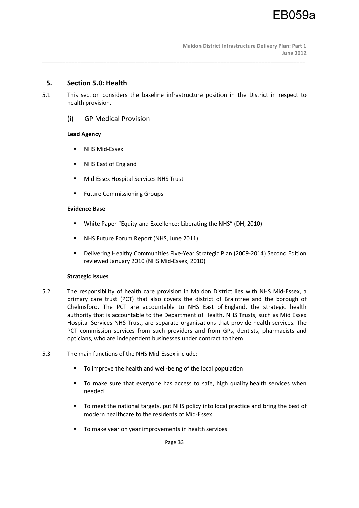# **5. Section 5.0: Health**

5.1 This section considers the baseline infrastructure position in the District in respect to health provision.

\_\_\_\_\_\_\_\_\_\_\_\_\_\_\_\_\_\_\_\_\_\_\_\_\_\_\_\_\_\_\_\_\_\_\_\_\_\_\_\_\_\_\_\_\_\_\_\_\_\_\_\_\_\_\_\_\_\_\_\_\_\_\_\_\_\_\_\_\_\_\_\_\_\_\_\_\_\_\_\_\_\_\_\_\_\_\_\_\_\_

# (i) GP Medical Provision

# **Lead Agency**

- **NHS Mid-Essex**
- **NHS East of England**
- **Mid Essex Hospital Services NHS Trust**
- **Future Commissioning Groups**

# **Evidence Base**

- White Paper "Equity and Excellence: Liberating the NHS" (DH, 2010)
- **NHS Future Forum Report (NHS, June 2011)**
- Delivering Healthy Communities Five-Year Strategic Plan (2009-2014) Second Edition reviewed January 2010 (NHS Mid-Essex, 2010)

# **Strategic Issues**

- 5.2 The responsibility of health care provision in Maldon District lies with NHS Mid-Essex, a primary care trust (PCT) that also covers the district of Braintree and the borough of Chelmsford. The PCT are accountable to NHS East of England, the strategic health authority that is accountable to the Department of Health. NHS Trusts, such as Mid Essex Hospital Services NHS Trust, are separate organisations that provide health services. The PCT commission services from such providers and from GPs, dentists, pharmacists and opticians, who are independent businesses under contract to them.
- 5.3 The main functions of the NHS Mid-Essex include:
	- To improve the health and well-being of the local population
	- To make sure that everyone has access to safe, high quality health services when needed
	- To meet the national targets, put NHS policy into local practice and bring the best of modern healthcare to the residents of Mid-Essex
	- To make year on year improvements in health services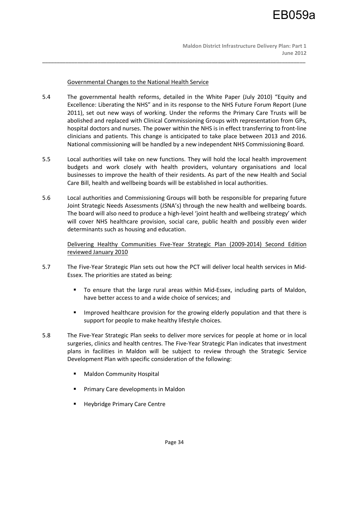Governmental Changes to the National Health Service

5.4 The governmental health reforms, detailed in the White Paper (July 2010) "Equity and Excellence: Liberating the NHS" and in its response to the NHS Future Forum Report (June 2011), set out new ways of working. Under the reforms the Primary Care Trusts will be abolished and replaced with Clinical Commissioning Groups with representation from GPs, hospital doctors and nurses. The power within the NHS is in effect transferring to front-line clinicians and patients. This change is anticipated to take place between 2013 and 2016. National commissioning will be handled by a new independent NHS Commissioning Board.

\_\_\_\_\_\_\_\_\_\_\_\_\_\_\_\_\_\_\_\_\_\_\_\_\_\_\_\_\_\_\_\_\_\_\_\_\_\_\_\_\_\_\_\_\_\_\_\_\_\_\_\_\_\_\_\_\_\_\_\_\_\_\_\_\_\_\_\_\_\_\_\_\_\_\_\_\_\_\_\_\_\_\_\_\_\_\_\_\_\_

- 5.5 Local authorities will take on new functions. They will hold the local health improvement budgets and work closely with health providers, voluntary organisations and local businesses to improve the health of their residents. As part of the new Health and Social Care Bill, health and wellbeing boards will be established in local authorities.
- 5.6 Local authorities and Commissioning Groups will both be responsible for preparing future Joint Strategic Needs Assessments (JSNA's) through the new health and wellbeing boards. The board will also need to produce a high-level 'joint health and wellbeing strategy' which will cover NHS healthcare provision, social care, public health and possibly even wider determinants such as housing and education.

Delivering Healthy Communities Five-Year Strategic Plan (2009-2014) Second Edition reviewed January 2010

- 5.7 The Five-Year Strategic Plan sets out how the PCT will deliver local health services in Mid-Essex. The priorities are stated as being:
	- To ensure that the large rural areas within Mid-Essex, including parts of Maldon, have better access to and a wide choice of services; and
	- **IMPROVED HEALT IMPLE 12 IMPROVED HEALTHLE IS ADDED IMPROVED HEALTHLET IS EXAMPLE 15** IMPROVER 19 IMPROVER 19 IMPROVER 15 IMPROVER 15 IMPROVER 15 IMPROVER 15 IMPROVER 15 IMPROVER 15 IMPROVER 15 IMPROVER 15 IMPROVER 15 IM support for people to make healthy lifestyle choices.
- 5.8 The Five-Year Strategic Plan seeks to deliver more services for people at home or in local surgeries, clinics and health centres. The Five-Year Strategic Plan indicates that investment plans in facilities in Maldon will be subject to review through the Strategic Service Development Plan with specific consideration of the following:
	- **Maldon Community Hospital**
	- Primary Care developments in Maldon
	- Heybridge Primary Care Centre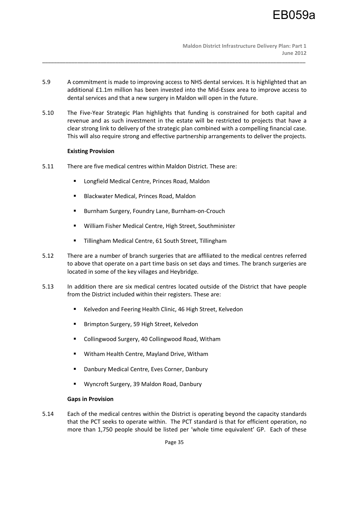5.9 A commitment is made to improving access to NHS dental services. It is highlighted that an additional £1.1m million has been invested into the Mid-Essex area to improve access to dental services and that a new surgery in Maldon will open in the future.

\_\_\_\_\_\_\_\_\_\_\_\_\_\_\_\_\_\_\_\_\_\_\_\_\_\_\_\_\_\_\_\_\_\_\_\_\_\_\_\_\_\_\_\_\_\_\_\_\_\_\_\_\_\_\_\_\_\_\_\_\_\_\_\_\_\_\_\_\_\_\_\_\_\_\_\_\_\_\_\_\_\_\_\_\_\_\_\_\_\_

5.10 The Five-Year Strategic Plan highlights that funding is constrained for both capital and revenue and as such investment in the estate will be restricted to projects that have a clear strong link to delivery of the strategic plan combined with a compelling financial case. This will also require strong and effective partnership arrangements to deliver the projects.

## **Existing Provision**

- 5.11 There are five medical centres within Maldon District. These are:
	- **E** Longfield Medical Centre, Princes Road, Maldon
	- Blackwater Medical, Princes Road, Maldon
	- **Burnham Surgery, Foundry Lane, Burnham-on-Crouch**
	- William Fisher Medical Centre, High Street, Southminister
	- Tillingham Medical Centre, 61 South Street, Tillingham
- 5.12 There are a number of branch surgeries that are affiliated to the medical centres referred to above that operate on a part time basis on set days and times. The branch surgeries are located in some of the key villages and Heybridge.
- 5.13 In addition there are six medical centres located outside of the District that have people from the District included within their registers. These are:
	- Kelvedon and Feering Health Clinic, 46 High Street, Kelvedon
	- **Brimpton Surgery, 59 High Street, Kelvedon**
	- Collingwood Surgery, 40 Collingwood Road, Witham
	- **Witham Health Centre, Mayland Drive, Witham**
	- **-** Danbury Medical Centre, Eves Corner, Danbury
	- Wyncroft Surgery, 39 Maldon Road, Danbury

## **Gaps in Provision**

5.14 Each of the medical centres within the District is operating beyond the capacity standards that the PCT seeks to operate within. The PCT standard is that for efficient operation, no more than 1,750 people should be listed per 'whole time equivalent' GP. Each of these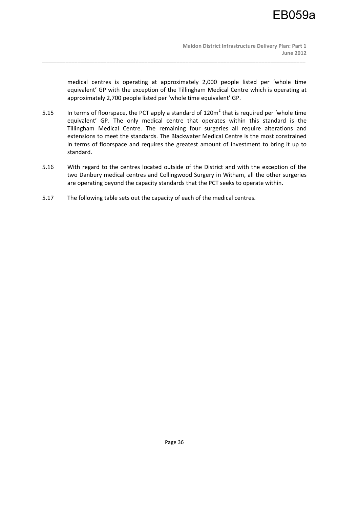medical centres is operating at approximately 2,000 people listed per 'whole time equivalent' GP with the exception of the Tillingham Medical Centre which is operating at approximately 2,700 people listed per 'whole time equivalent' GP.

5.15 In terms of floorspace, the PCT apply a standard of 120 $m^2$  that is required per 'whole time equivalent' GP. The only medical centre that operates within this standard is the Tillingham Medical Centre. The remaining four surgeries all require alterations and extensions to meet the standards. The Blackwater Medical Centre is the most constrained in terms of floorspace and requires the greatest amount of investment to bring it up to standard.

- 5.16 With regard to the centres located outside of the District and with the exception of the two Danbury medical centres and Collingwood Surgery in Witham, all the other surgeries are operating beyond the capacity standards that the PCT seeks to operate within.
- 5.17 The following table sets out the capacity of each of the medical centres.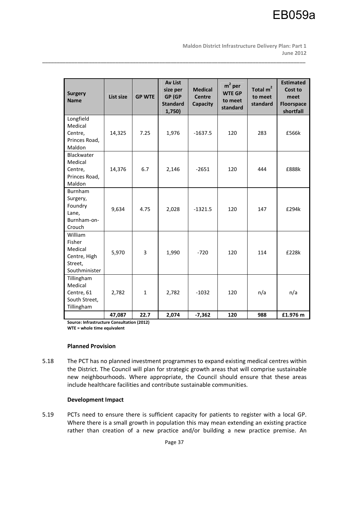

 **Maldon District Infrastructure Delivery Plan: Part 1 June 2012** 

| <b>Surgery</b><br><b>Name</b>                                            | List size | <b>GP WTE</b> | <b>Av List</b><br>size per<br>GP (GP<br><b>Standard</b><br>1,750) | <b>Medical</b><br><b>Centre</b><br>Capacity | $m2$ per<br><b>WTE GP</b><br>to meet<br>standard | Total $m2$<br>to meet<br>standard | <b>Estimated</b><br>Cost to<br>meet<br><b>Floorspace</b><br>shortfall |
|--------------------------------------------------------------------------|-----------|---------------|-------------------------------------------------------------------|---------------------------------------------|--------------------------------------------------|-----------------------------------|-----------------------------------------------------------------------|
| Longfield<br>Medical<br>Centre,<br>Princes Road,<br>Maldon               | 14,325    | 7.25          | 1,976                                                             | $-1637.5$                                   | 120                                              | 283                               | £566k                                                                 |
| Blackwater<br>Medical<br>Centre,<br>Princes Road,<br>Maldon              | 14,376    | 6.7           | 2,146                                                             | $-2651$                                     | 120                                              | 444                               | £888k                                                                 |
| Burnham<br>Surgery,<br>Foundry<br>Lane,<br>Burnham-on-<br>Crouch         | 9,634     | 4.75          | 2,028                                                             | $-1321.5$                                   | 120                                              | 147                               | £294k                                                                 |
| William<br>Fisher<br>Medical<br>Centre, High<br>Street,<br>Southminister | 5,970     | 3             | 1,990                                                             | $-720$                                      | 120                                              | 114                               | £228k                                                                 |
| Tillingham<br>Medical<br>Centre, 61<br>South Street,<br>Tillingham       | 2,782     | $\mathbf{1}$  | 2,782                                                             | $-1032$                                     | 120                                              | n/a                               | n/a                                                                   |
|                                                                          | 47,087    | 22.7          | 2,074                                                             | $-7,362$                                    | 120                                              | 988                               | £1.976 m                                                              |

\_\_\_\_\_\_\_\_\_\_\_\_\_\_\_\_\_\_\_\_\_\_\_\_\_\_\_\_\_\_\_\_\_\_\_\_\_\_\_\_\_\_\_\_\_\_\_\_\_\_\_\_\_\_\_\_\_\_\_\_\_\_\_\_\_\_\_\_\_\_\_\_\_\_\_\_\_\_\_\_\_\_\_\_\_\_\_\_\_\_

**Source: Infrastructure Consultation (2012) WTE = whole time equivalent** 

# **Planned Provision**

5.18 The PCT has no planned investment programmes to expand existing medical centres within the District. The Council will plan for strategic growth areas that will comprise sustainable new neighbourhoods. Where appropriate, the Council should ensure that these areas include healthcare facilities and contribute sustainable communities.

# **Development Impact**

5.19 PCTs need to ensure there is sufficient capacity for patients to register with a local GP. Where there is a small growth in population this may mean extending an existing practice rather than creation of a new practice and/or building a new practice premise. An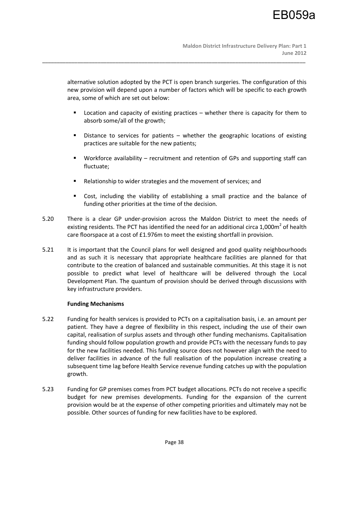alternative solution adopted by the PCT is open branch surgeries. The configuration of this new provision will depend upon a number of factors which will be specific to each growth area, some of which are set out below:

\_\_\_\_\_\_\_\_\_\_\_\_\_\_\_\_\_\_\_\_\_\_\_\_\_\_\_\_\_\_\_\_\_\_\_\_\_\_\_\_\_\_\_\_\_\_\_\_\_\_\_\_\_\_\_\_\_\_\_\_\_\_\_\_\_\_\_\_\_\_\_\_\_\_\_\_\_\_\_\_\_\_\_\_\_\_\_\_\_\_

- Location and capacity of existing practices whether there is capacity for them to absorb some/all of the growth;
- Distance to services for patients whether the geographic locations of existing practices are suitable for the new patients;
- Workforce availability recruitment and retention of GPs and supporting staff can fluctuate;
- Relationship to wider strategies and the movement of services; and
- Cost, including the viability of establishing a small practice and the balance of funding other priorities at the time of the decision.
- 5.20 There is a clear GP under-provision across the Maldon District to meet the needs of existing residents. The PCT has identified the need for an additional circa 1,000 $m^2$  of health care floorspace at a cost of £1.976m to meet the existing shortfall in provision.
- 5.21 It is important that the Council plans for well designed and good quality neighbourhoods and as such it is necessary that appropriate healthcare facilities are planned for that contribute to the creation of balanced and sustainable communities. At this stage it is not possible to predict what level of healthcare will be delivered through the Local Development Plan. The quantum of provision should be derived through discussions with key infrastructure providers.

# **Funding Mechanisms**

- 5.22 Funding for health services is provided to PCTs on a capitalisation basis, i.e. an amount per patient. They have a degree of flexibility in this respect, including the use of their own capital, realisation of surplus assets and through other funding mechanisms. Capitalisation funding should follow population growth and provide PCTs with the necessary funds to pay for the new facilities needed. This funding source does not however align with the need to deliver facilities in advance of the full realisation of the population increase creating a subsequent time lag before Health Service revenue funding catches up with the population growth.
- 5.23 Funding for GP premises comes from PCT budget allocations. PCTs do not receive a specific budget for new premises developments. Funding for the expansion of the current provision would be at the expense of other competing priorities and ultimately may not be possible. Other sources of funding for new facilities have to be explored.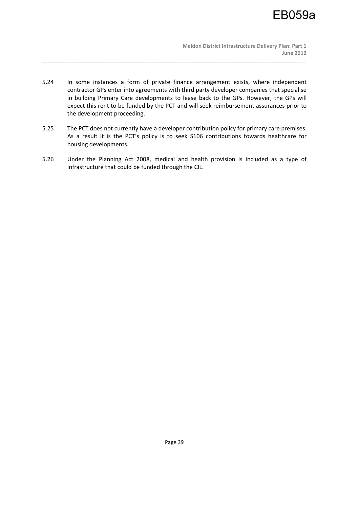5.24 In some instances a form of private finance arrangement exists, where independent contractor GPs enter into agreements with third party developer companies that specialise in building Primary Care developments to lease back to the GPs. However, the GPs will expect this rent to be funded by the PCT and will seek reimbursement assurances prior to the development proceeding.

\_\_\_\_\_\_\_\_\_\_\_\_\_\_\_\_\_\_\_\_\_\_\_\_\_\_\_\_\_\_\_\_\_\_\_\_\_\_\_\_\_\_\_\_\_\_\_\_\_\_\_\_\_\_\_\_\_\_\_\_\_\_\_\_\_\_\_\_\_\_\_\_\_\_\_\_\_\_\_\_\_\_\_\_\_\_\_\_\_\_

- 5.25 The PCT does not currently have a developer contribution policy for primary care premises. As a result it is the PCT's policy is to seek S106 contributions towards healthcare for housing developments.
- 5.26 Under the Planning Act 2008, medical and health provision is included as a type of infrastructure that could be funded through the CIL.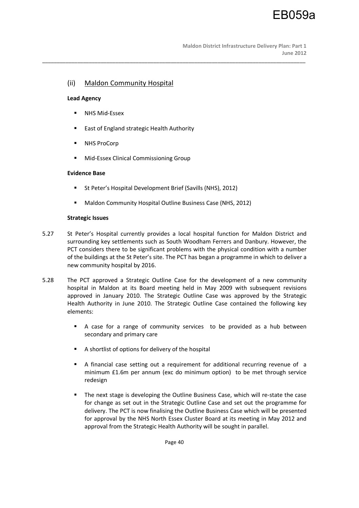# (ii) Maldon Community Hospital

# **Lead Agency**

- **NHS Mid-Essex**
- **East of England strategic Health Authority**
- **NHS ProCorp**
- Mid-Essex Clinical Commissioning Group

# **Evidence Base**

- St Peter's Hospital Development Brief (Savills (NHS), 2012)
- Maldon Community Hospital Outline Business Case (NHS, 2012)

# **Strategic Issues**

5.27 St Peter's Hospital currently provides a local hospital function for Maldon District and surrounding key settlements such as South Woodham Ferrers and Danbury. However, the PCT considers there to be significant problems with the physical condition with a number of the buildings at the St Peter's site. The PCT has began a programme in which to deliver a new community hospital by 2016.

\_\_\_\_\_\_\_\_\_\_\_\_\_\_\_\_\_\_\_\_\_\_\_\_\_\_\_\_\_\_\_\_\_\_\_\_\_\_\_\_\_\_\_\_\_\_\_\_\_\_\_\_\_\_\_\_\_\_\_\_\_\_\_\_\_\_\_\_\_\_\_\_\_\_\_\_\_\_\_\_\_\_\_\_\_\_\_\_\_\_

- 5.28 The PCT approved a Strategic Outline Case for the development of a new community hospital in Maldon at its Board meeting held in May 2009 with subsequent revisions approved in January 2010. The Strategic Outline Case was approved by the Strategic Health Authority in June 2010. The Strategic Outline Case contained the following key elements:
	- A case for a range of community services to be provided as a hub between secondary and primary care
	- A shortlist of options for delivery of the hospital
	- A financial case setting out a requirement for additional recurring revenue of a minimum £1.6m per annum (exc do minimum option) to be met through service redesign
	- **The next stage is developing the Outline Business Case, which will re-state the case** for change as set out in the Strategic Outline Case and set out the programme for delivery. The PCT is now finalising the Outline Business Case which will be presented for approval by the NHS North Essex Cluster Board at its meeting in May 2012 and approval from the Strategic Health Authority will be sought in parallel.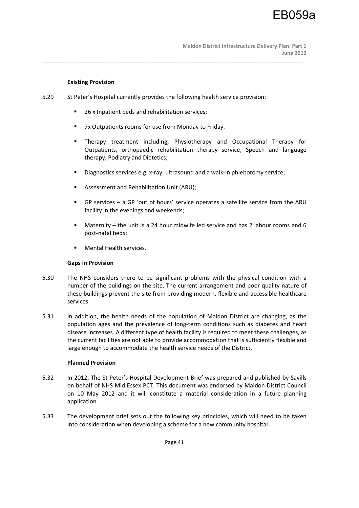## **Existing Provision**

5.29 St Peter's Hospital currently provides the following health service provision:

\_\_\_\_\_\_\_\_\_\_\_\_\_\_\_\_\_\_\_\_\_\_\_\_\_\_\_\_\_\_\_\_\_\_\_\_\_\_\_\_\_\_\_\_\_\_\_\_\_\_\_\_\_\_\_\_\_\_\_\_\_\_\_\_\_\_\_\_\_\_\_\_\_\_\_\_\_\_\_\_\_\_\_\_\_\_\_\_\_\_

- 26 x Inpatient beds and rehabilitation services;
- 7x Outpatients rooms for use from Monday to Friday.
- Therapy treatment including, Physiotherapy and Occupational Therapy for Outpatients, orthopaedic rehabilitation therapy service, Speech and language therapy, Podiatry and Dietetics;
- Diagnostics services e.g. x-ray, ultrasound and a walk-in phlebotomy service;
- Assessment and Rehabilitation Unit (ARU);
- GP services a GP 'out of hours' service operates a satellite service from the ARU facility in the evenings and weekends;
- Maternity the unit is a 24 hour midwife led service and has 2 labour rooms and 6 post-natal beds;
- **Mental Health services.**

# **Gaps in Provision**

- 5.30 The NHS considers there to be significant problems with the physical condition with a number of the buildings on the site. The current arrangement and poor quality nature of these buildings prevent the site from providing modern, flexible and accessible healthcare services.
- 5.31 In addition, the health needs of the population of Maldon District are changing, as the population ages and the prevalence of long-term conditions such as diabetes and heart disease increases. A different type of health facility is required to meet these challenges, as the current facilities are not able to provide accommodation that is sufficiently flexible and large enough to accommodate the health service needs of the District.

# **Planned Provision**

- 5.32 In 2012, The St Peter's Hospital Development Brief was prepared and published by Savills on behalf of NHS Mid Essex PCT. This document was endorsed by Maldon District Council on 10 May 2012 and it will constitute a material consideration in a future planning application.
- 5.33 The development brief sets out the following key principles, which will need to be taken into consideration when developing a scheme for a new community hospital: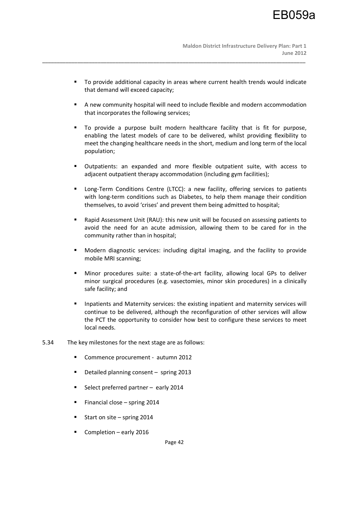To provide additional capacity in areas where current health trends would indicate that demand will exceed capacity;

\_\_\_\_\_\_\_\_\_\_\_\_\_\_\_\_\_\_\_\_\_\_\_\_\_\_\_\_\_\_\_\_\_\_\_\_\_\_\_\_\_\_\_\_\_\_\_\_\_\_\_\_\_\_\_\_\_\_\_\_\_\_\_\_\_\_\_\_\_\_\_\_\_\_\_\_\_\_\_\_\_\_\_\_\_\_\_\_\_\_

- A new community hospital will need to include flexible and modern accommodation that incorporates the following services;
- To provide a purpose built modern healthcare facility that is fit for purpose, enabling the latest models of care to be delivered, whilst providing flexibility to meet the changing healthcare needs in the short, medium and long term of the local population;
- Outpatients: an expanded and more flexible outpatient suite, with access to adjacent outpatient therapy accommodation (including gym facilities);
- Long-Term Conditions Centre (LTCC): a new facility, offering services to patients with long-term conditions such as Diabetes, to help them manage their condition themselves, to avoid 'crises' and prevent them being admitted to hospital;
- Rapid Assessment Unit (RAU): this new unit will be focused on assessing patients to avoid the need for an acute admission, allowing them to be cared for in the community rather than in hospital;
- Modern diagnostic services: including digital imaging, and the facility to provide mobile MRI scanning;
- Minor procedures suite: a state-of-the-art facility, allowing local GPs to deliver minor surgical procedures (e.g. vasectomies, minor skin procedures) in a clinically safe facility; and
- **Inpatients and Maternity services: the existing inpatient and maternity services will** continue to be delivered, although the reconfiguration of other services will allow the PCT the opportunity to consider how best to configure these services to meet local needs.
- 5.34 The key milestones for the next stage are as follows:
	- Commence procurement autumn 2012
	- Detailed planning consent spring 2013
	- Select preferred partner early 2014
	- Financial close spring 2014
	- Start on site spring 2014
	- Completion early 2016

Page 42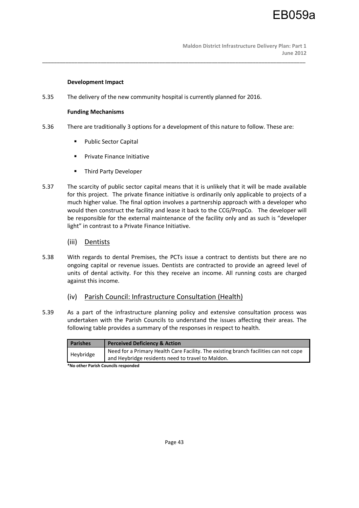## **Development Impact**

5.35 The delivery of the new community hospital is currently planned for 2016.

## **Funding Mechanisms**

5.36 There are traditionally 3 options for a development of this nature to follow. These are:

\_\_\_\_\_\_\_\_\_\_\_\_\_\_\_\_\_\_\_\_\_\_\_\_\_\_\_\_\_\_\_\_\_\_\_\_\_\_\_\_\_\_\_\_\_\_\_\_\_\_\_\_\_\_\_\_\_\_\_\_\_\_\_\_\_\_\_\_\_\_\_\_\_\_\_\_\_\_\_\_\_\_\_\_\_\_\_\_\_\_

- **•** Public Sector Capital
- **Private Finance Initiative**
- **Third Party Developer**
- 5.37 The scarcity of public sector capital means that it is unlikely that it will be made available for this project. The private finance initiative is ordinarily only applicable to projects of a much higher value. The final option involves a partnership approach with a developer who would then construct the facility and lease it back to the CCG/PropCo. The developer will be responsible for the external maintenance of the facility only and as such is "developer light" in contrast to a Private Finance Initiative.
	- (iii) Dentists
- 5.38 With regards to dental Premises, the PCTs issue a contract to dentists but there are no ongoing capital or revenue issues. Dentists are contracted to provide an agreed level of units of dental activity. For this they receive an income. All running costs are charged against this income.
	- (iv) Parish Council: Infrastructure Consultation (Health)
- 5.39 As a part of the infrastructure planning policy and extensive consultation process was undertaken with the Parish Councils to understand the issues affecting their areas. The following table provides a summary of the responses in respect to health.

| <b>Parishes</b> | <b>Perceived Deficiency &amp; Action</b>                                             |
|-----------------|--------------------------------------------------------------------------------------|
| Heybridge       | Need for a Primary Health Care Facility. The existing branch facilities can not cope |
|                 | and Heybridge residents need to travel to Maldon.                                    |

**\*No other Parish Councils responded**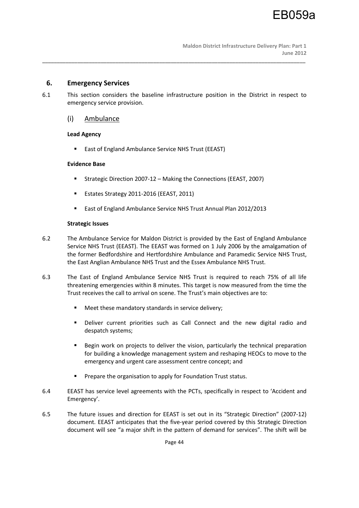# **6. Emergency Services**

6.1 This section considers the baseline infrastructure position in the District in respect to emergency service provision.

\_\_\_\_\_\_\_\_\_\_\_\_\_\_\_\_\_\_\_\_\_\_\_\_\_\_\_\_\_\_\_\_\_\_\_\_\_\_\_\_\_\_\_\_\_\_\_\_\_\_\_\_\_\_\_\_\_\_\_\_\_\_\_\_\_\_\_\_\_\_\_\_\_\_\_\_\_\_\_\_\_\_\_\_\_\_\_\_\_\_

# (i) Ambulance

# **Lead Agency**

■ East of England Ambulance Service NHS Trust (EEAST)

# **Evidence Base**

- Strategic Direction 2007-12 Making the Connections (EEAST, 2007)
- Estates Strategy 2011-2016 (EEAST, 2011)
- East of England Ambulance Service NHS Trust Annual Plan 2012/2013

# **Strategic Issues**

- 6.2 The Ambulance Service for Maldon District is provided by the East of England Ambulance Service NHS Trust (EEAST). The EEAST was formed on 1 July 2006 by the amalgamation of the former Bedfordshire and Hertfordshire Ambulance and Paramedic Service NHS Trust, the East Anglian Ambulance NHS Trust and the Essex Ambulance NHS Trust.
- 6.3 The East of England Ambulance Service NHS Trust is required to reach 75% of all life threatening emergencies within 8 minutes. This target is now measured from the time the Trust receives the call to arrival on scene. The Trust's main objectives are to:
	- Meet these mandatory standards in service delivery:
	- Deliver current priorities such as Call Connect and the new digital radio and despatch systems;
	- Begin work on projects to deliver the vision, particularly the technical preparation for building a knowledge management system and reshaping HEOCs to move to the emergency and urgent care assessment centre concept; and
	- Prepare the organisation to apply for Foundation Trust status.
- 6.4 EEAST has service level agreements with the PCTs, specifically in respect to 'Accident and Emergency'.
- 6.5 The future issues and direction for EEAST is set out in its "Strategic Direction" (2007-12) document. EEAST anticipates that the five-year period covered by this Strategic Direction document will see "a major shift in the pattern of demand for services". The shift will be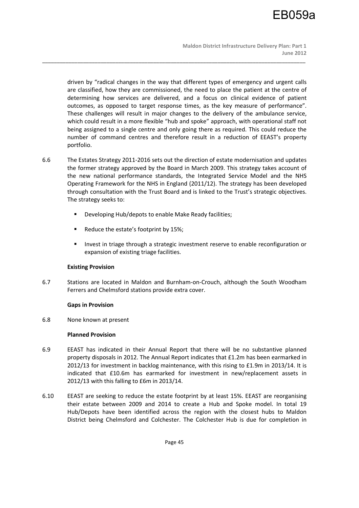**Maldon District Infrastructure Delivery Plan: Part 1 June 2012** 

driven by "radical changes in the way that different types of emergency and urgent calls are classified, how they are commissioned, the need to place the patient at the centre of determining how services are delivered, and a focus on clinical evidence of patient outcomes, as opposed to target response times, as the key measure of performance". These challenges will result in major changes to the delivery of the ambulance service, which could result in a more flexible "hub and spoke" approach, with operational staff not being assigned to a single centre and only going there as required. This could reduce the number of command centres and therefore result in a reduction of EEAST's property portfolio.

\_\_\_\_\_\_\_\_\_\_\_\_\_\_\_\_\_\_\_\_\_\_\_\_\_\_\_\_\_\_\_\_\_\_\_\_\_\_\_\_\_\_\_\_\_\_\_\_\_\_\_\_\_\_\_\_\_\_\_\_\_\_\_\_\_\_\_\_\_\_\_\_\_\_\_\_\_\_\_\_\_\_\_\_\_\_\_\_\_\_

- 6.6 The Estates Strategy 2011-2016 sets out the direction of estate modernisation and updates the former strategy approved by the Board in March 2009. This strategy takes account of the new national performance standards, the Integrated Service Model and the NHS Operating Framework for the NHS in England (2011/12). The strategy has been developed through consultation with the Trust Board and is linked to the Trust's strategic objectives. The strategy seeks to:
	- **•** Developing Hub/depots to enable Make Ready facilities;
	- Reduce the estate's footprint by 15%;
	- **Invest in triage through a strategic investment reserve to enable reconfiguration or** expansion of existing triage facilities.

# **Existing Provision**

6.7 Stations are located in Maldon and Burnham-on-Crouch, although the South Woodham Ferrers and Chelmsford stations provide extra cover.

# **Gaps in Provision**

6.8 None known at present

## **Planned Provision**

- 6.9 EEAST has indicated in their Annual Report that there will be no substantive planned property disposals in 2012. The Annual Report indicates that £1.2m has been earmarked in 2012/13 for investment in backlog maintenance, with this rising to £1.9m in 2013/14. It is indicated that £10.6m has earmarked for investment in new/replacement assets in 2012/13 with this falling to £6m in 2013/14.
- 6.10 EEAST are seeking to reduce the estate footprint by at least 15%. EEAST are reorganising their estate between 2009 and 2014 to create a Hub and Spoke model. In total 19 Hub/Depots have been identified across the region with the closest hubs to Maldon District being Chelmsford and Colchester. The Colchester Hub is due for completion in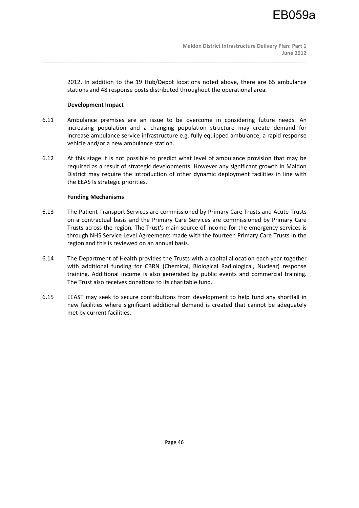2012. In addition to the 19 Hub/Depot locations noted above, there are 65 ambulance stations and 48 response posts distributed throughout the operational area.

## **Development Impact**

6.11 Ambulance premises are an issue to be overcome in considering future needs. An increasing population and a changing population structure may create demand for increase ambulance service infrastructure e.g. fully equipped ambulance, a rapid response vehicle and/or a new ambulance station.

\_\_\_\_\_\_\_\_\_\_\_\_\_\_\_\_\_\_\_\_\_\_\_\_\_\_\_\_\_\_\_\_\_\_\_\_\_\_\_\_\_\_\_\_\_\_\_\_\_\_\_\_\_\_\_\_\_\_\_\_\_\_\_\_\_\_\_\_\_\_\_\_\_\_\_\_\_\_\_\_\_\_\_\_\_\_\_\_\_\_

6.12 At this stage it is not possible to predict what level of ambulance provision that may be required as a result of strategic developments. However any significant growth in Maldon District may require the introduction of other dynamic deployment facilities in line with the EEASTs strategic priorities.

# **Funding Mechanisms**

- 6.13 The Patient Transport Services are commissioned by Primary Care Trusts and Acute Trusts on a contractual basis and the Primary Care Services are commissioned by Primary Care Trusts across the region. The Trust's main source of income for the emergency services is through NHS Service Level Agreements made with the fourteen Primary Care Trusts in the region and this is reviewed on an annual basis.
- 6.14 The Department of Health provides the Trusts with a capital allocation each year together with additional funding for CBRN (Chemical, Biological Radiological, Nuclear) response training. Additional income is also generated by public events and commercial training. The Trust also receives donations to its charitable fund.
- 6.15 EEAST may seek to secure contributions from development to help fund any shortfall in new facilities where significant additional demand is created that cannot be adequately met by current facilities.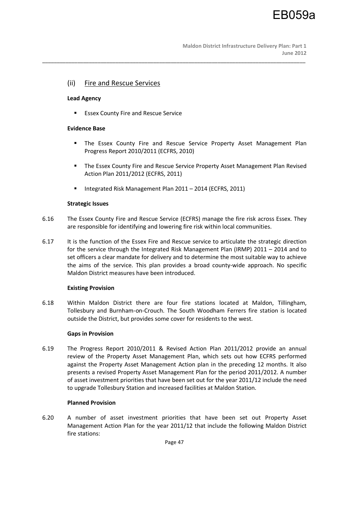# (ii) Fire and Rescue Services

#### **Lead Agency**

**ESSEX County Fire and Rescue Service** 

#### **Evidence Base**

- The Essex County Fire and Rescue Service Property Asset Management Plan Progress Report 2010/2011 (ECFRS, 2010)
- **The Essex County Fire and Rescue Service Property Asset Management Plan Revised** Action Plan 2011/2012 (ECFRS, 2011)
- Integrated Risk Management Plan 2011 2014 (ECFRS, 2011)

#### **Strategic Issues**

6.16 The Essex County Fire and Rescue Service (ECFRS) manage the fire risk across Essex. They are responsible for identifying and lowering fire risk within local communities.

\_\_\_\_\_\_\_\_\_\_\_\_\_\_\_\_\_\_\_\_\_\_\_\_\_\_\_\_\_\_\_\_\_\_\_\_\_\_\_\_\_\_\_\_\_\_\_\_\_\_\_\_\_\_\_\_\_\_\_\_\_\_\_\_\_\_\_\_\_\_\_\_\_\_\_\_\_\_\_\_\_\_\_\_\_\_\_\_\_\_

6.17 It is the function of the Essex Fire and Rescue service to articulate the strategic direction for the service through the Integrated Risk Management Plan (IRMP) 2011 – 2014 and to set officers a clear mandate for delivery and to determine the most suitable way to achieve the aims of the service. This plan provides a broad county-wide approach. No specific Maldon District measures have been introduced.

#### **Existing Provision**

6.18 Within Maldon District there are four fire stations located at Maldon, Tillingham, Tollesbury and Burnham-on-Crouch. The South Woodham Ferrers fire station is located outside the District, but provides some cover for residents to the west.

#### **Gaps in Provision**

6.19 The Progress Report 2010/2011 & Revised Action Plan 2011/2012 provide an annual review of the Property Asset Management Plan, which sets out how ECFRS performed against the Property Asset Management Action plan in the preceding 12 months. It also presents a revised Property Asset Management Plan for the period 2011/2012. A number of asset investment priorities that have been set out for the year 2011/12 include the need to upgrade Tollesbury Station and increased facilities at Maldon Station.

#### **Planned Provision**

6.20 A number of asset investment priorities that have been set out Property Asset Management Action Plan for the year 2011/12 that include the following Maldon District fire stations: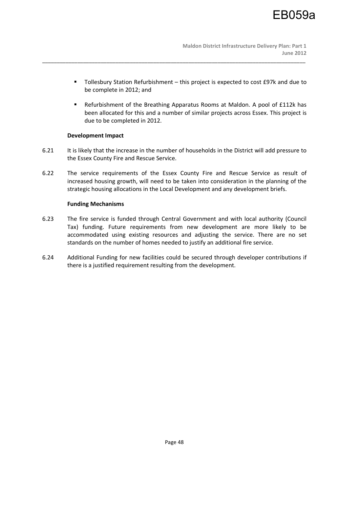- Tollesbury Station Refurbishment this project is expected to cost £97k and due to be complete in 2012; and
- Refurbishment of the Breathing Apparatus Rooms at Maldon. A pool of £112k has been allocated for this and a number of similar projects across Essex. This project is due to be completed in 2012.

# **Development Impact**

6.21 It is likely that the increase in the number of households in the District will add pressure to the Essex County Fire and Rescue Service.

\_\_\_\_\_\_\_\_\_\_\_\_\_\_\_\_\_\_\_\_\_\_\_\_\_\_\_\_\_\_\_\_\_\_\_\_\_\_\_\_\_\_\_\_\_\_\_\_\_\_\_\_\_\_\_\_\_\_\_\_\_\_\_\_\_\_\_\_\_\_\_\_\_\_\_\_\_\_\_\_\_\_\_\_\_\_\_\_\_\_

6.22 The service requirements of the Essex County Fire and Rescue Service as result of increased housing growth, will need to be taken into consideration in the planning of the strategic housing allocations in the Local Development and any development briefs.

# **Funding Mechanisms**

- 6.23 The fire service is funded through Central Government and with local authority (Council Tax) funding. Future requirements from new development are more likely to be accommodated using existing resources and adjusting the service. There are no set standards on the number of homes needed to justify an additional fire service.
- 6.24 Additional Funding for new facilities could be secured through developer contributions if there is a justified requirement resulting from the development.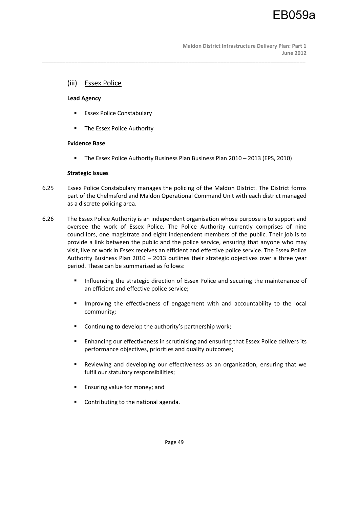# (iii) Essex Police

#### **Lead Agency**

- **Essex Police Constabulary**
- **The Essex Police Authority**

# **Evidence Base**

The Essex Police Authority Business Plan Business Plan 2010 – 2013 (EPS, 2010)

#### **Strategic Issues**

6.25 Essex Police Constabulary manages the policing of the Maldon District. The District forms part of the Chelmsford and Maldon Operational Command Unit with each district managed as a discrete policing area.

\_\_\_\_\_\_\_\_\_\_\_\_\_\_\_\_\_\_\_\_\_\_\_\_\_\_\_\_\_\_\_\_\_\_\_\_\_\_\_\_\_\_\_\_\_\_\_\_\_\_\_\_\_\_\_\_\_\_\_\_\_\_\_\_\_\_\_\_\_\_\_\_\_\_\_\_\_\_\_\_\_\_\_\_\_\_\_\_\_\_

- 6.26 The Essex Police Authority is an independent organisation whose purpose is to support and oversee the work of Essex Police. The Police Authority currently comprises of nine councillors, one magistrate and eight independent members of the public. Their job is to provide a link between the public and the police service, ensuring that anyone who may visit, live or work in Essex receives an efficient and effective police service. The Essex Police Authority Business Plan 2010 – 2013 outlines their strategic objectives over a three year period. These can be summarised as follows:
	- **Influencing the strategic direction of Essex Police and securing the maintenance of** an efficient and effective police service;
	- **IMPROVING THE EFFECTIVE ASSES** of engagement with and accountability to the local community;
	- **EXECONTER THE CONTINUITY** Continuing to develop the authority's partnership work;
	- Enhancing our effectiveness in scrutinising and ensuring that Essex Police delivers its performance objectives, priorities and quality outcomes;
	- Reviewing and developing our effectiveness as an organisation, ensuring that we fulfil our statutory responsibilities;
	- **Ensuring value for money; and**
	- Contributing to the national agenda.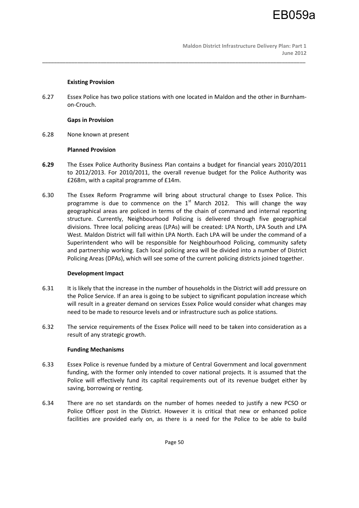#### **Existing Provision**

6.27 Essex Police has two police stations with one located in Maldon and the other in Burnhamon-Crouch.

\_\_\_\_\_\_\_\_\_\_\_\_\_\_\_\_\_\_\_\_\_\_\_\_\_\_\_\_\_\_\_\_\_\_\_\_\_\_\_\_\_\_\_\_\_\_\_\_\_\_\_\_\_\_\_\_\_\_\_\_\_\_\_\_\_\_\_\_\_\_\_\_\_\_\_\_\_\_\_\_\_\_\_\_\_\_\_\_\_\_

# **Gaps in Provision**

6.28 None known at present

# **Planned Provision**

- **6.29** The Essex Police Authority Business Plan contains a budget for financial years 2010/2011 to 2012/2013. For 2010/2011, the overall revenue budget for the Police Authority was £268m, with a capital programme of £14m.
- 6.30 The Essex Reform Programme will bring about structural change to Essex Police. This programme is due to commence on the  $1<sup>st</sup>$  March 2012. This will change the way geographical areas are policed in terms of the chain of command and internal reporting structure. Currently, Neighbourhood Policing is delivered through five geographical divisions. Three local policing areas (LPAs) will be created: LPA North, LPA South and LPA West. Maldon District will fall within LPA North. Each LPA will be under the command of a Superintendent who will be responsible for Neighbourhood Policing, community safety and partnership working. Each local policing area will be divided into a number of District Policing Areas (DPAs), which will see some of the current policing districts joined together.

# **Development Impact**

- 6.31 It is likely that the increase in the number of households in the District will add pressure on the Police Service. If an area is going to be subject to significant population increase which will result in a greater demand on services Essex Police would consider what changes may need to be made to resource levels and or infrastructure such as police stations.
- 6.32 The service requirements of the Essex Police will need to be taken into consideration as a result of any strategic growth.

#### **Funding Mechanisms**

- 6.33 Essex Police is revenue funded by a mixture of Central Government and local government funding, with the former only intended to cover national projects. It is assumed that the Police will effectively fund its capital requirements out of its revenue budget either by saving, borrowing or renting.
- 6.34 There are no set standards on the number of homes needed to justify a new PCSO or Police Officer post in the District. However it is critical that new or enhanced police facilities are provided early on, as there is a need for the Police to be able to build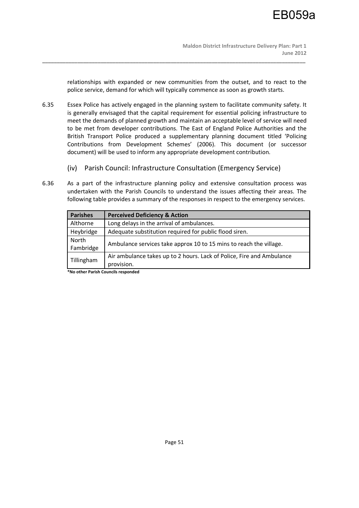relationships with expanded or new communities from the outset, and to react to the police service, demand for which will typically commence as soon as growth starts.

6.35 Essex Police has actively engaged in the planning system to facilitate community safety. It is generally envisaged that the capital requirement for essential policing infrastructure to meet the demands of planned growth and maintain an acceptable level of service will need to be met from developer contributions. The East of England Police Authorities and the British Transport Police produced a supplementary planning document titled 'Policing Contributions from Development Schemes' (2006). This document (or successor document) will be used to inform any appropriate development contribution.

\_\_\_\_\_\_\_\_\_\_\_\_\_\_\_\_\_\_\_\_\_\_\_\_\_\_\_\_\_\_\_\_\_\_\_\_\_\_\_\_\_\_\_\_\_\_\_\_\_\_\_\_\_\_\_\_\_\_\_\_\_\_\_\_\_\_\_\_\_\_\_\_\_\_\_\_\_\_\_\_\_\_\_\_\_\_\_\_\_\_

- (iv) Parish Council: Infrastructure Consultation (Emergency Service)
- 6.36 As a part of the infrastructure planning policy and extensive consultation process was undertaken with the Parish Councils to understand the issues affecting their areas. The following table provides a summary of the responses in respect to the emergency services.

| <b>Parishes</b> | <b>Perceived Deficiency &amp; Action</b>                              |  |  |
|-----------------|-----------------------------------------------------------------------|--|--|
| Althorne        | Long delays in the arrival of ambulances.                             |  |  |
| Heybridge       | Adequate substitution required for public flood siren.                |  |  |
| North           | Ambulance services take approx 10 to 15 mins to reach the village.    |  |  |
| Fambridge       |                                                                       |  |  |
| Tillingham      | Air ambulance takes up to 2 hours. Lack of Police, Fire and Ambulance |  |  |
|                 | provision.                                                            |  |  |

**\*No other Parish Councils responded**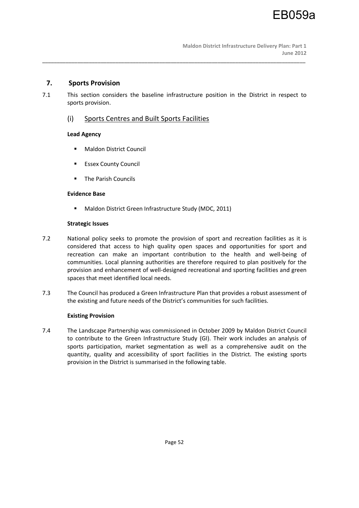# **7. Sports Provision**

7.1 This section considers the baseline infrastructure position in the District in respect to sports provision.

\_\_\_\_\_\_\_\_\_\_\_\_\_\_\_\_\_\_\_\_\_\_\_\_\_\_\_\_\_\_\_\_\_\_\_\_\_\_\_\_\_\_\_\_\_\_\_\_\_\_\_\_\_\_\_\_\_\_\_\_\_\_\_\_\_\_\_\_\_\_\_\_\_\_\_\_\_\_\_\_\_\_\_\_\_\_\_\_\_\_

# (i) Sports Centres and Built Sports Facilities

# **Lead Agency**

- **Maldon District Council**
- **Essex County Council**
- **The Parish Councils**

# **Evidence Base**

■ Maldon District Green Infrastructure Study (MDC, 2011)

# **Strategic Issues**

- 7.2 National policy seeks to promote the provision of sport and recreation facilities as it is considered that access to high quality open spaces and opportunities for sport and recreation can make an important contribution to the health and well-being of communities. Local planning authorities are therefore required to plan positively for the provision and enhancement of well-designed recreational and sporting facilities and green spaces that meet identified local needs.
- 7.3 The Council has produced a Green Infrastructure Plan that provides a robust assessment of the existing and future needs of the District's communities for such facilities.

# **Existing Provision**

7.4 The Landscape Partnership was commissioned in October 2009 by Maldon District Council to contribute to the Green Infrastructure Study (GI). Their work includes an analysis of sports participation, market segmentation as well as a comprehensive audit on the quantity, quality and accessibility of sport facilities in the District. The existing sports provision in the District is summarised in the following table.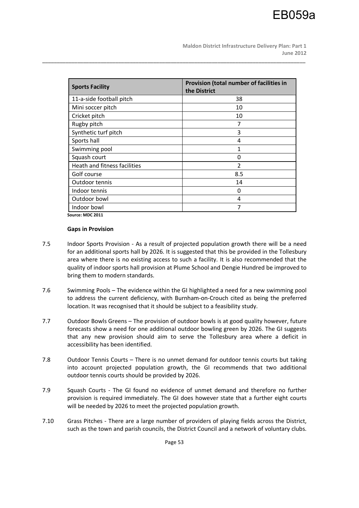**Maldon District Infrastructure Delivery Plan: Part 1 June 2012** 

| <b>Sports Facility</b>       | Provision (total number of facilities in<br>the District |
|------------------------------|----------------------------------------------------------|
| 11-a-side football pitch     | 38                                                       |
| Mini soccer pitch            | 10                                                       |
| Cricket pitch                | 10                                                       |
| Rugby pitch                  | 7                                                        |
| Synthetic turf pitch         | 3                                                        |
| Sports hall                  | 4                                                        |
| Swimming pool                | 1                                                        |
| Squash court                 | 0                                                        |
| Heath and fitness facilities | 2                                                        |
| Golf course                  | 8.5                                                      |
| Outdoor tennis               | 14                                                       |
| Indoor tennis                | 0                                                        |
| Outdoor bowl                 | 4                                                        |
| Indoor bowl                  | 7                                                        |

\_\_\_\_\_\_\_\_\_\_\_\_\_\_\_\_\_\_\_\_\_\_\_\_\_\_\_\_\_\_\_\_\_\_\_\_\_\_\_\_\_\_\_\_\_\_\_\_\_\_\_\_\_\_\_\_\_\_\_\_\_\_\_\_\_\_\_\_\_\_\_\_\_\_\_\_\_\_\_\_\_\_\_\_\_\_\_\_\_\_

**Source: MDC 2011** 

#### **Gaps in Provision**

- 7.5 Indoor Sports Provision As a result of projected population growth there will be a need for an additional sports hall by 2026. It is suggested that this be provided in the Tollesbury area where there is no existing access to such a facility. It is also recommended that the quality of indoor sports hall provision at Plume School and Dengie Hundred be improved to bring them to modern standards.
- 7.6 Swimming Pools The evidence within the GI highlighted a need for a new swimming pool to address the current deficiency, with Burnham-on-Crouch cited as being the preferred location. It was recognised that it should be subject to a feasibility study.
- 7.7 Outdoor Bowls Greens The provision of outdoor bowls is at good quality however, future forecasts show a need for one additional outdoor bowling green by 2026. The GI suggests that any new provision should aim to serve the Tollesbury area where a deficit in accessibility has been identified.
- 7.8 Outdoor Tennis Courts There is no unmet demand for outdoor tennis courts but taking into account projected population growth, the GI recommends that two additional outdoor tennis courts should be provided by 2026.
- 7.9 Squash Courts The GI found no evidence of unmet demand and therefore no further provision is required immediately. The GI does however state that a further eight courts will be needed by 2026 to meet the projected population growth.
- 7.10 Grass Pitches There are a large number of providers of playing fields across the District, such as the town and parish councils, the District Council and a network of voluntary clubs.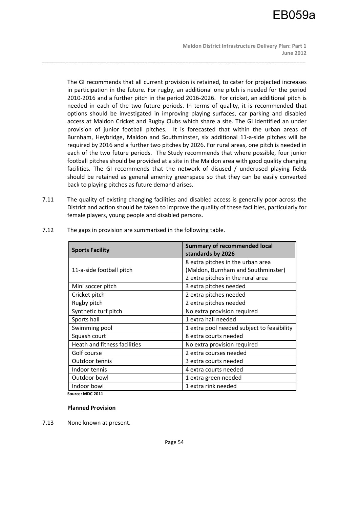**Maldon District Infrastructure Delivery Plan: Part 1 June 2012** 

The GI recommends that all current provision is retained, to cater for projected increases in participation in the future. For rugby, an additional one pitch is needed for the period 2010-2016 and a further pitch in the period 2016-2026. For cricket, an additional pitch is needed in each of the two future periods. In terms of quality, it is recommended that options should be investigated in improving playing surfaces, car parking and disabled access at Maldon Cricket and Rugby Clubs which share a site. The GI identified an under provision of junior football pitches. It is forecasted that within the urban areas of Burnham, Heybridge, Maldon and Southminster, six additional 11-a-side pitches will be required by 2016 and a further two pitches by 2026. For rural areas, one pitch is needed in each of the two future periods. The Study recommends that where possible, four junior football pitches should be provided at a site in the Maldon area with good quality changing facilities. The GI recommends that the network of disused / underused playing fields should be retained as general amenity greenspace so that they can be easily converted back to playing pitches as future demand arises.

\_\_\_\_\_\_\_\_\_\_\_\_\_\_\_\_\_\_\_\_\_\_\_\_\_\_\_\_\_\_\_\_\_\_\_\_\_\_\_\_\_\_\_\_\_\_\_\_\_\_\_\_\_\_\_\_\_\_\_\_\_\_\_\_\_\_\_\_\_\_\_\_\_\_\_\_\_\_\_\_\_\_\_\_\_\_\_\_\_\_

7.11 The quality of existing changing facilities and disabled access is generally poor across the District and action should be taken to improve the quality of these facilities, particularly for female players, young people and disabled persons.

| <b>Sports Facility</b>       | <b>Summary of recommended local</b><br>standards by 2026 |  |  |
|------------------------------|----------------------------------------------------------|--|--|
|                              | 8 extra pitches in the urban area                        |  |  |
| 11-a-side football pitch     | (Maldon, Burnham and Southminster)                       |  |  |
|                              | 2 extra pitches in the rural area                        |  |  |
| Mini soccer pitch            | 3 extra pitches needed                                   |  |  |
| Cricket pitch                | 2 extra pitches needed                                   |  |  |
| Rugby pitch                  | 2 extra pitches needed                                   |  |  |
| Synthetic turf pitch         | No extra provision required                              |  |  |
| Sports hall                  | 1 extra hall needed                                      |  |  |
| Swimming pool                | 1 extra pool needed subject to feasibility               |  |  |
| Squash court                 | 8 extra courts needed                                    |  |  |
| Heath and fitness facilities | No extra provision required                              |  |  |
| Golf course                  | 2 extra courses needed                                   |  |  |
| Outdoor tennis               | 3 extra courts needed                                    |  |  |
| Indoor tennis                | 4 extra courts needed                                    |  |  |
| Outdoor bowl                 | 1 extra green needed                                     |  |  |
| Indoor bowl                  | 1 extra rink needed                                      |  |  |

7.12 The gaps in provision are summarised in the following table.

**Source: MDC 2011** 

#### **Planned Provision**

7.13 None known at present.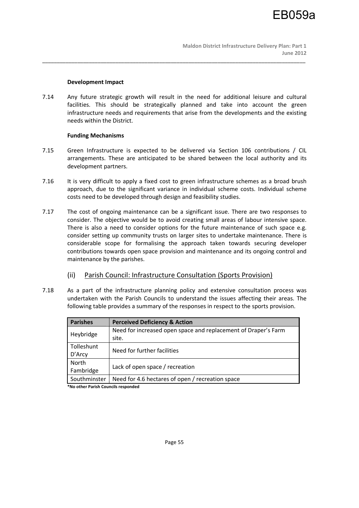#### **Development Impact**

7.14 Any future strategic growth will result in the need for additional leisure and cultural facilities. This should be strategically planned and take into account the green infrastructure needs and requirements that arise from the developments and the existing needs within the District.

\_\_\_\_\_\_\_\_\_\_\_\_\_\_\_\_\_\_\_\_\_\_\_\_\_\_\_\_\_\_\_\_\_\_\_\_\_\_\_\_\_\_\_\_\_\_\_\_\_\_\_\_\_\_\_\_\_\_\_\_\_\_\_\_\_\_\_\_\_\_\_\_\_\_\_\_\_\_\_\_\_\_\_\_\_\_\_\_\_\_

# **Funding Mechanisms**

- 7.15 Green Infrastructure is expected to be delivered via Section 106 contributions / CIL arrangements. These are anticipated to be shared between the local authority and its development partners.
- 7.16 It is very difficult to apply a fixed cost to green infrastructure schemes as a broad brush approach, due to the significant variance in individual scheme costs. Individual scheme costs need to be developed through design and feasibility studies.
- 7.17 The cost of ongoing maintenance can be a significant issue. There are two responses to consider. The objective would be to avoid creating small areas of labour intensive space. There is also a need to consider options for the future maintenance of such space e.g. consider setting up community trusts on larger sites to undertake maintenance. There is considerable scope for formalising the approach taken towards securing developer contributions towards open space provision and maintenance and its ongoing control and maintenance by the parishes.
	- (ii) Parish Council: Infrastructure Consultation (Sports Provision)
- 7.18 As a part of the infrastructure planning policy and extensive consultation process was undertaken with the Parish Councils to understand the issues affecting their areas. The following table provides a summary of the responses in respect to the sports provision.

| <b>Perceived Deficiency &amp; Action</b>                       |  |  |
|----------------------------------------------------------------|--|--|
| Need for increased open space and replacement of Draper's Farm |  |  |
| site.                                                          |  |  |
| Need for further facilities                                    |  |  |
|                                                                |  |  |
|                                                                |  |  |
| Lack of open space / recreation                                |  |  |
| Need for 4.6 hectares of open / recreation space               |  |  |
|                                                                |  |  |

**\*No other Parish Councils responded**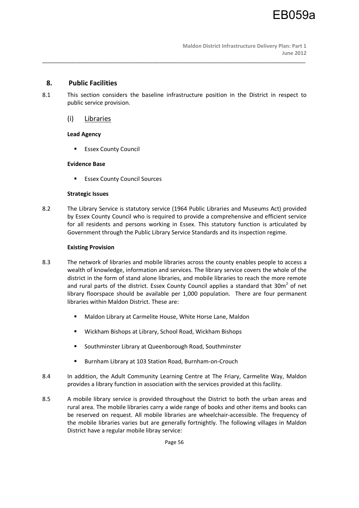# **8. Public Facilities**

8.1 This section considers the baseline infrastructure position in the District in respect to public service provision.

\_\_\_\_\_\_\_\_\_\_\_\_\_\_\_\_\_\_\_\_\_\_\_\_\_\_\_\_\_\_\_\_\_\_\_\_\_\_\_\_\_\_\_\_\_\_\_\_\_\_\_\_\_\_\_\_\_\_\_\_\_\_\_\_\_\_\_\_\_\_\_\_\_\_\_\_\_\_\_\_\_\_\_\_\_\_\_\_\_\_

# (i) Libraries

# **Lead Agency**

**Essex County Council** 

# **Evidence Base**

Essex County Council Sources

# **Strategic Issues**

8.2 The Library Service is statutory service (1964 Public Libraries and Museums Act) provided by Essex County Council who is required to provide a comprehensive and efficient service for all residents and persons working in Essex. This statutory function is articulated by Government through the Public Library Service Standards and its inspection regime.

# **Existing Provision**

- 8.3 The network of libraries and mobile libraries across the county enables people to access a wealth of knowledge, information and services. The library service covers the whole of the district in the form of stand alone libraries, and mobile libraries to reach the more remote and rural parts of the district. Essex County Council applies a standard that 30 $m^2$  of net library floorspace should be available per 1,000 population. There are four permanent libraries within Maldon District. These are:
	- Maldon Library at Carmelite House, White Horse Lane, Maldon
	- Wickham Bishops at Library, School Road, Wickham Bishops
	- **Southminster Library at Queenborough Road, Southminster**
	- Burnham Library at 103 Station Road, Burnham-on-Crouch
- 8.4 In addition, the Adult Community Learning Centre at The Friary, Carmelite Way, Maldon provides a library function in association with the services provided at this facility.
- 8.5 A mobile library service is provided throughout the District to both the urban areas and rural area. The mobile libraries carry a wide range of books and other items and books can be reserved on request. All mobile libraries are wheelchair-accessible. The frequency of the mobile libraries varies but are generally fortnightly. The following villages in Maldon District have a regular mobile libray service: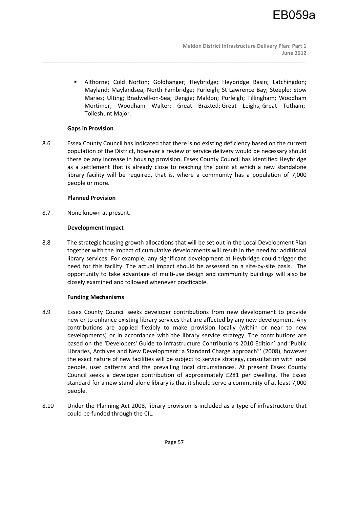Althorne; Cold Norton; Goldhanger; Heybridge; Heybridge Basin; Latchingdon; Mayland; Maylandsea; North Fambridge; Purleigh; St Lawrence Bay; Steeple; Stow Maries; Ulting; Bradwell-on-Sea; Dengie; Maldon; Purleigh; Tillingham; Woodham Mortimer; Woodham Walter; Great Braxted; Great Leighs; Great Totham; Tolleshunt Major.

# **Gaps in Provision**

8.6 Essex County Council has indicated that there is no existing deficiency based on the current population of the District, however a review of service delivery would be necessary should there be any increase in housing provision. Essex County Council has identified Heybridge as a settlement that is already close to reaching the point at which a new standalone library facility will be required, that is, where a community has a population of 7,000 people or more.

\_\_\_\_\_\_\_\_\_\_\_\_\_\_\_\_\_\_\_\_\_\_\_\_\_\_\_\_\_\_\_\_\_\_\_\_\_\_\_\_\_\_\_\_\_\_\_\_\_\_\_\_\_\_\_\_\_\_\_\_\_\_\_\_\_\_\_\_\_\_\_\_\_\_\_\_\_\_\_\_\_\_\_\_\_\_\_\_\_\_

# **Planned Provision**

8.7 None known at present.

# **Development Impact**

8.8 The strategic housing growth allocations that will be set out in the Local Development Plan together with the impact of cumulative developments will result in the need for additional library services. For example, any significant development at Heybridge could trigger the need for this facility. The actual impact should be assessed on a site-by-site basis. The opportunity to take advantage of multi-use design and community buildings will also be closely examined and followed whenever practicable.

#### **Funding Mechanisms**

- 8.9 Essex County Council seeks developer contributions from new development to provide new or to enhance existing library services that are affected by any new development. Any contributions are applied flexibly to make provision locally (within or near to new developments) or in accordance with the library service strategy. The contributions are based on the 'Developers' Guide to Infrastructure Contributions 2010 Edition' and 'Public Libraries, Archives and New Development: a Standard Charge approach"' (2008), however the exact nature of new facilities will be subject to service strategy, consultation with local people, user patterns and the prevailing local circumstances. At present Essex County Council seeks a developer contribution of approximately £281 per dwelling. The Essex standard for a new stand-alone library is that it should serve a community of at least 7,000 people.
- 8.10 Under the Planning Act 2008, library provision is included as a type of infrastructure that could be funded through the CIL.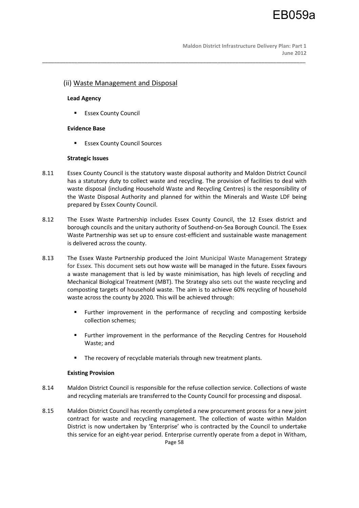**Maldon District Infrastructure Delivery Plan: Part 1 June 2012** 

# (ii) Waste Management and Disposal

# **Lead Agency**

Essex County Council

# **Evidence Base**

**Essex County Council Sources** 

# **Strategic Issues**

8.11 Essex County Council is the statutory waste disposal authority and Maldon District Council has a statutory duty to collect waste and recycling. The provision of facilities to deal with waste disposal (including Household Waste and Recycling Centres) is the responsibility of the Waste Disposal Authority and planned for within the Minerals and Waste LDF being prepared by Essex County Council.

\_\_\_\_\_\_\_\_\_\_\_\_\_\_\_\_\_\_\_\_\_\_\_\_\_\_\_\_\_\_\_\_\_\_\_\_\_\_\_\_\_\_\_\_\_\_\_\_\_\_\_\_\_\_\_\_\_\_\_\_\_\_\_\_\_\_\_\_\_\_\_\_\_\_\_\_\_\_\_\_\_\_\_\_\_\_\_\_\_\_

- 8.12 The Essex Waste Partnership includes Essex County Council, the 12 Essex district and borough councils and the unitary authority of Southend-on-Sea Borough Council. The Essex Waste Partnership was set up to ensure cost-efficient and sustainable waste management is delivered across the county.
- 8.13 The Essex Waste Partnership produced the Joint Municipal Waste Management Strategy for Essex. This document sets out how waste will be managed in the future. Essex favours a waste management that is led by waste minimisation, has high levels of recycling and Mechanical Biological Treatment (MBT). The Strategy also sets out the waste recycling and composting targets of household waste. The aim is to achieve 60% recycling of household waste across the county by 2020. This will be achieved through:
	- Further improvement in the performance of recycling and composting kerbside collection schemes;
	- Further improvement in the performance of the Recycling Centres for Household Waste; and
	- The recovery of recyclable materials through new treatment plants.

#### **Existing Provision**

- 8.14 Maldon District Council is responsible for the refuse collection service. Collections of waste and recycling materials are transferred to the County Council for processing and disposal.
- Page 58 8.15 Maldon District Council has recently completed a new procurement process for a new joint contract for waste and recycling management. The collection of waste within Maldon District is now undertaken by 'Enterprise' who is contracted by the Council to undertake this service for an eight-year period. Enterprise currently operate from a depot in Witham,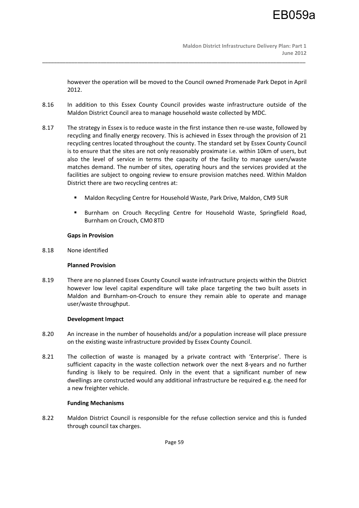however the operation will be moved to the Council owned Promenade Park Depot in April 2012.

8.16 In addition to this Essex County Council provides waste infrastructure outside of the Maldon District Council area to manage household waste collected by MDC.

\_\_\_\_\_\_\_\_\_\_\_\_\_\_\_\_\_\_\_\_\_\_\_\_\_\_\_\_\_\_\_\_\_\_\_\_\_\_\_\_\_\_\_\_\_\_\_\_\_\_\_\_\_\_\_\_\_\_\_\_\_\_\_\_\_\_\_\_\_\_\_\_\_\_\_\_\_\_\_\_\_\_\_\_\_\_\_\_\_\_

- 8.17 The strategy in Essex is to reduce waste in the first instance then re-use waste, followed by recycling and finally energy recovery. This is achieved in Essex through the provision of 21 recycling centres located throughout the county. The standard set by Essex County Council is to ensure that the sites are not only reasonably proximate i.e. within 10km of users, but also the level of service in terms the capacity of the facility to manage users/waste matches demand. The number of sites, operating hours and the services provided at the facilities are subject to ongoing review to ensure provision matches need. Within Maldon District there are two recycling centres at:
	- Maldon Recycling Centre for Household Waste, Park Drive, Maldon, CM9 5UR
	- **Burnham on Crouch Recycling Centre for Household Waste, Springfield Road,** Burnham on Crouch, CM0 8TD

# **Gaps in Provision**

8.18 None identified

# **Planned Provision**

8.19 There are no planned Essex County Council waste infrastructure projects within the District however low level capital expenditure will take place targeting the two built assets in Maldon and Burnham-on-Crouch to ensure they remain able to operate and manage user/waste throughput.

#### **Development Impact**

- 8.20 An increase in the number of households and/or a population increase will place pressure on the existing waste infrastructure provided by Essex County Council.
- 8.21 The collection of waste is managed by a private contract with 'Enterprise'. There is sufficient capacity in the waste collection network over the next 8-years and no further funding is likely to be required. Only in the event that a significant number of new dwellings are constructed would any additional infrastructure be required e.g. the need for a new freighter vehicle.

#### **Funding Mechanisms**

8.22 Maldon District Council is responsible for the refuse collection service and this is funded through council tax charges.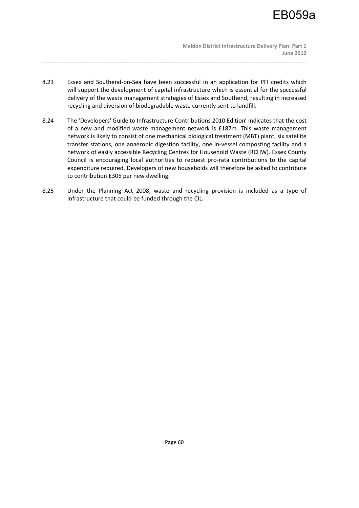

 **Maldon District Infrastructure Delivery Plan: Part 1 June 2012** 

8.23 Essex and Southend-on-Sea have been successful in an application for PFI credits which will support the development of capital infrastructure which is essential for the successful delivery of the waste management strategies of Essex and Southend, resulting in increased recycling and diversion of biodegradable waste currently sent to landfill.

\_\_\_\_\_\_\_\_\_\_\_\_\_\_\_\_\_\_\_\_\_\_\_\_\_\_\_\_\_\_\_\_\_\_\_\_\_\_\_\_\_\_\_\_\_\_\_\_\_\_\_\_\_\_\_\_\_\_\_\_\_\_\_\_\_\_\_\_\_\_\_\_\_\_\_\_\_\_\_\_\_\_\_\_\_\_\_\_\_\_

- 8.24 The 'Developers' Guide to Infrastructure Contributions 2010 Edition' indicates that the cost of a new and modified waste management network is £187m. This waste management network is likely to consist of one mechanical biological treatment (MBT) plant, six satellite transfer stations, one anaerobic digestion facility, one in-vessel composting facility and a network of easily accessible Recycling Centres for Household Waste (RCHW). Essex County Council is encouraging local authorities to request pro-rata contributions to the capital expenditure required. Developers of new households will therefore be asked to contribute to contribution £305 per new dwelling.
- 8.25 Under the Planning Act 2008, waste and recycling provision is included as a type of infrastructure that could be funded through the CIL.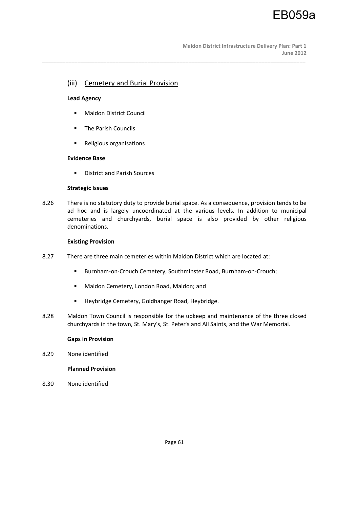# (iii) Cemetery and Burial Provision

# **Lead Agency**

- **Maldon District Council**
- **The Parish Councils**
- **Religious organisations**

# **Evidence Base**

**District and Parish Sources** 

#### **Strategic Issues**

8.26 There is no statutory duty to provide burial space. As a consequence, provision tends to be ad hoc and is largely uncoordinated at the various levels. In addition to municipal cemeteries and churchyards, burial space is also provided by other religious denominations.

\_\_\_\_\_\_\_\_\_\_\_\_\_\_\_\_\_\_\_\_\_\_\_\_\_\_\_\_\_\_\_\_\_\_\_\_\_\_\_\_\_\_\_\_\_\_\_\_\_\_\_\_\_\_\_\_\_\_\_\_\_\_\_\_\_\_\_\_\_\_\_\_\_\_\_\_\_\_\_\_\_\_\_\_\_\_\_\_\_\_

# **Existing Provision**

- 8.27 There are three main cemeteries within Maldon District which are located at:
	- Burnham-on-Crouch Cemetery, Southminster Road, Burnham-on-Crouch;
	- Maldon Cemetery, London Road, Maldon; and
	- **Heybridge Cemetery, Goldhanger Road, Heybridge.**
- 8.28 Maldon Town Council is responsible for the upkeep and maintenance of the three closed churchyards in the town, St. Mary's, St. Peter's and All Saints, and the War Memorial.

#### **Gaps in Provision**

8.29 None identified

# **Planned Provision**

8.30 None identified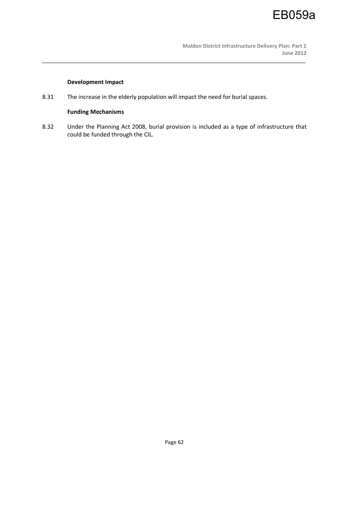

# **Development Impact**

8.31 The increase in the elderly population will impact the need for burial spaces.

# **Funding Mechanisms**

8.32 Under the Planning Act 2008, burial provision is included as a type of infrastructure that could be funded through the CIL.

\_\_\_\_\_\_\_\_\_\_\_\_\_\_\_\_\_\_\_\_\_\_\_\_\_\_\_\_\_\_\_\_\_\_\_\_\_\_\_\_\_\_\_\_\_\_\_\_\_\_\_\_\_\_\_\_\_\_\_\_\_\_\_\_\_\_\_\_\_\_\_\_\_\_\_\_\_\_\_\_\_\_\_\_\_\_\_\_\_\_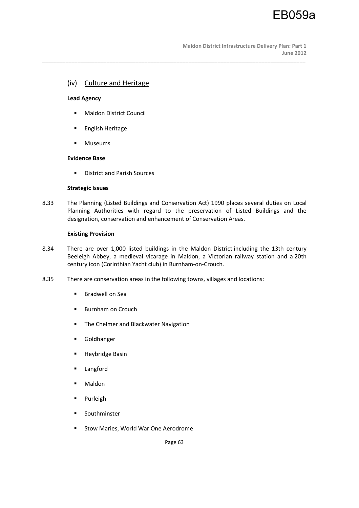# (iv) Culture and Heritage

## **Lead Agency**

- **Maldon District Council**
- **English Heritage**
- **■** Museums

# **Evidence Base**

**District and Parish Sources** 

# **Strategic Issues**

8.33 The Planning (Listed Buildings and Conservation Act) 1990 places several duties on Local Planning Authorities with regard to the preservation of Listed Buildings and the designation, conservation and enhancement of Conservation Areas.

\_\_\_\_\_\_\_\_\_\_\_\_\_\_\_\_\_\_\_\_\_\_\_\_\_\_\_\_\_\_\_\_\_\_\_\_\_\_\_\_\_\_\_\_\_\_\_\_\_\_\_\_\_\_\_\_\_\_\_\_\_\_\_\_\_\_\_\_\_\_\_\_\_\_\_\_\_\_\_\_\_\_\_\_\_\_\_\_\_\_

# **Existing Provision**

- 8.34 There are over 1,000 listed buildings in the Maldon District including the 13th century Beeleigh Abbey, a medieval vicarage in Maldon, a Victorian railway station and a 20th century icon (Corinthian Yacht club) in Burnham-on-Crouch.
- 8.35 There are conservation areas in the following towns, villages and locations:
	- **Bradwell on Sea**
	- **Burnham on Crouch**
	- **The Chelmer and Blackwater Navigation**
	- Goldhanger
	- **Heybridge Basin**
	- **Langford**
	- **Maldon**
	- Purleigh
	- Southminster
	- **Stow Maries, World War One Aerodrome**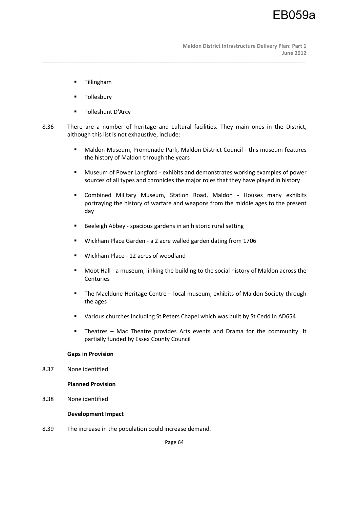- **•** Tillingham
- Tollesbury
- Tolleshunt D'Arcy
- 8.36 There are a number of heritage and cultural facilities. They main ones in the District, although this list is not exhaustive, include:

\_\_\_\_\_\_\_\_\_\_\_\_\_\_\_\_\_\_\_\_\_\_\_\_\_\_\_\_\_\_\_\_\_\_\_\_\_\_\_\_\_\_\_\_\_\_\_\_\_\_\_\_\_\_\_\_\_\_\_\_\_\_\_\_\_\_\_\_\_\_\_\_\_\_\_\_\_\_\_\_\_\_\_\_\_\_\_\_\_\_

- Maldon Museum, Promenade Park, Maldon District Council this museum features the history of Maldon through the years
- Museum of Power Langford exhibits and demonstrates working examples of power sources of all types and chronicles the major roles that they have played in history
- Combined Military Museum, Station Road, Maldon Houses many exhibits portraying the history of warfare and weapons from the middle ages to the present day
- Beeleigh Abbey spacious gardens in an historic rural setting
- Wickham Place Garden a 2 acre walled garden dating from 1706
- **Wickham Place 12 acres of woodland**
- Moot Hall a museum, linking the building to the social history of Maldon across the Centuries
- The Maeldune Heritage Centre local museum, exhibits of Maldon Society through the ages
- Various churches including St Peters Chapel which was built by St Cedd in AD654
- Theatres Mac Theatre provides Arts events and Drama for the community. It partially funded by Essex County Council

## **Gaps in Provision**

8.37 None identified

#### **Planned Provision**

8.38 None identified

#### **Development Impact**

8.39 The increase in the population could increase demand.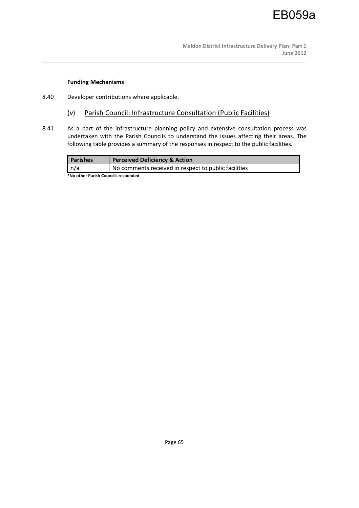# EB059a

#### **Funding Mechanisms**

- 8.40 Developer contributions where applicable.
	- (v) Parish Council: Infrastructure Consultation (Public Facilities)

\_\_\_\_\_\_\_\_\_\_\_\_\_\_\_\_\_\_\_\_\_\_\_\_\_\_\_\_\_\_\_\_\_\_\_\_\_\_\_\_\_\_\_\_\_\_\_\_\_\_\_\_\_\_\_\_\_\_\_\_\_\_\_\_\_\_\_\_\_\_\_\_\_\_\_\_\_\_\_\_\_\_\_\_\_\_\_\_\_\_

8.41 As a part of the infrastructure planning policy and extensive consultation process was undertaken with the Parish Councils to understand the issues affecting their areas. The following table provides a summary of the responses in respect to the public facilities.

| <b>Parishes</b>                     | <b>Perceived Deficiency &amp; Action</b>             |  |
|-------------------------------------|------------------------------------------------------|--|
| n/a                                 | No comments received in respect to public facilities |  |
| *Na athar Darich Councils rosponded |                                                      |  |

**\*No other Parish Councils responded**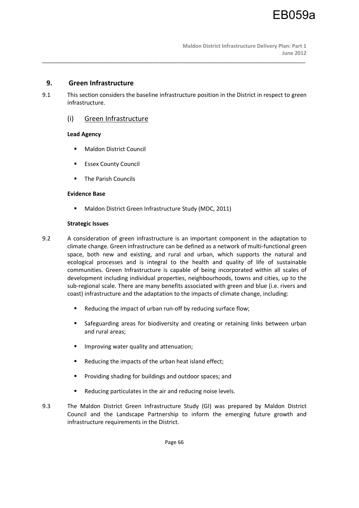# **9. Green Infrastructure**

9.1 This section considers the baseline infrastructure position in the District in respect to green infrastructure.

\_\_\_\_\_\_\_\_\_\_\_\_\_\_\_\_\_\_\_\_\_\_\_\_\_\_\_\_\_\_\_\_\_\_\_\_\_\_\_\_\_\_\_\_\_\_\_\_\_\_\_\_\_\_\_\_\_\_\_\_\_\_\_\_\_\_\_\_\_\_\_\_\_\_\_\_\_\_\_\_\_\_\_\_\_\_\_\_\_\_

# (i) Green Infrastructure

# **Lead Agency**

- **Maldon District Council**
- **Essex County Council**
- **The Parish Councils**

# **Evidence Base**

■ Maldon District Green Infrastructure Study (MDC, 2011)

# **Strategic Issues**

- 9.2 A consideration of green infrastructure is an important component in the adaptation to climate change. Green infrastructure can be defined as a network of multi-functional green space, both new and existing, and rural and urban, which supports the natural and ecological processes and is integral to the health and quality of life of sustainable communities. Green Infrastructure is capable of being incorporated within all scales of development including individual properties, neighbourhoods, towns and cities, up to the sub-regional scale. There are many benefits associated with green and blue (i.e. rivers and coast) infrastructure and the adaptation to the impacts of climate change, including:
	- Reducing the impact of urban run-off by reducing surface flow;
	- Safeguarding areas for biodiversity and creating or retaining links between urban and rural areas;
	- **IMPROVING WATER GUALITY AND ATTERM**
	- Reducing the impacts of the urban heat island effect;
	- **Providing shading for buildings and outdoor spaces; and**
	- Reducing particulates in the air and reducing noise levels.
- 9.3 The Maldon District Green Infrastructure Study (GI) was prepared by Maldon District Council and the Landscape Partnership to inform the emerging future growth and infrastructure requirements in the District.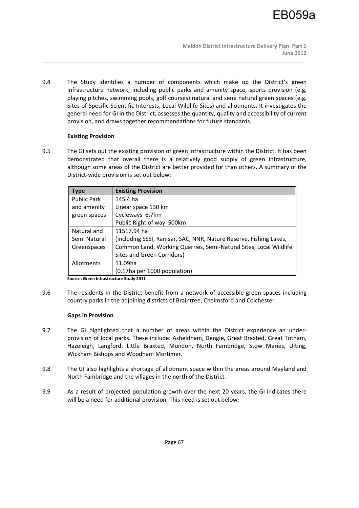9.4 The Study identifies a number of components which make up the District's green infrastructure network, including public parks and amenity space, sports provision (e.g. playing pitches, swimming pools, golf courses) natural and semi natural green spaces (e.g. Sites of Specific Scientific Interests, Local Wildlife Sites) and allotments. It investigates the general need for GI in the District, assesses the quantity, quality and accessibility of current provision, and draws together recommendations for future standards.

\_\_\_\_\_\_\_\_\_\_\_\_\_\_\_\_\_\_\_\_\_\_\_\_\_\_\_\_\_\_\_\_\_\_\_\_\_\_\_\_\_\_\_\_\_\_\_\_\_\_\_\_\_\_\_\_\_\_\_\_\_\_\_\_\_\_\_\_\_\_\_\_\_\_\_\_\_\_\_\_\_\_\_\_\_\_\_\_\_\_

# **Existing Provision**

9.5 The GI sets out the existing provision of green infrastructure within the District. It has been demonstrated that overall there is a relatively good supply of green infrastructure, although some areas of the District are better provided for than others. A summary of the District-wide provision is set out below:

| <b>Type</b>        | <b>Existing Provision</b>                                         |
|--------------------|-------------------------------------------------------------------|
| <b>Public Park</b> | 145.4 ha                                                          |
| and amenity        | Linear space 130 km                                               |
| green spaces       | Cycleways 6.7km                                                   |
|                    | Public Right of way 500km                                         |
| Natural and        | 11517.94 ha                                                       |
| Semi Natural       | (including SSSI, Ramsar, SAC, NNR, Nature Reserve, Fishing Lakes, |
| Greenspaces        | Common Land, Working Quarries, Semi-Natural Sites, Local Wildlife |
|                    | Sites and Green Corridors)                                        |
| Allotments         | 11.09ha                                                           |
|                    | (0.17ha per 1000 population)                                      |

**Source: Green Infrastructure Study 2011** 

9.6 The residents in the District benefit from a network of accessible green spaces including country parks in the adjoining districts of Braintree, Chelmsford and Colchester.

# **Gaps in Provision**

- 9.7 The GI highlighted that a number of areas within the District experience an underprovision of local parks. These include: Asheldham, Dengie, Great Braxted, Great Totham, Hazeleigh, Langford, Little Braxted, Mundon, North Fambridge, Stow Maries, Ulting, Wickham Bishops and Woodham Mortimer.
- 9.8 The GI also highlights a shortage of allotment space within the areas around Mayland and North Fambridge and the villages in the north of the District.
- 9.9 As a result of projected population growth over the next 20 years, the GI indicates there will be a need for additional provision. This need is set out below: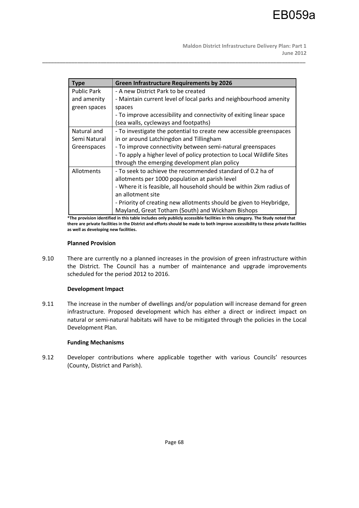**Maldon District Infrastructure Delivery Plan: Part 1 June 2012** 

| <b>Type</b>  | <b>Green Infrastructure Requirements by 2026</b>                       |
|--------------|------------------------------------------------------------------------|
| Public Park  | - A new District Park to be created                                    |
| and amenity  | - Maintain current level of local parks and neighbourhood amenity      |
| green spaces | spaces                                                                 |
|              | - To improve accessibility and connectivity of exiting linear space    |
|              | (sea walls, cycleways and footpaths)                                   |
| Natural and  | - To investigate the potential to create new accessible greenspaces    |
| Semi Natural | in or around Latchingdon and Tillingham                                |
| Greenspaces  | - To improve connectivity between semi-natural greenspaces             |
|              | - To apply a higher level of policy protection to Local Wildlife Sites |
|              | through the emerging development plan policy                           |
| Allotments   | - To seek to achieve the recommended standard of 0.2 ha of             |
|              | allotments per 1000 population at parish level                         |
|              | - Where it is feasible, all household should be within 2km radius of   |
|              | an allotment site                                                      |
|              | - Priority of creating new allotments should be given to Heybridge,    |
|              | Mayland, Great Totham (South) and Wickham Bishops                      |

\_\_\_\_\_\_\_\_\_\_\_\_\_\_\_\_\_\_\_\_\_\_\_\_\_\_\_\_\_\_\_\_\_\_\_\_\_\_\_\_\_\_\_\_\_\_\_\_\_\_\_\_\_\_\_\_\_\_\_\_\_\_\_\_\_\_\_\_\_\_\_\_\_\_\_\_\_\_\_\_\_\_\_\_\_\_\_\_\_\_

**\*The provision identified in this table includes only publicly accessible facilities in this category. The Study noted that there are private facilities in the District and efforts should be made to both improve accessibility to these private facilities as well as developing new facilities.** 

#### **Planned Provision**

9.10 There are currently no a planned increases in the provision of green infrastructure within the District. The Council has a number of maintenance and upgrade improvements scheduled for the period 2012 to 2016.

#### **Development Impact**

9.11 The increase in the number of dwellings and/or population will increase demand for green infrastructure. Proposed development which has either a direct or indirect impact on natural or semi-natural habitats will have to be mitigated through the policies in the Local Development Plan.

#### **Funding Mechanisms**

9.12 Developer contributions where applicable together with various Councils' resources (County, District and Parish).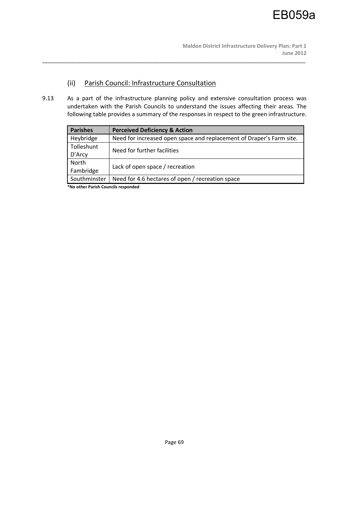# (ii) Parish Council: Infrastructure Consultation

9.13 As a part of the infrastructure planning policy and extensive consultation process was undertaken with the Parish Councils to understand the issues affecting their areas. The following table provides a summary of the responses in respect to the green infrastructure.

\_\_\_\_\_\_\_\_\_\_\_\_\_\_\_\_\_\_\_\_\_\_\_\_\_\_\_\_\_\_\_\_\_\_\_\_\_\_\_\_\_\_\_\_\_\_\_\_\_\_\_\_\_\_\_\_\_\_\_\_\_\_\_\_\_\_\_\_\_\_\_\_\_\_\_\_\_\_\_\_\_\_\_\_\_\_\_\_\_\_

| <b>Parishes</b> | <b>Perceived Deficiency &amp; Action</b>                             |  |
|-----------------|----------------------------------------------------------------------|--|
| Heybridge       | Need for increased open space and replacement of Draper's Farm site. |  |
| Tolleshunt      | Need for further facilities                                          |  |
| D'Arcy          |                                                                      |  |
| North           | Lack of open space / recreation                                      |  |
| Fambridge       |                                                                      |  |
| Southminster    | Need for 4.6 hectares of open / recreation space                     |  |

**\*No other Parish Councils responded**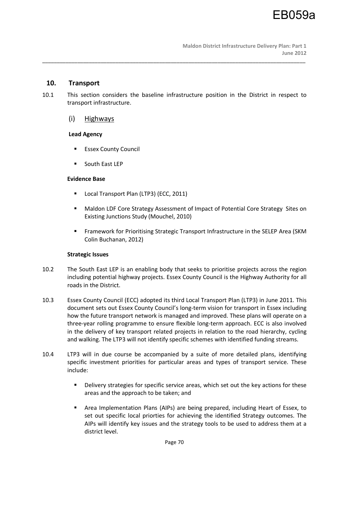# **10. Transport**

10.1 This section considers the baseline infrastructure position in the District in respect to transport infrastructure.

\_\_\_\_\_\_\_\_\_\_\_\_\_\_\_\_\_\_\_\_\_\_\_\_\_\_\_\_\_\_\_\_\_\_\_\_\_\_\_\_\_\_\_\_\_\_\_\_\_\_\_\_\_\_\_\_\_\_\_\_\_\_\_\_\_\_\_\_\_\_\_\_\_\_\_\_\_\_\_\_\_\_\_\_\_\_\_\_\_\_

(i) Highways

# **Lead Agency**

- **Essex County Council**
- **South East LEP**

# **Evidence Base**

- **Local Transport Plan (LTP3) (ECC, 2011)**
- Maldon LDF Core Strategy Assessment of Impact of Potential Core Strategy Sites on Existing Junctions Study (Mouchel, 2010)
- Framework for Prioritising Strategic Transport Infrastructure in the SELEP Area (SKM Colin Buchanan, 2012)

# **Strategic Issues**

- 10.2 The South East LEP is an enabling body that seeks to prioritise projects across the region including potential highway projects. Essex County Council is the Highway Authority for all roads in the District.
- 10.3 Essex County Council (ECC) adopted its third Local Transport Plan (LTP3) in June 2011. This document sets out Essex County Council's long-term vision for transport in Essex including how the future transport network is managed and improved. These plans will operate on a three-year rolling programme to ensure flexible long-term approach. ECC is also involved in the delivery of key transport related projects in relation to the road hierarchy, cycling and walking. The LTP3 will not identify specific schemes with identified funding streams.
- 10.4 LTP3 will in due course be accompanied by a suite of more detailed plans, identifying specific investment priorities for particular areas and types of transport service. These include:
	- **•** Delivery strategies for specific service areas, which set out the key actions for these areas and the approach to be taken; and
	- Area Implementation Plans (AIPs) are being prepared, including Heart of Essex, to set out specific local priorties for achieving the identified Strategy outcomes. The AIPs will identify key issues and the strategy tools to be used to address them at a district level.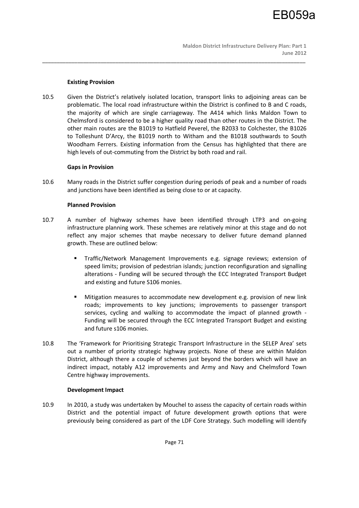## **Existing Provision**

10.5 Given the District's relatively isolated location, transport links to adjoining areas can be problematic. The local road infrastructure within the District is confined to B and C roads, the majority of which are single carriageway. The A414 which links Maldon Town to Chelmsford is considered to be a higher quality road than other routes in the District. The other main routes are the B1019 to Hatfield Peverel, the B2033 to Colchester, the B1026 to Tolleshunt D'Arcy, the B1019 north to Witham and the B1018 southwards to South Woodham Ferrers. Existing information from the Census has highlighted that there are high levels of out-commuting from the District by both road and rail.

\_\_\_\_\_\_\_\_\_\_\_\_\_\_\_\_\_\_\_\_\_\_\_\_\_\_\_\_\_\_\_\_\_\_\_\_\_\_\_\_\_\_\_\_\_\_\_\_\_\_\_\_\_\_\_\_\_\_\_\_\_\_\_\_\_\_\_\_\_\_\_\_\_\_\_\_\_\_\_\_\_\_\_\_\_\_\_\_\_\_

#### **Gaps in Provision**

10.6 Many roads in the District suffer congestion during periods of peak and a number of roads and junctions have been identified as being close to or at capacity.

# **Planned Provision**

- 10.7 A number of highway schemes have been identified through LTP3 and on-going infrastructure planning work. These schemes are relatively minor at this stage and do not reflect any major schemes that maybe necessary to deliver future demand planned growth. These are outlined below:
	- Traffic/Network Management Improvements e.g. signage reviews; extension of speed limits; provision of pedestrian islands; junction reconfiguration and signalling alterations - Funding will be secured through the ECC Integrated Transport Budget and existing and future S106 monies.
	- Mitigation measures to accommodate new development e.g. provision of new link roads; improvements to key junctions; improvements to passenger transport services, cycling and walking to accommodate the impact of planned growth - Funding will be secured through the ECC Integrated Transport Budget and existing and future s106 monies.
- 10.8 The 'Framework for Prioritising Strategic Transport Infrastructure in the SELEP Area' sets out a number of priority strategic highway projects. None of these are within Maldon District, although there a couple of schemes just beyond the borders which will have an indirect impact, notably A12 improvements and Army and Navy and Chelmsford Town Centre highway improvements.

#### **Development Impact**

10.9 In 2010, a study was undertaken by Mouchel to assess the capacity of certain roads within District and the potential impact of future development growth options that were previously being considered as part of the LDF Core Strategy. Such modelling will identify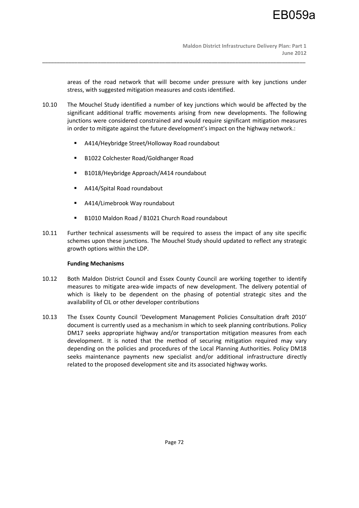areas of the road network that will become under pressure with key junctions under stress, with suggested mitigation measures and costs identified.

10.10 The Mouchel Study identified a number of key junctions which would be affected by the significant additional traffic movements arising from new developments. The following junctions were considered constrained and would require significant mitigation measures in order to mitigate against the future development's impact on the highway network.:

\_\_\_\_\_\_\_\_\_\_\_\_\_\_\_\_\_\_\_\_\_\_\_\_\_\_\_\_\_\_\_\_\_\_\_\_\_\_\_\_\_\_\_\_\_\_\_\_\_\_\_\_\_\_\_\_\_\_\_\_\_\_\_\_\_\_\_\_\_\_\_\_\_\_\_\_\_\_\_\_\_\_\_\_\_\_\_\_\_\_

- A414/Heybridge Street/Holloway Road roundabout
- B1022 Colchester Road/Goldhanger Road
- B1018/Heybridge Approach/A414 roundabout
- A414/Spital Road roundabout
- A414/Limebrook Way roundabout
- B1010 Maldon Road / B1021 Church Road roundabout
- 10.11 Further technical assessments will be required to assess the impact of any site specific schemes upon these junctions. The Mouchel Study should updated to reflect any strategic growth options within the LDP.

# **Funding Mechanisms**

- 10.12 Both Maldon District Council and Essex County Council are working together to identify measures to mitigate area-wide impacts of new development. The delivery potential of which is likely to be dependent on the phasing of potential strategic sites and the availability of CIL or other developer contributions
- 10.13 The Essex County Council 'Development Management Policies Consultation draft 2010' document is currently used as a mechanism in which to seek planning contributions. Policy DM17 seeks appropriate highway and/or transportation mitigation measures from each development. It is noted that the method of securing mitigation required may vary depending on the policies and procedures of the Local Planning Authorities. Policy DM18 seeks maintenance payments new specialist and/or additional infrastructure directly related to the proposed development site and its associated highway works.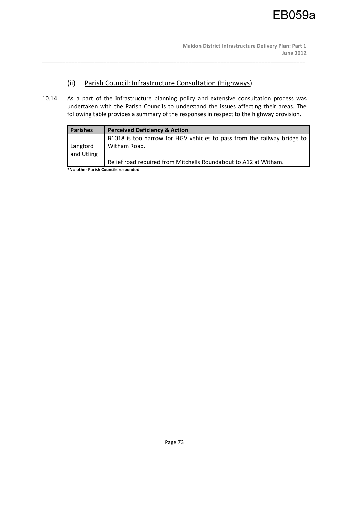# (ii) Parish Council: Infrastructure Consultation (Highways)

10.14 As a part of the infrastructure planning policy and extensive consultation process was undertaken with the Parish Councils to understand the issues affecting their areas. The following table provides a summary of the responses in respect to the highway provision.

\_\_\_\_\_\_\_\_\_\_\_\_\_\_\_\_\_\_\_\_\_\_\_\_\_\_\_\_\_\_\_\_\_\_\_\_\_\_\_\_\_\_\_\_\_\_\_\_\_\_\_\_\_\_\_\_\_\_\_\_\_\_\_\_\_\_\_\_\_\_\_\_\_\_\_\_\_\_\_\_\_\_\_\_\_\_\_\_\_\_

| <b>Parishes</b> | <b>Perceived Deficiency &amp; Action</b>                                |
|-----------------|-------------------------------------------------------------------------|
|                 | B1018 is too narrow for HGV vehicles to pass from the railway bridge to |
| Langford        | Witham Road.                                                            |
| and Utling      |                                                                         |
|                 | Relief road required from Mitchells Roundabout to A12 at Witham.        |
| .               | . .<br>$\sim$ $\sim$ $\sim$                                             |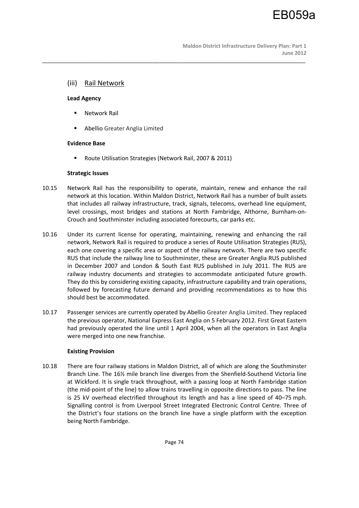**Maldon District Infrastructure Delivery Plan: Part 1 June 2012** 

# (iii) Rail Network

#### **Lead Agency**

- **Network Rail**
- Abellio Greater Anglia Limited

### **Evidence Base**

Route Utilisation Strategies (Network Rail, 2007 & 2011)

#### **Strategic Issues**

10.15 Network Rail has the responsibility to operate, maintain, renew and enhance the rail network at this location. Within Maldon District, Network Rail has a number of built assets that includes all railway infrastructure, track, signals, telecoms, overhead line equipment, level crossings, most bridges and stations at North Fambridge, Althorne, Burnham-on-Crouch and Southminster including associated forecourts, car parks etc.

\_\_\_\_\_\_\_\_\_\_\_\_\_\_\_\_\_\_\_\_\_\_\_\_\_\_\_\_\_\_\_\_\_\_\_\_\_\_\_\_\_\_\_\_\_\_\_\_\_\_\_\_\_\_\_\_\_\_\_\_\_\_\_\_\_\_\_\_\_\_\_\_\_\_\_\_\_\_\_\_\_\_\_\_\_\_\_\_\_\_

- 10.16 Under its current license for operating, maintaining, renewing and enhancing the rail network, Network Rail is required to produce a series of Route Utilisation Strategies (RUS), each one covering a specific area or aspect of the railway network. There are two specific RUS that include the railway line to Southminster, these are Greater Anglia RUS published in December 2007 and London & South East RUS published in July 2011. The RUS are railway industry documents and strategies to accommodate anticipated future growth. They do this by considering existing capacity, infrastructure capability and train operations, followed by forecasting future demand and providing recommendations as to how this should best be accommodated.
- 10.17 Passenger services are currently operated by Abellio Greater Anglia Limited. They replaced the previous operator, National Express East Anglia on 5 February 2012. First Great Eastern had previously operated the line until 1 April 2004, when all the operators in East Anglia were merged into one new franchise.

### **Existing Provision**

10.18 There are four railway stations in Maldon District, all of which are along the Southminster Branch Line. The 16½ mile branch line diverges from the Shenfield-Southend Victoria line at Wickford. It is single track throughout, with a passing loop at North Fambridge station (the mid-point of the line) to allow trains travelling in opposite directions to pass. The line is 25 kV overhead electrified throughout its length and has a line speed of 40–75 mph. Signalling control is from Liverpool Street Integrated Electronic Control Centre. Three of the District's four stations on the branch line have a single platform with the exception being North Fambridge.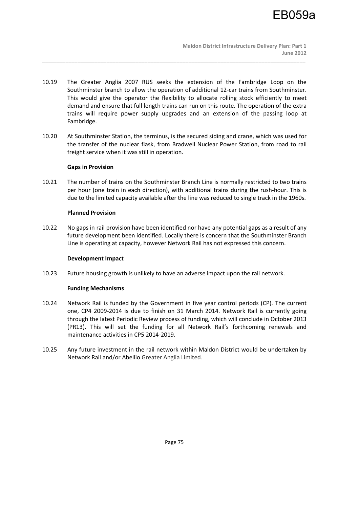10.19 The Greater Anglia 2007 RUS seeks the extension of the Fambridge Loop on the Southminster branch to allow the operation of additional 12-car trains from Southminster. This would give the operator the flexibility to allocate rolling stock efficiently to meet demand and ensure that full length trains can run on this route. The operation of the extra trains will require power supply upgrades and an extension of the passing loop at Fambridge.

\_\_\_\_\_\_\_\_\_\_\_\_\_\_\_\_\_\_\_\_\_\_\_\_\_\_\_\_\_\_\_\_\_\_\_\_\_\_\_\_\_\_\_\_\_\_\_\_\_\_\_\_\_\_\_\_\_\_\_\_\_\_\_\_\_\_\_\_\_\_\_\_\_\_\_\_\_\_\_\_\_\_\_\_\_\_\_\_\_\_

10.20 At Southminster Station, the terminus, is the secured siding and crane, which was used for the transfer of the nuclear flask, from Bradwell Nuclear Power Station, from road to rail freight service when it was still in operation.

### **Gaps in Provision**

10.21 The number of trains on the Southminster Branch Line is normally restricted to two trains per hour (one train in each direction), with additional trains during the rush-hour. This is due to the limited capacity available after the line was reduced to single track in the 1960s.

### **Planned Provision**

10.22 No gaps in rail provision have been identified nor have any potential gaps as a result of any future development been identified. Locally there is concern that the Southminster Branch Line is operating at capacity, however Network Rail has not expressed this concern.

### **Development Impact**

10.23 Future housing growth is unlikely to have an adverse impact upon the rail network.

### **Funding Mechanisms**

- 10.24 Network Rail is funded by the Government in five year control periods (CP). The current one, CP4 2009-2014 is due to finish on 31 March 2014. Network Rail is currently going through the latest Periodic Review process of funding, which will conclude in October 2013 (PR13). This will set the funding for all Network Rail's forthcoming renewals and maintenance activities in CP5 2014-2019.
- 10.25 Any future investment in the rail network within Maldon District would be undertaken by Network Rail and/or Abellio Greater Anglia Limited.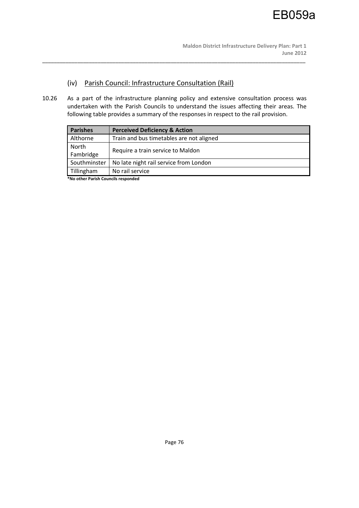# (iv) Parish Council: Infrastructure Consultation (Rail)

10.26 As a part of the infrastructure planning policy and extensive consultation process was undertaken with the Parish Councils to understand the issues affecting their areas. The following table provides a summary of the responses in respect to the rail provision.

\_\_\_\_\_\_\_\_\_\_\_\_\_\_\_\_\_\_\_\_\_\_\_\_\_\_\_\_\_\_\_\_\_\_\_\_\_\_\_\_\_\_\_\_\_\_\_\_\_\_\_\_\_\_\_\_\_\_\_\_\_\_\_\_\_\_\_\_\_\_\_\_\_\_\_\_\_\_\_\_\_\_\_\_\_\_\_\_\_\_

| <b>Parishes</b> | <b>Perceived Deficiency &amp; Action</b> |  |
|-----------------|------------------------------------------|--|
| Althorne        | Train and bus timetables are not aligned |  |
| North           |                                          |  |
| Fambridge       | Require a train service to Maldon        |  |
| Southminster    | No late night rail service from London   |  |
| Tillingham      | No rail service                          |  |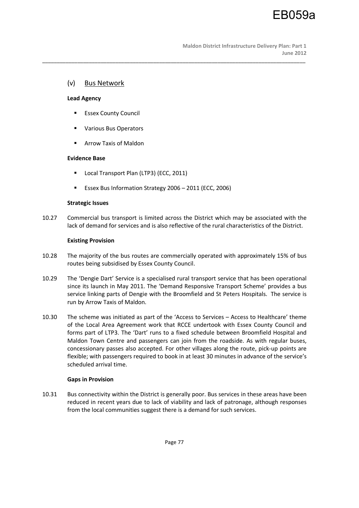# (v) Bus Network

### **Lead Agency**

- **Essex County Council**
- Various Bus Operators
- **Arrow Taxis of Maldon**

## **Evidence Base**

- Local Transport Plan (LTP3) (ECC, 2011)
- Essex Bus Information Strategy 2006 2011 (ECC, 2006)

### **Strategic Issues**

10.27 Commercial bus transport is limited across the District which may be associated with the lack of demand for services and is also reflective of the rural characteristics of the District.

\_\_\_\_\_\_\_\_\_\_\_\_\_\_\_\_\_\_\_\_\_\_\_\_\_\_\_\_\_\_\_\_\_\_\_\_\_\_\_\_\_\_\_\_\_\_\_\_\_\_\_\_\_\_\_\_\_\_\_\_\_\_\_\_\_\_\_\_\_\_\_\_\_\_\_\_\_\_\_\_\_\_\_\_\_\_\_\_\_\_

## **Existing Provision**

- 10.28 The majority of the bus routes are commercially operated with approximately 15% of bus routes being subsidised by Essex County Council.
- 10.29 The 'Dengie Dart' Service is a specialised rural transport service that has been operational since its launch in May 2011. The 'Demand Responsive Transport Scheme' provides a bus service linking parts of Dengie with the Broomfield and St Peters Hospitals. The service is run by Arrow Taxis of Maldon.
- 10.30 The scheme was initiated as part of the 'Access to Services Access to Healthcare' theme of the Local Area Agreement work that RCCE undertook with Essex County Council and forms part of LTP3. The 'Dart' runs to a fixed schedule between Broomfield Hospital and Maldon Town Centre and passengers can join from the roadside. As with regular buses, concessionary passes also accepted. For other villages along the route, pick-up points are flexible; with passengers required to book in at least 30 minutes in advance of the service's scheduled arrival time.

# **Gaps in Provision**

10.31 Bus connectivity within the District is generally poor. Bus services in these areas have been reduced in recent years due to lack of viability and lack of patronage, although responses from the local communities suggest there is a demand for such services.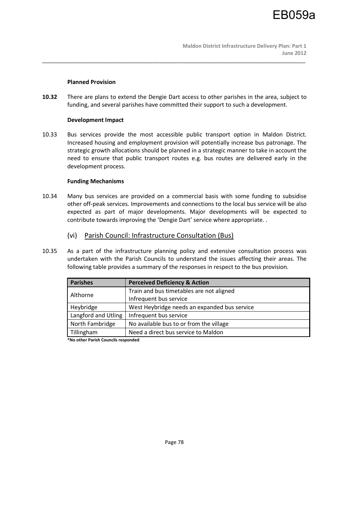### **Planned Provision**

**10.32** There are plans to extend the Dengie Dart access to other parishes in the area, subject to funding, and several parishes have committed their support to such a development.

\_\_\_\_\_\_\_\_\_\_\_\_\_\_\_\_\_\_\_\_\_\_\_\_\_\_\_\_\_\_\_\_\_\_\_\_\_\_\_\_\_\_\_\_\_\_\_\_\_\_\_\_\_\_\_\_\_\_\_\_\_\_\_\_\_\_\_\_\_\_\_\_\_\_\_\_\_\_\_\_\_\_\_\_\_\_\_\_\_\_

## **Development Impact**

10.33 Bus services provide the most accessible public transport option in Maldon District. Increased housing and employment provision will potentially increase bus patronage. The strategic growth allocations should be planned in a strategic manner to take in account the need to ensure that public transport routes e.g. bus routes are delivered early in the development process.

## **Funding Mechanisms**

- 10.34 Many bus services are provided on a commercial basis with some funding to subsidise other off-peak services. Improvements and connections to the local bus service will be also expected as part of major developments. Major developments will be expected to contribute towards improving the 'Dengie Dart' service where appropriate. .
	- (vi) Parish Council: Infrastructure Consultation (Bus)
- 10.35 As a part of the infrastructure planning policy and extensive consultation process was undertaken with the Parish Councils to understand the issues affecting their areas. The following table provides a summary of the responses in respect to the bus provision.

| <b>Parishes</b>     | <b>Perceived Deficiency &amp; Action</b>     |
|---------------------|----------------------------------------------|
| Althorne            | Train and bus timetables are not aligned     |
|                     | Infrequent bus service                       |
| Heybridge           | West Heybridge needs an expanded bus service |
| Langford and Utling | Infrequent bus service                       |
| North Fambridge     | No available bus to or from the village      |
| Tillingham          | Need a direct bus service to Maldon          |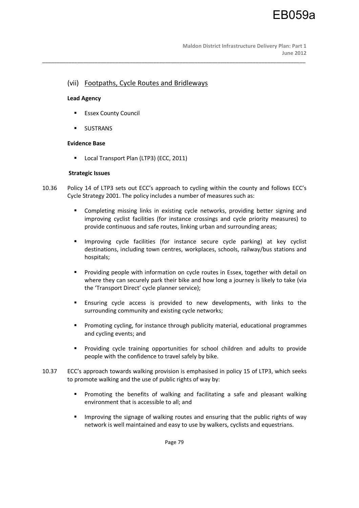# (vii) Footpaths, Cycle Routes and Bridleways

## **Lead Agency**

- **Essex County Council**
- **SUSTRANS**

## **Evidence Base**

**Local Transport Plan (LTP3) (ECC, 2011)** 

## **Strategic Issues**

10.36 Policy 14 of LTP3 sets out ECC's approach to cycling within the county and follows ECC's Cycle Strategy 2001. The policy includes a number of measures such as:

\_\_\_\_\_\_\_\_\_\_\_\_\_\_\_\_\_\_\_\_\_\_\_\_\_\_\_\_\_\_\_\_\_\_\_\_\_\_\_\_\_\_\_\_\_\_\_\_\_\_\_\_\_\_\_\_\_\_\_\_\_\_\_\_\_\_\_\_\_\_\_\_\_\_\_\_\_\_\_\_\_\_\_\_\_\_\_\_\_\_

- Completing missing links in existing cycle networks, providing better signing and improving cyclist facilities (for instance crossings and cycle priority measures) to provide continuous and safe routes, linking urban and surrounding areas;
- **IMPROVING CYCLE facilities (for instance secure cycle parking) at key cyclist** destinations, including town centres, workplaces, schools, railway/bus stations and hospitals;
- **Providing people with information on cycle routes in Essex, together with detail on** where they can securely park their bike and how long a journey is likely to take (via the 'Transport Direct' cycle planner service);
- Ensuring cycle access is provided to new developments, with links to the surrounding community and existing cycle networks;
- **Promoting cycling, for instance through publicity material, educational programmes** and cycling events; and
- Providing cycle training opportunities for school children and adults to provide people with the confidence to travel safely by bike.
- 10.37 ECC's approach towards walking provision is emphasised in policy 15 of LTP3, which seeks to promote walking and the use of public rights of way by:
	- Promoting the benefits of walking and facilitating a safe and pleasant walking environment that is accessible to all; and
	- **IMP** Improving the signage of walking routes and ensuring that the public rights of way network is well maintained and easy to use by walkers, cyclists and equestrians.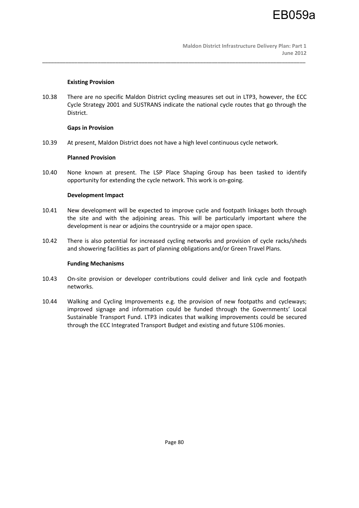### **Existing Provision**

10.38 There are no specific Maldon District cycling measures set out in LTP3, however, the ECC Cycle Strategy 2001 and SUSTRANS indicate the national cycle routes that go through the District.

\_\_\_\_\_\_\_\_\_\_\_\_\_\_\_\_\_\_\_\_\_\_\_\_\_\_\_\_\_\_\_\_\_\_\_\_\_\_\_\_\_\_\_\_\_\_\_\_\_\_\_\_\_\_\_\_\_\_\_\_\_\_\_\_\_\_\_\_\_\_\_\_\_\_\_\_\_\_\_\_\_\_\_\_\_\_\_\_\_\_

### **Gaps in Provision**

10.39 At present, Maldon District does not have a high level continuous cycle network.

## **Planned Provision**

10.40 None known at present. The LSP Place Shaping Group has been tasked to identify opportunity for extending the cycle network. This work is on-going.

## **Development Impact**

- 10.41 New development will be expected to improve cycle and footpath linkages both through the site and with the adjoining areas. This will be particularly important where the development is near or adjoins the countryside or a major open space.
- 10.42 There is also potential for increased cycling networks and provision of cycle racks/sheds and showering facilities as part of planning obligations and/or Green Travel Plans.

### **Funding Mechanisms**

- 10.43 On-site provision or developer contributions could deliver and link cycle and footpath networks.
- 10.44 Walking and Cycling Improvements e.g. the provision of new footpaths and cycleways; improved signage and information could be funded through the Governments' Local Sustainable Transport Fund. LTP3 indicates that walking improvements could be secured through the ECC Integrated Transport Budget and existing and future S106 monies.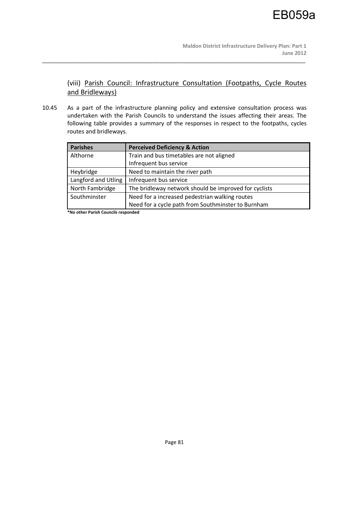(viii) Parish Council: Infrastructure Consultation (Footpaths, Cycle Routes and Bridleways)

10.45 As a part of the infrastructure planning policy and extensive consultation process was undertaken with the Parish Councils to understand the issues affecting their areas. The following table provides a summary of the responses in respect to the footpaths, cycles routes and bridleways.

\_\_\_\_\_\_\_\_\_\_\_\_\_\_\_\_\_\_\_\_\_\_\_\_\_\_\_\_\_\_\_\_\_\_\_\_\_\_\_\_\_\_\_\_\_\_\_\_\_\_\_\_\_\_\_\_\_\_\_\_\_\_\_\_\_\_\_\_\_\_\_\_\_\_\_\_\_\_\_\_\_\_\_\_\_\_\_\_\_\_

| <b>Parishes</b>     | <b>Perceived Deficiency &amp; Action</b>              |
|---------------------|-------------------------------------------------------|
| Althorne            | Train and bus timetables are not aligned              |
|                     | Infrequent bus service                                |
| Heybridge           | Need to maintain the river path                       |
| Langford and Utling | Infrequent bus service                                |
| North Fambridge     | The bridleway network should be improved for cyclists |
| Southminster        | Need for a increased pedestrian walking routes        |
|                     | Need for a cycle path from Southminster to Burnham    |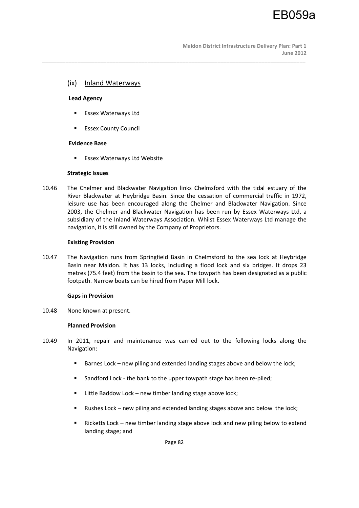**Maldon District Infrastructure Delivery Plan: Part 1 June 2012** 

# (ix) Inland Waterways

#### **Lead Agency**

- **Essex Waterways Ltd**
- **Essex County Council**

### **Evidence Base**

**ESSEX Waterways Ltd Website** 

#### **Strategic Issues**

10.46 The Chelmer and Blackwater Navigation links Chelmsford with the tidal estuary of the River Blackwater at Heybridge Basin. Since the cessation of commercial traffic in 1972, leisure use has been encouraged along the Chelmer and Blackwater Navigation. Since 2003, the Chelmer and Blackwater Navigation has been run by Essex Waterways Ltd, a subsidiary of the Inland Waterways Association. Whilst Essex Waterways Ltd manage the navigation, it is still owned by the Company of Proprietors.

\_\_\_\_\_\_\_\_\_\_\_\_\_\_\_\_\_\_\_\_\_\_\_\_\_\_\_\_\_\_\_\_\_\_\_\_\_\_\_\_\_\_\_\_\_\_\_\_\_\_\_\_\_\_\_\_\_\_\_\_\_\_\_\_\_\_\_\_\_\_\_\_\_\_\_\_\_\_\_\_\_\_\_\_\_\_\_\_\_\_

#### **Existing Provision**

10.47 The Navigation runs from Springfield Basin in Chelmsford to the sea lock at Heybridge Basin near Maldon. It has 13 locks, including a flood lock and six bridges. It drops 23 metres (75.4 feet) from the basin to the sea. The towpath has been designated as a public footpath. Narrow boats can be hired from Paper Mill lock.

### **Gaps in Provision**

10.48 None known at present.

#### **Planned Provision**

- 10.49 In 2011, repair and maintenance was carried out to the following locks along the Navigation:
	- **Barnes Lock new piling and extended landing stages above and below the lock;**
	- **Sandford Lock the bank to the upper towpath stage has been re-piled;**
	- Little Baddow Lock new timber landing stage above lock;
	- Rushes Lock new piling and extended landing stages above and below the lock;
	- **EXECT** Ricketts Lock new timber landing stage above lock and new piling below to extend landing stage; and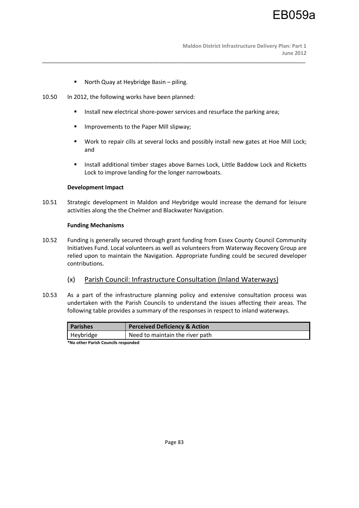**Maldon District Infrastructure Delivery Plan: Part 1 June 2012** 

- North Quay at Heybridge Basin piling.
- 10.50 In 2012, the following works have been planned:
	- **Install new electrical shore-power services and resurface the parking area;**

\_\_\_\_\_\_\_\_\_\_\_\_\_\_\_\_\_\_\_\_\_\_\_\_\_\_\_\_\_\_\_\_\_\_\_\_\_\_\_\_\_\_\_\_\_\_\_\_\_\_\_\_\_\_\_\_\_\_\_\_\_\_\_\_\_\_\_\_\_\_\_\_\_\_\_\_\_\_\_\_\_\_\_\_\_\_\_\_\_\_

- **IMPROPERENTS TO the Paper Mill slipway;**
- Work to repair cills at several locks and possibly install new gates at Hoe Mill Lock; and
- **Install additional timber stages above Barnes Lock, Little Baddow Lock and Ricketts** Lock to improve landing for the longer narrowboats.

### **Development Impact**

10.51 Strategic development in Maldon and Heybridge would increase the demand for leisure activities along the the Chelmer and Blackwater Navigation.

### **Funding Mechanisms**

- 10.52 Funding is generally secured through grant funding from Essex County Council Community Initiatives Fund. Local volunteers as well as volunteers from Waterway Recovery Group are relied upon to maintain the Navigation. Appropriate funding could be secured developer contributions.
	- (x) Parish Council: Infrastructure Consultation (Inland Waterways)
- 10.53 As a part of the infrastructure planning policy and extensive consultation process was undertaken with the Parish Councils to understand the issues affecting their areas. The following table provides a summary of the responses in respect to inland waterways.

| <b>Parishes</b> | <b>Perceived Deficiency &amp; Action</b> |  |
|-----------------|------------------------------------------|--|
| Heybridge       | Need to maintain the river path          |  |
|                 |                                          |  |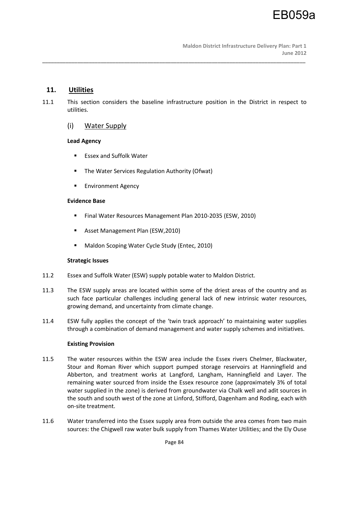# **11. Utilities**

11.1 This section considers the baseline infrastructure position in the District in respect to utilities.

\_\_\_\_\_\_\_\_\_\_\_\_\_\_\_\_\_\_\_\_\_\_\_\_\_\_\_\_\_\_\_\_\_\_\_\_\_\_\_\_\_\_\_\_\_\_\_\_\_\_\_\_\_\_\_\_\_\_\_\_\_\_\_\_\_\_\_\_\_\_\_\_\_\_\_\_\_\_\_\_\_\_\_\_\_\_\_\_\_\_

(i) Water Supply

## **Lead Agency**

- **Essex and Suffolk Water**
- The Water Services Regulation Authority (Ofwat)
- **Environment Agency**

## **Evidence Base**

- Final Water Resources Management Plan 2010-2035 (ESW, 2010)
- Asset Management Plan (ESW,2010)
- **Maldon Scoping Water Cycle Study (Entec, 2010)**

# **Strategic Issues**

- 11.2 Essex and Suffolk Water (ESW) supply potable water to Maldon District.
- 11.3 The ESW supply areas are located within some of the driest areas of the country and as such face particular challenges including general lack of new intrinsic water resources, growing demand, and uncertainty from climate change.
- 11.4 ESW fully applies the concept of the 'twin track approach' to maintaining water supplies through a combination of demand management and water supply schemes and initiatives.

### **Existing Provision**

- 11.5 The water resources within the ESW area include the Essex rivers Chelmer, Blackwater, Stour and Roman River which support pumped storage reservoirs at Hanningfield and Abberton, and treatment works at Langford, Langham, Hanningfield and Layer. The remaining water sourced from inside the Essex resource zone (approximately 3% of total water supplied in the zone) is derived from groundwater via Chalk well and adit sources in the south and south west of the zone at Linford, Stifford, Dagenham and Roding, each with on-site treatment.
- 11.6 Water transferred into the Essex supply area from outside the area comes from two main sources: the Chigwell raw water bulk supply from Thames Water Utilities; and the Ely Ouse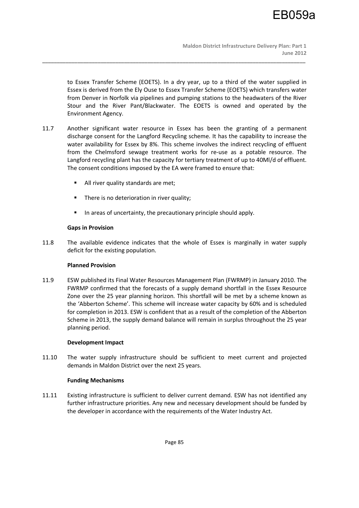to Essex Transfer Scheme (EOETS). In a dry year, up to a third of the water supplied in Essex is derived from the Ely Ouse to Essex Transfer Scheme (EOETS) which transfers water from Denver in Norfolk via pipelines and pumping stations to the headwaters of the River Stour and the River Pant/Blackwater. The EOETS is owned and operated by the Environment Agency.

11.7 Another significant water resource in Essex has been the granting of a permanent discharge consent for the Langford Recycling scheme. It has the capability to increase the water availability for Essex by 8%. This scheme involves the indirect recycling of effluent from the Chelmsford sewage treatment works for re-use as a potable resource. The Langford recycling plant has the capacity for tertiary treatment of up to 40Ml/d of effluent. The consent conditions imposed by the EA were framed to ensure that:

\_\_\_\_\_\_\_\_\_\_\_\_\_\_\_\_\_\_\_\_\_\_\_\_\_\_\_\_\_\_\_\_\_\_\_\_\_\_\_\_\_\_\_\_\_\_\_\_\_\_\_\_\_\_\_\_\_\_\_\_\_\_\_\_\_\_\_\_\_\_\_\_\_\_\_\_\_\_\_\_\_\_\_\_\_\_\_\_\_\_

- All river quality standards are met;
- **There is no deterioration in river quality;**
- In areas of uncertainty, the precautionary principle should apply.

## **Gaps in Provision**

11.8 The available evidence indicates that the whole of Essex is marginally in water supply deficit for the existing population.

### **Planned Provision**

11.9 ESW published its Final Water Resources Management Plan (FWRMP) in January 2010. The FWRMP confirmed that the forecasts of a supply demand shortfall in the Essex Resource Zone over the 25 year planning horizon. This shortfall will be met by a scheme known as the 'Abberton Scheme'. This scheme will increase water capacity by 60% and is scheduled for completion in 2013. ESW is confident that as a result of the completion of the Abberton Scheme in 2013, the supply demand balance will remain in surplus throughout the 25 year planning period.

### **Development Impact**

11.10 The water supply infrastructure should be sufficient to meet current and projected demands in Maldon District over the next 25 years.

# **Funding Mechanisms**

11.11 Existing infrastructure is sufficient to deliver current demand. ESW has not identified any further infrastructure priorities. Any new and necessary development should be funded by the developer in accordance with the requirements of the Water Industry Act.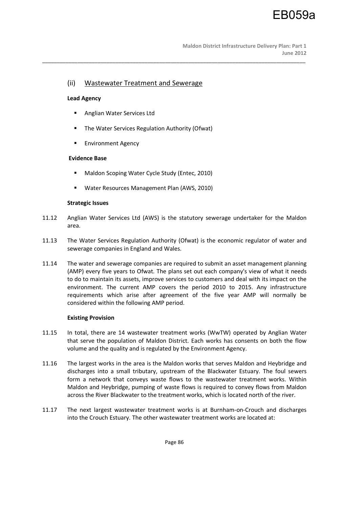# (ii) Wastewater Treatment and Sewerage

#### **Lead Agency**

- **Anglian Water Services Ltd**
- **The Water Services Regulation Authority (Ofwat)**
- **Environment Agency**

#### **Evidence Base**

- Maldon Scoping Water Cycle Study (Entec, 2010)
- **Water Resources Management Plan (AWS, 2010)**

#### **Strategic Issues**

11.12 Anglian Water Services Ltd (AWS) is the statutory sewerage undertaker for the Maldon area.

\_\_\_\_\_\_\_\_\_\_\_\_\_\_\_\_\_\_\_\_\_\_\_\_\_\_\_\_\_\_\_\_\_\_\_\_\_\_\_\_\_\_\_\_\_\_\_\_\_\_\_\_\_\_\_\_\_\_\_\_\_\_\_\_\_\_\_\_\_\_\_\_\_\_\_\_\_\_\_\_\_\_\_\_\_\_\_\_\_\_

- 11.13 The Water Services Regulation Authority (Ofwat) is the economic regulator of water and sewerage companies in England and Wales.
- 11.14 The water and sewerage companies are required to submit an asset management planning (AMP) every five years to Ofwat. The plans set out each company's view of what it needs to do to maintain its assets, improve services to customers and deal with its impact on the environment. The current AMP covers the period 2010 to 2015. Any infrastructure requirements which arise after agreement of the five year AMP will normally be considered within the following AMP period.

### **Existing Provision**

- 11.15 In total, there are 14 wastewater treatment works (WwTW) operated by Anglian Water that serve the population of Maldon District. Each works has consents on both the flow volume and the quality and is regulated by the Environment Agency.
- 11.16 The largest works in the area is the Maldon works that serves Maldon and Heybridge and discharges into a small tributary, upstream of the Blackwater Estuary. The foul sewers form a network that conveys waste flows to the wastewater treatment works. Within Maldon and Heybridge, pumping of waste flows is required to convey flows from Maldon across the River Blackwater to the treatment works, which is located north of the river.
- 11.17 The next largest wastewater treatment works is at Burnham-on-Crouch and discharges into the Crouch Estuary. The other wastewater treatment works are located at: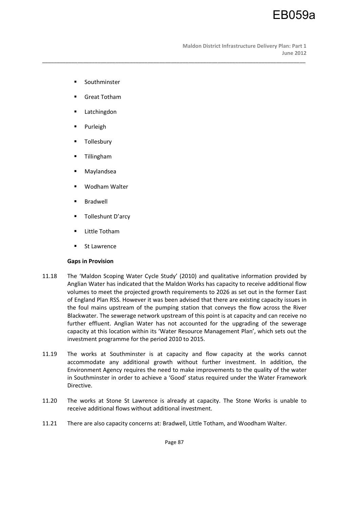- **Southminster**
- Great Totham
- Latchingdon
- **Purleigh**
- Tollesbury
- **Tillingham**
- Maylandsea
- Wodham Walter
- Bradwell
- **Tolleshunt D'arcy**
- **Little Totham**
- St Lawrence

# **Gaps in Provision**

11.18 The 'Maldon Scoping Water Cycle Study' (2010) and qualitative information provided by Anglian Water has indicated that the Maldon Works has capacity to receive additional flow volumes to meet the projected growth requirements to 2026 as set out in the former East of England Plan RSS. However it was been advised that there are existing capacity issues in the foul mains upstream of the pumping station that conveys the flow across the River Blackwater. The sewerage network upstream of this point is at capacity and can receive no further effluent. Anglian Water has not accounted for the upgrading of the sewerage capacity at this location within its 'Water Resource Management Plan', which sets out the investment programme for the period 2010 to 2015.

\_\_\_\_\_\_\_\_\_\_\_\_\_\_\_\_\_\_\_\_\_\_\_\_\_\_\_\_\_\_\_\_\_\_\_\_\_\_\_\_\_\_\_\_\_\_\_\_\_\_\_\_\_\_\_\_\_\_\_\_\_\_\_\_\_\_\_\_\_\_\_\_\_\_\_\_\_\_\_\_\_\_\_\_\_\_\_\_\_\_

- 11.19 The works at Southminster is at capacity and flow capacity at the works cannot accommodate any additional growth without further investment. In addition, the Environment Agency requires the need to make improvements to the quality of the water in Southminster in order to achieve a 'Good' status required under the Water Framework Directive.
- 11.20 The works at Stone St Lawrence is already at capacity. The Stone Works is unable to receive additional flows without additional investment.
- 11.21 There are also capacity concerns at: Bradwell, Little Totham, and Woodham Walter.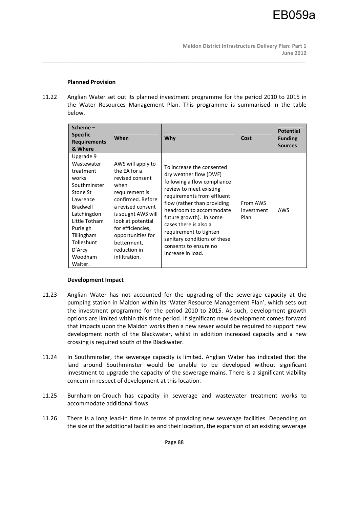### **Planned Provision**

11.22 Anglian Water set out its planned investment programme for the period 2010 to 2015 in the Water Resources Management Plan. This programme is summarised in the table below.

\_\_\_\_\_\_\_\_\_\_\_\_\_\_\_\_\_\_\_\_\_\_\_\_\_\_\_\_\_\_\_\_\_\_\_\_\_\_\_\_\_\_\_\_\_\_\_\_\_\_\_\_\_\_\_\_\_\_\_\_\_\_\_\_\_\_\_\_\_\_\_\_\_\_\_\_\_\_\_\_\_\_\_\_\_\_\_\_\_\_

| Scheme-<br><b>Specific</b><br><b>Requirements</b><br>& Where                                                                                                                                              | When                                                                                                                                                                                                                                                          | Why                                                                                                                                                                                                                                                                                                                                                               | Cost                           | <b>Potential</b><br><b>Funding</b><br><b>Sources</b> |
|-----------------------------------------------------------------------------------------------------------------------------------------------------------------------------------------------------------|---------------------------------------------------------------------------------------------------------------------------------------------------------------------------------------------------------------------------------------------------------------|-------------------------------------------------------------------------------------------------------------------------------------------------------------------------------------------------------------------------------------------------------------------------------------------------------------------------------------------------------------------|--------------------------------|------------------------------------------------------|
| Upgrade 9<br>Wastewater<br>treatment<br>works<br>Southminster<br>Stone St<br>Lawrence<br>Bradwell<br>Latchingdon<br>Little Totham<br>Purleigh<br>Tillingham<br>Tolleshunt<br>D'Arcy<br>Woodham<br>Walter. | AWS will apply to<br>the EA for a<br>revised consent<br>when<br>requirement is<br>confirmed. Before<br>a revised consent<br>is sought AWS will<br>look at potential<br>for efficiencies,<br>opportunities for<br>betterment,<br>reduction in<br>infiltration. | To increase the consented<br>dry weather flow (DWF)<br>following a flow compliance<br>review to meet existing<br>requirements from effluent<br>flow (rather than providing<br>headroom to accommodate<br>future growth). In some<br>cases there is also a<br>requirement to tighten<br>sanitary conditions of these<br>consents to ensure no<br>increase in load. | From AWS<br>Investment<br>Plan | AWS                                                  |

### **Development Impact**

- 11.23 Anglian Water has not accounted for the upgrading of the sewerage capacity at the pumping station in Maldon within its 'Water Resource Management Plan', which sets out the investment programme for the period 2010 to 2015. As such, development growth options are limited within this time period. If significant new development comes forward that impacts upon the Maldon works then a new sewer would be required to support new development north of the Blackwater, whilst in addition increased capacity and a new crossing is required south of the Blackwater.
- 11.24 In Southminster, the sewerage capacity is limited. Anglian Water has indicated that the land around Southminster would be unable to be developed without significant investment to upgrade the capacity of the sewerage mains. There is a significant viability concern in respect of development at this location.
- 11.25 Burnham-on-Crouch has capacity in sewerage and wastewater treatment works to accommodate additional flows.
- 11.26 There is a long lead-in time in terms of providing new sewerage facilities. Depending on the size of the additional facilities and their location, the expansion of an existing sewerage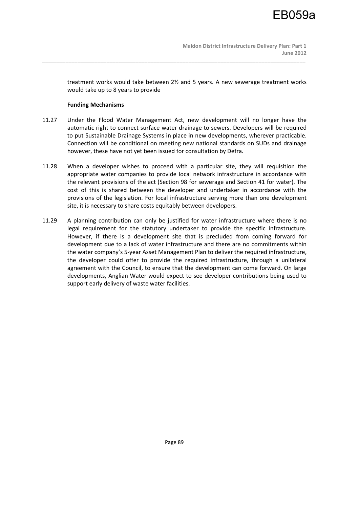treatment works would take between 2½ and 5 years. A new sewerage treatment works would take up to 8 years to provide

## **Funding Mechanisms**

11.27 Under the Flood Water Management Act, new development will no longer have the automatic right to connect surface water drainage to sewers. Developers will be required to put Sustainable Drainage Systems in place in new developments, wherever practicable. Connection will be conditional on meeting new national standards on SUDs and drainage however, these have not yet been issued for consultation by Defra.

\_\_\_\_\_\_\_\_\_\_\_\_\_\_\_\_\_\_\_\_\_\_\_\_\_\_\_\_\_\_\_\_\_\_\_\_\_\_\_\_\_\_\_\_\_\_\_\_\_\_\_\_\_\_\_\_\_\_\_\_\_\_\_\_\_\_\_\_\_\_\_\_\_\_\_\_\_\_\_\_\_\_\_\_\_\_\_\_\_\_

- 11.28 When a developer wishes to proceed with a particular site, they will requisition the appropriate water companies to provide local network infrastructure in accordance with the relevant provisions of the act (Section 98 for sewerage and Section 41 for water). The cost of this is shared between the developer and undertaker in accordance with the provisions of the legislation. For local infrastructure serving more than one development site, it is necessary to share costs equitably between developers.
- 11.29 A planning contribution can only be justified for water infrastructure where there is no legal requirement for the statutory undertaker to provide the specific infrastructure. However, if there is a development site that is precluded from coming forward for development due to a lack of water infrastructure and there are no commitments within the water company's 5-year Asset Management Plan to deliver the required infrastructure, the developer could offer to provide the required infrastructure, through a unilateral agreement with the Council, to ensure that the development can come forward. On large developments, Anglian Water would expect to see developer contributions being used to support early delivery of waste water facilities.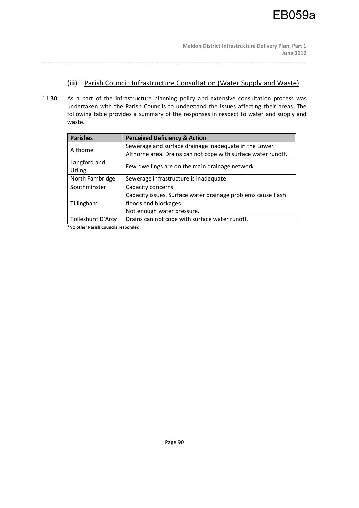# (iii) Parish Council: Infrastructure Consultation (Water Supply and Waste)

11.30 As a part of the infrastructure planning policy and extensive consultation process was undertaken with the Parish Councils to understand the issues affecting their areas. The following table provides a summary of the responses in respect to water and supply and waste.

\_\_\_\_\_\_\_\_\_\_\_\_\_\_\_\_\_\_\_\_\_\_\_\_\_\_\_\_\_\_\_\_\_\_\_\_\_\_\_\_\_\_\_\_\_\_\_\_\_\_\_\_\_\_\_\_\_\_\_\_\_\_\_\_\_\_\_\_\_\_\_\_\_\_\_\_\_\_\_\_\_\_\_\_\_\_\_\_\_\_

| <b>Parishes</b>   | <b>Perceived Deficiency &amp; Action</b>                      |  |
|-------------------|---------------------------------------------------------------|--|
| Althorne          | Sewerage and surface drainage inadequate in the Lower         |  |
|                   | Althorne area. Drains can not cope with surface water runoff. |  |
| Langford and      |                                                               |  |
| Utling            | Few dwellings are on the main drainage network                |  |
| North Fambridge   | Sewerage infrastructure is inadequate                         |  |
| Southminster      | Capacity concerns                                             |  |
|                   | Capacity issues. Surface water drainage problems cause flash  |  |
| Tillingham        | floods and blockages.                                         |  |
|                   | Not enough water pressure.                                    |  |
| Tolleshunt D'Arcy | Drains can not cope with surface water runoff.                |  |
|                   |                                                               |  |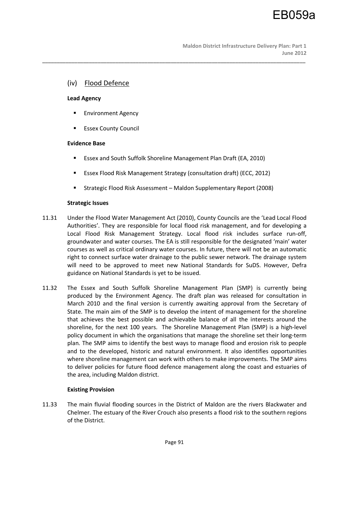# (iv) Flood Defence

### **Lead Agency**

- **Environment Agency**
- Essex County Council

## **Evidence Base**

Essex and South Suffolk Shoreline Management Plan Draft (EA, 2010)

\_\_\_\_\_\_\_\_\_\_\_\_\_\_\_\_\_\_\_\_\_\_\_\_\_\_\_\_\_\_\_\_\_\_\_\_\_\_\_\_\_\_\_\_\_\_\_\_\_\_\_\_\_\_\_\_\_\_\_\_\_\_\_\_\_\_\_\_\_\_\_\_\_\_\_\_\_\_\_\_\_\_\_\_\_\_\_\_\_\_

- Essex Flood Risk Management Strategy (consultation draft) (ECC, 2012)
- Strategic Flood Risk Assessment Maldon Supplementary Report (2008)

## **Strategic Issues**

- 11.31 Under the Flood Water Management Act (2010), County Councils are the 'Lead Local Flood Authorities'. They are responsible for local flood risk management, and for developing a Local Flood Risk Management Strategy. Local flood risk includes surface run-off, groundwater and water courses. The EA is still responsible for the designated 'main' water courses as well as critical ordinary water courses. In future, there will not be an automatic right to connect surface water drainage to the public sewer network. The drainage system will need to be approved to meet new National Standards for SuDS. However, Defra guidance on National Standards is yet to be issued.
- 11.32 The Essex and South Suffolk Shoreline Management Plan (SMP) is currently being produced by the Environment Agency. The draft plan was released for consultation in March 2010 and the final version is currently awaiting approval from the Secretary of State. The main aim of the SMP is to develop the intent of management for the shoreline that achieves the best possible and achievable balance of all the interests around the shoreline, for the next 100 years. The Shoreline Management Plan (SMP) is a high-level policy document in which the organisations that manage the shoreline set their long-term plan. The SMP aims to identify the best ways to manage flood and erosion risk to people and to the developed, historic and natural environment. It also identifies opportunities where shoreline management can work with others to make improvements. The SMP aims to deliver policies for future flood defence management along the coast and estuaries of the area, including Maldon district.

# **Existing Provision**

11.33 The main fluvial flooding sources in the District of Maldon are the rivers Blackwater and Chelmer. The estuary of the River Crouch also presents a flood risk to the southern regions of the District.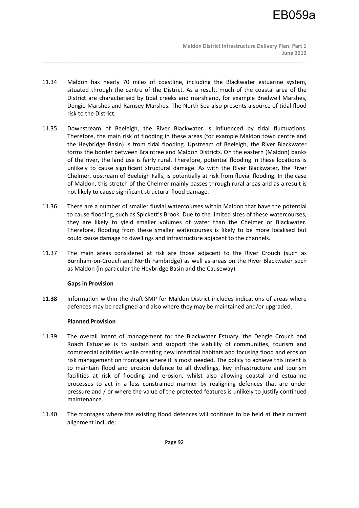11.34 Maldon has nearly 70 miles of coastline, including the Blackwater estuarine system, situated through the centre of the District. As a result, much of the coastal area of the District are characterised by tidal creeks and marshland, for example Bradwell Marshes, Dengie Marshes and Ramsey Marshes. The North Sea also presents a source of tidal flood risk to the District.

\_\_\_\_\_\_\_\_\_\_\_\_\_\_\_\_\_\_\_\_\_\_\_\_\_\_\_\_\_\_\_\_\_\_\_\_\_\_\_\_\_\_\_\_\_\_\_\_\_\_\_\_\_\_\_\_\_\_\_\_\_\_\_\_\_\_\_\_\_\_\_\_\_\_\_\_\_\_\_\_\_\_\_\_\_\_\_\_\_\_

- 11.35 Downstream of Beeleigh, the River Blackwater is influenced by tidal fluctuations. Therefore, the main risk of flooding in these areas (for example Maldon town centre and the Heybridge Basin) is from tidal flooding. Upstream of Beeleigh, the River Blackwater forms the border between Braintree and Maldon Districts. On the eastern (Maldon) banks of the river, the land use is fairly rural. Therefore, potential flooding in these locations is unlikely to cause significant structural damage. As with the River Blackwater, the River Chelmer, upstream of Beeleigh Falls, is potentially at risk from fluvial flooding. In the case of Maldon, this stretch of the Chelmer mainly passes through rural areas and as a result is not likely to cause significant structural flood damage.
- 11.36 There are a number of smaller fluvial watercourses within Maldon that have the potential to cause flooding, such as Spickett's Brook. Due to the limited sizes of these watercourses, they are likely to yield smaller volumes of water than the Chelmer or Blackwater. Therefore, flooding from these smaller watercourses is likely to be more localised but could cause damage to dwellings and infrastructure adjacent to the channels.
- 11.37 The main areas considered at risk are those adjacent to the River Crouch (such as Burnham-on-Crouch and North Fambridge) as well as areas on the River Blackwater such as Maldon (in particular the Heybridge Basin and the Causeway).

# **Gaps in Provision**

**11.38** Information within the draft SMP for Maldon District includes indications of areas where defences may be realigned and also where they may be maintained and/or upgraded.

### **Planned Provision**

- 11.39 The overall intent of management for the Blackwater Estuary, the Dengie Crouch and Roach Estuaries is to sustain and support the viability of communities, tourism and commercial activities while creating new intertidal habitats and focusing flood and erosion risk management on frontages where it is most needed. The policy to achieve this intent is to maintain flood and erosion defence to all dwellings, key infrastructure and tourism facilities at risk of flooding and erosion, whilst also allowing coastal and estuarine processes to act in a less constrained manner by realigning defences that are under pressure and / or where the value of the protected features is unlikely to justify continued maintenance.
- 11.40 The frontages where the existing flood defences will continue to be held at their current alignment include: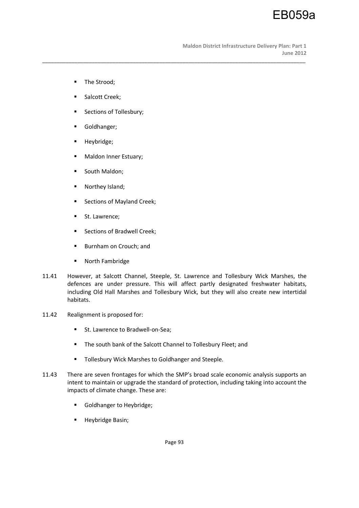EB059a

- **The Strood;**
- Salcott Creek;
- **Sections of Tollesbury;**
- **Goldhanger**;
- **Heybridge;**
- **Maldon Inner Estuary;**
- **South Maldon;**
- Northey Island;
- Sections of Mayland Creek;
- **St. Lawrence;**
- **Sections of Bradwell Creek;**
- **Burnham on Crouch; and**
- **North Fambridge**
- 11.41 However, at Salcott Channel, Steeple, St. Lawrence and Tollesbury Wick Marshes, the defences are under pressure. This will affect partly designated freshwater habitats, including Old Hall Marshes and Tollesbury Wick, but they will also create new intertidal habitats.

\_\_\_\_\_\_\_\_\_\_\_\_\_\_\_\_\_\_\_\_\_\_\_\_\_\_\_\_\_\_\_\_\_\_\_\_\_\_\_\_\_\_\_\_\_\_\_\_\_\_\_\_\_\_\_\_\_\_\_\_\_\_\_\_\_\_\_\_\_\_\_\_\_\_\_\_\_\_\_\_\_\_\_\_\_\_\_\_\_\_

- 11.42 Realignment is proposed for:
	- St. Lawrence to Bradwell-on-Sea;
	- **The south bank of the Salcott Channel to Tollesbury Fleet; and**
	- **Tollesbury Wick Marshes to Goldhanger and Steeple.**
- 11.43 There are seven frontages for which the SMP's broad scale economic analysis supports an intent to maintain or upgrade the standard of protection, including taking into account the impacts of climate change. These are:
	- Goldhanger to Heybridge;
	- **Heybridge Basin;**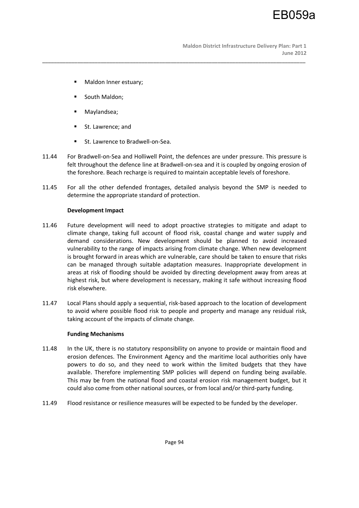**Maldon District Infrastructure Delivery Plan: Part 1 June 2012** 

- **Maldon Inner estuary;**
- South Maldon;
- Maylandsea;
- St. Lawrence; and
- St. Lawrence to Bradwell-on-Sea.
- 11.44 For Bradwell-on-Sea and Holliwell Point, the defences are under pressure. This pressure is felt throughout the defence line at Bradwell-on-sea and it is coupled by ongoing erosion of the foreshore. Beach recharge is required to maintain acceptable levels of foreshore.

\_\_\_\_\_\_\_\_\_\_\_\_\_\_\_\_\_\_\_\_\_\_\_\_\_\_\_\_\_\_\_\_\_\_\_\_\_\_\_\_\_\_\_\_\_\_\_\_\_\_\_\_\_\_\_\_\_\_\_\_\_\_\_\_\_\_\_\_\_\_\_\_\_\_\_\_\_\_\_\_\_\_\_\_\_\_\_\_\_\_

11.45 For all the other defended frontages, detailed analysis beyond the SMP is needed to determine the appropriate standard of protection.

## **Development Impact**

- 11.46 Future development will need to adopt proactive strategies to mitigate and adapt to climate change, taking full account of flood risk, coastal change and water supply and demand considerations. New development should be planned to avoid increased vulnerability to the range of impacts arising from climate change. When new development is brought forward in areas which are vulnerable, care should be taken to ensure that risks can be managed through suitable adaptation measures. Inappropriate development in areas at risk of flooding should be avoided by directing development away from areas at highest risk, but where development is necessary, making it safe without increasing flood risk elsewhere.
- 11.47 Local Plans should apply a sequential, risk-based approach to the location of development to avoid where possible flood risk to people and property and manage any residual risk, taking account of the impacts of climate change.

### **Funding Mechanisms**

- 11.48 In the UK, there is no statutory responsibility on anyone to provide or maintain flood and erosion defences. The Environment Agency and the maritime local authorities only have powers to do so, and they need to work within the limited budgets that they have available. Therefore implementing SMP policies will depend on funding being available. This may be from the national flood and coastal erosion risk management budget, but it could also come from other national sources, or from local and/or third-party funding.
- 11.49 Flood resistance or resilience measures will be expected to be funded by the developer.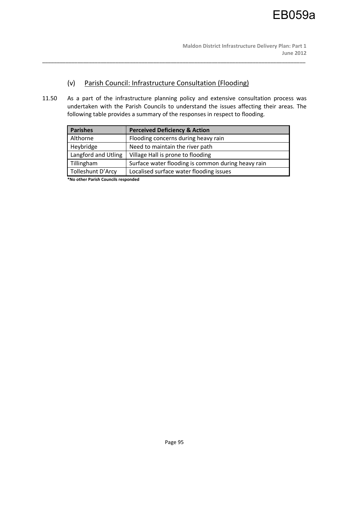# (v) Parish Council: Infrastructure Consultation (Flooding)

11.50 As a part of the infrastructure planning policy and extensive consultation process was undertaken with the Parish Councils to understand the issues affecting their areas. The following table provides a summary of the responses in respect to flooding.

\_\_\_\_\_\_\_\_\_\_\_\_\_\_\_\_\_\_\_\_\_\_\_\_\_\_\_\_\_\_\_\_\_\_\_\_\_\_\_\_\_\_\_\_\_\_\_\_\_\_\_\_\_\_\_\_\_\_\_\_\_\_\_\_\_\_\_\_\_\_\_\_\_\_\_\_\_\_\_\_\_\_\_\_\_\_\_\_\_\_

| <b>Parishes</b>     | <b>Perceived Deficiency &amp; Action</b>           |
|---------------------|----------------------------------------------------|
| Althorne            | Flooding concerns during heavy rain                |
| Heybridge           | Need to maintain the river path                    |
| Langford and Utling | Village Hall is prone to flooding                  |
| Tillingham          | Surface water flooding is common during heavy rain |
| Tolleshunt D'Arcy   | Localised surface water flooding issues            |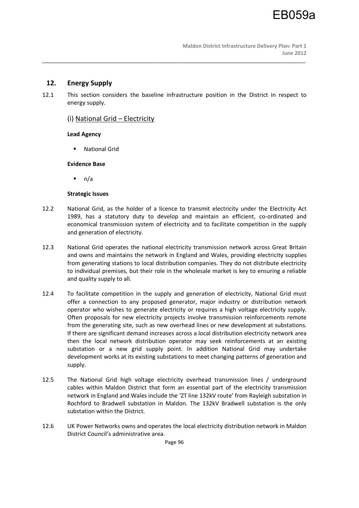# **12. Energy Supply**

12.1 This section considers the baseline infrastructure position in the District in respect to energy supply.

\_\_\_\_\_\_\_\_\_\_\_\_\_\_\_\_\_\_\_\_\_\_\_\_\_\_\_\_\_\_\_\_\_\_\_\_\_\_\_\_\_\_\_\_\_\_\_\_\_\_\_\_\_\_\_\_\_\_\_\_\_\_\_\_\_\_\_\_\_\_\_\_\_\_\_\_\_\_\_\_\_\_\_\_\_\_\_\_\_\_

# (i) National Grid – Electricity

# **Lead Agency**

National Grid

# **Evidence Base**

n/a

# **Strategic Issues**

- 12.2 National Grid, as the holder of a licence to transmit electricity under the Electricity Act 1989, has a statutory duty to develop and maintain an efficient, co-ordinated and economical transmission system of electricity and to facilitate competition in the supply and generation of electricity.
- 12.3 National Grid operates the national electricity transmission network across Great Britain and owns and maintains the network in England and Wales, providing electricity supplies from generating stations to local distribution companies. They do not distribute electricity to individual premises, but their role in the wholesale market is key to ensuring a reliable and quality supply to all.
- 12.4 To facilitate competition in the supply and generation of electricity, National Grid must offer a connection to any proposed generator, major industry or distribution network operator who wishes to generate electricity or requires a high voltage electricity supply. Often proposals for new electricity projects involve transmission reinforcements remote from the generating site, such as new overhead lines or new development at substations. If there are significant demand increases across a local distribution electricity network area then the local network distribution operator may seek reinforcements at an existing substation or a new grid supply point. In addition National Grid may undertake development works at its existing substations to meet changing patterns of generation and supply.
- 12.5 The National Grid high voltage electricity overhead transmission lines / underground cables within Maldon District that form an essential part of the electricity transmission network in England and Wales include the 'ZT line 132kV route' from Rayleigh substation in Rochford to Bradwell substation in Maldon. The 132kV Bradwell substation is the only substation within the District.
- 12.6 UK Power Networks owns and operates the local electricity distribution network in Maldon District Council's administrative area.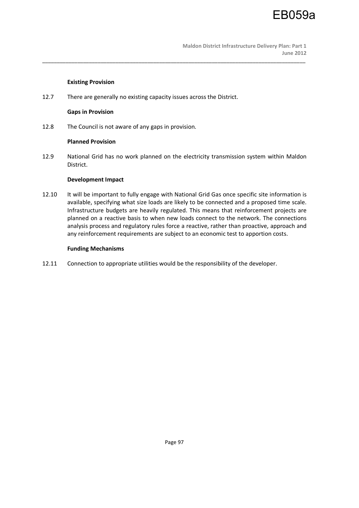# **Existing Provision**

12.7 There are generally no existing capacity issues across the District.

### **Gaps in Provision**

12.8 The Council is not aware of any gaps in provision.

### **Planned Provision**

12.9 National Grid has no work planned on the electricity transmission system within Maldon District.

\_\_\_\_\_\_\_\_\_\_\_\_\_\_\_\_\_\_\_\_\_\_\_\_\_\_\_\_\_\_\_\_\_\_\_\_\_\_\_\_\_\_\_\_\_\_\_\_\_\_\_\_\_\_\_\_\_\_\_\_\_\_\_\_\_\_\_\_\_\_\_\_\_\_\_\_\_\_\_\_\_\_\_\_\_\_\_\_\_\_

## **Development Impact**

12.10 It will be important to fully engage with National Grid Gas once specific site information is available, specifying what size loads are likely to be connected and a proposed time scale. Infrastructure budgets are heavily regulated. This means that reinforcement projects are planned on a reactive basis to when new loads connect to the network. The connections analysis process and regulatory rules force a reactive, rather than proactive, approach and any reinforcement requirements are subject to an economic test to apportion costs.

## **Funding Mechanisms**

12.11 Connection to appropriate utilities would be the responsibility of the developer.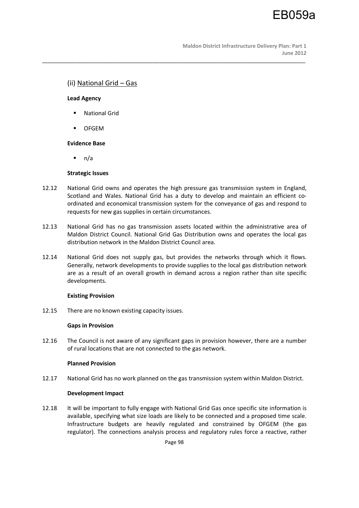# (ii) National Grid – Gas

## **Lead Agency**

- **National Grid**
- **OFGEM**

# **Evidence Base**

 $n/a$ 

## **Strategic Issues**

12.12 National Grid owns and operates the high pressure gas transmission system in England, Scotland and Wales. National Grid has a duty to develop and maintain an efficient coordinated and economical transmission system for the conveyance of gas and respond to requests for new gas supplies in certain circumstances.

\_\_\_\_\_\_\_\_\_\_\_\_\_\_\_\_\_\_\_\_\_\_\_\_\_\_\_\_\_\_\_\_\_\_\_\_\_\_\_\_\_\_\_\_\_\_\_\_\_\_\_\_\_\_\_\_\_\_\_\_\_\_\_\_\_\_\_\_\_\_\_\_\_\_\_\_\_\_\_\_\_\_\_\_\_\_\_\_\_\_

- 12.13 National Grid has no gas transmission assets located within the administrative area of Maldon District Council. National Grid Gas Distribution owns and operates the local gas distribution network in the Maldon District Council area.
- 12.14 National Grid does not supply gas, but provides the networks through which it flows. Generally, network developments to provide supplies to the local gas distribution network are as a result of an overall growth in demand across a region rather than site specific developments.

### **Existing Provision**

12.15 There are no known existing capacity issues.

### **Gaps in Provision**

12.16 The Council is not aware of any significant gaps in provision however, there are a number of rural locations that are not connected to the gas network.

### **Planned Provision**

12.17 National Grid has no work planned on the gas transmission system within Maldon District.

# **Development Impact**

12.18 It will be important to fully engage with National Grid Gas once specific site information is available, specifying what size loads are likely to be connected and a proposed time scale. Infrastructure budgets are heavily regulated and constrained by OFGEM (the gas regulator). The connections analysis process and regulatory rules force a reactive, rather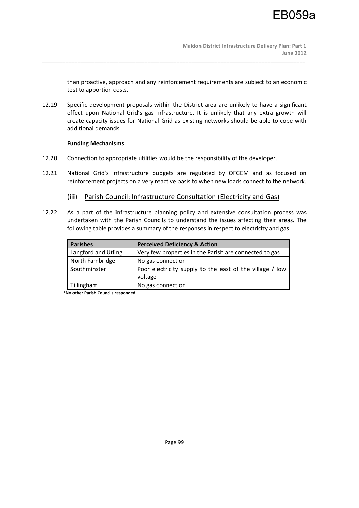than proactive, approach and any reinforcement requirements are subject to an economic test to apportion costs.

12.19 Specific development proposals within the District area are unlikely to have a significant effect upon National Grid's gas infrastructure. It is unlikely that any extra growth will create capacity issues for National Grid as existing networks should be able to cope with additional demands.

\_\_\_\_\_\_\_\_\_\_\_\_\_\_\_\_\_\_\_\_\_\_\_\_\_\_\_\_\_\_\_\_\_\_\_\_\_\_\_\_\_\_\_\_\_\_\_\_\_\_\_\_\_\_\_\_\_\_\_\_\_\_\_\_\_\_\_\_\_\_\_\_\_\_\_\_\_\_\_\_\_\_\_\_\_\_\_\_\_\_

## **Funding Mechanisms**

- 12.20 Connection to appropriate utilities would be the responsibility of the developer.
- 12.21 National Grid's infrastructure budgets are regulated by OFGEM and as focused on reinforcement projects on a very reactive basis to when new loads connect to the network.

# (iii) Parish Council: Infrastructure Consultation (Electricity and Gas)

12.22 As a part of the infrastructure planning policy and extensive consultation process was undertaken with the Parish Councils to understand the issues affecting their areas. The following table provides a summary of the responses in respect to electricity and gas.

| <b>Parishes</b>     | <b>Perceived Deficiency &amp; Action</b>                            |
|---------------------|---------------------------------------------------------------------|
| Langford and Utling | Very few properties in the Parish are connected to gas              |
| North Fambridge     | No gas connection                                                   |
| Southminster        | Poor electricity supply to the east of the village / low<br>voltage |
| Tillingham          | No gas connection                                                   |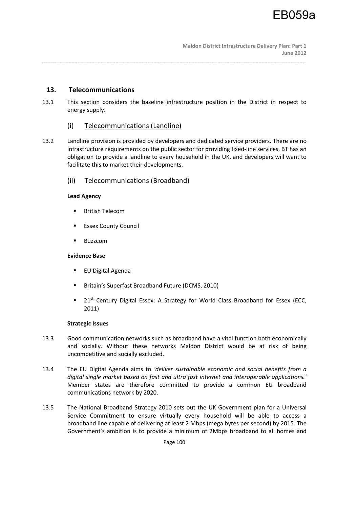# **13. Telecommunications**

13.1 This section considers the baseline infrastructure position in the District in respect to energy supply.

\_\_\_\_\_\_\_\_\_\_\_\_\_\_\_\_\_\_\_\_\_\_\_\_\_\_\_\_\_\_\_\_\_\_\_\_\_\_\_\_\_\_\_\_\_\_\_\_\_\_\_\_\_\_\_\_\_\_\_\_\_\_\_\_\_\_\_\_\_\_\_\_\_\_\_\_\_\_\_\_\_\_\_\_\_\_\_\_\_\_

- (i) Telecommunications (Landline)
- 13.2 Landline provision is provided by developers and dedicated service providers. There are no infrastructure requirements on the public sector for providing fixed-line services. BT has an obligation to provide a landline to every household in the UK, and developers will want to facilitate this to market their developments.

# (ii) Telecommunications (Broadband)

## **Lead Agency**

- **British Telecom**
- Essex County Council
- Buzzcom

# **Evidence Base**

- **EU Digital Agenda**
- **Britain's Superfast Broadband Future (DCMS, 2010)**
- **21st Century Digital Essex: A Strategy for World Class Broadband for Essex (ECC,** 2011)

### **Strategic Issues**

- 13.3 Good communication networks such as broadband have a vital function both economically and socially. Without these networks Maldon District would be at risk of being uncompetitive and socially excluded.
- 13.4 The EU Digital Agenda aims to *'deliver sustainable economic and social benefits from a digital single market based on fast and ultra fast internet and interoperable applications.'*  Member states are therefore committed to provide a common EU broadband communications network by 2020.
- 13.5 The National Broadband Strategy 2010 sets out the UK Government plan for a Universal Service Commitment to ensure virtually every household will be able to access a broadband line capable of delivering at least 2 Mbps (mega bytes per second) by 2015. The Government's ambition is to provide a minimum of 2Mbps broadband to all homes and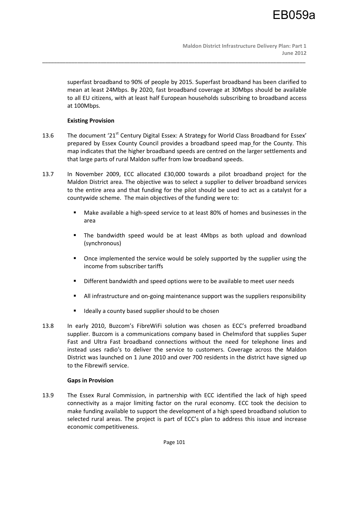superfast broadband to 90% of people by 2015. Superfast broadband has been clarified to mean at least 24Mbps. By 2020, fast broadband coverage at 30Mbps should be available to all EU citizens, with at least half European households subscribing to broadband access at 100Mbps.

# **Existing Provision**

13.6 The document '21<sup>st</sup> Century Digital Essex: A Strategy for World Class Broadband for Essex' prepared by Essex County Council provides a broadband speed map for the County. This map indicates that the higher broadband speeds are centred on the larger settlements and that large parts of rural Maldon suffer from low broadband speeds.

\_\_\_\_\_\_\_\_\_\_\_\_\_\_\_\_\_\_\_\_\_\_\_\_\_\_\_\_\_\_\_\_\_\_\_\_\_\_\_\_\_\_\_\_\_\_\_\_\_\_\_\_\_\_\_\_\_\_\_\_\_\_\_\_\_\_\_\_\_\_\_\_\_\_\_\_\_\_\_\_\_\_\_\_\_\_\_\_\_\_

- 13.7 In November 2009, ECC allocated £30,000 towards a pilot broadband project for the Maldon District area. The objective was to select a supplier to deliver broadband services to the entire area and that funding for the pilot should be used to act as a catalyst for a countywide scheme. The main objectives of the funding were to:
	- Make available a high-speed service to at least 80% of homes and businesses in the area
	- The bandwidth speed would be at least 4Mbps as both upload and download (synchronous)
	- **•** Once implemented the service would be solely supported by the supplier using the income from subscriber tariffs
	- Different bandwidth and speed options were to be available to meet user needs
	- All infrastructure and on-going maintenance support was the suppliers responsibility
	- Ideally a county based supplier should to be chosen
- 13.8 In early 2010, Buzcom's FibreWiFi solution was chosen as ECC's preferred broadband supplier. Buzcom is a communications company based in Chelmsford that supplies Super Fast and Ultra Fast broadband connections without the need for telephone lines and instead uses radio's to deliver the service to customers. Coverage across the Maldon District was launched on 1 June 2010 and over 700 residents in the district have signed up to the Fibrewifi service.

# **Gaps in Provision**

13.9 The Essex Rural Commission, in partnership with ECC identified the lack of high speed connectivity as a major limiting factor on the rural economy. ECC took the decision to make funding available to support the development of a high speed broadband solution to selected rural areas. The project is part of ECC's plan to address this issue and increase economic competitiveness.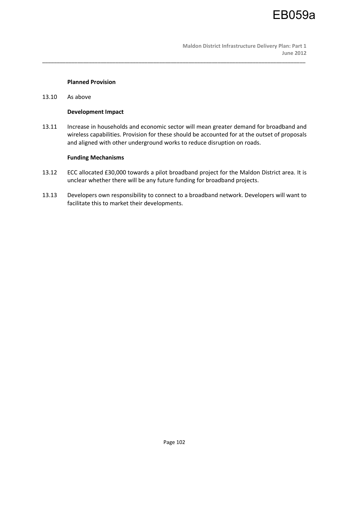

#### **Planned Provision**

13.10 As above

### **Development Impact**

13.11 Increase in households and economic sector will mean greater demand for broadband and wireless capabilities. Provision for these should be accounted for at the outset of proposals and aligned with other underground works to reduce disruption on roads.

\_\_\_\_\_\_\_\_\_\_\_\_\_\_\_\_\_\_\_\_\_\_\_\_\_\_\_\_\_\_\_\_\_\_\_\_\_\_\_\_\_\_\_\_\_\_\_\_\_\_\_\_\_\_\_\_\_\_\_\_\_\_\_\_\_\_\_\_\_\_\_\_\_\_\_\_\_\_\_\_\_\_\_\_\_\_\_\_\_\_

#### **Funding Mechanisms**

- 13.12 ECC allocated £30,000 towards a pilot broadband project for the Maldon District area. It is unclear whether there will be any future funding for broadband projects.
- 13.13 Developers own responsibility to connect to a broadband network. Developers will want to facilitate this to market their developments.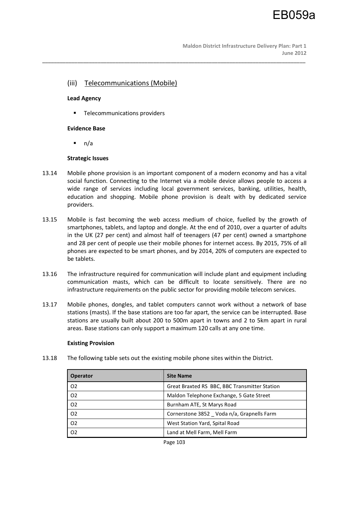**Maldon District Infrastructure Delivery Plan: Part 1 June 2012** 

# (iii) Telecommunications (Mobile)

### **Lead Agency**

**Telecommunications providers** 

## **Evidence Base**

 $n/a$ 

## **Strategic Issues**

13.14 Mobile phone provision is an important component of a modern economy and has a vital social function. Connecting to the Internet via a mobile device allows people to access a wide range of services including local government services, banking, utilities, health, education and shopping. Mobile phone provision is dealt with by dedicated service providers.

\_\_\_\_\_\_\_\_\_\_\_\_\_\_\_\_\_\_\_\_\_\_\_\_\_\_\_\_\_\_\_\_\_\_\_\_\_\_\_\_\_\_\_\_\_\_\_\_\_\_\_\_\_\_\_\_\_\_\_\_\_\_\_\_\_\_\_\_\_\_\_\_\_\_\_\_\_\_\_\_\_\_\_\_\_\_\_\_\_\_

- 13.15 Mobile is fast becoming the web access medium of choice, fuelled by the growth of smartphones, tablets, and laptop and dongle. At the end of 2010, over a quarter of adults in the UK (27 per cent) and almost half of teenagers (47 per cent) owned a smartphone and 28 per cent of people use their mobile phones for internet access. By 2015, 75% of all phones are expected to be smart phones, and by 2014, 20% of computers are expected to be tablets.
- 13.16 The infrastructure required for communication will include plant and equipment including communication masts, which can be difficult to locate sensitively. There are no infrastructure requirements on the public sector for providing mobile telecom services.
- 13.17 Mobile phones, dongles, and tablet computers cannot work without a network of base stations (masts). If the base stations are too far apart, the service can be interrupted. Base stations are usually built about 200 to 500m apart in towns and 2 to 5km apart in rural areas. Base stations can only support a maximum 120 calls at any one time.

### **Existing Provision**

13.18 The following table sets out the existing mobile phone sites within the District.

| <b>Operator</b> | <b>Site Name</b>                              |
|-----------------|-----------------------------------------------|
| O <sub>2</sub>  | Great Braxted RS BBC, BBC Transmitter Station |
| O <sub>2</sub>  | Maldon Telephone Exchange, 5 Gate Street      |
| 02              | Burnham ATE, St Marys Road                    |
| 02              | Cornerstone 3852 Voda n/a, Grapnells Farm     |
| O <sub>2</sub>  | West Station Yard, Spital Road                |
| O <sub>2</sub>  | Land at Mell Farm, Mell Farm                  |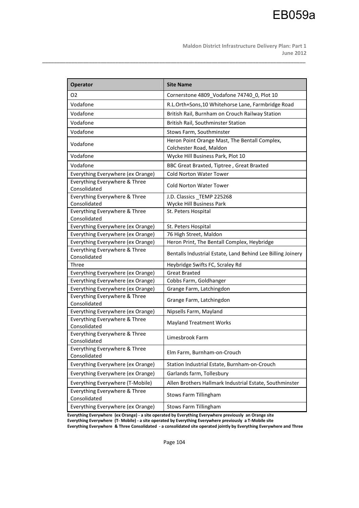**Maldon District Infrastructure Delivery Plan: Part 1 June 2012** 

| <b>Operator</b>                               | <b>Site Name</b>                                            |
|-----------------------------------------------|-------------------------------------------------------------|
| O <sub>2</sub>                                | Cornerstone 4809 Vodafone 74740 0, Plot 10                  |
| Vodafone                                      | R.L.Orth+Sons,10 Whitehorse Lane, Farmbridge Road           |
| Vodafone                                      | British Rail, Burnham on Crouch Railway Station             |
| Vodafone                                      | British Rail, Southminster Station                          |
| Vodafone                                      | Stows Farm, Southminster                                    |
|                                               | Heron Point Orange Mast, The Bentall Complex,               |
| Vodafone                                      | Colchester Road, Maldon                                     |
| Vodafone                                      | Wycke Hill Business Park, Plot 10                           |
| Vodafone                                      | BBC Great Braxted, Tiptree, Great Braxted                   |
| Everything Everywhere (ex Orange)             | <b>Cold Norton Water Tower</b>                              |
| Everything Everywhere & Three<br>Consolidated | <b>Cold Norton Water Tower</b>                              |
| Everything Everywhere & Three                 | J.D. Classics TEMP 225268                                   |
| Consolidated                                  | Wycke Hill Business Park                                    |
| Everything Everywhere & Three<br>Consolidated | St. Peters Hospital                                         |
| Everything Everywhere (ex Orange)             | St. Peters Hospital                                         |
| Everything Everywhere (ex Orange)             | 76 High Street, Maldon                                      |
| Everything Everywhere (ex Orange)             | Heron Print, The Bentall Complex, Heybridge                 |
| Everything Everywhere & Three<br>Consolidated | Bentalls Industrial Estate, Land Behind Lee Billing Joinery |
| Three                                         | Heybridge Swifts FC, Scraley Rd                             |
| Everything Everywhere (ex Orange)             | <b>Great Braxted</b>                                        |
| Everything Everywhere (ex Orange)             | Cobbs Farm, Goldhanger                                      |
| Everything Everywhere (ex Orange)             | Grange Farm, Latchingdon                                    |
| Everything Everywhere & Three<br>Consolidated | Grange Farm, Latchingdon                                    |
| Everything Everywhere (ex Orange)             | Nipsells Farm, Mayland                                      |
| Everything Everywhere & Three<br>Consolidated | <b>Mayland Treatment Works</b>                              |
| Everything Everywhere & Three<br>Consolidated | Limesbrook Farm                                             |
| Everything Everywhere & Three<br>Consolidated | Elm Farm, Burnham-on-Crouch                                 |
| Everything Everywhere (ex Orange)             | Station Industrial Estate, Burnham-on-Crouch                |
| Everything Everywhere (ex Orange)             | Garlands farm, Tollesbury                                   |
| Everything Everywhere (T-Mobile)              | Allen Brothers Hallmark Industrial Estate, Southminster     |
| Everything Everywhere & Three<br>Consolidated | Stows Farm Tillingham                                       |
| Everything Everywhere (ex Orange)             | Stows Farm Tillingham                                       |

\_\_\_\_\_\_\_\_\_\_\_\_\_\_\_\_\_\_\_\_\_\_\_\_\_\_\_\_\_\_\_\_\_\_\_\_\_\_\_\_\_\_\_\_\_\_\_\_\_\_\_\_\_\_\_\_\_\_\_\_\_\_\_\_\_\_\_\_\_\_\_\_\_\_\_\_\_\_\_\_\_\_\_\_\_\_\_\_\_\_

**Everything Everywhere (ex Orange) - a site operated by Everything Everywhere previously an Orange site Everything Everywhere (T- Mobile) - a site operated by Everything Everywhere previously a T-Mobile site** 

**Everything Everywhere & Three Consolidated - a consolidated site operated jointly by Everything Everywhere and Three**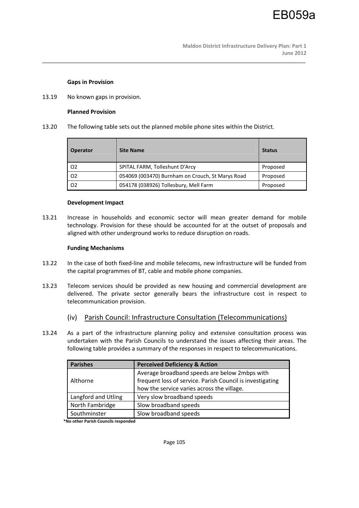### **Gaps in Provision**

13.19 No known gaps in provision.

#### **Planned Provision**

13.20 The following table sets out the planned mobile phone sites within the District.

\_\_\_\_\_\_\_\_\_\_\_\_\_\_\_\_\_\_\_\_\_\_\_\_\_\_\_\_\_\_\_\_\_\_\_\_\_\_\_\_\_\_\_\_\_\_\_\_\_\_\_\_\_\_\_\_\_\_\_\_\_\_\_\_\_\_\_\_\_\_\_\_\_\_\_\_\_\_\_\_\_\_\_\_\_\_\_\_\_\_

| Operator | <b>Site Name</b>                                 | <b>Status</b> |
|----------|--------------------------------------------------|---------------|
| l 02     | SPITAL FARM, Tolleshunt D'Arcy                   | Proposed      |
| l 02     | 054069 (003470) Burnham on Crouch, St Marys Road | Proposed      |
| l 02     | 054178 (038926) Tollesbury, Mell Farm            | Proposed      |

#### **Development Impact**

13.21 Increase in households and economic sector will mean greater demand for mobile technology. Provision for these should be accounted for at the outset of proposals and aligned with other underground works to reduce disruption on roads.

#### **Funding Mechanisms**

- 13.22 In the case of both fixed-line and mobile telecoms, new infrastructure will be funded from the capital programmes of BT, cable and mobile phone companies.
- 13.23 Telecom services should be provided as new housing and commercial development are delivered. The private sector generally bears the infrastructure cost in respect to telecommunication provision.
	- (iv) Parish Council: Infrastructure Consultation (Telecommunications)
- 13.24 As a part of the infrastructure planning policy and extensive consultation process was undertaken with the Parish Councils to understand the issues affecting their areas. The following table provides a summary of the responses in respect to telecommunications.

| <b>Parishes</b>     | <b>Perceived Deficiency &amp; Action</b>                                                                   |  |  |  |  |  |
|---------------------|------------------------------------------------------------------------------------------------------------|--|--|--|--|--|
|                     | Average broadband speeds are below 2mbps with<br>frequent loss of service. Parish Council is investigating |  |  |  |  |  |
| Althorne            |                                                                                                            |  |  |  |  |  |
|                     | how the service varies across the village.                                                                 |  |  |  |  |  |
| Langford and Utling | Very slow broadband speeds                                                                                 |  |  |  |  |  |
| North Fambridge     | Slow broadband speeds                                                                                      |  |  |  |  |  |
| Southminster        | Slow broadband speeds                                                                                      |  |  |  |  |  |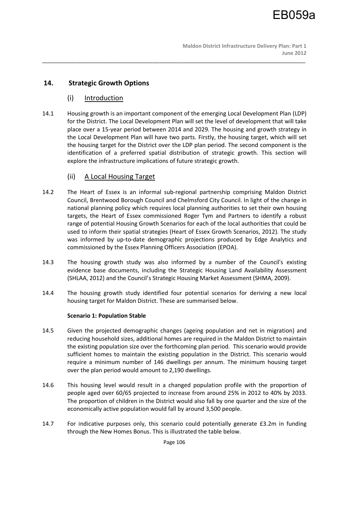# **14. Strategic Growth Options**

# (i) Introduction

14.1 Housing growth is an important component of the emerging Local Development Plan (LDP) for the District. The Local Development Plan will set the level of development that will take place over a 15-year period between 2014 and 2029. The housing and growth strategy in the Local Development Plan will have two parts. Firstly, the housing target, which will set the housing target for the District over the LDP plan period. The second component is the identification of a preferred spatial distribution of strategic growth. This section will explore the infrastructure implications of future strategic growth.

\_\_\_\_\_\_\_\_\_\_\_\_\_\_\_\_\_\_\_\_\_\_\_\_\_\_\_\_\_\_\_\_\_\_\_\_\_\_\_\_\_\_\_\_\_\_\_\_\_\_\_\_\_\_\_\_\_\_\_\_\_\_\_\_\_\_\_\_\_\_\_\_\_\_\_\_\_\_\_\_\_\_\_\_\_\_\_\_\_\_

# (ii) A Local Housing Target

- 14.2 The Heart of Essex is an informal sub-regional partnership comprising Maldon District Council, Brentwood Borough Council and Chelmsford City Council. In light of the change in national planning policy which requires local planning authorities to set their own housing targets, the Heart of Essex commissioned Roger Tym and Partners to identify a robust range of potential Housing Growth Scenarios for each of the local authorities that could be used to inform their spatial strategies (Heart of Essex Growth Scenarios, 2012). The study was informed by up-to-date demographic projections produced by Edge Analytics and commissioned by the Essex Planning Officers Association (EPOA).
- 14.3 The housing growth study was also informed by a number of the Council's existing evidence base documents, including the Strategic Housing Land Availability Assessment (SHLAA, 2012) and the Council's Strategic Housing Market Assessment (SHMA, 2009).
- 14.4 The housing growth study identified four potential scenarios for deriving a new local housing target for Maldon District. These are summarised below.

# **Scenario 1: Population Stable**

- 14.5 Given the projected demographic changes (ageing population and net in migration) and reducing household sizes, additional homes are required in the Maldon District to maintain the existing population size over the forthcoming plan period. This scenario would provide sufficient homes to maintain the existing population in the District. This scenario would require a minimum number of 146 dwellings per annum. The minimum housing target over the plan period would amount to 2,190 dwellings.
- 14.6 This housing level would result in a changed population profile with the proportion of people aged over 60/65 projected to increase from around 25% in 2012 to 40% by 2033. The proportion of children in the District would also fall by one quarter and the size of the economically active population would fall by around 3,500 people.
- 14.7 For indicative purposes only, this scenario could potentially generate £3.2m in funding through the New Homes Bonus. This is illustrated the table below.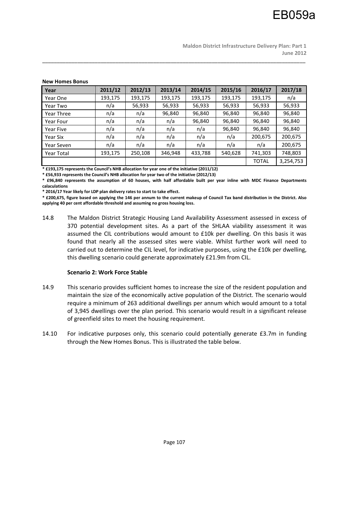**Maldon District Infrastructure Delivery Plan: Part 1 June 2012** 

| <u>NEW FIULITES DUITUS</u> |         |         |         |         |         |              |           |
|----------------------------|---------|---------|---------|---------|---------|--------------|-----------|
| Year                       | 2011/12 | 2012/13 | 2013/14 | 2014/15 | 2015/16 | 2016/17      | 2017/18   |
| Year One                   | 193,175 | 193,175 | 193,175 | 193,175 | 193,175 | 193,175      | n/a       |
| Year Two                   | n/a     | 56,933  | 56,933  | 56,933  | 56,933  | 56,933       | 56,933    |
| Year Three                 | n/a     | n/a     | 96,840  | 96,840  | 96,840  | 96,840       | 96,840    |
| Year Four                  | n/a     | n/a     | n/a     | 96,840  | 96,840  | 96,840       | 96,840    |
| Year Five                  | n/a     | n/a     | n/a     | n/a     | 96,840  | 96,840       | 96,840    |
| Year Six                   | n/a     | n/a     | n/a     | n/a     | n/a     | 200,675      | 200,675   |
| Year Seven                 | n/a     | n/a     | n/a     | n/a     | n/a     | n/a          | 200,675   |
| <b>Year Total</b>          | 193,175 | 250,108 | 346,948 | 433,788 | 540,628 | 741,303      | 748,803   |
|                            |         |         |         |         |         | <b>TOTAL</b> | 3,254,753 |

\_\_\_\_\_\_\_\_\_\_\_\_\_\_\_\_\_\_\_\_\_\_\_\_\_\_\_\_\_\_\_\_\_\_\_\_\_\_\_\_\_\_\_\_\_\_\_\_\_\_\_\_\_\_\_\_\_\_\_\_\_\_\_\_\_\_\_\_\_\_\_\_\_\_\_\_\_\_\_\_\_\_\_\_\_\_\_\_\_\_

#### **New Homes Bonus**

**\* £193,175 represents the Council's NHB allocation for year one of the initiative (2011/12) \* £56,933 represents the Council's NHB allocation for year two of the initiative (2012/13)** 

**\* £96,840 represents the assumption of 60 houses, with half affordable built per year inline with MDC Finance Departments calaculations** 

**\* 2016/17 Year likely for LDP plan delivery rates to start to take effect.** 

**\* £200,675, figure based on applying the 146 per annum to the current makeup of Council Tax band distribution in the District. Also applying 40 per cent affordable threshold and assuming no gross housing loss.** 

14.8 The Maldon District Strategic Housing Land Availability Assessment assessed in excess of 370 potential development sites. As a part of the SHLAA viability assessment it was assumed the CIL contributions would amount to £10k per dwelling. On this basis it was found that nearly all the assessed sites were viable. Whilst further work will need to carried out to determine the CIL level, for indicative purposes, using the £10k per dwelling, this dwelling scenario could generate approximately £21.9m from CIL.

### **Scenario 2: Work Force Stable**

- 14.9 This scenario provides sufficient homes to increase the size of the resident population and maintain the size of the economically active population of the District. The scenario would require a minimum of 263 additional dwellings per annum which would amount to a total of 3,945 dwellings over the plan period. This scenario would result in a significant release of greenfield sites to meet the housing requirement.
- 14.10 For indicative purposes only, this scenario could potentially generate £3.7m in funding through the New Homes Bonus. This is illustrated the table below.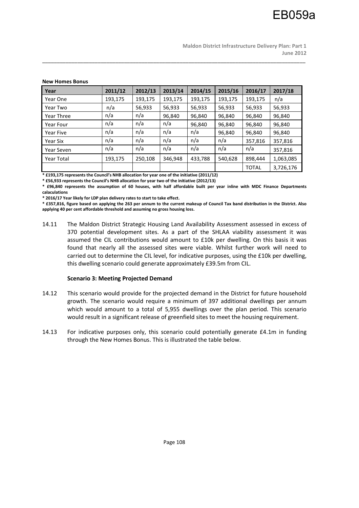| נשווטט כטווטו איטי |         |         |         |         |         |              |           |  |  |
|--------------------|---------|---------|---------|---------|---------|--------------|-----------|--|--|
| Year               | 2011/12 | 2012/13 | 2013/14 | 2014/15 | 2015/16 | 2016/17      | 2017/18   |  |  |
| Year One           | 193,175 | 193,175 | 193,175 | 193,175 | 193,175 | 193,175      | n/a       |  |  |
| Year Two           | n/a     | 56,933  | 56,933  | 56,933  | 56,933  | 56,933       | 56,933    |  |  |
| Year Three         | n/a     | n/a     | 96,840  | 96,840  | 96,840  | 96,840       | 96,840    |  |  |
| Year Four          | n/a     | n/a     | n/a     | 96,840  | 96,840  | 96,840       | 96,840    |  |  |
| <b>Year Five</b>   | n/a     | n/a     | n/a     | n/a     | 96,840  | 96,840       | 96,840    |  |  |
| Year Six           | n/a     | n/a     | n/a     | n/a     | n/a     | 357,816      | 357,816   |  |  |
| Year Seven         | n/a     | n/a     | n/a     | n/a     | n/a     | n/a          | 357,816   |  |  |
| <b>Year Total</b>  | 193,175 | 250,108 | 346.948 | 433,788 | 540,628 | 898,444      | 1,063,085 |  |  |
|                    |         |         |         |         |         | <b>TOTAL</b> | 3,726,176 |  |  |

\_\_\_\_\_\_\_\_\_\_\_\_\_\_\_\_\_\_\_\_\_\_\_\_\_\_\_\_\_\_\_\_\_\_\_\_\_\_\_\_\_\_\_\_\_\_\_\_\_\_\_\_\_\_\_\_\_\_\_\_\_\_\_\_\_\_\_\_\_\_\_\_\_\_\_\_\_\_\_\_\_\_\_\_\_\_\_\_\_\_

#### **New Homes Bonus**

**\* £193,175 represents the Council's NHB allocation for year one of the initiative (2011/12)** 

**\* £56,933 represents the Council's NHB allocation for year two of the initiative (2012/13)** 

**\* £96,840 represents the assumption of 60 houses, with half affordable built per year inline with MDC Finance Departments calaculations** 

**\* 2016/17 Year likely for LDP plan delivery rates to start to take effect.** 

**\* £357,816, figure based on applying the 263 per annum to the current makeup of Council Tax band distribution in the District. Also applying 40 per cent affordable threshold and assuming no gross housing loss.** 

14.11 The Maldon District Strategic Housing Land Availability Assessment assessed in excess of 370 potential development sites. As a part of the SHLAA viability assessment it was assumed the CIL contributions would amount to £10k per dwelling. On this basis it was found that nearly all the assessed sites were viable. Whilst further work will need to carried out to determine the CIL level, for indicative purposes, using the £10k per dwelling, this dwelling scenario could generate approximately £39.5m from CIL.

### **Scenario 3: Meeting Projected Demand**

- 14.12 This scenario would provide for the projected demand in the District for future household growth. The scenario would require a minimum of 397 additional dwellings per annum which would amount to a total of 5,955 dwellings over the plan period. This scenario would result in a significant release of greenfield sites to meet the housing requirement.
- 14.13 For indicative purposes only, this scenario could potentially generate £4.1m in funding through the New Homes Bonus. This is illustrated the table below.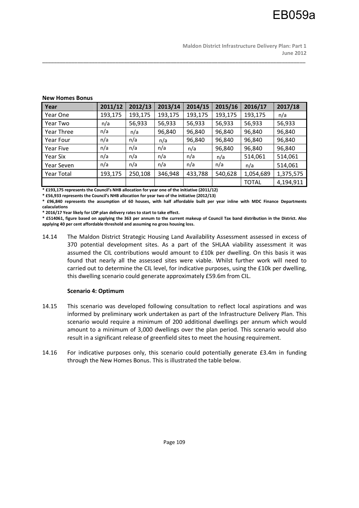| Year              | 2011/12 | 2012/13 | 2013/14 | 2014/15 | 2015/16 | 2016/17      | 2017/18   |
|-------------------|---------|---------|---------|---------|---------|--------------|-----------|
| Year One          | 193,175 | 193,175 | 193,175 | 193,175 | 193,175 | 193,175      | n/a       |
| Year Two          | n/a     | 56,933  | 56,933  | 56,933  | 56,933  | 56,933       | 56,933    |
| <b>Year Three</b> | n/a     | n/a     | 96,840  | 96,840  | 96,840  | 96,840       | 96,840    |
| Year Four         | n/a     | n/a     | n/a     | 96,840  | 96,840  | 96,840       | 96,840    |
| Year Five         | n/a     | n/a     | n/a     | n/a     | 96,840  | 96,840       | 96,840    |
| Year Six          | n/a     | n/a     | n/a     | n/a     | n/a     | 514,061      | 514,061   |
| Year Seven        | n/a     | n/a     | n/a     | n/a     | n/a     | n/a          | 514,061   |
| <b>Year Total</b> | 193,175 | 250,108 | 346,948 | 433,788 | 540,628 | 1,054,689    | 1,375,575 |
|                   |         |         |         |         |         | <b>TOTAL</b> | 4,194,911 |

\_\_\_\_\_\_\_\_\_\_\_\_\_\_\_\_\_\_\_\_\_\_\_\_\_\_\_\_\_\_\_\_\_\_\_\_\_\_\_\_\_\_\_\_\_\_\_\_\_\_\_\_\_\_\_\_\_\_\_\_\_\_\_\_\_\_\_\_\_\_\_\_\_\_\_\_\_\_\_\_\_\_\_\_\_\_\_\_\_\_

#### **New Homes Bonus**

**\* £193,175 represents the Council's NHB allocation for year one of the initiative (2011/12)** 

**\* £56,933 represents the Council's NHB allocation for year two of the initiative (2012/13)** 

**\* £96,840 represents the assumption of 60 houses, with half affordable built per year inline with MDC Finance Departments calaculations** 

**\* 2016/17 Year likely for LDP plan delivery rates to start to take effect.** 

**\* £514061, figure based on applying the 363 per annum to the current makeup of Council Tax band distribution in the District. Also applying 40 per cent affordable threshold and assuming no gross housing loss.** 

14.14 The Maldon District Strategic Housing Land Availability Assessment assessed in excess of 370 potential development sites. As a part of the SHLAA viability assessment it was assumed the CIL contributions would amount to £10k per dwelling. On this basis it was found that nearly all the assessed sites were viable. Whilst further work will need to carried out to determine the CIL level, for indicative purposes, using the £10k per dwelling, this dwelling scenario could generate approximately £59.6m from CIL.

#### **Scenario 4: Optimum**

- 14.15 This scenario was developed following consultation to reflect local aspirations and was informed by preliminary work undertaken as part of the Infrastructure Delivery Plan. This scenario would require a minimum of 200 additional dwellings per annum which would amount to a minimum of 3,000 dwellings over the plan period. This scenario would also result in a significant release of greenfield sites to meet the housing requirement.
- 14.16 For indicative purposes only, this scenario could potentially generate £3.4m in funding through the New Homes Bonus. This is illustrated the table below.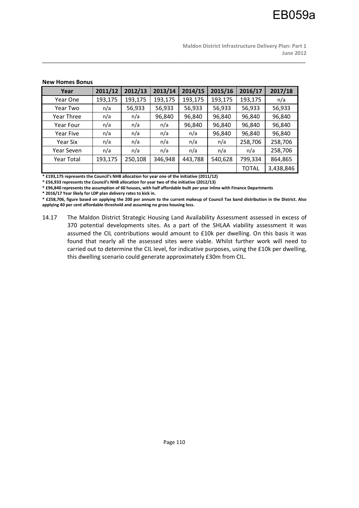| <b>IVEW TRITES DUITUS</b> |         |         |         |         |         |              |           |
|---------------------------|---------|---------|---------|---------|---------|--------------|-----------|
| Year                      | 2011/12 | 2012/13 | 2013/14 | 2014/15 | 2015/16 | 2016/17      | 2017/18   |
| Year One                  | 193,175 | 193,175 | 193,175 | 193,175 | 193,175 | 193,175      | n/a       |
| Year Two                  | n/a     | 56,933  | 56,933  | 56,933  | 56,933  | 56,933       | 56,933    |
| Year Three                | n/a     | n/a     | 96,840  | 96,840  | 96,840  | 96,840       | 96,840    |
| Year Four                 | n/a     | n/a     | n/a     | 96,840  | 96,840  | 96,840       | 96,840    |
| Year Five                 | n/a     | n/a     | n/a     | n/a     | 96,840  | 96,840       | 96,840    |
| Year Six                  | n/a     | n/a     | n/a     | n/a     | n/a     | 258,706      | 258,706   |
| Year Seven                | n/a     | n/a     | n/a     | n/a     | n/a     | n/a          | 258,706   |
| Year Total                | 193,175 | 250,108 | 346,948 | 443,788 | 540,628 | 799,334      | 864,865   |
|                           |         |         |         |         |         | <b>TOTAL</b> | 3,438,846 |

\_\_\_\_\_\_\_\_\_\_\_\_\_\_\_\_\_\_\_\_\_\_\_\_\_\_\_\_\_\_\_\_\_\_\_\_\_\_\_\_\_\_\_\_\_\_\_\_\_\_\_\_\_\_\_\_\_\_\_\_\_\_\_\_\_\_\_\_\_\_\_\_\_\_\_\_\_\_\_\_\_\_\_\_\_\_\_\_\_\_

## **New Homes Bonus**

**\* £193,175 represents the Council's NHB allocation for year one of the initiative (2011/12)** 

**\* £56,933 represents the Council's NHB allocation for year two of the initiative (2012/13)** 

**\* £96,840 represents the assumption of 60 houses, with half affordable built per year inline with Finance Departments** 

**\* 2016/17 Year likely for LDP plan delivery rates to kick in.** 

**\* £258,706, figure based on applying the 200 per annum to the current makeup of Council Tax band distribution in the District. Also applying 40 per cent affordable threshold and assuming no gross housing loss.** 

14.17 The Maldon District Strategic Housing Land Availability Assessment assessed in excess of 370 potential developments sites. As a part of the SHLAA viability assessment it was assumed the CIL contributions would amount to £10k per dwelling. On this basis it was found that nearly all the assessed sites were viable. Whilst further work will need to carried out to determine the CIL level, for indicative purposes, using the £10k per dwelling, this dwelling scenario could generate approximately £30m from CIL.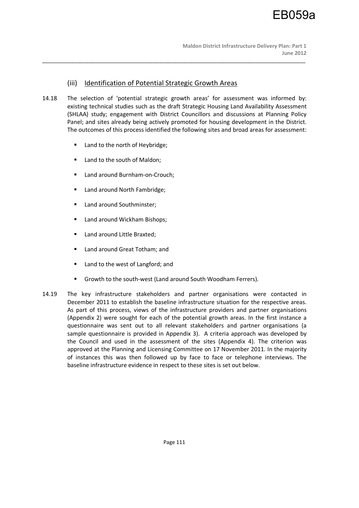# (iii) Identification of Potential Strategic Growth Areas

14.18 The selection of 'potential strategic growth areas' for assessment was informed by: existing technical studies such as the draft Strategic Housing Land Availability Assessment (SHLAA) study; engagement with District Councillors and discussions at Planning Policy Panel; and sites already being actively promoted for housing development in the District. The outcomes of this process identified the following sites and broad areas for assessment:

- Land to the north of Heybridge;
- Land to the south of Maldon;
- Land around Burnham-on-Crouch;
- Land around North Fambridge;
- Land around Southminster;
- **Land around Wickham Bishops;**
- **Land around Little Braxted;**
- Land around Great Totham; and
- Land to the west of Langford; and
- Growth to the south-west (Land around South Woodham Ferrers).
- 14.19 The key infrastructure stakeholders and partner organisations were contacted in December 2011 to establish the baseline infrastructure situation for the respective areas. As part of this process, views of the infrastructure providers and partner organisations (Appendix 2) were sought for each of the potential growth areas. In the first instance a questionnaire was sent out to all relevant stakeholders and partner organisations (a sample questionnaire is provided in Appendix 3). A criteria approach was developed by the Council and used in the assessment of the sites (Appendix 4). The criterion was approved at the Planning and Licensing Committee on 17 November 2011. In the majority of instances this was then followed up by face to face or telephone interviews. The baseline infrastructure evidence in respect to these sites is set out below.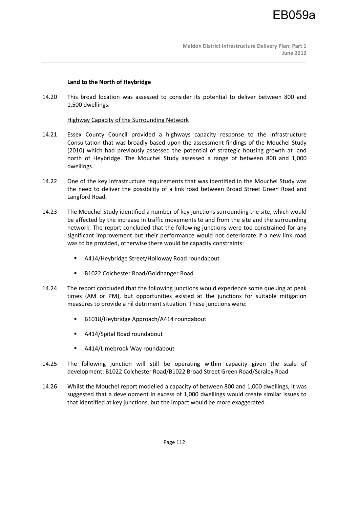## **Land to the North of Heybridge**

14.20 This broad location was assessed to consider its potential to deliver between 800 and 1,500 dwellings.

\_\_\_\_\_\_\_\_\_\_\_\_\_\_\_\_\_\_\_\_\_\_\_\_\_\_\_\_\_\_\_\_\_\_\_\_\_\_\_\_\_\_\_\_\_\_\_\_\_\_\_\_\_\_\_\_\_\_\_\_\_\_\_\_\_\_\_\_\_\_\_\_\_\_\_\_\_\_\_\_\_\_\_\_\_\_\_\_\_\_

## Highway Capacity of the Surrounding Network

- 14.21 Essex County Council provided a highways capacity response to the Infrastructure Consultation that was broadly based upon the assessment findings of the Mouchel Study (2010) which had previously assessed the potential of strategic housing growth at land north of Heybridge. The Mouchel Study assessed a range of between 800 and 1,000 dwellings.
- 14.22 One of the key infrastructure requirements that was identified in the Mouchel Study was the need to deliver the possibility of a link road between Broad Street Green Road and Langford Road.
- 14.23 The Mouchel Study identified a number of key junctions surrounding the site, which would be affected by the increase in traffic movements to and from the site and the surrounding network. The report concluded that the following junctions were too constrained for any significant improvement but their performance would not deteriorate if a new link road was to be provided, otherwise there would be capacity constraints:
	- A414/Heybridge Street/Holloway Road roundabout
	- B1022 Colchester Road/Goldhanger Road
- 14.24 The report concluded that the following junctions would experience some queuing at peak times (AM or PM), but opportunities existed at the junctions for suitable mitigation measures to provide a nil detriment situation. These junctions were:
	- B1018/Heybridge Approach/A414 roundabout
	- A414/Spital Road roundabout
	- A414/Limebrook Way roundabout
- 14.25 The following junction will still be operating within capacity given the scale of development: B1022 Colchester Road/B1022 Broad Street Green Road/Scraley Road
- 14.26 Whilst the Mouchel report modelled a capacity of between 800 and 1,000 dwellings, it was suggested that a development in excess of 1,000 dwellings would create similar issues to that identified at key junctions, but the impact would be more exaggerated.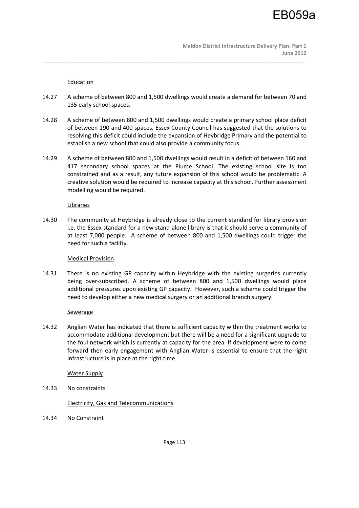## **Education**

14.27 A scheme of between 800 and 1,500 dwellings would create a demand for between 70 and 135 early school spaces.

\_\_\_\_\_\_\_\_\_\_\_\_\_\_\_\_\_\_\_\_\_\_\_\_\_\_\_\_\_\_\_\_\_\_\_\_\_\_\_\_\_\_\_\_\_\_\_\_\_\_\_\_\_\_\_\_\_\_\_\_\_\_\_\_\_\_\_\_\_\_\_\_\_\_\_\_\_\_\_\_\_\_\_\_\_\_\_\_\_\_

- 14.28 A scheme of between 800 and 1,500 dwellings would create a primary school place deficit of between 190 and 400 spaces. Essex County Council has suggested that the solutions to resolving this deficit could include the expansion of Heybridge Primary and the potential to establish a new school that could also provide a community focus.
- 14.29 A scheme of between 800 and 1,500 dwellings would result in a deficit of between 160 and 417 secondary school spaces at the Plume School. The existing school site is too constrained and as a result, any future expansion of this school would be problematic. A creative solution would be required to increase capacity at this school. Further assessment modelling would be required.

## Libraries

14.30 The community at Heybridge is already close to the current standard for library provision i.e. the Essex standard for a new stand-alone library is that it should serve a community of at least 7,000 people. A scheme of between 800 and 1,500 dwellings could trigger the need for such a facility.

## Medical Provision

14.31 There is no existing GP capacity within Heybridge with the existing surgeries currently being over-subscribed. A scheme of between 800 and 1,500 dwellings would place additional pressures upon existing GP capacity. However, such a scheme could trigger the need to develop either a new medical surgery or an additional branch surgery.

## **Sewerage**

14.32 Anglian Water has indicated that there is sufficient capacity within the treatment works to accommodate additional development but there will be a need for a significant upgrade to the foul network which is currently at capacity for the area. If development were to come forward then early engagement with Anglian Water is essential to ensure that the right infrastructure is in place at the right time.

## Water Supply

14.33 No constraints

## Electricity, Gas and Telecommunications

14.34 No Constraint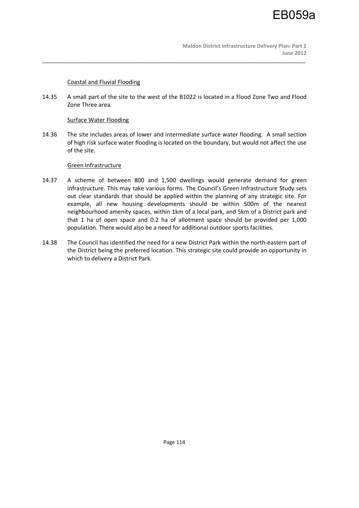## Coastal and Fluvial Flooding

14.35 A small part of the site to the west of the B1022 is located in a Flood Zone Two and Flood Zone Three area.

\_\_\_\_\_\_\_\_\_\_\_\_\_\_\_\_\_\_\_\_\_\_\_\_\_\_\_\_\_\_\_\_\_\_\_\_\_\_\_\_\_\_\_\_\_\_\_\_\_\_\_\_\_\_\_\_\_\_\_\_\_\_\_\_\_\_\_\_\_\_\_\_\_\_\_\_\_\_\_\_\_\_\_\_\_\_\_\_\_\_

## Surface Water Flooding

14.36 The site includes areas of lower and intermediate surface water flooding. A small section of high risk surface water flooding is located on the boundary, but would not affect the use of the site.

## Green Infrastructure

- 14.37 A scheme of between 800 and 1,500 dwellings would generate demand for green infrastructure. This may take various forms. The Council's Green Infrastructure Study sets out clear standards that should be applied within the planning of any strategic site. For example, all new housing developments should be within 500m of the nearest neighbourhood amenity spaces, within 1km of a local park, and 5km of a District park and that 1 ha of open space and 0.2 ha of allotment space should be provided per 1,000 population. There would also be a need for additional outdoor sports facilities.
- 14.38 The Council has identified the need for a new District Park within the north-eastern part of the District being the preferred location. This strategic site could provide an opportunity in which to delivery a District Park.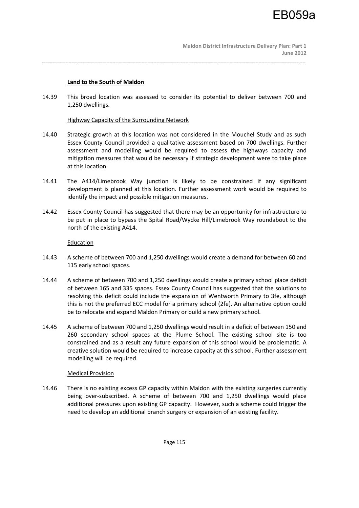## **Land to the South of Maldon**

14.39 This broad location was assessed to consider its potential to deliver between 700 and 1,250 dwellings.

\_\_\_\_\_\_\_\_\_\_\_\_\_\_\_\_\_\_\_\_\_\_\_\_\_\_\_\_\_\_\_\_\_\_\_\_\_\_\_\_\_\_\_\_\_\_\_\_\_\_\_\_\_\_\_\_\_\_\_\_\_\_\_\_\_\_\_\_\_\_\_\_\_\_\_\_\_\_\_\_\_\_\_\_\_\_\_\_\_\_

## Highway Capacity of the Surrounding Network

- 14.40 Strategic growth at this location was not considered in the Mouchel Study and as such Essex County Council provided a qualitative assessment based on 700 dwellings. Further assessment and modelling would be required to assess the highways capacity and mitigation measures that would be necessary if strategic development were to take place at this location.
- 14.41 The A414/Limebrook Way junction is likely to be constrained if any significant development is planned at this location. Further assessment work would be required to identify the impact and possible mitigation measures.
- 14.42 Essex County Council has suggested that there may be an opportunity for infrastructure to be put in place to bypass the Spital Road/Wycke Hill/Limebrook Way roundabout to the north of the existing A414.

## Education

- 14.43 A scheme of between 700 and 1,250 dwellings would create a demand for between 60 and 115 early school spaces.
- 14.44 A scheme of between 700 and 1,250 dwellings would create a primary school place deficit of between 165 and 335 spaces. Essex County Council has suggested that the solutions to resolving this deficit could include the expansion of Wentworth Primary to 3fe, although this is not the preferred ECC model for a primary school (2fe). An alternative option could be to relocate and expand Maldon Primary or build a new primary school.
- 14.45 A scheme of between 700 and 1,250 dwellings would result in a deficit of between 150 and 260 secondary school spaces at the Plume School. The existing school site is too constrained and as a result any future expansion of this school would be problematic. A creative solution would be required to increase capacity at this school. Further assessment modelling will be required.

## Medical Provision

14.46 There is no existing excess GP capacity within Maldon with the existing surgeries currently being over-subscribed. A scheme of between 700 and 1,250 dwellings would place additional pressures upon existing GP capacity. However, such a scheme could trigger the need to develop an additional branch surgery or expansion of an existing facility.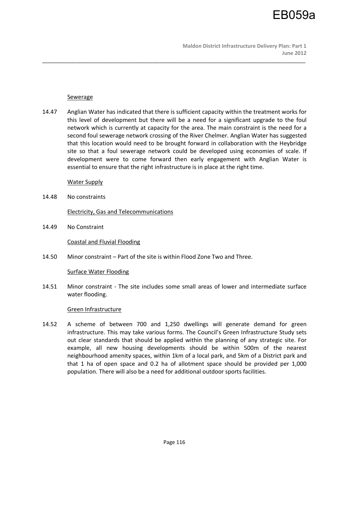

#### **Sewerage**

14.47 Anglian Water has indicated that there is sufficient capacity within the treatment works for this level of development but there will be a need for a significant upgrade to the foul network which is currently at capacity for the area. The main constraint is the need for a second foul sewerage network crossing of the River Chelmer. Anglian Water has suggested that this location would need to be brought forward in collaboration with the Heybridge site so that a foul sewerage network could be developed using economies of scale. If development were to come forward then early engagement with Anglian Water is essential to ensure that the right infrastructure is in place at the right time.

\_\_\_\_\_\_\_\_\_\_\_\_\_\_\_\_\_\_\_\_\_\_\_\_\_\_\_\_\_\_\_\_\_\_\_\_\_\_\_\_\_\_\_\_\_\_\_\_\_\_\_\_\_\_\_\_\_\_\_\_\_\_\_\_\_\_\_\_\_\_\_\_\_\_\_\_\_\_\_\_\_\_\_\_\_\_\_\_\_\_

Water Supply

14.48 No constraints

Electricity, Gas and Telecommunications

14.49 No Constraint

Coastal and Fluvial Flooding

14.50 Minor constraint – Part of the site is within Flood Zone Two and Three.

#### Surface Water Flooding

14.51 Minor constraint - The site includes some small areas of lower and intermediate surface water flooding.

#### Green Infrastructure

14.52 A scheme of between 700 and 1,250 dwellings will generate demand for green infrastructure. This may take various forms. The Council's Green Infrastructure Study sets out clear standards that should be applied within the planning of any strategic site. For example, all new housing developments should be within 500m of the nearest neighbourhood amenity spaces, within 1km of a local park, and 5km of a District park and that 1 ha of open space and 0.2 ha of allotment space should be provided per 1,000 population. There will also be a need for additional outdoor sports facilities.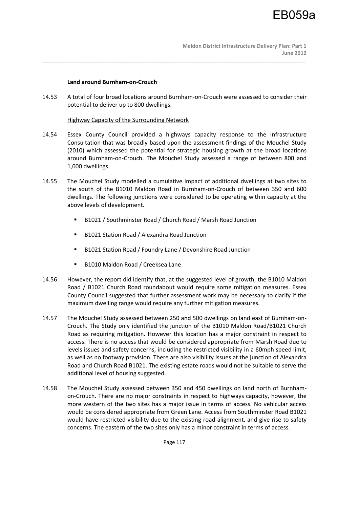## **Land around Burnham-on-Crouch**

14.53 A total of four broad locations around Burnham-on-Crouch were assessed to consider their potential to deliver up to 800 dwellings.

\_\_\_\_\_\_\_\_\_\_\_\_\_\_\_\_\_\_\_\_\_\_\_\_\_\_\_\_\_\_\_\_\_\_\_\_\_\_\_\_\_\_\_\_\_\_\_\_\_\_\_\_\_\_\_\_\_\_\_\_\_\_\_\_\_\_\_\_\_\_\_\_\_\_\_\_\_\_\_\_\_\_\_\_\_\_\_\_\_\_

## Highway Capacity of the Surrounding Network

- 14.54 Essex County Council provided a highways capacity response to the Infrastructure Consultation that was broadly based upon the assessment findings of the Mouchel Study (2010) which assessed the potential for strategic housing growth at the broad locations around Burnham-on-Crouch. The Mouchel Study assessed a range of between 800 and 1,000 dwellings.
- 14.55 The Mouchel Study modelled a cumulative impact of additional dwellings at two sites to the south of the B1010 Maldon Road in Burnham-on-Crouch of between 350 and 600 dwellings. The following junctions were considered to be operating within capacity at the above levels of development.
	- B1021 / Southminster Road / Church Road / Marsh Road Junction
	- B1021 Station Road / Alexandra Road Junction
	- B1021 Station Road / Foundry Lane / Devonshire Road Junction
	- B1010 Maldon Road / Creeksea Lane
- 14.56 However, the report did identify that, at the suggested level of growth, the B1010 Maldon Road / B1021 Church Road roundabout would require some mitigation measures. Essex County Council suggested that further assessment work may be necessary to clarify if the maximum dwelling range would require any further mitigation measures.
- 14.57 The Mouchel Study assessed between 250 and 500 dwellings on land east of Burnham-on-Crouch. The Study only identified the junction of the B1010 Maldon Road/B1021 Church Road as requiring mitigation. However this location has a major constraint in respect to access. There is no access that would be considered appropriate from Marsh Road due to levels issues and safety concerns, including the restricted visibility in a 60mph speed limit, as well as no footway provision. There are also visibility issues at the junction of Alexandra Road and Church Road B1021. The existing estate roads would not be suitable to serve the additional level of housing suggested.
- 14.58 The Mouchel Study assessed between 350 and 450 dwellings on land north of Burnhamon-Crouch. There are no major constraints in respect to highways capacity, however, the more western of the two sites has a major issue in terms of access. No vehicular access would be considered appropriate from Green Lane. Access from Southminster Road B1021 would have restricted visibility due to the existing road alignment, and give rise to safety concerns. The eastern of the two sites only has a minor constraint in terms of access.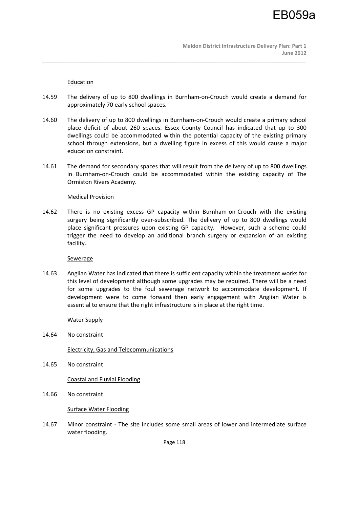## **Education**

14.59 The delivery of up to 800 dwellings in Burnham-on-Crouch would create a demand for approximately 70 early school spaces.

\_\_\_\_\_\_\_\_\_\_\_\_\_\_\_\_\_\_\_\_\_\_\_\_\_\_\_\_\_\_\_\_\_\_\_\_\_\_\_\_\_\_\_\_\_\_\_\_\_\_\_\_\_\_\_\_\_\_\_\_\_\_\_\_\_\_\_\_\_\_\_\_\_\_\_\_\_\_\_\_\_\_\_\_\_\_\_\_\_\_

- 14.60 The delivery of up to 800 dwellings in Burnham-on-Crouch would create a primary school place deficit of about 260 spaces. Essex County Council has indicated that up to 300 dwellings could be accommodated within the potential capacity of the existing primary school through extensions, but a dwelling figure in excess of this would cause a major education constraint.
- 14.61 The demand for secondary spaces that will result from the delivery of up to 800 dwellings in Burnham-on-Crouch could be accommodated within the existing capacity of The Ormiston Rivers Academy.

## Medical Provision

14.62 There is no existing excess GP capacity within Burnham-on-Crouch with the existing surgery being significantly over-subscribed. The delivery of up to 800 dwellings would place significant pressures upon existing GP capacity. However, such a scheme could trigger the need to develop an additional branch surgery or expansion of an existing facility.

## **Sewerage**

14.63 Anglian Water has indicated that there is sufficient capacity within the treatment works for this level of development although some upgrades may be required. There will be a need for some upgrades to the foul sewerage network to accommodate development. If development were to come forward then early engagement with Anglian Water is essential to ensure that the right infrastructure is in place at the right time.

## Water Supply

14.64 No constraint

Electricity, Gas and Telecommunications

14.65 No constraint

Coastal and Fluvial Flooding

14.66 No constraint

Surface Water Flooding

14.67 Minor constraint - The site includes some small areas of lower and intermediate surface water flooding.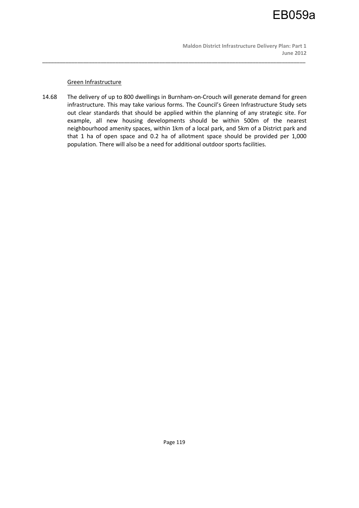## Green Infrastructure

14.68 The delivery of up to 800 dwellings in Burnham-on-Crouch will generate demand for green infrastructure. This may take various forms. The Council's Green Infrastructure Study sets out clear standards that should be applied within the planning of any strategic site. For example, all new housing developments should be within 500m of the nearest neighbourhood amenity spaces, within 1km of a local park, and 5km of a District park and that 1 ha of open space and 0.2 ha of allotment space should be provided per 1,000 population. There will also be a need for additional outdoor sports facilities.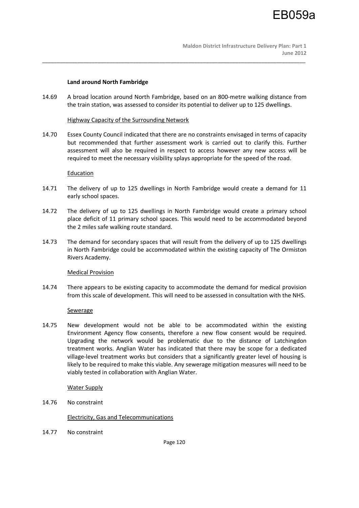## **Land around North Fambridge**

14.69 A broad location around North Fambridge, based on an 800-metre walking distance from the train station, was assessed to consider its potential to deliver up to 125 dwellings.

\_\_\_\_\_\_\_\_\_\_\_\_\_\_\_\_\_\_\_\_\_\_\_\_\_\_\_\_\_\_\_\_\_\_\_\_\_\_\_\_\_\_\_\_\_\_\_\_\_\_\_\_\_\_\_\_\_\_\_\_\_\_\_\_\_\_\_\_\_\_\_\_\_\_\_\_\_\_\_\_\_\_\_\_\_\_\_\_\_\_

## Highway Capacity of the Surrounding Network

14.70 Essex County Council indicated that there are no constraints envisaged in terms of capacity but recommended that further assessment work is carried out to clarify this. Further assessment will also be required in respect to access however any new access will be required to meet the necessary visibility splays appropriate for the speed of the road.

## **Education**

- 14.71 The delivery of up to 125 dwellings in North Fambridge would create a demand for 11 early school spaces.
- 14.72 The delivery of up to 125 dwellings in North Fambridge would create a primary school place deficit of 11 primary school spaces. This would need to be accommodated beyond the 2 miles safe walking route standard.
- 14.73 The demand for secondary spaces that will result from the delivery of up to 125 dwellings in North Fambridge could be accommodated within the existing capacity of The Ormiston Rivers Academy.

## Medical Provision

14.74 There appears to be existing capacity to accommodate the demand for medical provision from this scale of development. This will need to be assessed in consultation with the NHS.

## **Sewerage**

14.75 New development would not be able to be accommodated within the existing Environment Agency flow consents, therefore a new flow consent would be required. Upgrading the network would be problematic due to the distance of Latchingdon treatment works. Anglian Water has indicated that there may be scope for a dedicated village-level treatment works but considers that a significantly greater level of housing is likely to be required to make this viable. Any sewerage mitigation measures will need to be viably tested in collaboration with Anglian Water.

## Water Supply

14.76 No constraint

## Electricity, Gas and Telecommunications

14.77 No constraint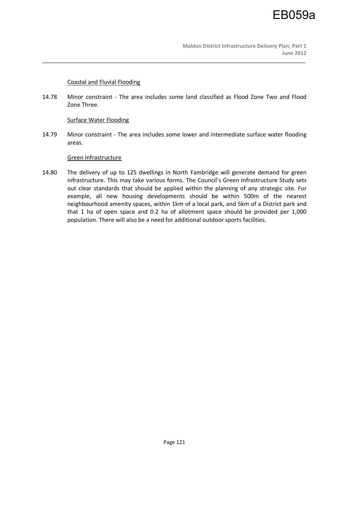## Coastal and Fluvial Flooding

14.78 Minor constraint - The area includes some land classified as Flood Zone Two and Flood Zone Three.

\_\_\_\_\_\_\_\_\_\_\_\_\_\_\_\_\_\_\_\_\_\_\_\_\_\_\_\_\_\_\_\_\_\_\_\_\_\_\_\_\_\_\_\_\_\_\_\_\_\_\_\_\_\_\_\_\_\_\_\_\_\_\_\_\_\_\_\_\_\_\_\_\_\_\_\_\_\_\_\_\_\_\_\_\_\_\_\_\_\_

## Surface Water Flooding

14.79 Minor constraint - The area includes some lower and intermediate surface water flooding areas.

## Green Infrastructure

14.80 The delivery of up to 125 dwellings in North Fambridge will generate demand for green infrastructure. This may take various forms. The Council's Green Infrastructure Study sets out clear standards that should be applied within the planning of any strategic site. For example, all new housing developments should be within 500m of the nearest neighbourhood amenity spaces, within 1km of a local park, and 5km of a District park and that 1 ha of open space and 0.2 ha of allotment space should be provided per 1,000 population. There will also be a need for additional outdoor sports facilities.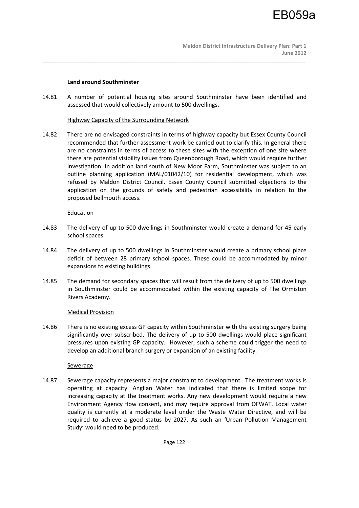## **Land around Southminster**

14.81 A number of potential housing sites around Southminster have been identified and assessed that would collectively amount to 500 dwellings.

\_\_\_\_\_\_\_\_\_\_\_\_\_\_\_\_\_\_\_\_\_\_\_\_\_\_\_\_\_\_\_\_\_\_\_\_\_\_\_\_\_\_\_\_\_\_\_\_\_\_\_\_\_\_\_\_\_\_\_\_\_\_\_\_\_\_\_\_\_\_\_\_\_\_\_\_\_\_\_\_\_\_\_\_\_\_\_\_\_\_

## Highway Capacity of the Surrounding Network

14.82 There are no envisaged constraints in terms of highway capacity but Essex County Council recommended that further assessment work be carried out to clarify this. In general there are no constraints in terms of access to these sites with the exception of one site where there are potential visibility issues from Queenborough Road, which would require further investigation. In addition land south of New Moor Farm, Southminster was subject to an outline planning application (MAL/01042/10) for residential development, which was refused by Maldon District Council. Essex County Council submitted objections to the application on the grounds of safety and pedestrian accessibility in relation to the proposed bellmouth access.

## Education

- 14.83 The delivery of up to 500 dwellings in Southminster would create a demand for 45 early school spaces.
- 14.84 The delivery of up to 500 dwellings in Southminster would create a primary school place deficit of between 28 primary school spaces. These could be accommodated by minor expansions to existing buildings.
- 14.85 The demand for secondary spaces that will result from the delivery of up to 500 dwellings in Southminster could be accommodated within the existing capacity of The Ormiston Rivers Academy.

## Medical Provision

14.86 There is no existing excess GP capacity within Southminster with the existing surgery being significantly over-subscribed. The delivery of up to 500 dwellings would place significant pressures upon existing GP capacity. However, such a scheme could trigger the need to develop an additional branch surgery or expansion of an existing facility.

## Sewerage

14.87 Sewerage capacity represents a major constraint to development. The treatment works is operating at capacity. Anglian Water has indicated that there is limited scope for increasing capacity at the treatment works. Any new development would require a new Environment Agency flow consent, and may require approval from OFWAT. Local water quality is currently at a moderate level under the Waste Water Directive, and will be required to achieve a good status by 2027. As such an 'Urban Pollution Management Study' would need to be produced.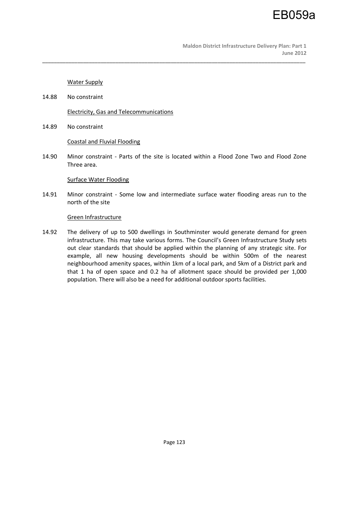Water Supply

14.88 No constraint

Electricity, Gas and Telecommunications

14.89 No constraint

#### Coastal and Fluvial Flooding

14.90 Minor constraint - Parts of the site is located within a Flood Zone Two and Flood Zone Three area.

\_\_\_\_\_\_\_\_\_\_\_\_\_\_\_\_\_\_\_\_\_\_\_\_\_\_\_\_\_\_\_\_\_\_\_\_\_\_\_\_\_\_\_\_\_\_\_\_\_\_\_\_\_\_\_\_\_\_\_\_\_\_\_\_\_\_\_\_\_\_\_\_\_\_\_\_\_\_\_\_\_\_\_\_\_\_\_\_\_\_

#### Surface Water Flooding

14.91 Minor constraint - Some low and intermediate surface water flooding areas run to the north of the site

#### Green Infrastructure

14.92 The delivery of up to 500 dwellings in Southminster would generate demand for green infrastructure. This may take various forms. The Council's Green Infrastructure Study sets out clear standards that should be applied within the planning of any strategic site. For example, all new housing developments should be within 500m of the nearest neighbourhood amenity spaces, within 1km of a local park, and 5km of a District park and that 1 ha of open space and 0.2 ha of allotment space should be provided per 1,000 population. There will also be a need for additional outdoor sports facilities.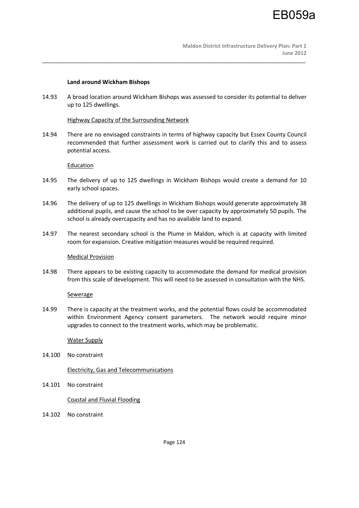## **Land around Wickham Bishops**

14.93 A broad location around Wickham Bishops was assessed to consider its potential to deliver up to 125 dwellings.

\_\_\_\_\_\_\_\_\_\_\_\_\_\_\_\_\_\_\_\_\_\_\_\_\_\_\_\_\_\_\_\_\_\_\_\_\_\_\_\_\_\_\_\_\_\_\_\_\_\_\_\_\_\_\_\_\_\_\_\_\_\_\_\_\_\_\_\_\_\_\_\_\_\_\_\_\_\_\_\_\_\_\_\_\_\_\_\_\_\_

Highway Capacity of the Surrounding Network

14.94 There are no envisaged constraints in terms of highway capacity but Essex County Council recommended that further assessment work is carried out to clarify this and to assess potential access.

## Education

- 14.95 The delivery of up to 125 dwellings in Wickham Bishops would create a demand for 10 early school spaces.
- 14.96 The delivery of up to 125 dwellings in Wickham Bishops would generate approximately 38 additional pupils, and cause the school to be over capacity by approximately 50 pupils. The school is already overcapacity and has no available land to expand.
- 14.97 The nearest secondary school is the Plume in Maldon, which is at capacity with limited room for expansion. Creative mitigation measures would be required required.

#### Medical Provision

14.98 There appears to be existing capacity to accommodate the demand for medical provision from this scale of development. This will need to be assessed in consultation with the NHS.

## Sewerage

14.99 There is capacity at the treatment works, and the potential flows could be accommodated within Environment Agency consent parameters. The network would require minor upgrades to connect to the treatment works, which may be problematic.

## Water Supply

14.100 No constraint

Electricity, Gas and Telecommunications

14.101 No constraint

## Coastal and Fluvial Flooding

14.102 No constraint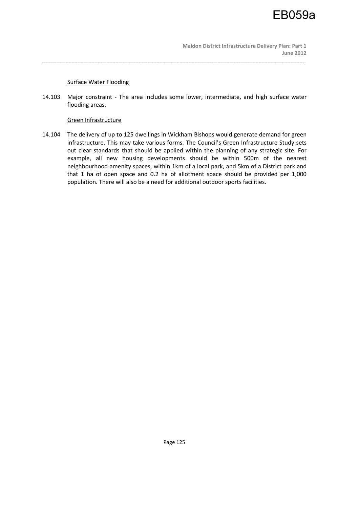## Surface Water Flooding

14.103 Major constraint - The area includes some lower, intermediate, and high surface water flooding areas.

\_\_\_\_\_\_\_\_\_\_\_\_\_\_\_\_\_\_\_\_\_\_\_\_\_\_\_\_\_\_\_\_\_\_\_\_\_\_\_\_\_\_\_\_\_\_\_\_\_\_\_\_\_\_\_\_\_\_\_\_\_\_\_\_\_\_\_\_\_\_\_\_\_\_\_\_\_\_\_\_\_\_\_\_\_\_\_\_\_\_

## Green Infrastructure

14.104 The delivery of up to 125 dwellings in Wickham Bishops would generate demand for green infrastructure. This may take various forms. The Council's Green Infrastructure Study sets out clear standards that should be applied within the planning of any strategic site. For example, all new housing developments should be within 500m of the nearest neighbourhood amenity spaces, within 1km of a local park, and 5km of a District park and that 1 ha of open space and 0.2 ha of allotment space should be provided per 1,000 population. There will also be a need for additional outdoor sports facilities.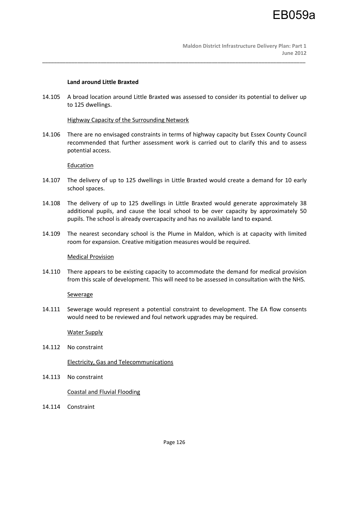## **Land around Little Braxted**

14.105 A broad location around Little Braxted was assessed to consider its potential to deliver up to 125 dwellings.

\_\_\_\_\_\_\_\_\_\_\_\_\_\_\_\_\_\_\_\_\_\_\_\_\_\_\_\_\_\_\_\_\_\_\_\_\_\_\_\_\_\_\_\_\_\_\_\_\_\_\_\_\_\_\_\_\_\_\_\_\_\_\_\_\_\_\_\_\_\_\_\_\_\_\_\_\_\_\_\_\_\_\_\_\_\_\_\_\_\_

## Highway Capacity of the Surrounding Network

14.106 There are no envisaged constraints in terms of highway capacity but Essex County Council recommended that further assessment work is carried out to clarify this and to assess potential access.

## Education

- 14.107 The delivery of up to 125 dwellings in Little Braxted would create a demand for 10 early school spaces.
- 14.108 The delivery of up to 125 dwellings in Little Braxted would generate approximately 38 additional pupils, and cause the local school to be over capacity by approximately 50 pupils. The school is already overcapacity and has no available land to expand.
- 14.109 The nearest secondary school is the Plume in Maldon, which is at capacity with limited room for expansion. Creative mitigation measures would be required.

## Medical Provision

14.110 There appears to be existing capacity to accommodate the demand for medical provision from this scale of development. This will need to be assessed in consultation with the NHS.

## **Sewerage**

14.111 Sewerage would represent a potential constraint to development. The EA flow consents would need to be reviewed and foul network upgrades may be required.

## Water Supply

14.112 No constraint

## Electricity, Gas and Telecommunications

14.113 No constraint

## Coastal and Fluvial Flooding

14.114 Constraint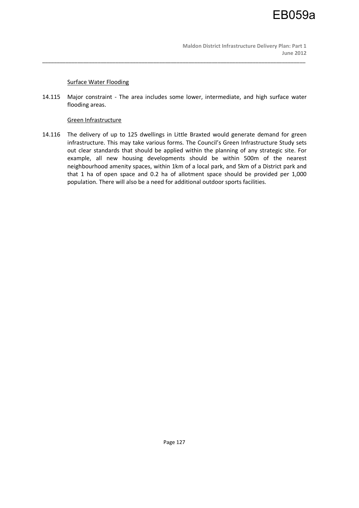## Surface Water Flooding

14.115 Major constraint - The area includes some lower, intermediate, and high surface water flooding areas.

\_\_\_\_\_\_\_\_\_\_\_\_\_\_\_\_\_\_\_\_\_\_\_\_\_\_\_\_\_\_\_\_\_\_\_\_\_\_\_\_\_\_\_\_\_\_\_\_\_\_\_\_\_\_\_\_\_\_\_\_\_\_\_\_\_\_\_\_\_\_\_\_\_\_\_\_\_\_\_\_\_\_\_\_\_\_\_\_\_\_

## Green Infrastructure

14.116 The delivery of up to 125 dwellings in Little Braxted would generate demand for green infrastructure. This may take various forms. The Council's Green Infrastructure Study sets out clear standards that should be applied within the planning of any strategic site. For example, all new housing developments should be within 500m of the nearest neighbourhood amenity spaces, within 1km of a local park, and 5km of a District park and that 1 ha of open space and 0.2 ha of allotment space should be provided per 1,000 population. There will also be a need for additional outdoor sports facilities.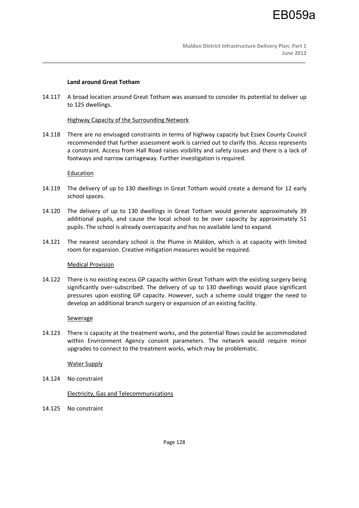## **Land around Great Totham**

14.117 A broad location around Great Totham was assessed to consider its potential to deliver up to 125 dwellings.

\_\_\_\_\_\_\_\_\_\_\_\_\_\_\_\_\_\_\_\_\_\_\_\_\_\_\_\_\_\_\_\_\_\_\_\_\_\_\_\_\_\_\_\_\_\_\_\_\_\_\_\_\_\_\_\_\_\_\_\_\_\_\_\_\_\_\_\_\_\_\_\_\_\_\_\_\_\_\_\_\_\_\_\_\_\_\_\_\_\_

## Highway Capacity of the Surrounding Network

14.118 There are no envisaged constraints in terms of highway capacity but Essex County Council recommended that further assessment work is carried out to clarify this. Access represents a constraint. Access from Hall Road raises visibility and safety issues and there is a lack of footways and narrow carriageway. Further investigation is required.

## **Education**

- 14.119 The delivery of up to 130 dwellings in Great Totham would create a demand for 12 early school spaces.
- 14.120 The delivery of up to 130 dwellings in Great Totham would generate approximately 39 additional pupils, and cause the local school to be over capacity by approximately 51 pupils. The school is already overcapacity and has no available land to expand.
- 14.121 The nearest secondary school is the Plume in Maldon, which is at capacity with limited room for expansion. Creative mitigation measures would be required.

## Medical Provision

14.122 There is no existing excess GP capacity within Great Totham with the existing surgery being significantly over-subscribed. The delivery of up to 130 dwellings would place significant pressures upon existing GP capacity. However, such a scheme could trigger the need to develop an additional branch surgery or expansion of an existing facility.

## Sewerage

14.123 There is capacity at the treatment works, and the potential flows could be accommodated within Environment Agency consent parameters. The network would require minor upgrades to connect to the treatment works, which may be problematic.

## Water Supply

14.124 No constraint

Electricity, Gas and Telecommunications

14.125 No constraint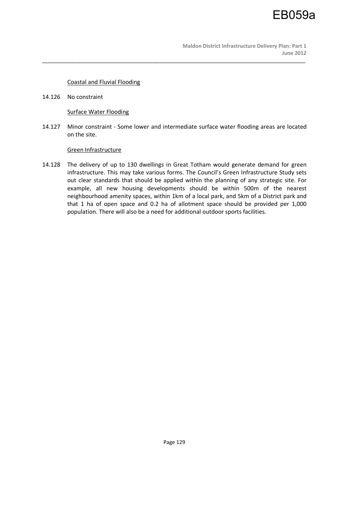## Coastal and Fluvial Flooding

14.126 No constraint

## Surface Water Flooding

14.127 Minor constraint - Some lower and intermediate surface water flooding areas are located on the site.

\_\_\_\_\_\_\_\_\_\_\_\_\_\_\_\_\_\_\_\_\_\_\_\_\_\_\_\_\_\_\_\_\_\_\_\_\_\_\_\_\_\_\_\_\_\_\_\_\_\_\_\_\_\_\_\_\_\_\_\_\_\_\_\_\_\_\_\_\_\_\_\_\_\_\_\_\_\_\_\_\_\_\_\_\_\_\_\_\_\_

## Green Infrastructure

14.128 The delivery of up to 130 dwellings in Great Totham would generate demand for green infrastructure. This may take various forms. The Council's Green Infrastructure Study sets out clear standards that should be applied within the planning of any strategic site. For example, all new housing developments should be within 500m of the nearest neighbourhood amenity spaces, within 1km of a local park, and 5km of a District park and that 1 ha of open space and 0.2 ha of allotment space should be provided per 1,000 population. There will also be a need for additional outdoor sports facilities.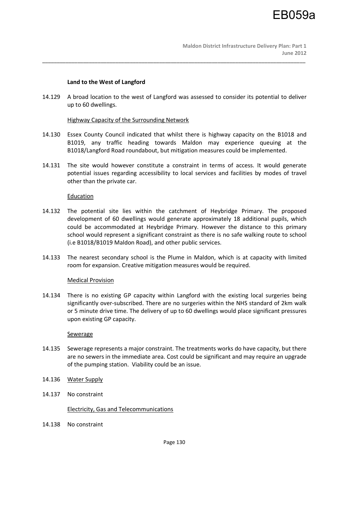## **Land to the West of Langford**

14.129 A broad location to the west of Langford was assessed to consider its potential to deliver up to 60 dwellings.

\_\_\_\_\_\_\_\_\_\_\_\_\_\_\_\_\_\_\_\_\_\_\_\_\_\_\_\_\_\_\_\_\_\_\_\_\_\_\_\_\_\_\_\_\_\_\_\_\_\_\_\_\_\_\_\_\_\_\_\_\_\_\_\_\_\_\_\_\_\_\_\_\_\_\_\_\_\_\_\_\_\_\_\_\_\_\_\_\_\_

## Highway Capacity of the Surrounding Network

- 14.130 Essex County Council indicated that whilst there is highway capacity on the B1018 and B1019, any traffic heading towards Maldon may experience queuing at the B1018/Langford Road roundabout, but mitigation measures could be implemented.
- 14.131 The site would however constitute a constraint in terms of access. It would generate potential issues regarding accessibility to local services and facilities by modes of travel other than the private car.

## Education

- 14.132 The potential site lies within the catchment of Heybridge Primary. The proposed development of 60 dwellings would generate approximately 18 additional pupils, which could be accommodated at Heybridge Primary. However the distance to this primary school would represent a significant constraint as there is no safe walking route to school (i.e B1018/B1019 Maldon Road), and other public services.
- 14.133 The nearest secondary school is the Plume in Maldon, which is at capacity with limited room for expansion. Creative mitigation measures would be required.

## Medical Provision

14.134 There is no existing GP capacity within Langford with the existing local surgeries being significantly over-subscribed. There are no surgeries within the NHS standard of 2km walk or 5 minute drive time. The delivery of up to 60 dwellings would place significant pressures upon existing GP capacity.

## Sewerage

- 14.135 Sewerage represents a major constraint. The treatments works do have capacity, but there are no sewers in the immediate area. Cost could be significant and may require an upgrade of the pumping station. Viability could be an issue.
- 14.136 Water Supply
- 14.137 No constraint

## Electricity, Gas and Telecommunications

14.138 No constraint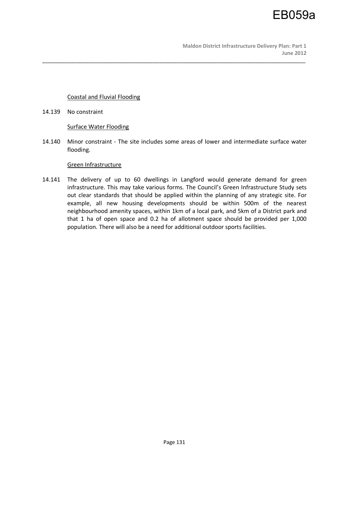## Coastal and Fluvial Flooding

14.139 No constraint

## Surface Water Flooding

14.140 Minor constraint - The site includes some areas of lower and intermediate surface water flooding.

\_\_\_\_\_\_\_\_\_\_\_\_\_\_\_\_\_\_\_\_\_\_\_\_\_\_\_\_\_\_\_\_\_\_\_\_\_\_\_\_\_\_\_\_\_\_\_\_\_\_\_\_\_\_\_\_\_\_\_\_\_\_\_\_\_\_\_\_\_\_\_\_\_\_\_\_\_\_\_\_\_\_\_\_\_\_\_\_\_\_

## Green Infrastructure

14.141 The delivery of up to 60 dwellings in Langford would generate demand for green infrastructure. This may take various forms. The Council's Green Infrastructure Study sets out clear standards that should be applied within the planning of any strategic site. For example, all new housing developments should be within 500m of the nearest neighbourhood amenity spaces, within 1km of a local park, and 5km of a District park and that 1 ha of open space and 0.2 ha of allotment space should be provided per 1,000 population. There will also be a need for additional outdoor sports facilities.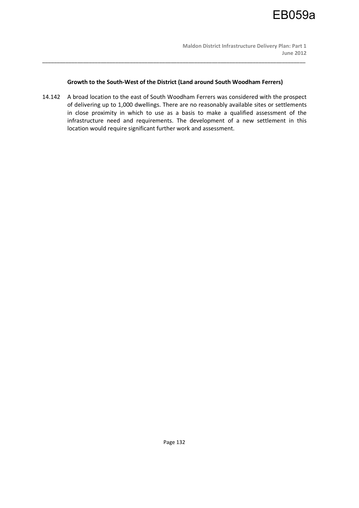

## **Growth to the South-West of the District (Land around South Woodham Ferrers)**

\_\_\_\_\_\_\_\_\_\_\_\_\_\_\_\_\_\_\_\_\_\_\_\_\_\_\_\_\_\_\_\_\_\_\_\_\_\_\_\_\_\_\_\_\_\_\_\_\_\_\_\_\_\_\_\_\_\_\_\_\_\_\_\_\_\_\_\_\_\_\_\_\_\_\_\_\_\_\_\_\_\_\_\_\_\_\_\_\_\_

14.142 A broad location to the east of South Woodham Ferrers was considered with the prospect of delivering up to 1,000 dwellings. There are no reasonably available sites or settlements in close proximity in which to use as a basis to make a qualified assessment of the infrastructure need and requirements. The development of a new settlement in this location would require significant further work and assessment.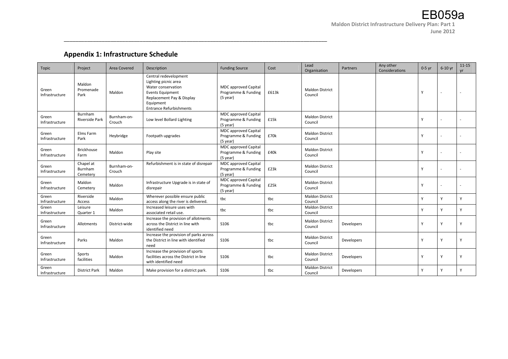# **Appendix 1: Infrastructure Schedule**

| Topic                   | Project                          | <b>Area Covered</b>   | Description                                                                                                                                                                | <b>Funding Source</b>                                            | Cost  | Lead<br>Organisation              | Partners          | Any other<br>Considerations | $0-5$ yr | $6-10$ yr | $11 - 15$<br>vr |
|-------------------------|----------------------------------|-----------------------|----------------------------------------------------------------------------------------------------------------------------------------------------------------------------|------------------------------------------------------------------|-------|-----------------------------------|-------------------|-----------------------------|----------|-----------|-----------------|
| Green<br>Infrastructure | Maldon<br>Promenade<br>Park      | Maldon                | Central redevelopment<br>Lighting picnic area<br>Water conservation<br><b>Events Equipment</b><br>Replacement Pay & Display<br>Equipment<br><b>Entrance Refurbishments</b> | <b>MDC</b> approved Capital<br>Programme & Funding<br>(5 year)   | £613k | <b>Maldon District</b><br>Council |                   |                             | Y        |           |                 |
| Green<br>Infrastructure | Burnham<br>Riverside Park        | Burnham-on-<br>Crouch | Low level Bollard Lighting                                                                                                                                                 | <b>MDC</b> approved Capital<br>Programme & Funding<br>(5 year)   | £15k  | <b>Maldon District</b><br>Council |                   |                             | Y        |           |                 |
| Green<br>Infrastructure | Elms Farm<br>Park                | Heybridge             | Footpath upgrades                                                                                                                                                          | <b>MDC</b> approved Capital<br>Programme & Funding<br>$(5$ year) | £70k  | <b>Maldon District</b><br>Council |                   |                             | Y        |           |                 |
| Green<br>Infrastructure | <b>Brickhouse</b><br>Farm        | Maldon                | Play site                                                                                                                                                                  | <b>MDC</b> approved Capital<br>Programme & Funding<br>$(5$ year) | £40k  | <b>Maldon District</b><br>Council |                   |                             | Y        |           |                 |
| Green<br>Infrastructure | Chapel at<br>Burnham<br>Cemetery | Burnham-on-<br>Crouch | Refurbishment is in state of disrepair                                                                                                                                     | <b>MDC</b> approved Capital<br>Programme & Funding<br>(5 year)   | £23k  | <b>Maldon District</b><br>Council |                   |                             | Y        |           |                 |
| Green<br>Infrastructure | Maldon<br>Cemetery               | Maldon                | Infrastructure Upgrade is in state of<br>disrepair                                                                                                                         | <b>MDC</b> approved Capital<br>Programme & Funding<br>$(5$ year) | £25k  | <b>Maldon District</b><br>Council |                   |                             | Y        |           |                 |
| Green<br>Infrastructure | Riverside<br>Access              | Maldon                | Wherever possible ensure public<br>access along the river is delivered.                                                                                                    | tbc                                                              | tbc   | <b>Maldon District</b><br>Council |                   |                             | Y        | Y         | Y               |
| Green<br>Infrastructure | Leisure<br>Quarter 1             | Maldon                | Increased leisure uses with<br>associated retail use.                                                                                                                      | tbc                                                              | tbc   | <b>Maldon District</b><br>Council |                   |                             | Y        | Y         | Y               |
| Green<br>Infrastructure | Allotments                       | District-wide         | Increase the provision of allotments<br>across the District in line with<br>identified need                                                                                | S106                                                             | tbc   | <b>Maldon District</b><br>Council | Developers        |                             | Y        | Y         | Y               |
| Green<br>Infrastructure | Parks                            | Maldon                | Increase the provision of parks across<br>the District in line with identified<br>need                                                                                     | S106                                                             | tbc   | <b>Maldon District</b><br>Council | Developers        |                             | Υ        | Y         | Y               |
| Green<br>Infrastructure | Sports<br>facilities             | Maldon                | Increase the provision of sports<br>facilities across the District in line<br>with identified need                                                                         | S106                                                             | tbc   | <b>Maldon District</b><br>Council | <b>Developers</b> |                             | Y        | Y         | Y               |
| Green<br>Infrastructure | <b>District Park</b>             | Maldon                | Make provision for a district park.                                                                                                                                        | S106                                                             | tbc   | <b>Maldon District</b><br>Council | Developers        |                             | Y        | Y         | Y               |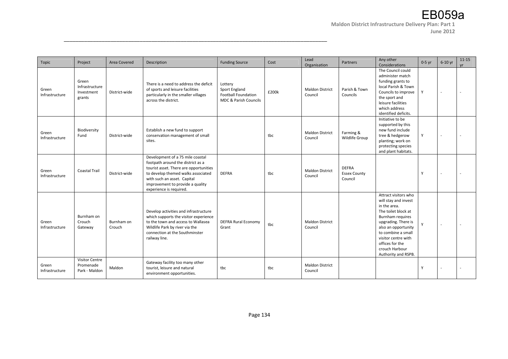| Topic                   | Project                                             | Area Covered         | Description                                                                                                                                                                                                                                         | <b>Funding Source</b>                                                           | Cost  | Lead<br>Organisation              | Partners                                       | Any other<br>Considerations                                                                                                                                                                                                                                    | $0-5$ yr | $6-10$ yr | $11 - 15$<br><b>vr</b> |
|-------------------------|-----------------------------------------------------|----------------------|-----------------------------------------------------------------------------------------------------------------------------------------------------------------------------------------------------------------------------------------------------|---------------------------------------------------------------------------------|-------|-----------------------------------|------------------------------------------------|----------------------------------------------------------------------------------------------------------------------------------------------------------------------------------------------------------------------------------------------------------------|----------|-----------|------------------------|
| Green<br>Infrastructure | Green<br>Infrastructure<br>Investment<br>grants     | District-wide        | There is a need to address the deficit<br>of sports and leisure facilities<br>particularly in the smaller villages<br>across the district.                                                                                                          | Lottery<br>Sport England<br><b>Football Foundation</b><br>MDC & Parish Councils | £200k | <b>Maldon District</b><br>Council | Parish & Town<br>Councils                      | The Council could<br>administer match<br>funding grants to<br>local Parish & Town<br>Councils to improve<br>the sport and<br>leisure facilities<br>which address<br>identified deficits.                                                                       | Y        |           |                        |
| Green<br>Infrastructure | Biodiversity<br>Fund                                | District-wide        | Establish a new fund to support<br>conservation management of small<br>sites.                                                                                                                                                                       |                                                                                 | tbc   | <b>Maldon District</b><br>Council | Farming &<br>Wildlife Group                    | Initiative to be<br>supported by this<br>new fund include<br>tree & hedgerow<br>planting; work on<br>protecting species<br>and plant habitats.                                                                                                                 | Y        |           |                        |
| Green<br>Infrastructure | <b>Coastal Trail</b>                                | District-wide        | Development of a 75 mile coastal<br>footpath around the district as a<br>tourist asset. There are opportunities<br>to develop themed walks associated<br>with such an asset. Capital<br>improvement to provide a quality<br>experience is required. | <b>DEFRA</b>                                                                    | tbc   | <b>Maldon District</b><br>Council | <b>DEFRA</b><br><b>Essex County</b><br>Council |                                                                                                                                                                                                                                                                | Y        |           |                        |
| Green<br>Infrastructure | Burnham on<br>Crouch<br>Gateway                     | Burnham on<br>Crouch | Develop activities and infrastructure<br>which supports the visitor experience<br>to the town and access to Wallasea<br>Wildlife Park by river via the<br>connection at the Southminster<br>railway line.                                           | <b>DEFRA Rural Economy</b><br>Grant                                             | tbc   | <b>Maldon District</b><br>Council |                                                | Attract visitors who<br>will stay and invest<br>in the area.<br>The toilet block at<br>Burnham requires<br>upgrading. There is<br>also an opportunity<br>to combine a small<br>visitor centre with<br>offices for the<br>crouch Harbour<br>Authority and RSPB. | Y        |           |                        |
| Green<br>Infrastructure | <b>Visitor Centre</b><br>Promenade<br>Park - Maldon | Maldon               | Gateway facility too many other<br>tourist, leisure and natural<br>environment opportunities.                                                                                                                                                       | tbc                                                                             | tbc   | <b>Maldon District</b><br>Council |                                                |                                                                                                                                                                                                                                                                | Y        |           |                        |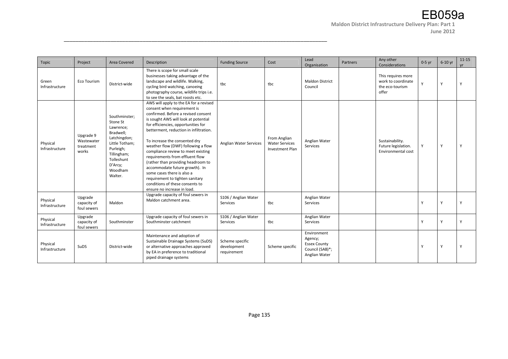| Topic                      | Project                                       | Area Covered                                                                                                                                                     | Description                                                                                                                                                                                                                                                                                                                                                                                                                                                                                                                                                                                       | <b>Funding Source</b>                         | Cost                                                     | Lead<br>Organisation                                                              | Partners | Any other<br>Considerations                                          | $0-5$ yr | $6-10$ yr | $11 - 15$<br><b>vr</b> |
|----------------------------|-----------------------------------------------|------------------------------------------------------------------------------------------------------------------------------------------------------------------|---------------------------------------------------------------------------------------------------------------------------------------------------------------------------------------------------------------------------------------------------------------------------------------------------------------------------------------------------------------------------------------------------------------------------------------------------------------------------------------------------------------------------------------------------------------------------------------------------|-----------------------------------------------|----------------------------------------------------------|-----------------------------------------------------------------------------------|----------|----------------------------------------------------------------------|----------|-----------|------------------------|
| Green<br>Infrastructure    | Eco Tourism                                   | District-wide                                                                                                                                                    | There is scope for small scale<br>businesses taking advantage of the<br>landscape and wildlife. Walking,<br>cycling bird watching, canoeing<br>photography course, wildlife trips i.e.<br>to see the seals, bat roosts etc.                                                                                                                                                                                                                                                                                                                                                                       | tbc                                           | tbc                                                      | <b>Maldon District</b><br>Council                                                 |          | This requires more<br>work to coordinate<br>the eco-tourism<br>offer | Y        | Y         | Y                      |
| Physical<br>Infrastructure | Upgrade 9<br>Wastewater<br>treatment<br>works | Southminster;<br>Stone St<br>Lawrence;<br>Bradwell;<br>Latchingdon;<br>Little Totham;<br>Purleigh;<br>Tillingham;<br>Tolleshunt<br>D'Arcy;<br>Woodham<br>Walter. | AWS will apply to the EA for a revised<br>consent when requirement is<br>confirmed. Before a revised consent<br>is sought AWS will look at potential<br>for efficiencies, opportunities for<br>betterment, reduction in infiltration.<br>To increase the consented dry<br>weather flow (DWF) following a flow<br>compliance review to meet existing<br>requirements from effluent flow<br>(rather than providing headroom to<br>accommodate future growth). In<br>some cases there is also a<br>requirement to tighten sanitary<br>conditions of these consents to<br>ensure no increase in load. | Anglian Water Services                        | From Anglian<br><b>Water Services</b><br>Investment Plan | Anglian Water<br>Services                                                         |          | Sustainability.<br>Future legislation.<br>Environmental cost         | Y        | Υ         | Y                      |
| Physical<br>Infrastructure | Upgrade<br>capacity of<br>foul sewers         | Maldon                                                                                                                                                           | Upgrade capacity of foul sewers in<br>Maldon catchment area.                                                                                                                                                                                                                                                                                                                                                                                                                                                                                                                                      | S106 / Anglian Water<br>Services              | tbc                                                      | Anglian Water<br>Services                                                         |          |                                                                      | Y        | Υ         |                        |
| Physical<br>Infrastructure | Upgrade<br>capacity of<br>foul sewers         | Southminster                                                                                                                                                     | Upgrade capacity of foul sewers in<br>Southminster catchment                                                                                                                                                                                                                                                                                                                                                                                                                                                                                                                                      | S106 / Anglian Water<br>Services              | tbc                                                      | Anglian Water<br>Services                                                         |          |                                                                      | Y        | v         | Y                      |
| Physical<br>Infrastructure | <b>SuDS</b>                                   | District-wide                                                                                                                                                    | Maintenance and adoption of<br>Sustainable Drainage Systems (SuDS)<br>or alternative approaches approved<br>by EA in preference to traditional<br>piped drainage systems                                                                                                                                                                                                                                                                                                                                                                                                                          | Scheme specific<br>development<br>requirement | Scheme specific                                          | Environment<br>Agency;<br><b>Essex County</b><br>Council (SAB)*;<br>Anglian Water |          |                                                                      | Y        |           |                        |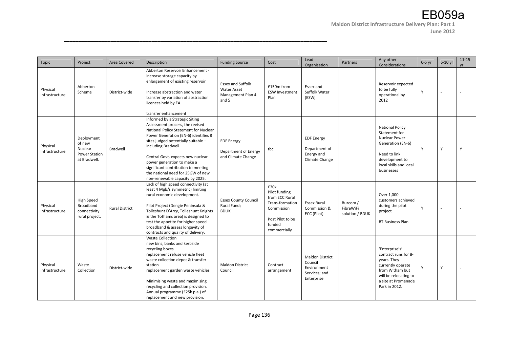| Topic                      | Project                                                                 | Area Covered          | <b>Description</b>                                                                                                                                                                                                                                                                                                                                                                                 | <b>Funding Source</b>                                                        | Cost                                                                                                                   | Lead<br>Organisation                                                            | Partners                                 | Any other<br>Considerations                                                                                                                                    | $0-5$ yr | 6-10 yr  | $11 - 15$<br><b>vr</b> |
|----------------------------|-------------------------------------------------------------------------|-----------------------|----------------------------------------------------------------------------------------------------------------------------------------------------------------------------------------------------------------------------------------------------------------------------------------------------------------------------------------------------------------------------------------------------|------------------------------------------------------------------------------|------------------------------------------------------------------------------------------------------------------------|---------------------------------------------------------------------------------|------------------------------------------|----------------------------------------------------------------------------------------------------------------------------------------------------------------|----------|----------|------------------------|
| Physical<br>Infrastructure | Abberton<br>Scheme                                                      | District-wide         | Abberton Reservoir Enhancement -<br>increase storage capacity by<br>enlargement of existing reservoir<br>Increase abstraction and water<br>transfer by variation of abstraction<br>licences held by EA<br>transfer enhancement                                                                                                                                                                     | <b>Essex and Suffolk</b><br><b>Water Asset</b><br>Management Plan 4<br>and 5 | £150m from<br><b>ESW Investment</b><br>Plan                                                                            | Essex and<br>Suffolk Water<br>(ESW)                                             |                                          | Reservoir expected<br>to be fully<br>operational by<br>2012                                                                                                    | Y        |          |                        |
| Physical<br>Infrastructure | Deployment<br>of new<br>Nuclear<br><b>Power Station</b><br>at Bradwell. | Bradwell              | Informed by a Strategic Siting<br>Assessment process, the revised<br>National Policy Statement for Nuclear<br>Power Generation (EN-6) identifies 8<br>sites judged potentially suitable -<br>including Bradwell.<br>Central Govt. expects new nuclear<br>power generation to make a<br>significant contribution to meeting<br>the national need for 25GW of new<br>non-renewable capacity by 2025. | <b>EDF Energy</b><br>Department of Energy<br>and Climate Change              | tbc                                                                                                                    | <b>EDF</b> Energy<br>Department of<br>Energy and<br>Climate Change              |                                          | <b>National Policy</b><br>Statement for<br><b>Nuclear Power</b><br>Generation (EN-6)<br>Need to link<br>development to<br>local skills and local<br>businesses | Y        | <b>Y</b> | Y                      |
| Physical<br>Infrastructure | <b>High Speed</b><br>Broadband<br>connectivity<br>rural project.        | <b>Rural District</b> | Lack of high speed connectivity (at<br>least 4 Mgb/s symmetric) limiting<br>rural economic development.<br>Pilot Project (Dengie Peninsula &<br>Tolleshunt D'Arcy, Tolleshunt Knights<br>& the Tothams area) is designed to<br>test the appetite for higher speed<br>broadband & assess longevity of<br>contracts and quality of delivery.                                                         | <b>Essex County Council</b><br>Rural Fund;<br><b>BDUK</b>                    | £30k<br>Pilot funding<br>from ECC Rural<br>Trans-formation<br>Commission<br>Post Pilot to be<br>funded<br>commercially | <b>Essex Rural</b><br>Commission &<br>ECC (Pilot)                               | Buzcom /<br>FibreWiFi<br>solution / BDUK | Over 1,000<br>customers achieved<br>during the pilot<br>project<br><b>BT Business Plan</b>                                                                     | Y        |          |                        |
| Physical<br>Infrastructure | Waste<br>Collection                                                     | District-wide         | <b>Waste Collection</b><br>new bins, banks and kerbside<br>recycling boxes<br>replacement refuse vehicle fleet<br>waste collection depot & transfer<br>station<br>replacement garden waste vehicles<br>Minimising waste and maximising<br>recycling and collection provision.<br>Annual programme (£25k p.a.) of<br>replacement and new provision.                                                 | <b>Maldon District</b><br>Council                                            | Contract<br>arrangement                                                                                                | <b>Maldon District</b><br>Council<br>Environment<br>Services; and<br>Enterprise |                                          | 'Enterprise's'<br>contract runs for 8-<br>years. They<br>currently operate<br>from Witham but<br>will be relocating to<br>a site at Promenade<br>Park in 2012. | Y        | Y        |                        |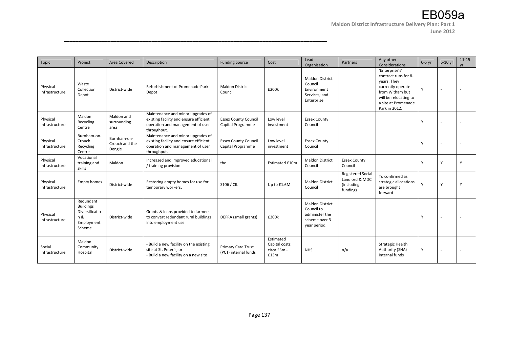**June 2012** 

| Topic                      | Project                                                                        | Area Covered                            | Description                                                                                                                    | <b>Funding Source</b>                            | Cost                                               | Lead<br>Organisation                                                                    | Partners                                                             | Any other<br>Considerations                                                                                                                                    | $0-5$ yr | 6-10 yr | $11 - 15$<br><b>vr</b> |
|----------------------------|--------------------------------------------------------------------------------|-----------------------------------------|--------------------------------------------------------------------------------------------------------------------------------|--------------------------------------------------|----------------------------------------------------|-----------------------------------------------------------------------------------------|----------------------------------------------------------------------|----------------------------------------------------------------------------------------------------------------------------------------------------------------|----------|---------|------------------------|
| Physical<br>Infrastructure | Waste<br>Collection<br>Depot                                                   | District-wide                           | Refurbishment of Promenade Park<br>Depot                                                                                       | <b>Maldon District</b><br>Council                | £200k                                              | <b>Maldon District</b><br>Council<br>Environment<br>Services; and<br>Enterprise         |                                                                      | 'Enterprise's'<br>contract runs for 8-<br>years. They<br>currently operate<br>from Witham but<br>will be relocating to<br>a site at Promenade<br>Park in 2012. | Y        |         |                        |
| Physical<br>Infrastructure | Maldon<br>Recycling<br>Centre                                                  | Maldon and<br>surrounding<br>area       | Maintenance and minor upgrades of<br>existing facility and ensure efficient<br>operation and management of user<br>throughput. | <b>Essex County Council</b><br>Capital Programme | Low level<br>investment                            | <b>Essex County</b><br>Council                                                          |                                                                      |                                                                                                                                                                | Y        |         |                        |
| Physical<br>Infrastructure | Burnham-on-<br>Crouch<br>Recycling<br>Centre                                   | Burnham-on-<br>Crouch and the<br>Dengie | Maintenance and minor upgrades of<br>existing facility and ensure efficient<br>operation and management of user<br>throughput. | <b>Essex County Council</b><br>Capital Programme | Low level<br>investment                            | <b>Essex County</b><br>Council                                                          |                                                                      |                                                                                                                                                                | Y        |         |                        |
| Physical<br>Infrastructure | Vocational<br>training and<br>skills                                           | Maldon                                  | Increased and improved educational<br>/ training provision                                                                     | tbc                                              | <b>Estimated £10m</b>                              | <b>Maldon District</b><br>Council                                                       | <b>Essex County</b><br>Council                                       |                                                                                                                                                                | Y        | Y       | Y                      |
| Physical<br>Infrastructure | <b>Empty homes</b>                                                             | District-wide                           | Restoring empty homes for use for<br>temporary workers.                                                                        | S106 / CIL                                       | Up to £1.6M                                        | <b>Maldon District</b><br>Council                                                       | <b>Registered Social</b><br>Landlord & MDC<br>(including<br>funding) | To confirmed as<br>strategic allocations<br>are brought<br>forward                                                                                             | Y        | Y       | Y                      |
| Physical<br>Infrastructure | Redundant<br><b>Buildings</b><br>Diversificatio<br>n &<br>Employment<br>Scheme | District-wide                           | Grants & loans provided to farmers<br>to convert redundant rural buildings<br>into employment use.                             | DEFRA (small grants)                             | £300k                                              | <b>Maldon District</b><br>Council to<br>administer the<br>scheme over 3<br>year period. |                                                                      |                                                                                                                                                                | Y        |         |                        |
| Social<br>Infrastructure   | Maldon<br>Community<br>Hospital                                                | District-wide                           | - Build a new facility on the existing<br>site at St. Peter's; or<br>- Build a new facility on a new site                      | Primary Care Trust<br>(PCT) internal funds       | Estimated<br>Capital costs:<br>circa £5m -<br>£13m | <b>NHS</b>                                                                              | n/a                                                                  | <b>Strategic Health</b><br>Authority (SHA)<br>internal funds                                                                                                   | Y        |         |                        |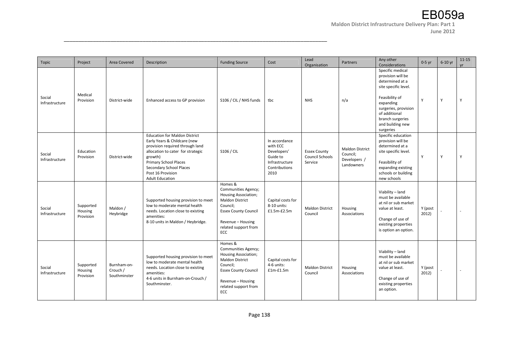**June 2012** 

| Topic                    | Project                           | Area Covered                            | Description                                                                                                                                                                                                                                                              | <b>Funding Source</b>                                                                                                                                                                  | Cost                                                                                            | Lead<br>Organisation                              | Partners                                                         | Any other<br>Considerations                                                                                                                                                                                   | $0-5$ yr         | 6-10 yr | $11 - 15$<br>vr |
|--------------------------|-----------------------------------|-----------------------------------------|--------------------------------------------------------------------------------------------------------------------------------------------------------------------------------------------------------------------------------------------------------------------------|----------------------------------------------------------------------------------------------------------------------------------------------------------------------------------------|-------------------------------------------------------------------------------------------------|---------------------------------------------------|------------------------------------------------------------------|---------------------------------------------------------------------------------------------------------------------------------------------------------------------------------------------------------------|------------------|---------|-----------------|
| Social<br>Infrastructure | Medical<br>Provision              | District-wide                           | Enhanced access to GP provision                                                                                                                                                                                                                                          | S106 / CIL / NHS funds                                                                                                                                                                 | tbc                                                                                             | <b>NHS</b>                                        | n/a                                                              | Specific medical<br>provision will be<br>determined at a<br>site specific level.<br>Feasibility of<br>expanding<br>surgeries, provision<br>of additional<br>branch surgeries<br>and building new<br>surgeries | Y                | Y       | Y               |
| Social<br>Infrastructure | Education<br>Provision            | District-wide                           | <b>Education for Maldon District</b><br>Early Years & Childcare (new<br>provision required through land<br>allocation to cater for strategic<br>growth)<br><b>Primary School Places</b><br><b>Secondary School Places</b><br>Post 16 Provision<br><b>Adult Education</b> | S106 / CIL                                                                                                                                                                             | In accordance<br>with ECC<br>Developers'<br>Guide to<br>Infrastructure<br>Contributions<br>2010 | <b>Essex County</b><br>Council Schools<br>Service | <b>Maldon District</b><br>Council;<br>Developers /<br>Landowners | Specific education<br>provision will be<br>determined at a<br>site specific level.<br>Feasibility of<br>expanding existing<br>schools or building<br>new schools                                              | Y                | Y       | Y               |
| Social<br>Infrastructure | Supported<br>Housing<br>Provision | Maldon /<br>Heybridge                   | Supported housing provision to meet<br>low to moderate mental health<br>needs. Location close to existing<br>amenities:<br>8-10 units in Maldon / Heybridge.                                                                                                             | Homes &<br>Communities Agency;<br>Housing Association;<br><b>Maldon District</b><br>Council;<br><b>Essex County Council</b><br>Revenue - Housing<br>related support from<br><b>ECC</b> | Capital costs for<br>8-10 units:<br>$£1.5m-E2.5m$                                               | <b>Maldon District</b><br>Council                 | Housing<br>Associations                                          | Viability - land<br>must be available<br>at nil or sub market<br>value at least.<br>Change of use of<br>existing properties<br>is option an option.                                                           | Y (post<br>2012) |         |                 |
| Social<br>Infrastructure | Supported<br>Housing<br>Provision | Burnham-on-<br>Crouch /<br>Southminster | Supported housing provision to meet<br>low to moderate mental health<br>needs. Location close to existing<br>amenities:<br>4-6 units in Burnham-on-Crouch /<br>Southminster.                                                                                             | Homes &<br>Communities Agency;<br>Housing Association;<br><b>Maldon District</b><br>Council;<br><b>Essex County Council</b><br>Revenue - Housing<br>related support from<br>ECC        | Capital costs for<br>4-6 units:<br>$f1m-f1.5m$                                                  | <b>Maldon District</b><br>Council                 | Housing<br>Associations                                          | Viability - land<br>must be available<br>at nil or sub market<br>value at least.<br>Change of use of<br>existing properties<br>an option.                                                                     | Y (post<br>2012) |         |                 |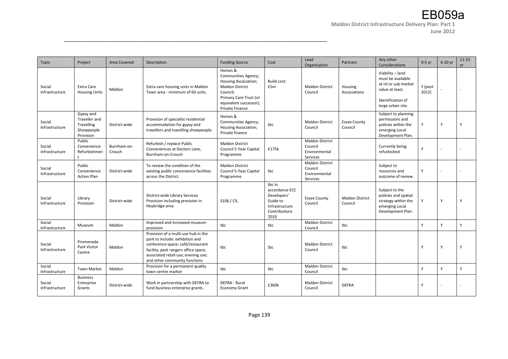| Topic                    | Project                                                                    | Area Covered          | Description                                                                                                                                                                                                                 | <b>Funding Source</b>                                                                                                                                                      | Cost                                                                                           | Lead<br>Organisation                                           | Partners                          | Any other<br>Considerations                                                                                                | $0-5$ yr         | $6-10$ yr | $11 - 15$<br><b>vr</b> |
|--------------------------|----------------------------------------------------------------------------|-----------------------|-----------------------------------------------------------------------------------------------------------------------------------------------------------------------------------------------------------------------------|----------------------------------------------------------------------------------------------------------------------------------------------------------------------------|------------------------------------------------------------------------------------------------|----------------------------------------------------------------|-----------------------------------|----------------------------------------------------------------------------------------------------------------------------|------------------|-----------|------------------------|
| Social<br>Infrastructure | Extra Care<br><b>Housing Units</b>                                         | Maldon                | Extra care housing units in Maldon<br>Town area - minimum of 60 units.                                                                                                                                                      | Homes &<br>Communities Agency;<br><b>Housing Association;</b><br><b>Maldon District</b><br>Council;<br>Primary Care Trust (or<br>equivalent successor);<br>Private Finance | Build cost:<br>£5m                                                                             | <b>Maldon District</b><br>Council                              | Housing<br>Associations           | Viability - land<br>must be available<br>at nil or sub market<br>value at least.<br>Identification of<br>large urban site. | Y (post<br>2012) |           |                        |
| Social<br>Infrastructure | Gypsy and<br>Traveller and<br><b>Travelling</b><br>Showpeople<br>Provision | District-wide         | Provision of specialist residential<br>accommodation for gypsy and<br>travellers and travelling showpeople.                                                                                                                 | Homes &<br>Communities Agency;<br>Housing Association;<br>Private finance                                                                                                  | tbc                                                                                            | <b>Maldon District</b><br>Council                              | <b>Essex County</b><br>Council    | Subject to planning<br>permissions and<br>policies within the<br>emerging Local<br>Development Plan.                       | Y                | Υ         | Y                      |
| Social<br>Infrastructure | Public<br>Convenience<br>Refurbishmen                                      | Burnham-on-<br>Crouch | Refurbish / replace Public<br>Conveniences at Doctors Lane,<br>Burnham-on-Crouch                                                                                                                                            | <b>Maldon District</b><br>Council 5-Year Capital<br>Programme                                                                                                              | £175k                                                                                          | <b>Maldon District</b><br>Council<br>Environmental<br>Services |                                   | Currently being<br>refurbished                                                                                             | Y                |           |                        |
| Social<br>Infrastructure | Public<br>Convenience<br><b>Action Plan</b>                                | District-wide         | To review the condition of the<br>existing public convenience facilities<br>across the District.                                                                                                                            | <b>Maldon District</b><br>Council 5-Year Capital<br>Programme                                                                                                              | tbc                                                                                            | <b>Maldon District</b><br>Council<br>Environmental<br>Services |                                   | Subject to<br>resources and<br>outcome of review.                                                                          | Y                |           |                        |
| Social<br>Infrastructure | Library<br>Provision                                                       | District-wide         | District-wide Library Services<br>Provision including provision in<br>Heybridge area                                                                                                                                        | S106 / CIL                                                                                                                                                                 | tbc in<br>accordance ECC<br>Developers'<br>Guide to<br>Infrastructure<br>Contributions<br>2010 | <b>Essex County</b><br>Council                                 | <b>Maldon District</b><br>Council | Subject to the<br>policies and spatial<br>strategy within the<br>emerging Local<br>Development Plan.                       | Y                | Y         | Y                      |
| Social<br>Infrastructure | Museum                                                                     | Maldon                | Improved and increased museum<br>provision                                                                                                                                                                                  | tbc                                                                                                                                                                        | tbc                                                                                            | <b>Maldon District</b><br>Council                              | tbc                               |                                                                                                                            | Y                | v         | Y                      |
| Social<br>Infrastructure | Promenade<br>Park Visitor<br>Centre                                        | Maldon                | Provision of a multi-use hub in the<br>park to include: exhibition and<br>conference space; café/restaurant<br>facility; park rangers office space;<br>associated retail use; evening use;<br>and other community functions | tbc                                                                                                                                                                        | tbc                                                                                            | <b>Maldon District</b><br>Council                              | tbc                               |                                                                                                                            | Y                | Υ         | Y                      |
| Social<br>Infrastructure | <b>Town Market</b>                                                         | Maldon                | Provision for a permanent quality<br>town centre market                                                                                                                                                                     | tbc                                                                                                                                                                        | tbc                                                                                            | <b>Maldon District</b><br>Council                              | tbc                               |                                                                                                                            | Y                | Υ         | Y                      |
| Social<br>Infrastructure | <b>Business</b><br>Enterprise<br>Grants                                    | District-wide         | Work in partnership with DEFRA to<br>fund business enterprise grants.                                                                                                                                                       | <b>DEFRA - Rural</b><br><b>Economy Grant</b>                                                                                                                               | £360k                                                                                          | <b>Maldon District</b><br>Council                              | <b>DEFRA</b>                      |                                                                                                                            | Y                |           |                        |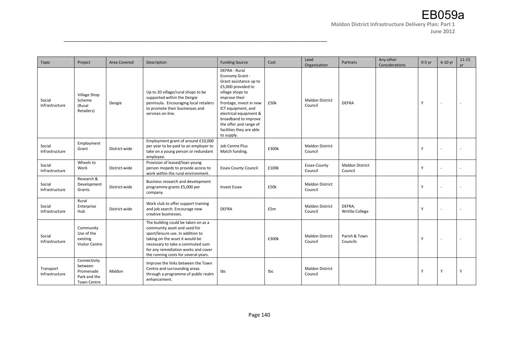| Topic                       | Project                                                                    | Area Covered  | Description                                                                                                                                                                                                                                                    | <b>Funding Source</b>                                                                                                                                                                                                                                                                        | Cost  | Lead<br>Organisation              | Partners                          | Any other<br>Considerations | $0-5$ yr | 6-10 yr | $11 - 15$<br><b>vr</b> |
|-----------------------------|----------------------------------------------------------------------------|---------------|----------------------------------------------------------------------------------------------------------------------------------------------------------------------------------------------------------------------------------------------------------------|----------------------------------------------------------------------------------------------------------------------------------------------------------------------------------------------------------------------------------------------------------------------------------------------|-------|-----------------------------------|-----------------------------------|-----------------------------|----------|---------|------------------------|
| Social<br>Infrastructure    | Village Shop<br>Scheme<br>(Rural<br>Retailers)                             | Dengie        | Up to 20 village/rural shops to be<br>supported within the Dengie<br>peninsula. Encouraging local retailers<br>to promote their businesses and<br>services on-line.                                                                                            | DEFRA - Rural<br>Economy Grant -<br>Grant assistance up to<br>£5,000 provided to<br>village shops to<br>improve their<br>frontage, invest in new<br>ICT equipment, and<br>electrical equipment &<br>broadband to improve<br>the offer and range of<br>facilities they are able<br>to supply. | £50k  | <b>Maldon District</b><br>Council | <b>DEFRA</b>                      |                             | Y        |         |                        |
| Social<br>Infrastructure    | Employment<br>Grant                                                        | District-wide | Employment grant of around £10,000<br>per year to be paid to an employer to<br>take on a young person or redundant<br>employee.                                                                                                                                | Job Centre Plus<br>Match funding.                                                                                                                                                                                                                                                            | £300k | <b>Maldon District</b><br>Council |                                   |                             | Y        |         |                        |
| Social<br>Infrastructure    | Wheels to<br>Work                                                          | District-wide | Provision of leased/loan young<br>person mopeds to provide access to<br>work within the rural environment.                                                                                                                                                     | <b>Essex County Council</b>                                                                                                                                                                                                                                                                  | £100k | <b>Essex County</b><br>Council    | <b>Maldon District</b><br>Council |                             | Y        |         |                        |
| Social<br>Infrastructure    | Research &<br>Development<br>Grants                                        | District-wide | Business research and development<br>programme grants £5,000 per<br>company.                                                                                                                                                                                   | <b>Invest Essex</b>                                                                                                                                                                                                                                                                          | £50k  | <b>Maldon District</b><br>Council |                                   |                             | Υ        |         |                        |
| Social<br>Infrastructure    | Rural<br>Enterprise<br>Hub                                                 | District-wide | Work club to offer support training<br>and job search. Encourage new<br>creative businesses.                                                                                                                                                                   | <b>DEFRA</b>                                                                                                                                                                                                                                                                                 | £5m   | <b>Maldon District</b><br>Council | DEFRA;<br><b>Writtle College</b>  |                             | Y        |         |                        |
| Social<br>Infrastructure    | Community<br>Use of the<br>existing<br><b>Visitor Centre</b>               |               | The building could be taken on as a<br>community asset and used for<br>sport/leisure use. In addition to<br>taking on the asset it would be<br>necessary to take a commuted sum<br>for any remediation works and cover<br>the running costs for several years. |                                                                                                                                                                                                                                                                                              | £300k | <b>Maldon District</b><br>Council | Parish & Town<br>Councils         |                             | Y        |         |                        |
| Transport<br>Infrastructure | Connectivity<br>between<br>Promenade<br>Park and the<br><b>Town Centre</b> | Maldon        | Improve the links between the Town<br>Centre and surrounding areas<br>through a programme of public realm<br>enhancement.                                                                                                                                      | tbc                                                                                                                                                                                                                                                                                          | tbc   | <b>Maldon District</b><br>Council |                                   |                             | Υ        | Υ       | Y                      |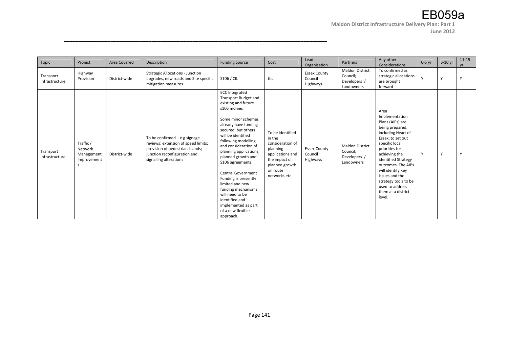**June 2012** 

| Topic                       | Project                                           | Area Covered  | Description                                                                                                                                                        | <b>Funding Source</b>                                                                                                                                                                                                                                                                                                                                                                                                                                                                                | Cost                                                                                                                                          | Lead<br>Organisation                       | Partners                                                         | Any other<br>Considerations                                                                                                                                                                                                                                                                                                  | $0-5$ yr | 6-10 yr      | $11 - 15$<br><b>vr</b> |
|-----------------------------|---------------------------------------------------|---------------|--------------------------------------------------------------------------------------------------------------------------------------------------------------------|------------------------------------------------------------------------------------------------------------------------------------------------------------------------------------------------------------------------------------------------------------------------------------------------------------------------------------------------------------------------------------------------------------------------------------------------------------------------------------------------------|-----------------------------------------------------------------------------------------------------------------------------------------------|--------------------------------------------|------------------------------------------------------------------|------------------------------------------------------------------------------------------------------------------------------------------------------------------------------------------------------------------------------------------------------------------------------------------------------------------------------|----------|--------------|------------------------|
| Transport<br>Infrastructure | Highway<br>Provision                              | District-wide | <b>Strategic Allocations - Junction</b><br>upgrades, new roads and Site specific<br>mitigation measures                                                            | S106 / CIL                                                                                                                                                                                                                                                                                                                                                                                                                                                                                           | tbc                                                                                                                                           | <b>Essex County</b><br>Council<br>Highways | <b>Maldon District</b><br>Council;<br>Developers /<br>Landowners | To confirmed as<br>strategic allocations<br>are brought<br>forward                                                                                                                                                                                                                                                           | Y        | $\checkmark$ | Y                      |
| Transport<br>Infrastructure | Traffic /<br>Network<br>Management<br>Improvement | District-wide | To be confirmed - e.g signage<br>reviews; extension of speed limits;<br>provision of pedestrian islands;<br>junction reconfiguration and<br>signalling alterations | <b>ECC Integrated</b><br><b>Transport Budget and</b><br>existing and future<br>s106 monies<br>Some minor schemes<br>already have funding<br>secured, but others<br>will be identified<br>following modelling<br>and consideration of<br>planning applications,<br>planned growth and<br>S106 agreements.<br><b>Central Government</b><br>Funding is presently<br>limited and new<br>funding mechanisms<br>will need to be<br>identified and<br>implemented as part<br>of a new flexible<br>approach. | To be identified<br>in the<br>consideration of<br>planning<br>applications and<br>the impact of<br>planned growth<br>on route<br>networks etc | <b>Essex County</b><br>Council<br>Highways | <b>Maldon District</b><br>Council;<br>Developers /<br>Landowners | Area<br>Implementation<br>Plans (AIPs) are<br>being prepared,<br>including Heart of<br>Essex, to set out<br>specific local<br>priorities for<br>achieving the<br>identified Strategy<br>outcomes. The AIPs<br>will identify key<br>issues and the<br>strategy tools to be<br>used to address<br>them at a district<br>level. | Y        |              | $\mathbf v$            |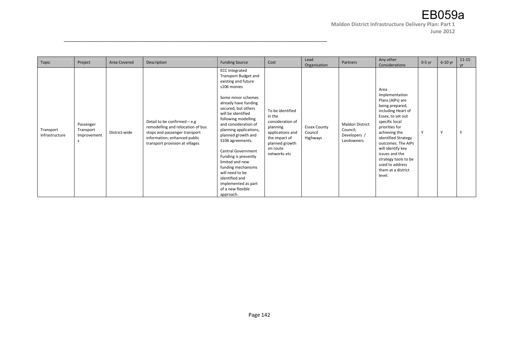#### **June 2012**

| Topic                       | Project                               | Area Covered  | Description                                                                                                                                                             | <b>Funding Source</b>                                                                                                                                                                                                                                                                                                                                                                                                                                                                                | Cost                                                                                                                                          | Lead<br>Organisation                       | Partners                                                         | Any other<br>Considerations                                                                                                                                                                                                                                                                                                  | $0-5$ yr | 6-10 yr      | $11 - 15$<br><b>vr</b> |
|-----------------------------|---------------------------------------|---------------|-------------------------------------------------------------------------------------------------------------------------------------------------------------------------|------------------------------------------------------------------------------------------------------------------------------------------------------------------------------------------------------------------------------------------------------------------------------------------------------------------------------------------------------------------------------------------------------------------------------------------------------------------------------------------------------|-----------------------------------------------------------------------------------------------------------------------------------------------|--------------------------------------------|------------------------------------------------------------------|------------------------------------------------------------------------------------------------------------------------------------------------------------------------------------------------------------------------------------------------------------------------------------------------------------------------------|----------|--------------|------------------------|
| Transport<br>Infrastructure | Passenger<br>Transport<br>Improvement | District-wide | Detail to be confirmed $-$ e.g<br>remodelling and relocation of bus<br>stops and passenger transport<br>information; enhanced public<br>transport provision at villages | <b>ECC Integrated</b><br><b>Transport Budget and</b><br>existing and future<br>s106 monies<br>Some minor schemes<br>already have funding<br>secured, but others<br>will be identified<br>following modelling<br>and consideration of<br>planning applications,<br>planned growth and<br>S106 agreements.<br><b>Central Government</b><br>Funding is presently<br>limited and new<br>funding mechanisms<br>will need to be<br>identified and<br>implemented as part<br>of a new flexible<br>approach. | To be identified<br>in the<br>consideration of<br>planning<br>applications and<br>the impact of<br>planned growth<br>on route<br>networks etc | <b>Essex County</b><br>Council<br>Highways | <b>Maldon District</b><br>Council;<br>Developers /<br>Landowners | Area<br>Implementation<br>Plans (AIPs) are<br>being prepared,<br>including Heart of<br>Essex, to set out<br>specific local<br>priorities for<br>achieving the<br>identified Strategy<br>outcomes. The AIPs<br>will identify key<br>issues and the<br>strategy tools to be<br>used to address<br>them at a district<br>level. | Y        | $\mathbf{v}$ | Y                      |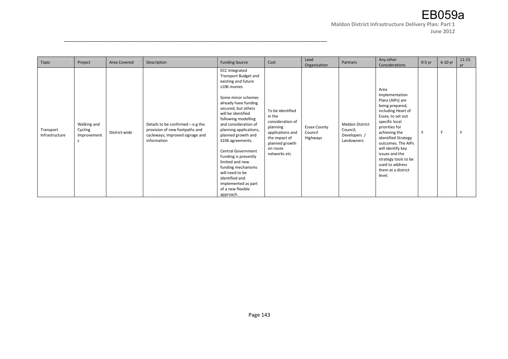#### **June 2012**

| Topic                       | Project                                     | Area Covered  | Description                                                                                                             | <b>Funding Source</b>                                                                                                                                                                                                                                                                                                                                                                                                                                                                                | Cost                                                                                                                                          | Lead<br>Organisation                       | Partners                                                         | Any other<br>Considerations                                                                                                                                                                                                                                                                                                  | $0-5$ yr | 6-10 yr | $11 - 15$<br><b>vr</b> |
|-----------------------------|---------------------------------------------|---------------|-------------------------------------------------------------------------------------------------------------------------|------------------------------------------------------------------------------------------------------------------------------------------------------------------------------------------------------------------------------------------------------------------------------------------------------------------------------------------------------------------------------------------------------------------------------------------------------------------------------------------------------|-----------------------------------------------------------------------------------------------------------------------------------------------|--------------------------------------------|------------------------------------------------------------------|------------------------------------------------------------------------------------------------------------------------------------------------------------------------------------------------------------------------------------------------------------------------------------------------------------------------------|----------|---------|------------------------|
| Transport<br>Infrastructure | Walking and<br>Cycling<br>Improvement<br>S. | District-wide | Details to be confirmed $-$ e.g the<br>provision of new footpaths and<br>cycleways; improved signage and<br>information | <b>ECC Integrated</b><br><b>Transport Budget and</b><br>existing and future<br>s106 monies<br>Some minor schemes<br>already have funding<br>secured, but others<br>will be identified<br>following modelling<br>and consideration of<br>planning applications,<br>planned growth and<br>S106 agreements.<br><b>Central Government</b><br>Funding is presently<br>limited and new<br>funding mechanisms<br>will need to be<br>identified and<br>implemented as part<br>of a new flexible<br>approach. | To be identified<br>in the<br>consideration of<br>planning<br>applications and<br>the impact of<br>planned growth<br>on route<br>networks etc | <b>Essex County</b><br>Council<br>Highways | <b>Maldon District</b><br>Council;<br>Developers /<br>Landowners | Area<br>Implementation<br>Plans (AIPs) are<br>being prepared,<br>including Heart of<br>Essex, to set out<br>specific local<br>priorities for<br>achieving the<br>identified Strategy<br>outcomes. The AIPs<br>will identify key<br>issues and the<br>strategy tools to be<br>used to address<br>them at a district<br>level. | Y        | Y       | Y                      |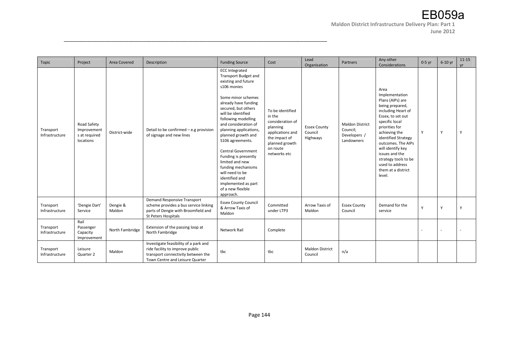| Topic                       | Project                                                  | Area Covered       | Description                                                                                                                                       | <b>Funding Source</b>                                                                                                                                                                                                                                                                                                                                                                                                                                                                                | Cost                                                                                                                                          | Lead<br>Organisation                       | Partners                                                         | Any other<br>Considerations                                                                                                                                                                                                                                                                                                  | $0-5$ yr | $6-10$ yr | $11 - 15$<br>vr |
|-----------------------------|----------------------------------------------------------|--------------------|---------------------------------------------------------------------------------------------------------------------------------------------------|------------------------------------------------------------------------------------------------------------------------------------------------------------------------------------------------------------------------------------------------------------------------------------------------------------------------------------------------------------------------------------------------------------------------------------------------------------------------------------------------------|-----------------------------------------------------------------------------------------------------------------------------------------------|--------------------------------------------|------------------------------------------------------------------|------------------------------------------------------------------------------------------------------------------------------------------------------------------------------------------------------------------------------------------------------------------------------------------------------------------------------|----------|-----------|-----------------|
| Transport<br>Infrastructure | Road Safety<br>Improvement<br>s at required<br>locations | District-wide      | Detail to be confirmed - e.g provision<br>of signage and new lines                                                                                | <b>ECC Integrated</b><br><b>Transport Budget and</b><br>existing and future<br>s106 monies<br>Some minor schemes<br>already have funding<br>secured, but others<br>will be identified<br>following modelling<br>and consideration of<br>planning applications,<br>planned growth and<br>S106 agreements.<br><b>Central Government</b><br>Funding is presently<br>limited and new<br>funding mechanisms<br>will need to be<br>identified and<br>implemented as part<br>of a new flexible<br>approach. | To be identified<br>in the<br>consideration of<br>planning<br>applications and<br>the impact of<br>planned growth<br>on route<br>networks etc | <b>Essex County</b><br>Council<br>Highways | <b>Maldon District</b><br>Council;<br>Developers /<br>Landowners | Area<br>Implementation<br>Plans (AIPs) are<br>being prepared,<br>including Heart of<br>Essex, to set out<br>specific local<br>priorities for<br>achieving the<br>identified Strategy<br>outcomes. The AIPs<br>will identify key<br>issues and the<br>strategy tools to be<br>used to address<br>them at a district<br>level. | Y        | Υ         | Y               |
| Transport<br>Infrastructure | 'Dengie Dart'<br>Service                                 | Dengie &<br>Maldon | Demand Responsive Transport<br>scheme provides a bus service linking<br>parts of Dengie with Broomfield and<br>St Peters Hospitals                | <b>Essex County Council</b><br>& Arrow Taxis of<br>Maldon                                                                                                                                                                                                                                                                                                                                                                                                                                            | Committed<br>under LTP3                                                                                                                       | Arrow Taxis of<br>Maldon                   | <b>Essex County</b><br>Council                                   | Demand for the<br>service                                                                                                                                                                                                                                                                                                    | Y        | v         | Y               |
| Transport<br>Infrastructure | Rail<br>Passenger<br>Capacity<br>Improvement             | North Fambridge    | Extension of the passing loop at<br>North Fambridge                                                                                               | <b>Network Rail</b>                                                                                                                                                                                                                                                                                                                                                                                                                                                                                  | Complete                                                                                                                                      |                                            |                                                                  |                                                                                                                                                                                                                                                                                                                              |          |           |                 |
| Transport<br>Infrastructure | Leisure<br>Quarter 2                                     | Maldon             | Investigate feasibility of a park and<br>ride facility to improve public<br>transport connectivity between the<br>Town Centre and Leisure Quarter | tbc                                                                                                                                                                                                                                                                                                                                                                                                                                                                                                  | tbc                                                                                                                                           | <b>Maldon District</b><br>Council          | n/a                                                              |                                                                                                                                                                                                                                                                                                                              |          |           |                 |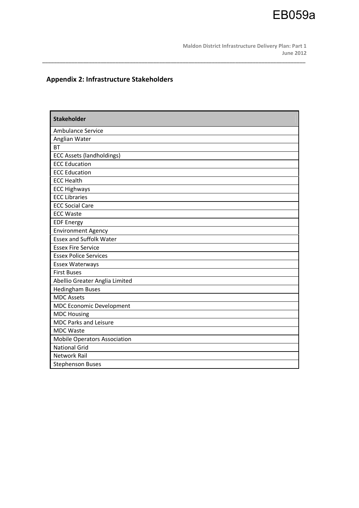

## **Appendix 2: Infrastructure Stakeholders**

| <b>Stakeholder</b>                  |
|-------------------------------------|
| Ambulance Service                   |
| Anglian Water                       |
| <b>BT</b>                           |
| <b>ECC Assets (landholdings)</b>    |
| <b>ECC Education</b>                |
| <b>ECC Education</b>                |
| <b>ECC Health</b>                   |
| <b>ECC Highways</b>                 |
| <b>ECC Libraries</b>                |
| <b>ECC Social Care</b>              |
| <b>ECC Waste</b>                    |
| <b>EDF Energy</b>                   |
| <b>Environment Agency</b>           |
| <b>Essex and Suffolk Water</b>      |
| <b>Essex Fire Service</b>           |
| <b>Essex Police Services</b>        |
| <b>Essex Waterways</b>              |
| <b>First Buses</b>                  |
| Abellio Greater Anglia Limited      |
| <b>Hedingham Buses</b>              |
| <b>MDC Assets</b>                   |
| <b>MDC Economic Development</b>     |
| <b>MDC Housing</b>                  |
| <b>MDC Parks and Leisure</b>        |
| <b>MDC Waste</b>                    |
| <b>Mobile Operators Association</b> |
| <b>National Grid</b>                |
| <b>Network Rail</b>                 |
| <b>Stephenson Buses</b>             |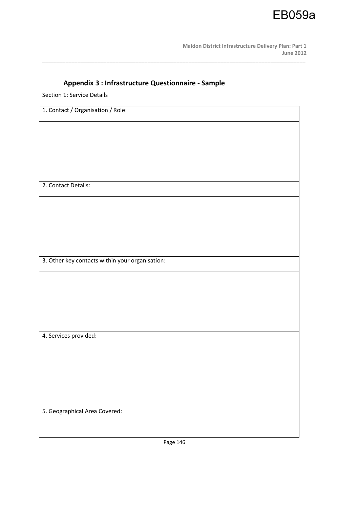

## **Appendix 3 : Infrastructure Questionnaire - Sample**

\_\_\_\_\_\_\_\_\_\_\_\_\_\_\_\_\_\_\_\_\_\_\_\_\_\_\_\_\_\_\_\_\_\_\_\_\_\_\_\_\_\_\_\_\_\_\_\_\_\_\_\_\_\_\_\_\_\_\_\_\_\_\_\_\_\_\_\_\_\_\_\_\_\_\_\_\_\_\_\_\_\_\_\_\_\_\_\_\_\_

Section 1: Service Details

| 1. Contact / Organisation / Role:               |
|-------------------------------------------------|
|                                                 |
|                                                 |
|                                                 |
|                                                 |
| 2. Contact Details:                             |
|                                                 |
|                                                 |
|                                                 |
|                                                 |
| 3. Other key contacts within your organisation: |
|                                                 |
|                                                 |
|                                                 |
|                                                 |
| 4. Services provided:                           |
|                                                 |
|                                                 |
|                                                 |
|                                                 |
| 5. Geographical Area Covered:                   |
|                                                 |
|                                                 |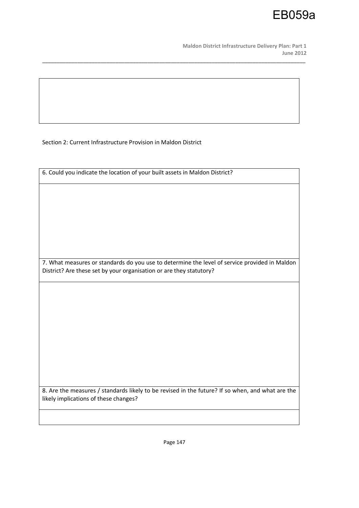EB059a

Section 2: Current Infrastructure Provision in Maldon District

| 6. Could you indicate the location of your built assets in Maldon District?                      |
|--------------------------------------------------------------------------------------------------|
|                                                                                                  |
|                                                                                                  |
|                                                                                                  |
|                                                                                                  |
|                                                                                                  |
|                                                                                                  |
|                                                                                                  |
|                                                                                                  |
| 7. What measures or standards do you use to determine the level of service provided in Maldon    |
| District? Are these set by your organisation or are they statutory?                              |
|                                                                                                  |
|                                                                                                  |
|                                                                                                  |
|                                                                                                  |
|                                                                                                  |
|                                                                                                  |
|                                                                                                  |
|                                                                                                  |
|                                                                                                  |
|                                                                                                  |
|                                                                                                  |
| 8. Are the measures / standards likely to be revised in the future? If so when, and what are the |
| likely implications of these changes?                                                            |
|                                                                                                  |
|                                                                                                  |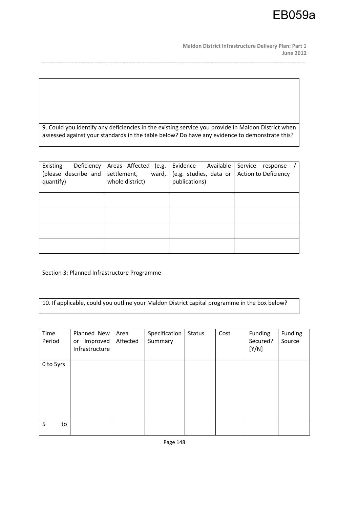**Maldon District Infrastructure Delivery Plan: Part 1 June 2012** 

9. Could you identify any deficiencies in the existing service you provide in Maldon District when assessed against your standards in the table below? Do have any evidence to demonstrate this?

\_\_\_\_\_\_\_\_\_\_\_\_\_\_\_\_\_\_\_\_\_\_\_\_\_\_\_\_\_\_\_\_\_\_\_\_\_\_\_\_\_\_\_\_\_\_\_\_\_\_\_\_\_\_\_\_\_\_\_\_\_\_\_\_\_\_\_\_\_\_\_\_\_\_\_\_\_\_\_\_\_\_\_\_\_\_\_\_\_\_

| Existing<br>Deficiency<br>(please describe and<br>quantify) | Areas Affected<br>(e.g.<br>settlement,<br>ward,<br>whole district) | Evidence<br>Available<br>(e.g. studies, data or<br>publications) | Service<br>response<br>Action to Deficiency |
|-------------------------------------------------------------|--------------------------------------------------------------------|------------------------------------------------------------------|---------------------------------------------|
|                                                             |                                                                    |                                                                  |                                             |
|                                                             |                                                                    |                                                                  |                                             |
|                                                             |                                                                    |                                                                  |                                             |
|                                                             |                                                                    |                                                                  |                                             |

Section 3: Planned Infrastructure Programme

10. If applicable, could you outline your Maldon District capital programme in the box below?

| Time<br>Period | Planned New<br>Improved<br>or<br>Infrastructure | Area<br>Affected | Specification<br>Summary | <b>Status</b> | Cost | Funding<br>Secured?<br>[Y/N] | Funding<br>Source |
|----------------|-------------------------------------------------|------------------|--------------------------|---------------|------|------------------------------|-------------------|
| 0 to 5yrs      |                                                 |                  |                          |               |      |                              |                   |
| 5<br>to        |                                                 |                  |                          |               |      |                              |                   |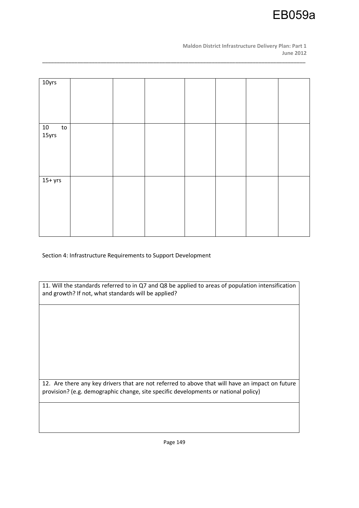

| 10yrs                            |  |  |  |  |
|----------------------------------|--|--|--|--|
|                                  |  |  |  |  |
|                                  |  |  |  |  |
|                                  |  |  |  |  |
|                                  |  |  |  |  |
|                                  |  |  |  |  |
|                                  |  |  |  |  |
|                                  |  |  |  |  |
|                                  |  |  |  |  |
|                                  |  |  |  |  |
|                                  |  |  |  |  |
| $\frac{10}{15 \text{yrs}}$<br>to |  |  |  |  |
|                                  |  |  |  |  |
|                                  |  |  |  |  |
|                                  |  |  |  |  |
|                                  |  |  |  |  |
|                                  |  |  |  |  |
|                                  |  |  |  |  |
|                                  |  |  |  |  |
|                                  |  |  |  |  |
|                                  |  |  |  |  |
|                                  |  |  |  |  |
|                                  |  |  |  |  |
|                                  |  |  |  |  |
|                                  |  |  |  |  |
| $15+$ yrs                        |  |  |  |  |
|                                  |  |  |  |  |
|                                  |  |  |  |  |
|                                  |  |  |  |  |
|                                  |  |  |  |  |
|                                  |  |  |  |  |
|                                  |  |  |  |  |
|                                  |  |  |  |  |
|                                  |  |  |  |  |
|                                  |  |  |  |  |
|                                  |  |  |  |  |
|                                  |  |  |  |  |
|                                  |  |  |  |  |
|                                  |  |  |  |  |

\_\_\_\_\_\_\_\_\_\_\_\_\_\_\_\_\_\_\_\_\_\_\_\_\_\_\_\_\_\_\_\_\_\_\_\_\_\_\_\_\_\_\_\_\_\_\_\_\_\_\_\_\_\_\_\_\_\_\_\_\_\_\_\_\_\_\_\_\_\_\_\_\_\_\_\_\_\_\_\_\_\_\_\_\_\_\_\_\_\_

Section 4: Infrastructure Requirements to Support Development

| 11. Will the standards referred to in Q7 and Q8 be applied to areas of population intensification |
|---------------------------------------------------------------------------------------------------|
| and growth? If not, what standards will be applied?                                               |

12. Are there any key drivers that are not referred to above that will have an impact on future provision? (e.g. demographic change, site specific developments or national policy)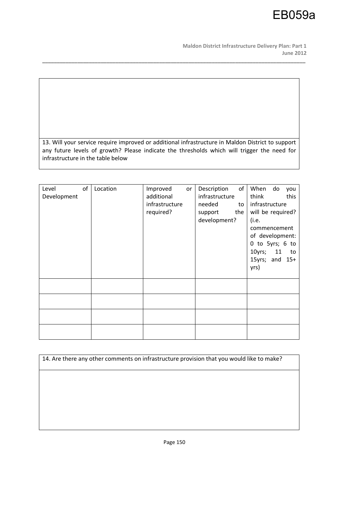**Maldon District Infrastructure Delivery Plan: Part 1 June 2012** 

13. Will your service require improved or additional infrastructure in Maldon District to support any future levels of growth? Please indicate the thresholds which will trigger the need for infrastructure in the table below

\_\_\_\_\_\_\_\_\_\_\_\_\_\_\_\_\_\_\_\_\_\_\_\_\_\_\_\_\_\_\_\_\_\_\_\_\_\_\_\_\_\_\_\_\_\_\_\_\_\_\_\_\_\_\_\_\_\_\_\_\_\_\_\_\_\_\_\_\_\_\_\_\_\_\_\_\_\_\_\_\_\_\_\_\_\_\_\_\_\_

| Level<br>Development | of | Location | Improved<br>or<br>additional<br>infrastructure<br>required? | of<br>Description<br>infrastructure<br>needed<br>to<br>the<br>support<br>development? | When<br>do<br>you<br>think<br>this<br>infrastructure<br>will be required?<br>(i.e.<br>commencement<br>of development:<br>0 to 5yrs; 6 to<br>10yrs;<br>11<br>to<br>15yrs; and $15+$<br>yrs) |
|----------------------|----|----------|-------------------------------------------------------------|---------------------------------------------------------------------------------------|--------------------------------------------------------------------------------------------------------------------------------------------------------------------------------------------|
|                      |    |          |                                                             |                                                                                       |                                                                                                                                                                                            |
|                      |    |          |                                                             |                                                                                       |                                                                                                                                                                                            |
|                      |    |          |                                                             |                                                                                       |                                                                                                                                                                                            |
|                      |    |          |                                                             |                                                                                       |                                                                                                                                                                                            |

14. Are there any other comments on infrastructure provision that you would like to make?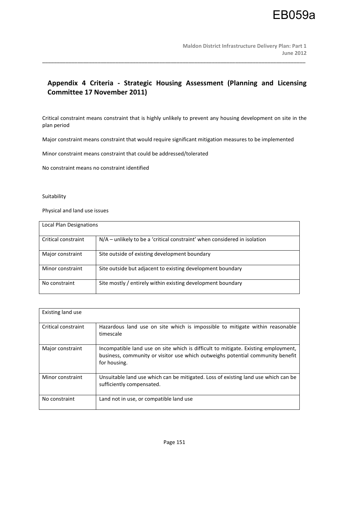### **Appendix 4 Criteria - Strategic Housing Assessment (Planning and Licensing Committee 17 November 2011)**

\_\_\_\_\_\_\_\_\_\_\_\_\_\_\_\_\_\_\_\_\_\_\_\_\_\_\_\_\_\_\_\_\_\_\_\_\_\_\_\_\_\_\_\_\_\_\_\_\_\_\_\_\_\_\_\_\_\_\_\_\_\_\_\_\_\_\_\_\_\_\_\_\_\_\_\_\_\_\_\_\_\_\_\_\_\_\_\_\_\_

Critical constraint means constraint that is highly unlikely to prevent any housing development on site in the plan period

Major constraint means constraint that would require significant mitigation measures to be implemented

Minor constraint means constraint that could be addressed/tolerated

No constraint means no constraint identified

#### Suitability

Physical and land use issues

| Local Plan Designations |                                                                             |  |  |  |
|-------------------------|-----------------------------------------------------------------------------|--|--|--|
|                         |                                                                             |  |  |  |
| Critical constraint     | $N/A$ – unlikely to be a 'critical constraint' when considered in isolation |  |  |  |
| Major constraint        | Site outside of existing development boundary                               |  |  |  |
| Minor constraint        | Site outside but adjacent to existing development boundary                  |  |  |  |
| No constraint           | Site mostly / entirely within existing development boundary                 |  |  |  |

| Existing land use   |                                                                                                                                                                                      |
|---------------------|--------------------------------------------------------------------------------------------------------------------------------------------------------------------------------------|
| Critical constraint | Hazardous land use on site which is impossible to mitigate within reasonable<br>timescale                                                                                            |
| Major constraint    | Incompatible land use on site which is difficult to mitigate. Existing employment,<br>business, community or visitor use which outweighs potential community benefit<br>for housing. |
| Minor constraint    | Unsuitable land use which can be mitigated. Loss of existing land use which can be<br>sufficiently compensated.                                                                      |
| No constraint       | Land not in use, or compatible land use                                                                                                                                              |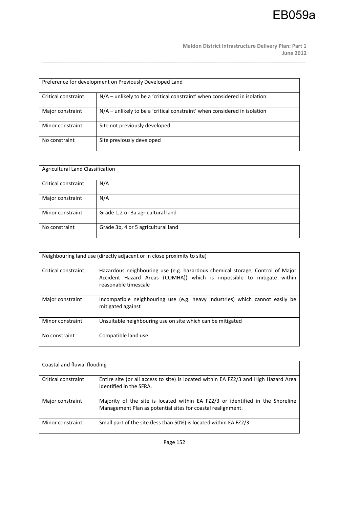**Maldon District Infrastructure Delivery Plan: Part 1 June 2012** 

| Preference for development on Previously Developed Land |                                                                             |  |  |  |
|---------------------------------------------------------|-----------------------------------------------------------------------------|--|--|--|
| Critical constraint                                     | $N/A$ – unlikely to be a 'critical constraint' when considered in isolation |  |  |  |
| Major constraint                                        | $N/A$ – unlikely to be a 'critical constraint' when considered in isolation |  |  |  |
| Minor constraint                                        | Site not previously developed                                               |  |  |  |
| No constraint                                           | Site previously developed                                                   |  |  |  |

| <b>Agricultural Land Classification</b> |                                    |  |  |  |
|-----------------------------------------|------------------------------------|--|--|--|
| Critical constraint                     | N/A                                |  |  |  |
| Major constraint                        | N/A                                |  |  |  |
| Minor constraint                        | Grade 1,2 or 3a agricultural land  |  |  |  |
| No constraint                           | Grade 3b, 4 or 5 agricultural land |  |  |  |

| Neighbouring land use (directly adjacent or in close proximity to site) |                                                                                                                                                                                |  |
|-------------------------------------------------------------------------|--------------------------------------------------------------------------------------------------------------------------------------------------------------------------------|--|
| Critical constraint                                                     | Hazardous neighbouring use (e.g. hazardous chemical storage, Control of Major<br>Accident Hazard Areas (COMHA)) which is impossible to mitigate within<br>reasonable timescale |  |
| Major constraint                                                        | Incompatible neighbouring use (e.g. heavy industries) which cannot easily be<br>mitigated against                                                                              |  |
| Minor constraint                                                        | Unsuitable neighbouring use on site which can be mitigated                                                                                                                     |  |
| No constraint                                                           | Compatible land use                                                                                                                                                            |  |

| Coastal and fluvial flooding |                                                                                                                                               |
|------------------------------|-----------------------------------------------------------------------------------------------------------------------------------------------|
| Critical constraint          | Entire site (or all access to site) is located within EA FZ2/3 and High Hazard Area<br>identified in the SFRA.                                |
| Major constraint             | Majority of the site is located within EA FZ2/3 or identified in the Shoreline<br>Management Plan as potential sites for coastal realignment. |
| Minor constraint             | Small part of the site (less than 50%) is located within EA FZ2/3                                                                             |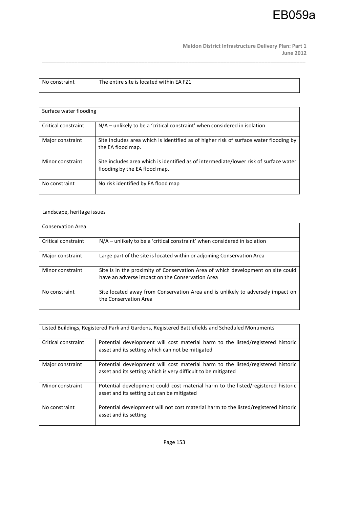**Maldon District Infrastructure Delivery Plan: Part 1 June 2012** 

| No constraint | The entire site is located within EA FZ1 |
|---------------|------------------------------------------|
|               |                                          |

\_\_\_\_\_\_\_\_\_\_\_\_\_\_\_\_\_\_\_\_\_\_\_\_\_\_\_\_\_\_\_\_\_\_\_\_\_\_\_\_\_\_\_\_\_\_\_\_\_\_\_\_\_\_\_\_\_\_\_\_\_\_\_\_\_\_\_\_\_\_\_\_\_\_\_\_\_\_\_\_\_\_\_\_\_\_\_\_\_\_

| Surface water flooding |                                                                                                                        |
|------------------------|------------------------------------------------------------------------------------------------------------------------|
| Critical constraint    | $N/A$ – unlikely to be a 'critical constraint' when considered in isolation                                            |
| Major constraint       | Site includes area which is identified as of higher risk of surface water flooding by<br>the EA flood map.             |
| Minor constraint       | Site includes area which is identified as of intermediate/lower risk of surface water<br>flooding by the EA flood map. |
| No constraint          | No risk identified by EA flood map                                                                                     |

### Landscape, heritage issues

| <b>Conservation Area</b> |                                                                                                                                     |
|--------------------------|-------------------------------------------------------------------------------------------------------------------------------------|
| Critical constraint      | $N/A$ – unlikely to be a 'critical constraint' when considered in isolation                                                         |
| Major constraint         | Large part of the site is located within or adjoining Conservation Area                                                             |
| Minor constraint         | Site is in the proximity of Conservation Area of which development on site could<br>have an adverse impact on the Conservation Area |
| No constraint            | Site located away from Conservation Area and is unlikely to adversely impact on<br>the Conservation Area                            |

| Listed Buildings, Registered Park and Gardens, Registered Battlefields and Scheduled Monuments |                                                                                                                                                  |  |
|------------------------------------------------------------------------------------------------|--------------------------------------------------------------------------------------------------------------------------------------------------|--|
| Critical constraint                                                                            | Potential development will cost material harm to the listed/registered historic<br>asset and its setting which can not be mitigated              |  |
| Major constraint                                                                               | Potential development will cost material harm to the listed/registered historic<br>asset and its setting which is very difficult to be mitigated |  |
| Minor constraint                                                                               | Potential development could cost material harm to the listed/registered historic<br>asset and its setting but can be mitigated                   |  |
| No constraint                                                                                  | Potential development will not cost material harm to the listed/registered historic<br>asset and its setting                                     |  |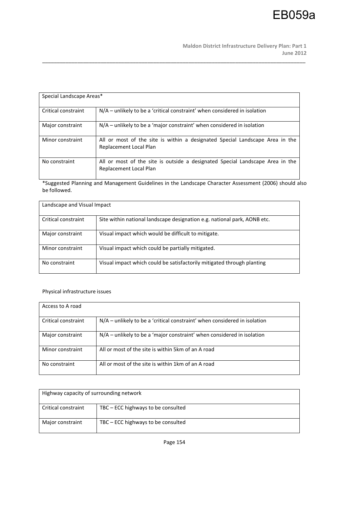| Special Landscape Areas* |                                                                                                         |
|--------------------------|---------------------------------------------------------------------------------------------------------|
| Critical constraint      | $N/A$ – unlikely to be a 'critical constraint' when considered in isolation                             |
| Major constraint         | $N/A$ – unlikely to be a 'major constraint' when considered in isolation                                |
| Minor constraint         | All or most of the site is within a designated Special Landscape Area in the<br>Replacement Local Plan  |
| No constraint            | All or most of the site is outside a designated Special Landscape Area in the<br>Replacement Local Plan |

\_\_\_\_\_\_\_\_\_\_\_\_\_\_\_\_\_\_\_\_\_\_\_\_\_\_\_\_\_\_\_\_\_\_\_\_\_\_\_\_\_\_\_\_\_\_\_\_\_\_\_\_\_\_\_\_\_\_\_\_\_\_\_\_\_\_\_\_\_\_\_\_\_\_\_\_\_\_\_\_\_\_\_\_\_\_\_\_\_\_

\*Suggested Planning and Management Guidelines in the Landscape Character Assessment (2006) should also be followed.

| Landscape and Visual Impact |                                                                          |  |
|-----------------------------|--------------------------------------------------------------------------|--|
| Critical constraint         | Site within national landscape designation e.g. national park, AONB etc. |  |
| Major constraint            | Visual impact which would be difficult to mitigate.                      |  |
| Minor constraint            | Visual impact which could be partially mitigated.                        |  |
| No constraint               | Visual impact which could be satisfactorily mitigated through planting   |  |

### Physical infrastructure issues

| Access to A road    |                                                                             |
|---------------------|-----------------------------------------------------------------------------|
| Critical constraint | $N/A$ – unlikely to be a 'critical constraint' when considered in isolation |
| Major constraint    | $N/A$ – unlikely to be a 'major constraint' when considered in isolation    |
| Minor constraint    | All or most of the site is within 5km of an A road                          |
| No constraint       | All or most of the site is within 1km of an A road                          |

| Highway capacity of surrounding network |                                    |
|-----------------------------------------|------------------------------------|
| Critical constraint                     | TBC – ECC highways to be consulted |
| Major constraint                        | TBC – ECC highways to be consulted |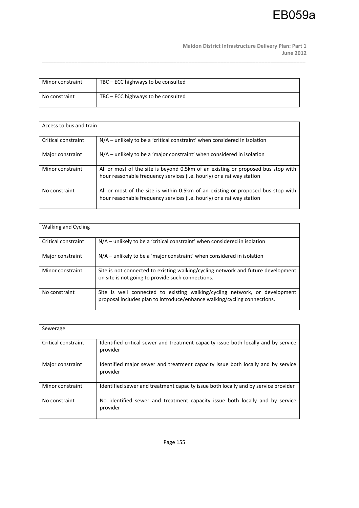**Maldon District Infrastructure Delivery Plan: Part 1 June 2012** 

| Minor constraint | TBC – ECC highways to be consulted |
|------------------|------------------------------------|
| No constraint    | TBC – ECC highways to be consulted |

| Access to bus and train |                                                                                                                                                           |
|-------------------------|-----------------------------------------------------------------------------------------------------------------------------------------------------------|
| Critical constraint     | $N/A$ – unlikely to be a 'critical constraint' when considered in isolation                                                                               |
| Major constraint        | $N/A$ – unlikely to be a 'major constraint' when considered in isolation                                                                                  |
| Minor constraint        | All or most of the site is beyond 0.5km of an existing or proposed bus stop with<br>hour reasonable frequency services (i.e. hourly) or a railway station |
| No constraint           | All or most of the site is within 0.5km of an existing or proposed bus stop with<br>hour reasonable frequency services (i.e. hourly) or a railway station |

| <b>Walking and Cycling</b> |                                                                                                                                                        |
|----------------------------|--------------------------------------------------------------------------------------------------------------------------------------------------------|
| Critical constraint        | $N/A$ – unlikely to be a 'critical constraint' when considered in isolation                                                                            |
| Major constraint           | $N/A$ – unlikely to be a 'major constraint' when considered in isolation                                                                               |
| Minor constraint           | Site is not connected to existing walking/cycling network and future development<br>on site is not going to provide such connections.                  |
| No constraint              | Site is well connected to existing walking/cycling network, or development<br>proposal includes plan to introduce/enhance walking/cycling connections. |

| Sewerage            |                                                                                                |
|---------------------|------------------------------------------------------------------------------------------------|
| Critical constraint | Identified critical sewer and treatment capacity issue both locally and by service<br>provider |
| Major constraint    | Identified major sewer and treatment capacity issue both locally and by service<br>provider    |
| Minor constraint    | Identified sewer and treatment capacity issue both locally and by service provider             |
| No constraint       | No identified sewer and treatment capacity issue both locally and by service<br>provider       |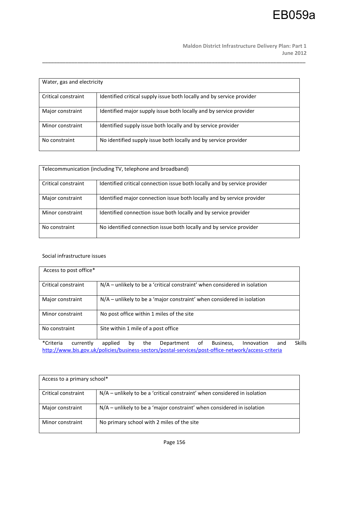**Maldon District Infrastructure Delivery Plan: Part 1 June 2012** 

| Water, gas and electricity |                                                                       |  |
|----------------------------|-----------------------------------------------------------------------|--|
| Critical constraint        | Identified critical supply issue both locally and by service provider |  |
| Major constraint           | Identified major supply issue both locally and by service provider    |  |
| Minor constraint           | Identified supply issue both locally and by service provider          |  |
| No constraint              | No identified supply issue both locally and by service provider       |  |

\_\_\_\_\_\_\_\_\_\_\_\_\_\_\_\_\_\_\_\_\_\_\_\_\_\_\_\_\_\_\_\_\_\_\_\_\_\_\_\_\_\_\_\_\_\_\_\_\_\_\_\_\_\_\_\_\_\_\_\_\_\_\_\_\_\_\_\_\_\_\_\_\_\_\_\_\_\_\_\_\_\_\_\_\_\_\_\_\_\_

| Telecommunication (including TV, telephone and broadband) |                                                                           |  |
|-----------------------------------------------------------|---------------------------------------------------------------------------|--|
| Critical constraint                                       | Identified critical connection issue both locally and by service provider |  |
| Major constraint                                          | Identified major connection issue both locally and by service provider    |  |
| Minor constraint                                          | Identified connection issue both locally and by service provider          |  |
| No constraint                                             | No identified connection issue both locally and by service provider       |  |

#### Social infrastructure issues

| Access to post office* |                                                                                             |
|------------------------|---------------------------------------------------------------------------------------------|
| Critical constraint    | $N/A$ – unlikely to be a 'critical constraint' when considered in isolation                 |
| Major constraint       | $N/A$ – unlikely to be a 'major constraint' when considered in isolation                    |
| Minor constraint       | No post office within 1 miles of the site                                                   |
| No constraint          | Site within 1 mile of a post office                                                         |
| *Criteria<br>currently | <b>Skills</b><br>Business,<br>applied<br>Innovation<br>Department<br>and<br>the<br>οf<br>bv |

http://www.bis.gov.uk/policies/business-sectors/postal-services/post-office-network/access-criteria

| Access to a primary school* |                                                                           |  |
|-----------------------------|---------------------------------------------------------------------------|--|
| Critical constraint         | N/A - unlikely to be a 'critical constraint' when considered in isolation |  |
| Major constraint            | $N/A$ – unlikely to be a 'major constraint' when considered in isolation  |  |
| Minor constraint            | No primary school with 2 miles of the site                                |  |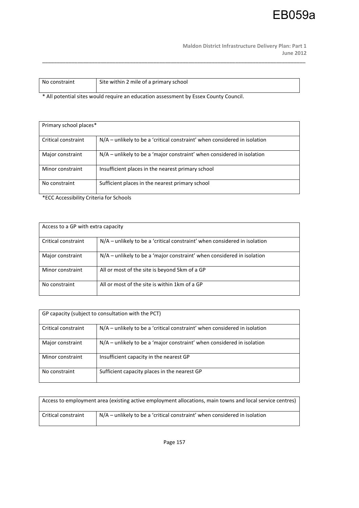**Maldon District Infrastructure Delivery Plan: Part 1 June 2012** 

| No constraint | Site within 2 mile of a primary school |
|---------------|----------------------------------------|
|               |                                        |

\_\_\_\_\_\_\_\_\_\_\_\_\_\_\_\_\_\_\_\_\_\_\_\_\_\_\_\_\_\_\_\_\_\_\_\_\_\_\_\_\_\_\_\_\_\_\_\_\_\_\_\_\_\_\_\_\_\_\_\_\_\_\_\_\_\_\_\_\_\_\_\_\_\_\_\_\_\_\_\_\_\_\_\_\_\_\_\_\_\_

\* All potential sites would require an education assessment by Essex County Council.

| Primary school places* |                                                                           |  |
|------------------------|---------------------------------------------------------------------------|--|
| Critical constraint    | N/A - unlikely to be a 'critical constraint' when considered in isolation |  |
| Major constraint       | N/A – unlikely to be a 'major constraint' when considered in isolation    |  |
| Minor constraint       | Insufficient places in the nearest primary school                         |  |
| No constraint          | Sufficient places in the nearest primary school                           |  |

\*ECC Accessibility Criteria for Schools

| Access to a GP with extra capacity |                                                                             |  |
|------------------------------------|-----------------------------------------------------------------------------|--|
| Critical constraint                | $N/A$ – unlikely to be a 'critical constraint' when considered in isolation |  |
| Major constraint                   | $N/A$ – unlikely to be a 'major constraint' when considered in isolation    |  |
| Minor constraint                   | All or most of the site is beyond 5km of a GP                               |  |
| No constraint                      | All or most of the site is within 1km of a GP                               |  |

| GP capacity (subject to consultation with the PCT) |                                                                             |  |
|----------------------------------------------------|-----------------------------------------------------------------------------|--|
| Critical constraint                                | $N/A$ – unlikely to be a 'critical constraint' when considered in isolation |  |
| Major constraint                                   | $N/A$ – unlikely to be a 'major constraint' when considered in isolation    |  |
| Minor constraint                                   | Insufficient capacity in the nearest GP                                     |  |
| No constraint                                      | Sufficient capacity places in the nearest GP                                |  |

| Access to employment area (existing active employment allocations, main towns and local service centres) |                                                                           |
|----------------------------------------------------------------------------------------------------------|---------------------------------------------------------------------------|
| Critical constraint                                                                                      | N/A - unlikely to be a 'critical constraint' when considered in isolation |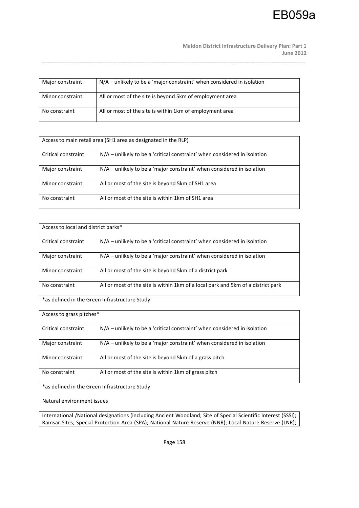| Major constraint | $N/A$ – unlikely to be a 'major constraint' when considered in isolation |
|------------------|--------------------------------------------------------------------------|
| Minor constraint | All or most of the site is beyond 5km of employment area                 |
| No constraint    | All or most of the site is within 1km of employment area                 |

\_\_\_\_\_\_\_\_\_\_\_\_\_\_\_\_\_\_\_\_\_\_\_\_\_\_\_\_\_\_\_\_\_\_\_\_\_\_\_\_\_\_\_\_\_\_\_\_\_\_\_\_\_\_\_\_\_\_\_\_\_\_\_\_\_\_\_\_\_\_\_\_\_\_\_\_\_\_\_\_\_\_\_\_\_\_\_\_\_\_

| Access to main retail area (SH1 area as designated in the RLP) |                                                                             |  |
|----------------------------------------------------------------|-----------------------------------------------------------------------------|--|
| Critical constraint                                            | $N/A$ – unlikely to be a 'critical constraint' when considered in isolation |  |
| Major constraint                                               | $N/A$ – unlikely to be a 'major constraint' when considered in isolation    |  |
| Minor constraint                                               | All or most of the site is beyond 5km of SH1 area                           |  |
| No constraint                                                  | All or most of the site is within 1km of SH1 area                           |  |

| Access to local and district parks* |                                                                                  |  |
|-------------------------------------|----------------------------------------------------------------------------------|--|
| Critical constraint                 | $N/A$ – unlikely to be a 'critical constraint' when considered in isolation      |  |
| Major constraint                    | $N/A$ – unlikely to be a 'major constraint' when considered in isolation         |  |
| Minor constraint                    | All or most of the site is beyond 5km of a district park                         |  |
| No constraint                       | All or most of the site is within 1km of a local park and 5km of a district park |  |

\*as defined in the Green Infrastructure Study

| Access to grass pitches* |                                                                             |  |
|--------------------------|-----------------------------------------------------------------------------|--|
| Critical constraint      | $N/A$ – unlikely to be a 'critical constraint' when considered in isolation |  |
| Major constraint         | $N/A$ – unlikely to be a 'major constraint' when considered in isolation    |  |
| Minor constraint         | All or most of the site is beyond 5km of a grass pitch                      |  |
| No constraint            | All or most of the site is within 1 km of grass pitch                       |  |

\*as defined in the Green Infrastructure Study

Natural environment issues

International /National designations (including Ancient Woodland; Site of Special Scientific Interest (SSSI); Ramsar Sites; Special Protection Area (SPA); National Nature Reserve (NNR); Local Nature Reserve (LNR);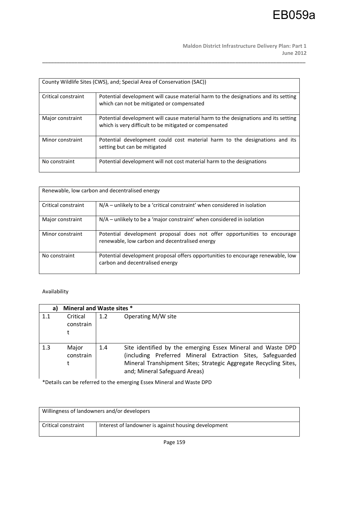|                     | County Wildlife Sites (CWS), and; Special Area of Conservation (SAC))                                                                        |
|---------------------|----------------------------------------------------------------------------------------------------------------------------------------------|
| Critical constraint | Potential development will cause material harm to the designations and its setting<br>which can not be mitigated or compensated              |
| Major constraint    | Potential development will cause material harm to the designations and its setting<br>which is very difficult to be mitigated or compensated |
| Minor constraint    | Potential development could cost material harm to the designations and its<br>setting but can be mitigated                                   |
| No constraint       | Potential development will not cost material harm to the designations                                                                        |

\_\_\_\_\_\_\_\_\_\_\_\_\_\_\_\_\_\_\_\_\_\_\_\_\_\_\_\_\_\_\_\_\_\_\_\_\_\_\_\_\_\_\_\_\_\_\_\_\_\_\_\_\_\_\_\_\_\_\_\_\_\_\_\_\_\_\_\_\_\_\_\_\_\_\_\_\_\_\_\_\_\_\_\_\_\_\_\_\_\_

| Renewable, low carbon and decentralised energy |                                                                                                                            |  |
|------------------------------------------------|----------------------------------------------------------------------------------------------------------------------------|--|
| Critical constraint                            | $N/A$ – unlikely to be a 'critical constraint' when considered in isolation                                                |  |
| Major constraint                               | $N/A$ – unlikely to be a 'major constraint' when considered in isolation                                                   |  |
| Minor constraint                               | Potential development proposal does not offer opportunities to encourage<br>renewable, low carbon and decentralised energy |  |
| No constraint                                  | Potential development proposal offers opportunities to encourage renewable, low<br>carbon and decentralised energy         |  |

### Availability

| a)  | Mineral and Waste sites * |     |                                                                                                                                                                                                                                |
|-----|---------------------------|-----|--------------------------------------------------------------------------------------------------------------------------------------------------------------------------------------------------------------------------------|
| 1.1 | Critical<br>constrain     | 1.2 | Operating M/W site                                                                                                                                                                                                             |
| 1.3 | Major<br>constrain        | 1.4 | Site identified by the emerging Essex Mineral and Waste DPD<br>(including Preferred Mineral Extraction Sites, Safeguarded<br>Mineral Transhipment Sites; Strategic Aggregate Recycling Sites,<br>and; Mineral Safeguard Areas) |

\*Details can be referred to the emerging Essex Mineral and Waste DPD

| Willingness of landowners and/or developers |                                                      |
|---------------------------------------------|------------------------------------------------------|
| Critical constraint                         | Interest of landowner is against housing development |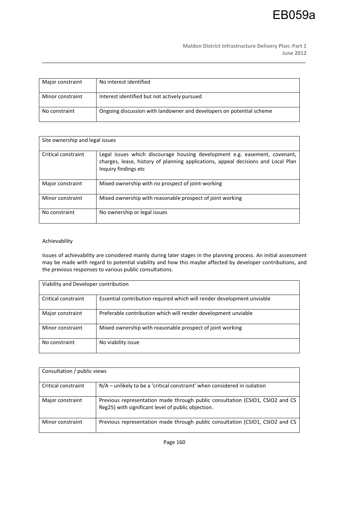**Maldon District Infrastructure Delivery Plan: Part 1 June 2012** 

| Major constraint | No interest identified                                               |
|------------------|----------------------------------------------------------------------|
| Minor constraint | Interest identified but not actively pursued                         |
| No constraint    | Ongoing discussion with landowner and developers on potential scheme |

\_\_\_\_\_\_\_\_\_\_\_\_\_\_\_\_\_\_\_\_\_\_\_\_\_\_\_\_\_\_\_\_\_\_\_\_\_\_\_\_\_\_\_\_\_\_\_\_\_\_\_\_\_\_\_\_\_\_\_\_\_\_\_\_\_\_\_\_\_\_\_\_\_\_\_\_\_\_\_\_\_\_\_\_\_\_\_\_\_\_

| Site ownership and legal issues |                                                                                                                                                                                         |
|---------------------------------|-----------------------------------------------------------------------------------------------------------------------------------------------------------------------------------------|
|                                 |                                                                                                                                                                                         |
| Critical constraint             | Legal issues which discourage housing development e.g. easement, covenant,<br>charges, lease, history of planning applications, appeal decisions and Local Plan<br>Inquiry findings etc |
| Major constraint                | Mixed ownership with no prospect of joint-working                                                                                                                                       |
| Minor constraint                | Mixed ownership with reasonable prospect of joint working                                                                                                                               |
| No constraint                   | No ownership or legal issues                                                                                                                                                            |

#### Achievability

Issues of achievability are considered mainly during later stages in the planning process. An initial assessment may be made with regard to potential viability and how this maybe affected by developer contributions, and the previous responses to various public consultations.

| Viability and Developer contribution |                                                                        |  |
|--------------------------------------|------------------------------------------------------------------------|--|
| Critical constraint                  | Essential contribution required which will render development unviable |  |
| Major constraint                     | Preferable contribution which will render development unviable         |  |
| Minor constraint                     | Mixed ownership with reasonable prospect of joint working              |  |
| No constraint                        | No viability issue                                                     |  |

| Consultation / public views |                                                                                                                                     |
|-----------------------------|-------------------------------------------------------------------------------------------------------------------------------------|
| Critical constraint         | $N/A$ – unlikely to be a 'critical constraint' when considered in isolation                                                         |
| Major constraint            | Previous representation made through public consultation (CSIO1, CSIO2 and CS<br>Reg25) with significant level of public objection. |
| Minor constraint            | Previous representation made through public consultation (CSIO1, CSIO2 and CS                                                       |